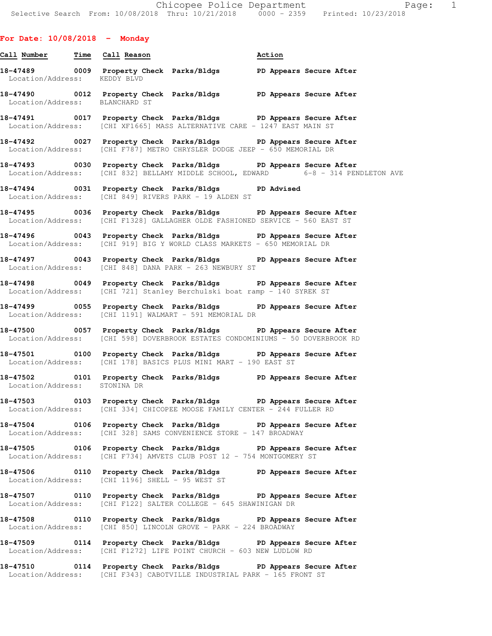## **For Date: 10/08/2018 - Monday**

- **Call Number Time Call Reason Action 18-47489 0009 Property Check Parks/Bldgs PD Appears Secure After**  Location/Address: KEDDY BLVD **18-47490 0012 Property Check Parks/Bldgs PD Appears Secure After**  Location/Address: BLANCHARD ST **18-47491 0017 Property Check Parks/Bldgs PD Appears Secure After**  Location/Address: [CHI XF1665] MASS ALTERNATIVE CARE - 1247 EAST MAIN ST **18-47492 0027 Property Check Parks/Bldgs PD Appears Secure After**  Location/Address: [CHI F787] METRO CHRYSLER DODGE JEEP - 650 MEMORIAL DR **18-47493 0030 Property Check Parks/Bldgs PD Appears Secure After**  Location/Address: [CHI 832] BELLAMY MIDDLE SCHOOL, EDWARD 6-8 - 314 PENDLETON AVE **18-47494 0031 Property Check Parks/Bldgs PD Advised**  Location/Address: [CHI 849] RIVERS PARK - 19 ALDEN ST **18-47495 0036 Property Check Parks/Bldgs PD Appears Secure After**  Location/Address: [CHI F1328] GALLAGHER OLDE FASHIONED SERVICE - 560 EAST ST **18-47496 0043 Property Check Parks/Bldgs PD Appears Secure After**  Location/Address: [CHI 919] BIG Y WORLD CLASS MARKETS - 650 MEMORIAL DR **18-47497 0043 Property Check Parks/Bldgs PD Appears Secure After**  Location/Address: [CHI 848] DANA PARK - 263 NEWBURY ST **18-47498 0049 Property Check Parks/Bldgs PD Appears Secure After**  Location/Address: [CHI 721] Stanley Berchulski boat ramp - 140 SYREK ST **18-47499 0055 Property Check Parks/Bldgs PD Appears Secure After**  Location/Address: [CHI 1191] WALMART - 591 MEMORIAL DR **18-47500 0057 Property Check Parks/Bldgs PD Appears Secure After**  Location/Address: [CHI 598] DOVERBROOK ESTATES CONDOMINIUMS - 50 DOVERBROOK RD **18-47501 0100 Property Check Parks/Bldgs PD Appears Secure After**  Location/Address: [CHI 178] BASICS PLUS MINI MART - 190 EAST ST **18-47502 0101 Property Check Parks/Bldgs PD Appears Secure After**  Location/Address: STONINA DR **18-47503 0103 Property Check Parks/Bldgs PD Appears Secure After**  Location/Address: [CHI 334] CHICOPEE MOOSE FAMILY CENTER - 244 FULLER RD **18-47504 0106 Property Check Parks/Bldgs PD Appears Secure After**  Location/Address: [CHI 328] SAMS CONVENIENCE STORE - 147 BROADWAY **18-47505 0106 Property Check Parks/Bldgs PD Appears Secure After**  Location/Address: [CHI F734] AMVETS CLUB POST 12 - 754 MONTGOMERY ST **18-47506 0110 Property Check Parks/Bldgs PD Appears Secure After**  Location/Address: [CHI 1196] SHELL - 95 WEST ST **18-47507 0110 Property Check Parks/Bldgs PD Appears Secure After**  Location/Address: [CHI F122] SALTER COLLEGE - 645 SHAWINIGAN DR **18-47508 0110 Property Check Parks/Bldgs PD Appears Secure After**  Location/Address: [CHI 850] LINCOLN GROVE - PARK - 224 BROADWAY **18-47509 0114 Property Check Parks/Bldgs PD Appears Secure After**  Location/Address: [CHI F1272] LIFE POINT CHURCH - 603 NEW LUDLOW RD
- **18-47510 0114 Property Check Parks/Bldgs PD Appears Secure After**  Location/Address: [CHI F343] CABOTVILLE INDUSTRIAL PARK - 165 FRONT ST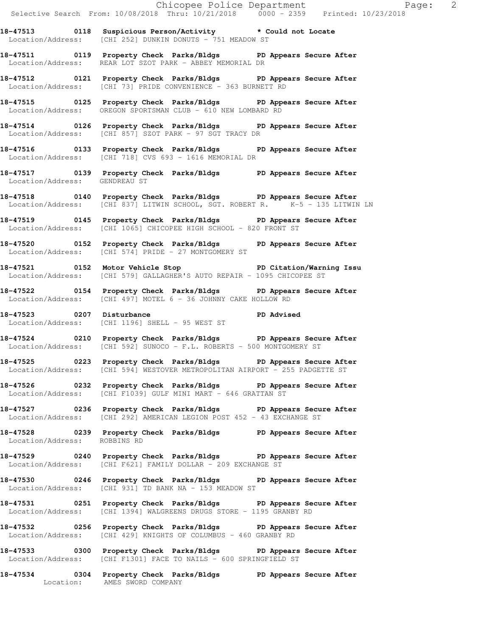**18-47513 0118 Suspicious Person/Activity \* Could not Locate**  Location/Address: [CHI 252] DUNKIN DONUTS - 751 MEADOW ST

**18-47511 0119 Property Check Parks/Bldgs PD Appears Secure After**  Location/Address: REAR LOT SZOT PARK - ABBEY MEMORIAL DR

**18-47512 0121 Property Check Parks/Bldgs PD Appears Secure After**  Location/Address: [CHI 73] PRIDE CONVENIENCE - 363 BURNETT RD

**18-47515 0125 Property Check Parks/Bldgs PD Appears Secure After**  Location/Address: OREGON SPORTSMAN CLUB - 610 NEW LOMBARD RD

**18-47514 0126 Property Check Parks/Bldgs PD Appears Secure After**  Location/Address: [CHI 857] SZOT PARK - 97 SGT TRACY DR

**18-47516 0133 Property Check Parks/Bldgs PD Appears Secure After**  Location/Address: [CHI 718] CVS 693 - 1616 MEMORIAL DR

**18-47517 0139 Property Check Parks/Bldgs PD Appears Secure After**  Location/Address: GENDREAU ST

**18-47518 0140 Property Check Parks/Bldgs PD Appears Secure After**  Location/Address: [CHI 837] LITWIN SCHOOL, SGT. ROBERT R. K-5 - 135 LITWIN LN

**18-47519 0145 Property Check Parks/Bldgs PD Appears Secure After**  Location/Address: [CHI 1065] CHICOPEE HIGH SCHOOL - 820 FRONT ST

**18-47520 0152 Property Check Parks/Bldgs PD Appears Secure After**  Location/Address: [CHI 574] PRIDE - 27 MONTGOMERY ST

**18-47521 0152 Motor Vehicle Stop PD Citation/Warning Issu**  Location/Address: [CHI 579] GALLAGHER'S AUTO REPAIR - 1095 CHICOPEE ST

**18-47522 0154 Property Check Parks/Bldgs PD Appears Secure After**  Location/Address: [CHI 497] MOTEL 6 - 36 JOHNNY CAKE HOLLOW RD

18-47523 0207 Disturbance **PD** Advised Location/Address: [CHI 1196] SHELL - 95 WEST ST

**18-47524 0210 Property Check Parks/Bldgs PD Appears Secure After**  Location/Address: [CHI 592] SUNOCO - F.L. ROBERTS - 500 MONTGOMERY ST

**18-47525 0223 Property Check Parks/Bldgs PD Appears Secure After**  Location/Address: [CHI 594] WESTOVER METROPOLITAN AIRPORT - 255 PADGETTE ST

**18-47526 0232 Property Check Parks/Bldgs PD Appears Secure After**  Location/Address: [CHI F1039] GULF MINI MART - 646 GRATTAN ST

**18-47527 0236 Property Check Parks/Bldgs PD Appears Secure After**  Location/Address: [CHI 292] AMERICAN LEGION POST 452 - 43 EXCHANGE ST

**18-47528 0239 Property Check Parks/Bldgs PD Appears Secure After**  Location/Address: ROBBINS RD

**18-47529 0240 Property Check Parks/Bldgs PD Appears Secure After**  Location/Address: [CHI F621] FAMILY DOLLAR - 209 EXCHANGE ST

**18-47530 0246 Property Check Parks/Bldgs PD Appears Secure After**  Location/Address: [CHI 931] TD BANK NA - 153 MEADOW ST

**18-47531 0251 Property Check Parks/Bldgs PD Appears Secure After**  Location/Address: [CHI 1394] WALGREENS DRUGS STORE - 1195 GRANBY RD

**18-47532 0256 Property Check Parks/Bldgs PD Appears Secure After**  Location/Address: [CHI 429] KNIGHTS OF COLUMBUS - 460 GRANBY RD

**18-47533 0300 Property Check Parks/Bldgs PD Appears Secure After**  Location/Address: [CHI F1301] FACE TO NAILS - 600 SPRINGFIELD ST

**18-47534 0304 Property Check Parks/Bldgs PD Appears Secure After**  Location: AMES SWORD COMPANY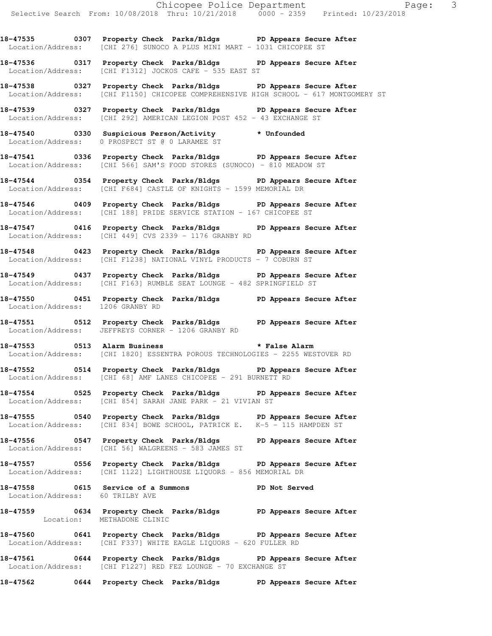**18-47535 0307 Property Check Parks/Bldgs PD Appears Secure After**  Location/Address: [CHI 276] SUNOCO A PLUS MINI MART - 1031 CHICOPEE ST

**18-47536 0317 Property Check Parks/Bldgs PD Appears Secure After**  Location/Address: [CHI F1312] JOCKOS CAFE - 535 EAST ST

**18-47538 0327 Property Check Parks/Bldgs PD Appears Secure After**  Location/Address: [CHI F1150] CHICOPEE COMPREHENSIVE HIGH SCHOOL - 617 MONTGOMERY ST

**18-47539 0327 Property Check Parks/Bldgs PD Appears Secure After**  Location/Address: [CHI 292] AMERICAN LEGION POST 452 - 43 EXCHANGE ST

**18-47540 0330 Suspicious Person/Activity \* Unfounded**  Location/Address: 0 PROSPECT ST @ 0 LARAMEE ST

**18-47541 0336 Property Check Parks/Bldgs PD Appears Secure After**  Location/Address: [CHI 566] SAM'S FOOD STORES (SUNOCO) - 810 MEADOW ST

**18-47544 0354 Property Check Parks/Bldgs PD Appears Secure After**  Location/Address: [CHI F684] CASTLE OF KNIGHTS - 1599 MEMORIAL DR

**18-47546 0409 Property Check Parks/Bldgs PD Appears Secure After**  Location/Address: [CHI 188] PRIDE SERVICE STATION - 167 CHICOPEE ST

**18-47547 0416 Property Check Parks/Bldgs PD Appears Secure After**  Location/Address: [CHI 449] CVS 2339 - 1176 GRANBY RD

**18-47548 0423 Property Check Parks/Bldgs PD Appears Secure After**  Location/Address: [CHI F1238] NATIONAL VINYL PRODUCTS - 7 COBURN ST

**18-47549 0437 Property Check Parks/Bldgs PD Appears Secure After**  Location/Address: [CHI F163] RUMBLE SEAT LOUNGE - 482 SPRINGFIELD ST

**18-47550 0451 Property Check Parks/Bldgs PD Appears Secure After**  Location/Address: 1206 GRANBY RD

**18-47551 0512 Property Check Parks/Bldgs PD Appears Secure After**  Location/Address: JEFFREYS CORNER - 1206 GRANBY RD

**18-47553 0513 Alarm Business \* False Alarm**  Location/Address: [CHI 1820] ESSENTRA POROUS TECHNOLOGIES - 2255 WESTOVER RD

**18-47552 0514 Property Check Parks/Bldgs PD Appears Secure After**  Location/Address: [CHI 68] AMF LANES CHICOPEE - 291 BURNETT RD

**18-47554 0525 Property Check Parks/Bldgs PD Appears Secure After**  Location/Address: [CHI 854] SARAH JANE PARK - 21 VIVIAN ST

**18-47555 0540 Property Check Parks/Bldgs PD Appears Secure After**  Location/Address: [CHI 834] BOWE SCHOOL, PATRICK E. K-5 - 115 HAMPDEN ST

**18-47556 0547 Property Check Parks/Bldgs PD Appears Secure After**  Location/Address: [CHI 56] WALGREENS - 583 JAMES ST

**18-47557 0556 Property Check Parks/Bldgs PD Appears Secure After**  Location/Address: [CHI 1122] LIGHTHOUSE LIQUORS - 856 MEMORIAL DR

**18-47558 0615 Service of a Summons PD Not Served**  Location/Address: 60 TRILBY AVE

**18-47559 0634 Property Check Parks/Bldgs PD Appears Secure After**  Location: METHADONE CLINIC

**18-47560 0641 Property Check Parks/Bldgs PD Appears Secure After**  Location/Address: [CHI F337] WHITE EAGLE LIQUORS - 620 FULLER RD

**18-47561 0644 Property Check Parks/Bldgs PD Appears Secure After**  Location/Address: [CHI F1227] RED FEZ LOUNGE - 70 EXCHANGE ST

**18-47562 0644 Property Check Parks/Bldgs PD Appears Secure After**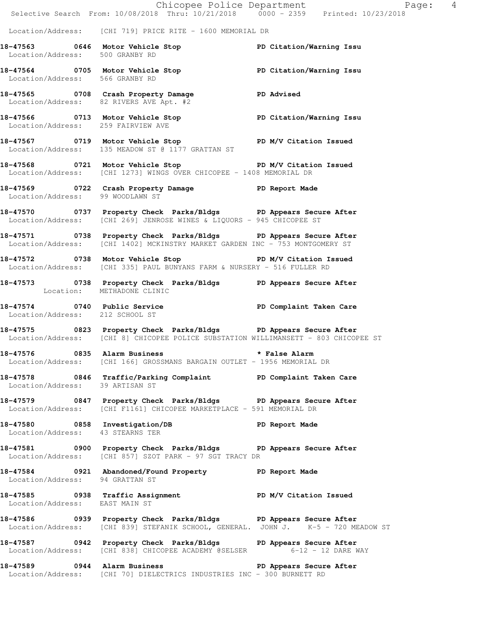|                                    |                                                                                                                                                         | Chicopee Police Department<br>Selective Search From: 10/08/2018 Thru: 10/21/2018 0000 - 2359 Printed: 10/23/2018 |
|------------------------------------|---------------------------------------------------------------------------------------------------------------------------------------------------------|------------------------------------------------------------------------------------------------------------------|
|                                    | Location/Address: [CHI 719] PRICE RITE - 1600 MEMORIAL DR                                                                                               |                                                                                                                  |
| Location/Address: 500 GRANBY RD    | 18-47563 0646 Motor Vehicle Stop North PD Citation/Warning Issu                                                                                         |                                                                                                                  |
| Location/Address: 566 GRANBY RD    | 18-47564 0705 Motor Vehicle Stop 5 PD Citation/Warning Issu                                                                                             |                                                                                                                  |
|                                    | 18-47565 0708 Crash Property Damage PD Advised<br>Location/Address: 82 RIVERS AVE Apt. #2                                                               |                                                                                                                  |
| Location/Address: 259 FAIRVIEW AVE | 18-47566 0713 Motor Vehicle Stop North PD Citation/Warning Issu                                                                                         |                                                                                                                  |
|                                    | 18-47567 0719 Motor Vehicle Stop PD M/V Citation Issued<br>Location/Address: 135 MEADOW ST @ 1177 GRATTAN ST                                            |                                                                                                                  |
|                                    | 18-47568 0721 Motor Vehicle Stop PD M/V Citation Issued<br>Location/Address: [CHI 1273] WINGS OVER CHICOPEE - 1408 MEMORIAL DR                          |                                                                                                                  |
|                                    | 18-47569 0722 Crash Property Damage PD Report Made<br>Location/Address: 99 WOODLAWN ST                                                                  |                                                                                                                  |
|                                    | 18-47570 0737 Property Check Parks/Bldgs PD Appears Secure After<br>Location/Address: [CHI 269] JENROSE WINES & LIQUORS - 945 CHICOPEE ST               |                                                                                                                  |
|                                    | 18-47571 0738 Property Check Parks/Bldgs PD Appears Secure After<br>Location/Address: [CHI 1402] MCKINSTRY MARKET GARDEN INC - 753 MONTGOMERY ST        |                                                                                                                  |
|                                    | 18-47572 0738 Motor Vehicle Stop N/V Citation Issued<br>Location/Address: [CHI 335] PAUL BUNYANS FARM & NURSERY - 516 FULLER RD                         |                                                                                                                  |
| Location: METHADONE CLINIC         | 18-47573 0738 Property Check Parks/Bldgs PD Appears Secure After                                                                                        |                                                                                                                  |
| Location/Address: 212 SCHOOL ST    | 18-47574 0740 Public Service <b>18 PD</b> Complaint Taken Care                                                                                          |                                                                                                                  |
|                                    | 18-47575 0823 Property Check Parks/Bldgs PD Appears Secure After<br>Location/Address: [CHI 8] CHICOPEE POLICE SUBSTATION WILLIMANSETT - 803 CHICOPEE ST |                                                                                                                  |
|                                    | 18-47576 0835 Alarm Business<br>Location/Address: [CHI 166] GROSSMANS BARGAIN OUTLET - 1956 MEMORIAL DR                                                 | * False Alarm                                                                                                    |
| Location/Address: 39 ARTISAN ST    | 18-47578 0846 Traffic/Parking Complaint PD Complaint Taken Care                                                                                         |                                                                                                                  |
|                                    | 18-47579 0847 Property Check Parks/Bldgs PD Appears Secure After<br>Location/Address: [CHI F1161] CHICOPEE MARKETPLACE - 591 MEMORIAL DR                |                                                                                                                  |
| Location/Address: 43 STEARNS TER   | 18-47580 0858 Investigation/DB PD Report Made                                                                                                           |                                                                                                                  |
|                                    | 18-47581 0900 Property Check Parks/Bldgs PD Appears Secure After<br>Location/Address: [CHI 857] SZOT PARK - 97 SGT TRACY DR                             |                                                                                                                  |
| Location/Address: 94 GRATTAN ST    | 18-47584 0921 Abandoned/Found Property PD Report Made                                                                                                   |                                                                                                                  |
| Location/Address: EAST MAIN ST     | 18-47585 0938 Traffic Assignment No PD M/V Citation Issued                                                                                              |                                                                                                                  |
|                                    | 18-47586 0939 Property Check Parks/Bldgs PD Appears Secure After<br>Location/Address: [CHI 839] STEFANIK SCHOOL, GENERAL. JOHN J. K-5 - 720 MEADOW ST   |                                                                                                                  |
|                                    | 18-47587 		 0942 Property Check Parks/Bldgs 		 PD Appears Secure After<br>Location/Address: [CHI 838] CHICOPEE ACADEMY @SELSER 6-12 - 12 DARE WAY       |                                                                                                                  |
|                                    | 18-47589 0944 Alarm Business<br>Location/Address: [CHI 70] DIELECTRICS INDUSTRIES INC - 300 BURNETT RD                                                  | PD Appears Secure After                                                                                          |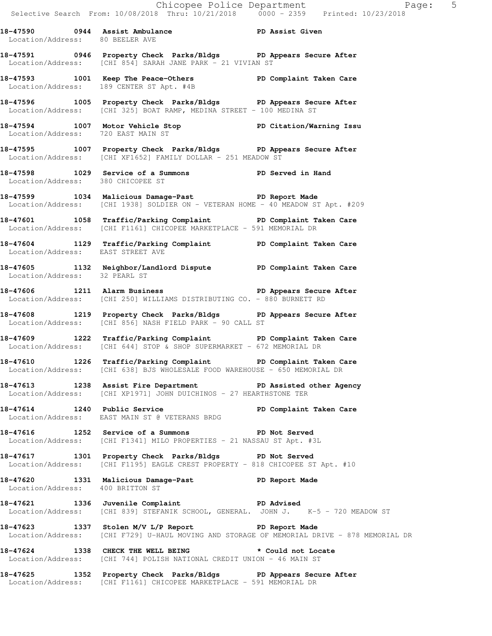**18-47590 0944 Assist Ambulance PD Assist Given** 

 Location/Address: 80 BEELER AVE **18-47591 0946 Property Check Parks/Bldgs PD Appears Secure After**  Location/Address: [CHI 854] SARAH JANE PARK - 21 VIVIAN ST **18-47593 1001 Keep The Peace-Others PD Complaint Taken Care**  Location/Address: 189 CENTER ST Apt. #4B **18-47596 1005 Property Check Parks/Bldgs PD Appears Secure After**  Location/Address: [CHI 325] BOAT RAMP, MEDINA STREET - 100 MEDINA ST **18-47594 1007 Motor Vehicle Stop PD Citation/Warning Issu Location/Address:** 720 EAST MAIN ST Location/Address: **18-47595 1007 Property Check Parks/Bldgs PD Appears Secure After**  Location/Address: [CHI XF1652] FAMILY DOLLAR - 251 MEADOW ST **18-47598 1029 Service of a Summons PD Served in Hand**  Location/Address: 380 CHICOPEE ST **18-47599 1034 Malicious Damage-Past PD Report Made**  Location/Address: [CHI 1938] SOLDIER ON - VETERAN HOME - 40 MEADOW ST Apt. #209 **18-47601 1058 Traffic/Parking Complaint PD Complaint Taken Care**  Location/Address: [CHI F1161] CHICOPEE MARKETPLACE - 591 MEMORIAL DR **18-47604 1129 Traffic/Parking Complaint PD Complaint Taken Care**  Location/Address: EAST STREET AVE **18-47605 1132 Neighbor/Landlord Dispute PD Complaint Taken Care**  Location/Address: 32 PEARL ST **18-47606 1211 Alarm Business PD Appears Secure After**  Location/Address: [CHI 250] WILLIAMS DISTRIBUTING CO. - 880 BURNETT RD **18-47608 1219 Property Check Parks/Bldgs PD Appears Secure After**  Location/Address: [CHI 856] NASH FIELD PARK - 90 CALL ST **18-47609 1222 Traffic/Parking Complaint PD Complaint Taken Care**  Location/Address: [CHI 644] STOP & SHOP SUPERMARKET - 672 MEMORIAL DR **18-47610 1226 Traffic/Parking Complaint PD Complaint Taken Care**  Location/Address: [CHI 638] BJS WHOLESALE FOOD WAREHOUSE - 650 MEMORIAL DR **18-47613 1238 Assist Fire Department PD Assisted other Agency**  Location/Address: [CHI XP1971] JOHN DUICHINOS - 27 HEARTHSTONE TER **18-47614 1240 Public Service PD Complaint Taken Care**  Location/Address: EAST MAIN ST @ VETERANS BRDG **18-47616 1252 Service of a Summons PD Not Served**  Location/Address: [CHI F1341] MILO PROPERTIES - 21 NASSAU ST Apt. #3L **18-47617 1301 Property Check Parks/Bldgs PD Not Served**  Location/Address: [CHI F1195] EAGLE CREST PROPERTY - 818 CHICOPEE ST Apt. #10 **18-47620 1331 Malicious Damage-Past PD Report Made**  Location/Address: 400 BRITTON ST **18-47621 1336 Juvenile Complaint PD Advised**  Location/Address: [CHI 839] STEFANIK SCHOOL, GENERAL. JOHN J. K-5 - 720 MEADOW ST **18-47623 1337 Stolen M/V L/P Report PD Report Made**  Location/Address: [CHI F729] U-HAUL MOVING AND STORAGE OF MEMORIAL DRIVE - 878 MEMORIAL DR

**18-47624 1338 CHECK THE WELL BEING \* Could not Locate**  Location/Address: [CHI 744] POLISH NATIONAL CREDIT UNION - 46 MAIN ST

**18-47625 1352 Property Check Parks/Bldgs PD Appears Secure After**  Location/Address: [CHI F1161] CHICOPEE MARKETPLACE - 591 MEMORIAL DR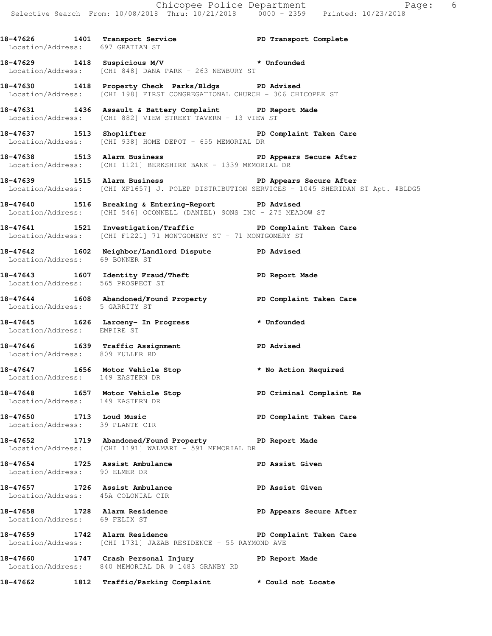Selective Search From: 10/08/2018 Thru: 10/21/2018 0000 - 2359 Printed: 10/23/2018 18-47626 1401 Transport Service **PD Transport Complete**  Location/Address: 697 GRATTAN ST **18-47629 1418 Suspicious M/V \* Unfounded**  Location/Address: [CHI 848] DANA PARK - 263 NEWBURY ST **18-47630 1418 Property Check Parks/Bldgs PD Advised**  Location/Address: [CHI 198] FIRST CONGREGATIONAL CHURCH - 306 CHICOPEE ST **18-47631 1436 Assault & Battery Complaint PD Report Made**  Location/Address: [CHI 882] VIEW STREET TAVERN - 13 VIEW ST **18-47637 1513 Shoplifter PD Complaint Taken Care**  Location/Address: [CHI 938] HOME DEPOT - 655 MEMORIAL DR 18-47638 1513 Alarm Business **18-47638** PD Appears Secure After Location/Address: [CHI 1121] BERKSHIRE BANK - 1339 MEMORIAL DR **18-47639 1515 Alarm Business PD Appears Secure After**  Location/Address: [CHI XF1657] J. POLEP DISTRIBUTION SERVICES - 1045 SHERIDAN ST Apt. #BLDG5 **18-47640 1516 Breaking & Entering-Report PD Advised**  Location/Address: [CHI 546] OCONNELL (DANIEL) SONS INC - 275 MEADOW ST **18-47641 1521 Investigation/Traffic PD Complaint Taken Care**  Location/Address: [CHI F1221] 71 MONTGOMERY ST - 71 MONTGOMERY ST **18-47642 1602 Neighbor/Landlord Dispute PD Advised**  Location/Address: 69 BONNER ST **18-47643 1607 Identity Fraud/Theft PD Report Made**  Location/Address: 565 PROSPECT ST **18-47644 1608 Abandoned/Found Property PD Complaint Taken Care**  Location/Address: 5 GARRITY ST **18-47645 1626 Larceny- In Progress \* Unfounded**  Location/Address: EMPIRE ST **18-47646 1639 Traffic Assignment PD Advised**  Location/Address: 809 FULLER RD **18-47647 1656 Motor Vehicle Stop \* No Action Required**  Location/Address: 149 EASTERN DR **18-47648 1657 Motor Vehicle Stop PD Criminal Complaint Re**  Location/Address: 149 EASTERN DR **18-47650 1713 Loud Music PD Complaint Taken Care**  Location/Address: 39 PLANTE CIR **18-47652 1719 Abandoned/Found Property PD Report Made**  Location/Address: [CHI 1191] WALMART - 591 MEMORIAL DR **18-47654 1725 Assist Ambulance PD Assist Given**  Location/Address: 90 ELMER DR **18-47657 1726 Assist Ambulance PD Assist Given**  Location/Address: 45A COLONIAL CIR 18-47658 1728 Alarm Residence **18-47658** PD Appears Secure After Location/Address: 69 FELIX ST **18-47659 1742 Alarm Residence PD Complaint Taken Care**  Location/Address: [CHI 1731] JAZAB RESIDENCE - 55 RAYMOND AVE

**18-47660 1747 Crash Personal Injury PD Report Made**  Location/Address: 840 MEMORIAL DR @ 1483 GRANBY RD

**18-47662 1812 Traffic/Parking Complaint \* Could not Locate** 

Chicopee Police Department Fage: 6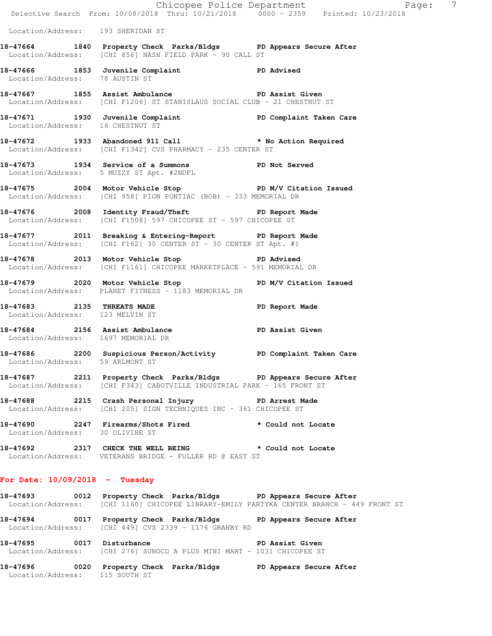|                                    | E<br>Chicopee Police Department<br>Selective Search From: 10/08/2018 Thru: 10/21/2018 0000 - 2359 Printed: 10/23/2018                                        | Page:          | $\overline{7}$ |
|------------------------------------|--------------------------------------------------------------------------------------------------------------------------------------------------------------|----------------|----------------|
| Location/Address: 193 SHERIDAN ST  |                                                                                                                                                              |                |                |
|                                    | 18-47664 1840 Property Check Parks/Bldgs PD Appears Secure After<br>Location/Address: [CHI 856] NASH FIELD PARK - 90 CALL ST                                 |                |                |
| Location/Address: 78 AUSTIN ST     | 18-47666 1853 Juvenile Complaint PD Advised                                                                                                                  |                |                |
|                                    | 18-47667 1855 Assist Ambulance New PD Assist Given<br>Location/Address: [CHI F1206] ST STANISLAUS SOCIAL CLUB - 21 CHESTNUT ST                               |                |                |
|                                    | 18-47671   1930   Juvenile Complaint   PD Complaint Taken Care<br>Location/Address: 16   CHESTNUT ST                                                         |                |                |
|                                    | 18-47672 1933 Abandoned 911 Call <b>*</b> No Action Required<br>Location/Address: [CHI F1342] CVS PHARMACY - 235 CENTER ST                                   |                |                |
|                                    | 18-47673 1934 Service of a Summons PD Not Served<br>Location/Address: 5 MUZZY ST Apt. #2NDFL                                                                 |                |                |
|                                    | 18-47675 2004 Motor Vehicle Stop N/V Citation Issued<br>Location/Address: [CHI 958] PION PONTIAC (BOB) - 333 MEMORIAL DR                                     |                |                |
|                                    | 18-47676 2008 Identity Fraud/Theft The PD Report Made<br>Location/Address: [CHI F1508] 597 CHICOPEE ST - 597 CHICOPEE ST                                     |                |                |
|                                    | 18-47677 2011 Breaking & Entering-Report PD Report Made<br>Location/Address: [CHI F162] 30 CENTER ST - 30 CENTER ST Apt. #1                                  |                |                |
|                                    | 18-47678 2013 Motor Vehicle Stop New PD Advised<br>Location/Address: [CHI F1161] CHICOPEE MARKETPLACE - 591 MEMORIAL DR                                      |                |                |
|                                    | 18-47679 2020 Motor Vehicle Stop N/V Citation Issued<br>Location/Address: PLANET FITNESS - 1183 MEMORIAL DR                                                  |                |                |
| Location/Address: 123 MELVIN ST    | 18-47683 2135 THREATS MADE                                                                                                                                   | PD Report Made |                |
| Location/Address: 1697 MEMORIAL DR | 18-47684 2156 Assist Ambulance New PD Assist Given                                                                                                           |                |                |
| Location/Address: 59 ARLMONT ST    | 18-47686 2200 Suspicious Person/Activity PD Complaint Taken Care                                                                                             |                |                |
|                                    | 18-47687 2211 Property Check Parks/Bldgs PD Appears Secure After<br>Location/Address: [CHI F343] CABOTVILLE INDUSTRIAL PARK - 165 FRONT ST                   |                |                |
|                                    | 18-47688 2215 Crash Personal Injury PD Arrest Made<br>Location/Address: [CHI 205] SIGN TECHNIQUES INC - 361 CHICOPEE ST                                      |                |                |
| Location/Address: 30 OLIVINE ST    | 18-47690 2247 Firearms/Shots Fired * Could not Locate                                                                                                        |                |                |
|                                    | 18-47692 2317 CHECK THE WELL BEING * Could not Locate<br>Location/Address: VETERANS BRIDGE - FULLER RD @ EAST ST                                             |                |                |
| For Date: $10/09/2018$ - Tuesday   |                                                                                                                                                              |                |                |
|                                    | 18-47693 0012 Property Check Parks/Bldgs PD Appears Secure After<br>Location/Address: [CHI 1160] CHICOPEE LIBRARY-EMILY PARTYKA CENTER BRANCH - 449 FRONT ST |                |                |

**18-47694 0017 Property Check Parks/Bldgs PD Appears Secure After**  Location/Address: [CHI 449] CVS 2339 - 1176 GRANBY RD

**18-47695 0017 Disturbance PD Assist Given**  Location/Address: [CHI 276] SUNOCO A PLUS MINI MART - 1031 CHICOPEE ST

**18-47696 0020 Property Check Parks/Bldgs PD Appears Secure After**  Location/Address: 115 SOUTH ST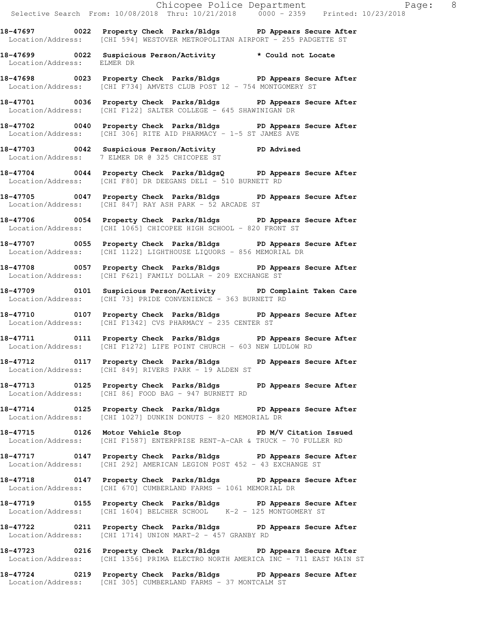|                            | Chicopee Police Department Fage: 8<br>Selective Search From: 10/08/2018 Thru: 10/21/2018 0000 - 2359 Printed: 10/23/2018                        |  |  |
|----------------------------|-------------------------------------------------------------------------------------------------------------------------------------------------|--|--|
|                            | 18-47697 0022 Property Check Parks/Bldgs PD Appears Secure After<br>Location/Address: [CHI 594] WESTOVER METROPOLITAN AIRPORT - 255 PADGETTE ST |  |  |
| Location/Address: ELMER DR | 18-47699 0022 Suspicious Person/Activity * Could not Locate                                                                                     |  |  |
|                            | 18-47698 0023 Property Check Parks/Bldgs PD Appears Secure After<br>Location/Address: [CHI F734] AMVETS CLUB POST 12 - 754 MONTGOMERY ST        |  |  |
|                            | 18-47701 0036 Property Check Parks/Bldgs PD Appears Secure After<br>Location/Address: [CHI F122] SALTER COLLEGE - 645 SHAWINIGAN DR             |  |  |
|                            | 18-47702 0040 Property Check Parks/Bldgs PD Appears Secure After<br>Location/Address: [CHI 306] RITE AID PHARMACY - 1-5 ST JAMES AVE            |  |  |
|                            | 18-47703 0042 Suspicious Person/Activity PD Advised<br>Location/Address: 7 ELMER DR @ 325 CHICOPEE ST                                           |  |  |
|                            | 18-47704 0044 Property Check Parks/BldgsQ PD Appears Secure After<br>Location/Address: [CHI F80] DR DEEGANS DELI - 510 BURNETT RD               |  |  |
|                            | 18-47705 0047 Property Check Parks/Bldgs PD Appears Secure After<br>Location/Address: [CHI 847] RAY ASH PARK - 52 ARCADE ST                     |  |  |
|                            | 18-47706 0054 Property Check Parks/Bldgs PD Appears Secure After<br>Location/Address: [CHI 1065] CHICOPEE HIGH SCHOOL - 820 FRONT ST            |  |  |
|                            | 18-47707 0055 Property Check Parks/Bldgs PD Appears Secure After<br>Location/Address: [CHI 1122] LIGHTHOUSE LIQUORS - 856 MEMORIAL DR           |  |  |
|                            | 18-47708 0057 Property Check Parks/Bldgs PD Appears Secure After<br>Location/Address: [CHI F621] FAMILY DOLLAR - 209 EXCHANGE ST                |  |  |

**18-47709 0101 Suspicious Person/Activity PD Complaint Taken Care**  Location/Address: [CHI 73] PRIDE CONVENIENCE - 363 BURNETT RD

**18-47710 0107 Property Check Parks/Bldgs PD Appears Secure After**  Location/Address: [CHI F1342] CVS PHARMACY - 235 CENTER ST

**18-47711 0111 Property Check Parks/Bldgs PD Appears Secure After**  Location/Address: [CHI F1272] LIFE POINT CHURCH - 603 NEW LUDLOW RD

**18-47712 0117 Property Check Parks/Bldgs PD Appears Secure After**  Location/Address: [CHI 849] RIVERS PARK - 19 ALDEN ST

**18-47713 0125 Property Check Parks/Bldgs PD Appears Secure After**  Location/Address: [CHI 86] FOOD BAG - 947 BURNETT RD

**18-47714 0125 Property Check Parks/Bldgs PD Appears Secure After**  Location/Address: [CHI 1027] DUNKIN DONUTS - 820 MEMORIAL DR

18-47715 **0126** Motor Vehicle Stop **PD M/V Citation Issued** Location/Address: [CHI F1587] ENTERPRISE RENT-A-CAR & TRUCK - 70 FULLER RD

**18-47717 0147 Property Check Parks/Bldgs PD Appears Secure After**  Location/Address: [CHI 292] AMERICAN LEGION POST 452 - 43 EXCHANGE ST

**18-47718 0147 Property Check Parks/Bldgs PD Appears Secure After**  Location/Address: [CHI 670] CUMBERLAND FARMS - 1061 MEMORIAL DR

**18-47719 0155 Property Check Parks/Bldgs PD Appears Secure After**  Location/Address: [CHI 1604] BELCHER SCHOOL K-2 - 125 MONTGOMERY ST

**18-47722 0211 Property Check Parks/Bldgs PD Appears Secure After**  Location/Address: [CHI 1714] UNION MART-2 - 457 GRANBY RD

**18-47723 0216 Property Check Parks/Bldgs PD Appears Secure After**  Location/Address: [CHI 1356] PRIMA ELECTRO NORTH AMERICA INC - 711 EAST MAIN ST

**18-47724 0219 Property Check Parks/Bldgs PD Appears Secure After**  Location/Address: [CHI 305] CUMBERLAND FARMS - 37 MONTCALM ST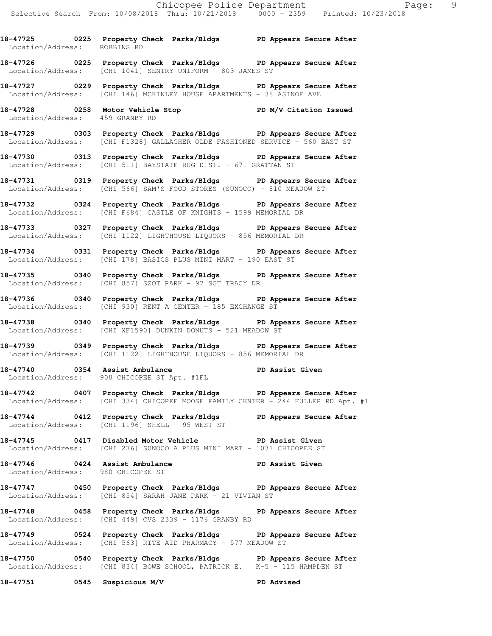Location/Address: ROBBINS RD **18-47726 0225 Property Check Parks/Bldgs PD Appears Secure After**  Location/Address: [CHI 1041] SENTRY UNIFORM - 803 JAMES ST

**18-47725 0225 Property Check Parks/Bldgs PD Appears Secure After** 

**18-47727 0229 Property Check Parks/Bldgs PD Appears Secure After**  Location/Address: [CHI 146] MCKINLEY HOUSE APARTMENTS - 38 ASINOF AVE

**18-47728 0258 Motor Vehicle Stop PD M/V Citation Issued**  Location/Address: 459 GRANBY RD

**18-47729 0303 Property Check Parks/Bldgs PD Appears Secure After**  Location/Address: [CHI F1328] GALLAGHER OLDE FASHIONED SERVICE - 560 EAST ST

**18-47730 0313 Property Check Parks/Bldgs PD Appears Secure After**  Location/Address: [CHI 511] BAYSTATE RUG DIST. - 671 GRATTAN ST

**18-47731 0319 Property Check Parks/Bldgs PD Appears Secure After**  Location/Address: [CHI 566] SAM'S FOOD STORES (SUNOCO) - 810 MEADOW ST

**18-47732 0324 Property Check Parks/Bldgs PD Appears Secure After**  Location/Address: [CHI F684] CASTLE OF KNIGHTS - 1599 MEMORIAL DR

**18-47733 0327 Property Check Parks/Bldgs PD Appears Secure After**  Location/Address: [CHI 1122] LIGHTHOUSE LIQUORS - 856 MEMORIAL DR

**18-47734 0331 Property Check Parks/Bldgs PD Appears Secure After**  Location/Address: [CHI 178] BASICS PLUS MINI MART - 190 EAST ST

**18-47735 0340 Property Check Parks/Bldgs PD Appears Secure After**  Location/Address: [CHI 857] SZOT PARK - 97 SGT TRACY DR

**18-47736 0340 Property Check Parks/Bldgs PD Appears Secure After**  Location/Address: [CHI 930] RENT A CENTER - 185 EXCHANGE ST

**18-47738 0340 Property Check Parks/Bldgs PD Appears Secure After**  Location/Address: [CHI XF1590] DUNKIN DONUTS - 521 MEADOW ST

**18-47739 0349 Property Check Parks/Bldgs PD Appears Secure After**  Location/Address: [CHI 1122] LIGHTHOUSE LIQUORS - 856 MEMORIAL DR

18-47740 **0354** Assist Ambulance **PD Assist Given** Location/Address: 908 CHICOPEE ST Apt. #1FL

**18-47742 0407 Property Check Parks/Bldgs PD Appears Secure After**  Location/Address: [CHI 334] CHICOPEE MOOSE FAMILY CENTER - 244 FULLER RD Apt. #1

**18-47744 0412 Property Check Parks/Bldgs PD Appears Secure After**  Location/Address: [CHI 1196] SHELL - 95 WEST ST

**18-47745 0417 Disabled Motor Vehicle PD Assist Given**  Location/Address: [CHI 276] SUNOCO A PLUS MINI MART - 1031 CHICOPEE ST

**18-47746 0424 Assist Ambulance PD Assist Given**  Location/Address: 980 CHICOPEE ST

**18-47747 0450 Property Check Parks/Bldgs PD Appears Secure After**  Location/Address: [CHI 854] SARAH JANE PARK - 21 VIVIAN ST

**18-47748 0458 Property Check Parks/Bldgs PD Appears Secure After**  Location/Address: [CHI 449] CVS 2339 - 1176 GRANBY RD

**18-47749 0524 Property Check Parks/Bldgs PD Appears Secure After**  Location/Address: [CHI 563] RITE AID PHARMACY - 577 MEADOW ST

**18-47750 0540 Property Check Parks/Bldgs PD Appears Secure After**  Location/Address: [CHI 834] BOWE SCHOOL, PATRICK E. K-5 - 115 HAMPDEN ST

**18-47751 0545 Suspicious M/V PD Advised**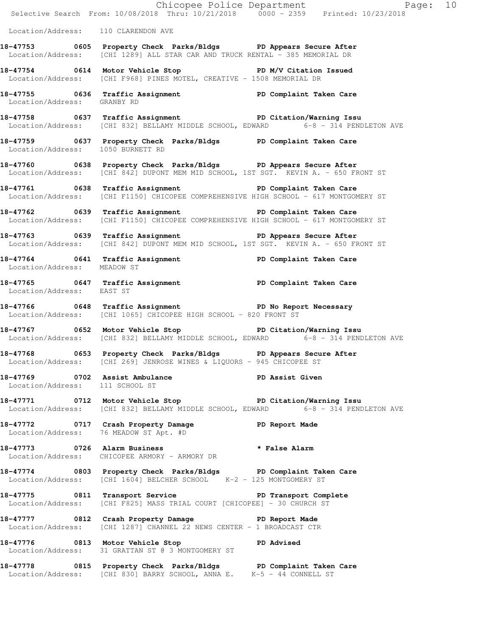|                                     |                                                                                                                                                              | Chicopee Police Department<br>Selective Search From: 10/08/2018 Thru: 10/21/2018 0000 - 2359 Printed: 10/23/2018 |  |
|-------------------------------------|--------------------------------------------------------------------------------------------------------------------------------------------------------------|------------------------------------------------------------------------------------------------------------------|--|
| Location/Address: 110 CLARENDON AVE |                                                                                                                                                              |                                                                                                                  |  |
|                                     | 18-47753 0605 Property Check Parks/Bldgs PD Appears Secure After<br>Location/Address: [CHI 1289] ALL STAR CAR AND TRUCK RENTAL - 385 MEMORIAL DR             |                                                                                                                  |  |
|                                     | 18-47754 0614 Motor Vehicle Stop PD M/V Citation Issued<br>Location/Address: [CHI F968] PINES MOTEL, CREATIVE - 1508 MEMORIAL DR                             |                                                                                                                  |  |
| Location/Address: GRANBY RD         | 18-47755 0636 Traffic Assignment 18-47755 0636 PD Complaint Taken Care                                                                                       |                                                                                                                  |  |
|                                     | 18-47758 0637 Traffic Assignment Nation/Warning Issu<br>Location/Address: [CHI 832] BELLAMY MIDDLE SCHOOL, EDWARD 6-8 - 314 PENDLETON AVE                    |                                                                                                                  |  |
| Location/Address: 1050 BURNETT RD   | 18-47759 0637 Property Check Parks/Bldgs PD Complaint Taken Care                                                                                             |                                                                                                                  |  |
|                                     | 18-47760 0638 Property Check Parks/Bldgs PD Appears Secure After<br>Location/Address: [CHI 842] DUPONT MEM MID SCHOOL, 1ST SGT. KEVIN A. - 650 FRONT ST      |                                                                                                                  |  |
|                                     | 18-47761 0638 Traffic Assignment PD Complaint Taken Care<br>Location/Address: [CHI F1150] CHICOPEE COMPREHENSIVE HIGH SCHOOL - 617 MONTGOMERY ST             |                                                                                                                  |  |
|                                     | 18-47762 0639 Traffic Assignment Number 2016 PD Complaint Taken Care<br>Location/Address: [CHI F1150] CHICOPEE COMPREHENSIVE HIGH SCHOOL - 617 MONTGOMERY ST |                                                                                                                  |  |
|                                     | 18-47763 0639 Traffic Assignment The PD Appears Secure After<br>Location/Address: [CHI 842] DUPONT MEM MID SCHOOL, 1ST SGT. KEVIN A. - 650 FRONT ST          |                                                                                                                  |  |
| Location/Address: MEADOW ST         | 18-47764 0641 Traffic Assignment New PD Complaint Taken Care                                                                                                 |                                                                                                                  |  |
| Location/Address: EAST ST           | 18-47765 0647 Traffic Assignment PD Complaint Taken Care                                                                                                     |                                                                                                                  |  |
|                                     | 18-47766 0648 Traffic Assignment The PD No Report Necessary<br>Location/Address: [CHI 1065] CHICOPEE HIGH SCHOOL - 820 FRONT ST                              |                                                                                                                  |  |
|                                     | 18-47767 0652 Motor Vehicle Stop North PD Citation/Warning Issu<br>Location/Address: [CHI 832] BELLAMY MIDDLE SCHOOL, EDWARD 6-8 - 314 PENDLETON AVE         |                                                                                                                  |  |
|                                     | 18-47768 0653 Property Check Parks/Bldgs PD Appears Secure After<br>Location/Address: [CHI 269] JENROSE WINES & LIQUORS - 945 CHICOPEE ST                    |                                                                                                                  |  |
| Location/Address: 111 SCHOOL ST     | 18-47769 0702 Assist Ambulance New PD Assist Given                                                                                                           |                                                                                                                  |  |
|                                     | 18-47771 0712 Motor Vehicle Stop North PD Citation/Warning Issu<br>Location/Address: [CHI 832] BELLAMY MIDDLE SCHOOL, EDWARD 6-8 - 314 PENDLETON AVE         |                                                                                                                  |  |
|                                     | 18-47772 0717 Crash Property Damage PD Report Made<br>Location/Address: 76 MEADOW ST Apt. #D                                                                 |                                                                                                                  |  |
|                                     | 18-47773 0726 Alarm Business * False Alarm<br>Location/Address: CHICOPEE ARMORY - ARMORY DR                                                                  |                                                                                                                  |  |
|                                     | 18-47774 0803 Property Check Parks/Bldgs PD Complaint Taken Care<br>Location/Address: [CHI 1604] BELCHER SCHOOL K-2 - 125 MONTGOMERY ST                      |                                                                                                                  |  |
|                                     | 18-47775 0811 Transport Service The PD Transport Complete<br>Location/Address: [CHI F825] MASS TRIAL COURT [CHICOPEE] - 30 CHURCH ST                         |                                                                                                                  |  |
|                                     | 18-47777 0812 Crash Property Damage PD Report Made<br>  Location/Address: [CHI 1287] CHANNEL 22 NEWS CENTER - 1 BROADCAST CTR                                |                                                                                                                  |  |
|                                     | 18-47776 0813 Motor Vehicle Stop PD Advised<br>Location/Address: 31 GRATTAN ST @ 3 MONTGOMERY ST                                                             |                                                                                                                  |  |
|                                     | 18-47778 0815 Property Check Parks/Bldgs PD Complaint Taken Care<br>Location/Address: [CHI 830] BARRY SCHOOL, ANNA E. K-5 - 44 CONNELL ST                    |                                                                                                                  |  |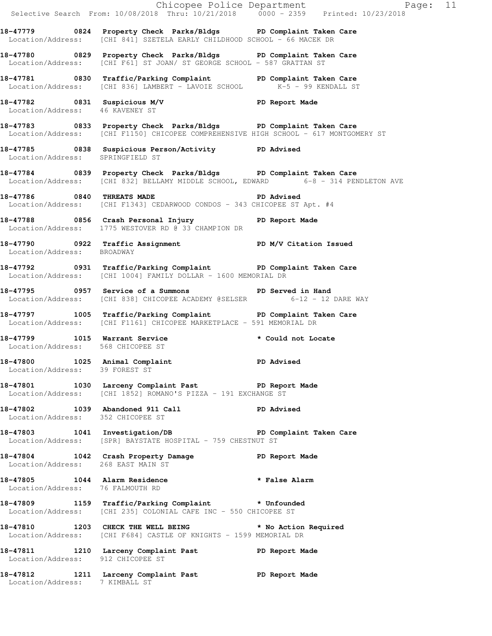|                                                                  |                                                                                                                                                          | E Chicopee Police Department<br>Selective Search From: 10/08/2018 Thru: 10/21/2018 0000 - 2359 Printed: 10/23/2018<br>Page: 11 |
|------------------------------------------------------------------|----------------------------------------------------------------------------------------------------------------------------------------------------------|--------------------------------------------------------------------------------------------------------------------------------|
|                                                                  | 18-47779 0824 Property Check Parks/Bldgs PD Complaint Taken Care<br>Location/Address: [CHI 841] SZETELA EARLY CHILDHOOD SCHOOL - 66 MACEK DR             |                                                                                                                                |
|                                                                  | 18-47780 0829 Property Check Parks/Bldgs PD Complaint Taken Care<br>Location/Address: [CHI F61] ST JOAN/ ST GEORGE SCHOOL - 587 GRATTAN ST               |                                                                                                                                |
|                                                                  | 18-47781 0830 Traffic/Parking Complaint PD Complaint Taken Care<br>Location/Address: [CHI 836] LAMBERT - LAVOIE SCHOOL K-5 - 99 KENDALL ST               |                                                                                                                                |
| Location/Address: 46 KAVENEY ST                                  | 18-47782 0831 Suspicious M/V PD Report Made                                                                                                              |                                                                                                                                |
|                                                                  | 18-47783 0833 Property Check Parks/Bldgs PD Complaint Taken Care<br>Location/Address: [CHI F1150] CHICOPEE COMPREHENSIVE HIGH SCHOOL - 617 MONTGOMERY ST |                                                                                                                                |
| Location/Address: SPRINGFIELD ST                                 | 18-47785 0838 Suspicious Person/Activity PD Advised                                                                                                      |                                                                                                                                |
|                                                                  | 18-47784 0839 Property Check Parks/Bldgs PD Complaint Taken Care                                                                                         | Location/Address: [CHI 832] BELLAMY MIDDLE SCHOOL, EDWARD 6-8 - 314 PENDLETON AVE                                              |
|                                                                  | 18-47786 0840 THREATS MADE <b>18-47786</b> PD Advised<br>Location/Address: [CHI F1343] CEDARWOOD CONDOS - 343 CHICOPEE ST Apt. #4                        |                                                                                                                                |
|                                                                  | 18-47788 1856 Crash Personal Injury 18-47788<br>Location/Address: 1775 WESTOVER RD @ 33 CHAMPION DR                                                      |                                                                                                                                |
| Location/Address: BROADWAY                                       | 18-47790 0922 Traffic Assignment New PD M/V Citation Issued                                                                                              |                                                                                                                                |
|                                                                  | 18-47792 0931 Traffic/Parking Complaint PD Complaint Taken Care<br>Location/Address: [CHI 1004] FAMILY DOLLAR - 1600 MEMORIAL DR                         |                                                                                                                                |
|                                                                  | 18-47795 0957 Service of a Summons TPD Served in Hand<br>Location/Address: [CHI 838] CHICOPEE ACADEMY @SELSER 6-12 - 12 DARE WAY                         |                                                                                                                                |
|                                                                  | 18-47797 1005 Traffic/Parking Complaint PD Complaint Taken Care<br>Location/Address: [CHI F1161] CHICOPEE MARKETPLACE - 591 MEMORIAL DR                  |                                                                                                                                |
| Location/Address: 568 CHICOPEE ST                                | 18-47799 1015 Warrant Service                                                                                                                            | * Could not Locate                                                                                                             |
| 18-47800 1025 Animal Complaint<br>Location/Address: 39 FOREST ST |                                                                                                                                                          | <b>PD Advised</b>                                                                                                              |
|                                                                  | 18-47801 1030 Larceny Complaint Past PD Report Made<br>Location/Address: [CHI 1852] ROMANO'S PIZZA - 191 EXCHANGE ST                                     |                                                                                                                                |
| Location/Address: 352 CHICOPEE ST                                | 18-47802 1039 Abandoned 911 Call 1999 PD Advised                                                                                                         |                                                                                                                                |
|                                                                  | 18-47803 1041 Investigation/DB PD Complaint Taken Care<br>Location/Address: [SPR] BAYSTATE HOSPITAL - 759 CHESTNUT ST                                    |                                                                                                                                |
| Location/Address: 268 EAST MAIN ST                               | 18-47804 1042 Crash Property Damage PD Report Made<br>Location/Address: 268 EAST MAIN ST                                                                 |                                                                                                                                |
| Location/Address: 76 FALMOUTH RD                                 | 18-47805 1044 Alarm Residence <b>the set of the Second State Alarm</b>                                                                                   |                                                                                                                                |
|                                                                  | 18-47809 1159 Traffic/Parking Complaint * Unfounded<br>Location/Address: [CHI 235] COLONIAL CAFE INC - 550 CHICOPEE ST                                   |                                                                                                                                |
|                                                                  | 18-47810 1203 CHECK THE WELL BEING * No Action Required<br>Location/Address: [CHI F684] CASTLE OF KNIGHTS - 1599 MEMORIAL DR                             |                                                                                                                                |
| Location/Address: 912 CHICOPEE ST                                | 18-47811 1210 Larceny Complaint Past PD Report Made                                                                                                      |                                                                                                                                |
|                                                                  | 18-47812 1211 Larceny Complaint Past PD Report Made Location/Address: 7 KIMBALL ST                                                                       |                                                                                                                                |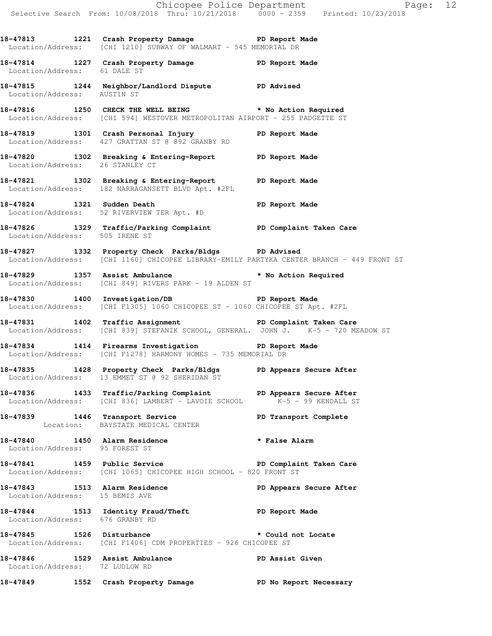**18-47813 1221 Crash Property Damage PD Report Made**  Location/Address: [CHI 1210] SUBWAY OF WALMART - 545 MEMORIAL DR

**18-47814 1227 Crash Property Damage PD Report Made**  Location/Address: 61 DALE ST

**18-47815 1244 Neighbor/Landlord Dispute PD Advised**  Location/Address: AUSTIN ST

**18-47816 1250 CHECK THE WELL BEING \* No Action Required**  Location/Address: [CHI 594] WESTOVER METROPOLITAN AIRPORT - 255 PADGETTE ST

**18-47819 1301 Crash Personal Injury PD Report Made**  Location/Address: 427 GRATTAN ST @ 892 GRANBY RD

**18-47820 1302 Breaking & Entering-Report PD Report Made**  Location/Address: 26 STANLEY CT

**18-47821 1302 Breaking & Entering-Report PD Report Made**  Location/Address: 182 NARRAGANSETT BLVD Apt. #2FL

**18-47824 1321 Sudden Death PD Report Made**  Location/Address: 52 RIVERVIEW TER Apt. #D

**18-47826 1329 Traffic/Parking Complaint PD Complaint Taken Care**  Location/Address: 505 IRENE ST

**18-47827 1332 Property Check Parks/Bldgs PD Advised**  Location/Address: [CHI 1160] CHICOPEE LIBRARY-EMILY PARTYKA CENTER BRANCH - 449 FRONT ST

**18-47829 1357 Assist Ambulance \* No Action Required**  Location/Address: [CHI 849] RIVERS PARK - 19 ALDEN ST

**18-47830 1400 Investigation/DB PD Report Made**  Location/Address: [CHI F1305] 1060 CHICOPEE ST - 1060 CHICOPEE ST Apt. #2FL

18-47831 1402 Traffic Assignment **PD Complaint Taken Care** Location/Address: [CHI 839] STEFANIK SCHOOL, GENERAL. JOHN J. K-5 - 720 MEADOW ST

**18-47834 1414 Firearms Investigation PD Report Made**  Location/Address: [CHI F1278] HARMONY HOMES - 735 MEMORIAL DR

**18-47835 1428 Property Check Parks/Bldgs PD Appears Secure After**  Location/Address: 13 EMMET ST @ 92 SHERIDAN ST

**18-47836 1433 Traffic/Parking Complaint PD Appears Secure After** Location/Address: [CHI 836] LAMBERT - LAVOIE SCHOOL K-5 - 99 KENDALL ST Location/Address: [CHI 836] LAMBERT - LAVOIE SCHOOL

**18-47839 1446 Transport Service PD Transport Complete**  Location: BAYSTATE MEDICAL CENTER

**18-47840 1450 Alarm Residence \* False Alarm**  Location/Address: 95 FOREST ST

**18-47841 1459 Public Service PD Complaint Taken Care**  Location/Address: [CHI 1065] CHICOPEE HIGH SCHOOL - 820 FRONT ST

**18-47843 1513 Alarm Residence PD Appears Secure After**  Location/Address: 15 BEMIS AVE

18-47844 1513 Identity Fraud/Theft **PD** Report Made Location/Address: 676 GRANBY RD

**18-47845 1526 Disturbance \* Could not Locate**  Location/Address: [CHI F1406] CDM PROPERTIES - 926 CHICOPEE ST

**18-47846 1529 Assist Ambulance PD Assist Given**  Location/Address: 72 LUDLOW RD

**18-47849 1552 Crash Property Damage PD No Report Necessary**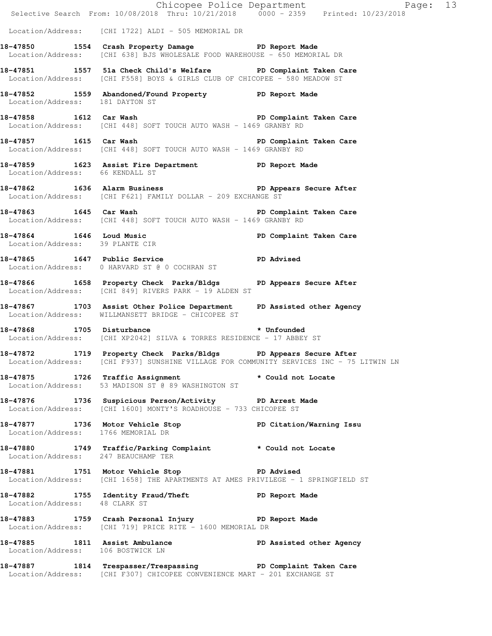|                                     |                                                                                                                                                             | Chicopee Police Department<br>Selective Search From: 10/08/2018 Thru: 10/21/2018 0000 - 2359 Printed: 10/23/2018 |  |
|-------------------------------------|-------------------------------------------------------------------------------------------------------------------------------------------------------------|------------------------------------------------------------------------------------------------------------------|--|
|                                     | Location/Address: [CHI 1722] ALDI - 505 MEMORIAL DR                                                                                                         |                                                                                                                  |  |
|                                     | 18-47850 1554 Crash Property Damage PD Report Made<br>Location/Address: [CHI 638] BJS WHOLESALE FOOD WAREHOUSE - 650 MEMORIAL DR                            |                                                                                                                  |  |
|                                     | 18-47851 1557 51a Check Child's Welfare PD Complaint Taken Care<br>Location/Address: [CHI F558] BOYS & GIRLS CLUB OF CHICOPEE - 580 MEADOW ST               |                                                                                                                  |  |
| Location/Address: 181 DAYTON ST     | 18-47852 1559 Abandoned/Found Property PD Report Made                                                                                                       |                                                                                                                  |  |
|                                     | 18-47858 1612 Car Wash 18-47858 2001 1612 Care<br>Location/Address: [CHI 448] SOFT TOUCH AUTO WASH - 1469 GRANBY RD                                         |                                                                                                                  |  |
|                                     | 18-47857 1615 Car Wash<br>Location/Address: [CHI 448] SOFT TOUCH AUTO WASH - 1469 GRANBY RD                                                                 | PD Complaint Taken Care                                                                                          |  |
|                                     | 18-47859 1623 Assist Fire Department PD Report Made Location/Address: 66 KENDALL ST                                                                         |                                                                                                                  |  |
|                                     | 18-47862 1636 Alarm Business 18-47862 PD Appears Secure After<br>Location/Address: [CHI F621] FAMILY DOLLAR - 209 EXCHANGE ST                               |                                                                                                                  |  |
|                                     | 18-47863 1645 Car Wash 18-47863 PD Complaint Taken Care<br>Location/Address: [CHI 448] SOFT TOUCH AUTO WASH - 1469 GRANBY RD                                |                                                                                                                  |  |
| Location/Address: 39 PLANTE CIR     | 18-47864 1646 Loud Music Number 2016 2017 PD Complaint Taken Care                                                                                           |                                                                                                                  |  |
|                                     | 18-47865 1647 Public Service 20 PD Advised<br>Location/Address: 0 HARVARD ST @ 0 COCHRAN ST                                                                 |                                                                                                                  |  |
|                                     | 18-47866 1658 Property Check Parks/Bldgs PD Appears Secure After<br>Location/Address: [CHI 849] RIVERS PARK - 19 ALDEN ST                                   |                                                                                                                  |  |
|                                     | 18-47867 1703 Assist Other Police Department PD Assisted other Agency<br>Location/Address: WILLMANSETT BRIDGE - CHICOPEE ST                                 |                                                                                                                  |  |
|                                     | 18-47868 1705 Disturbance * Unfounded<br>Location/Address: [CHI XP2042] SILVA & TORRES RESIDENCE - 17 ABBEY ST                                              |                                                                                                                  |  |
|                                     | 18-47872 1719 Property Check Parks/Bldgs PD Appears Secure After<br>Location/Address: [CHI F937] SUNSHINE VILLAGE FOR COMMUNITY SERVICES INC - 75 LITWIN LN |                                                                                                                  |  |
|                                     | 18-47875 1726 Traffic Assignment<br>Location/Address: 53 MADISON ST @ 89 WASHINGTON ST                                                                      | * Could not Locate                                                                                               |  |
|                                     | 18-47876 1736 Suspicious Person/Activity PD Arrest Made<br>Location/Address: [CHI 1600] MONTY'S ROADHOUSE - 733 CHICOPEE ST                                 |                                                                                                                  |  |
| Location/Address: 1766 MEMORIAL DR  | 18-47877 1736 Motor Vehicle Stop North PD Citation/Warning Issu                                                                                             |                                                                                                                  |  |
| Location/Address: 247 BEAUCHAMP TER | 18-47880 1749 Traffic/Parking Complaint * Could not Locate                                                                                                  |                                                                                                                  |  |
|                                     | 18-47881 1751 Motor Vehicle Stop PD Advised<br>Location/Address: [CHI 1658] THE APARTMENTS AT AMES PRIVILEGE - 1 SPRINGFIELD ST                             |                                                                                                                  |  |
| Location/Address: 48 CLARK ST       | 18-47882 1755 Identity Fraud/Theft PD Report Made                                                                                                           |                                                                                                                  |  |
|                                     | 18-47883 1759 Crash Personal Injury 18-47883<br>Location/Address: [CHI 719] PRICE RITE - 1600 MEMORIAL DR                                                   |                                                                                                                  |  |
| Location/Address: 106 BOSTWICK LN   | 18-47885 1811 Assist Ambulance PD Assisted other Agency                                                                                                     |                                                                                                                  |  |
|                                     | 18-47887 1814 Trespasser/Trespassing PD Complaint Taken Care<br>Location/Address: [CHI F307] CHICOPEE CONVENIENCE MART - 201 EXCHANGE ST                    |                                                                                                                  |  |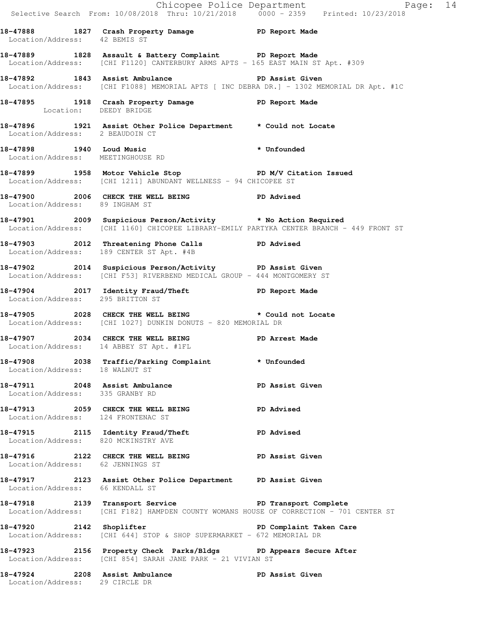|                                     |                                                                                                                                                           | Chicopee Police Department<br>Selective Search From: 10/08/2018 Thru: 10/21/2018 0000 - 2359 Printed: 10/23/2018 |
|-------------------------------------|-----------------------------------------------------------------------------------------------------------------------------------------------------------|------------------------------------------------------------------------------------------------------------------|
| Location/Address: 42 BEMIS ST       | 18-47888 1827 Crash Property Damage 5 PD Report Made                                                                                                      |                                                                                                                  |
|                                     | 18-47889 1828 Assault & Battery Complaint PD Report Made<br>Location/Address: [CHI F1120] CANTERBURY ARMS APTS - 165 EAST MAIN ST Apt. #309               |                                                                                                                  |
|                                     | 18-47892 1843 Assist Ambulance New PD Assist Given<br>Location/Address: [CHI F1088] MEMORIAL APTS [ INC DEBRA DR.] - 1302 MEMORIAL DR Apt. #1C            |                                                                                                                  |
|                                     | 18-47895 1918 Crash Property Damage PD Report Made<br>Location: DEEDY BRIDGE                                                                              |                                                                                                                  |
|                                     | 18-47896 1921 Assist Other Police Department * Could not Locate<br>Location/Address: 2 BEAUDOIN CT                                                        |                                                                                                                  |
| Location/Address: MEETINGHOUSE RD   | 18-47898 1940 Loud Music <b>the Contract of Australian Structure</b> + Unfounded                                                                          |                                                                                                                  |
|                                     | 18-47899 1958 Motor Vehicle Stop North PD M/V Citation Issued<br>Location/Address: [CHI 1211] ABUNDANT WELLNESS - 94 CHICOPEE ST                          |                                                                                                                  |
| Location/Address: 89 INGHAM ST      | 18-47900 2006 CHECK THE WELL BEING PD Advised                                                                                                             |                                                                                                                  |
|                                     | 18-47901 2009 Suspicious Person/Activity * No Action Required<br>Location/Address: [CHI 1160] CHICOPEE LIBRARY-EMILY PARTYKA CENTER BRANCH - 449 FRONT ST |                                                                                                                  |
|                                     | 18-47903 2012 Threatening Phone Calls PD Advised<br>Location/Address: 189 CENTER ST Apt. #4B                                                              |                                                                                                                  |
|                                     | 18-47902 2014 Suspicious Person/Activity PD Assist Given<br>Location/Address: [CHI F53] RIVERBEND MEDICAL GROUP - 444 MONTGOMERY ST                       |                                                                                                                  |
| Location/Address: 295 BRITTON ST    | 18-47904 2017 Identity Fraud/Theft 5 PD Report Made                                                                                                       |                                                                                                                  |
|                                     | 18-47905 2028 CHECK THE WELL BEING * Could not Locate<br>Location/Address: [CHI 1027] DUNKIN DONUTS - 820 MEMORIAL DR                                     |                                                                                                                  |
|                                     | 18-47907 2034 CHECK THE WELL BEING FD Arrest Made<br>Location/Address: 14 ABBEY ST Apt. #1FL                                                              |                                                                                                                  |
|                                     | 18-47908 2038 Traffic/Parking Complaint * Unfounded<br>Location/Address: 18 WALNUT ST                                                                     |                                                                                                                  |
| Location/Address: 335 GRANBY RD     | 18-47911 2048 Assist Ambulance New PD Assist Given                                                                                                        |                                                                                                                  |
| Location/Address: 124 FRONTENAC ST  | 18-47913 2059 CHECK THE WELL BEING                                                                                                                        | <b>PD Advised</b>                                                                                                |
| Location/Address: 820 MCKINSTRY AVE | 18-47915 2115 Identity Fraud/Theft PD Advised                                                                                                             |                                                                                                                  |
| Location/Address: 62 JENNINGS ST    | 18-47916 2122 CHECK THE WELL BEING PD Assist Given                                                                                                        |                                                                                                                  |
| Location/Address: 66 KENDALL ST     | 18-47917 2123 Assist Other Police Department PD Assist Given                                                                                              |                                                                                                                  |
|                                     | 18-47918 2139 Transport Service The PD Transport Complete<br>Location/Address: [CHI F182] HAMPDEN COUNTY WOMANS HOUSE OF CORRECTION - 701 CENTER ST       |                                                                                                                  |
|                                     | 18-47920 2142 Shoplifter 2008 PD Complaint Taken Care<br>Location/Address: [CHI 644] STOP & SHOP SUPERMARKET - 672 MEMORIAL DR                            |                                                                                                                  |
|                                     | 18-47923 2156 Property Check Parks/Bldgs PD Appears Secure After<br>Location/Address: [CHI 854] SARAH JANE PARK - 21 VIVIAN ST                            |                                                                                                                  |
| Location/Address: 29 CIRCLE DR      | 18-47924 2208 Assist Ambulance                                                                                                                            | PD Assist Given                                                                                                  |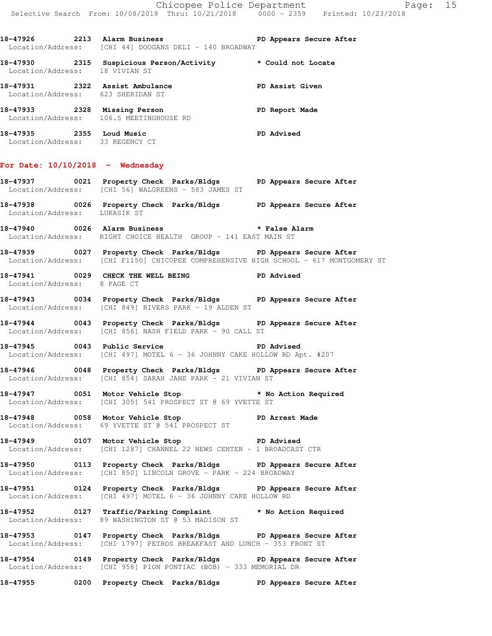18-47926 2213 Alarm Business **PD Appears Secure After** Location/Address: [CHI 44] DOOGANS DELI - 140 BROADWAY

**18-47930 2315 Suspicious Person/Activity \* Could not Locate**  Location/Address: 18 VIVIAN ST **18-47931 2322 Assist Ambulance PD Assist Given**  Location/Address: 623 SHERIDAN ST **18-47933 2328 Missing Person PD Report Made**  Location/Address: 106.5 MEETINGHOUSE RD **18-47935 2355 Loud Music PD Advised** 

Location/Address: 33 REGENCY CT

## **For Date: 10/10/2018 - Wednesday**

- **18-47937 0021 Property Check Parks/Bldgs PD Appears Secure After**  Location/Address: [CHI 56] WALGREENS - 583 JAMES ST
- **18-47938 0026 Property Check Parks/Bldgs PD Appears Secure After**  Location/Address: LUKASIK ST
- **18-47940 0026 Alarm Business \* False Alarm**  Location/Address: RIGHT CHOICE HEALTH GROUP - 141 EAST MAIN ST
- **18-47939 0027 Property Check Parks/Bldgs PD Appears Secure After**  Location/Address: [CHI F1150] CHICOPEE COMPREHENSIVE HIGH SCHOOL - 617 MONTGOMERY ST
- **18-47941 0029 CHECK THE WELL BEING PD Advised**  Location/Address: 8 PAGE CT
- **18-47943 0034 Property Check Parks/Bldgs PD Appears Secure After**  Location/Address: [CHI 849] RIVERS PARK - 19 ALDEN ST
- **18-47944 0043 Property Check Parks/Bldgs PD Appears Secure After**  Location/Address: [CHI 856] NASH FIELD PARK - 90 CALL ST
- **18-47945 0043 Public Service PD Advised**  Location/Address: [CHI 497] MOTEL 6 - 36 JOHNNY CAKE HOLLOW RD Apt. #207
- **18-47946 0048 Property Check Parks/Bldgs PD Appears Secure After**  Location/Address: [CHI 854] SARAH JANE PARK - 21 VIVIAN ST
- **18-47947 0051 Motor Vehicle Stop \* No Action Required**  Location/Address: [CHI 305] 541 PROSPECT ST @ 69 YVETTE ST
- **18-47948 0058 Motor Vehicle Stop PD Arrest Made**  Location/Address: 69 YVETTE ST @ 541 PROSPECT ST
- **18-47949 0107 Motor Vehicle Stop PD Advised**  Location/Address: [CHI 1287] CHANNEL 22 NEWS CENTER - 1 BROADCAST CTR
- **18-47950 0113 Property Check Parks/Bldgs PD Appears Secure After**  Location/Address: [CHI 850] LINCOLN GROVE - PARK - 224 BROADWAY
- **18-47951 0124 Property Check Parks/Bldgs PD Appears Secure After**  Location/Address: [CHI 497] MOTEL 6 - 36 JOHNNY CAKE HOLLOW RD
- **18-47952 0127 Traffic/Parking Complaint \* No Action Required**  Location/Address: 89 WASHINGTON ST @ 53 MADISON ST
- **18-47953 0147 Property Check Parks/Bldgs PD Appears Secure After**  Location/Address: [CHI 1797] PETROS BREAKFAST AND LUNCH - 353 FRONT ST
- **18-47954 0149 Property Check Parks/Bldgs PD Appears Secure After**  Location/Address: [CHI 958] PION PONTIAC (BOB) - 333 MEMORIAL DR
- **18-47955 0200 Property Check Parks/Bldgs PD Appears Secure After**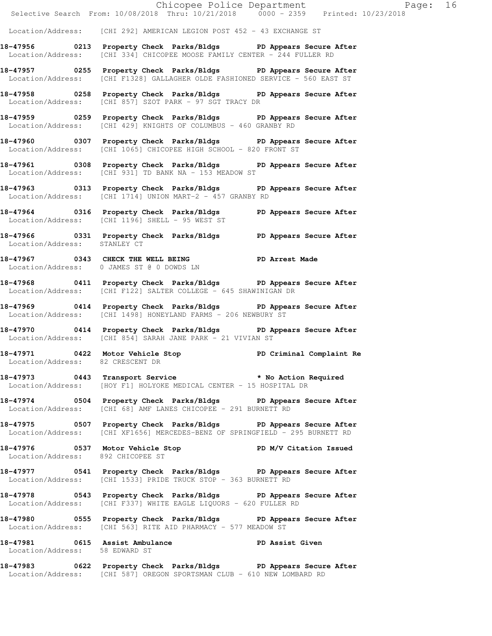|                                   | Location/Address: [CHI 292] AMERICAN LEGION POST 452 - 43 EXCHANGE ST                                                                            |
|-----------------------------------|--------------------------------------------------------------------------------------------------------------------------------------------------|
|                                   |                                                                                                                                                  |
|                                   | 18-47956 0213 Property Check Parks/Bldgs PD Appears Secure After<br>Location/Address: [CHI 334] CHICOPEE MOOSE FAMILY CENTER - 244 FULLER RD     |
|                                   | 18-47957 0255 Property Check Parks/Bldgs PD Appears Secure After<br>Location/Address: [CHI F1328] GALLAGHER OLDE FASHIONED SERVICE - 560 EAST ST |
|                                   | 18-47958 0258 Property Check Parks/Bldgs PD Appears Secure After<br>Location/Address: [CHI 857] SZOT PARK - 97 SGT TRACY DR                      |
|                                   | 18-47959 0259 Property Check Parks/Bldgs PD Appears Secure After<br>Location/Address: [CHI 429] KNIGHTS OF COLUMBUS - 460 GRANBY RD              |
|                                   | 18-47960 0307 Property Check Parks/Bldgs PD Appears Secure After<br>Location/Address: [CHI 1065] CHICOPEE HIGH SCHOOL - 820 FRONT ST             |
|                                   | 18-47961 0308 Property Check Parks/Bldgs PD Appears Secure After<br>Location/Address: [CHI 931] TD BANK NA - 153 MEADOW ST                       |
|                                   | 18-47963 0313 Property Check Parks/Bldgs PD Appears Secure After<br>Location/Address: [CHI 1714] UNION MART-2 - 457 GRANBY RD                    |
|                                   | 18-47964 0316 Property Check Parks/Bldgs PD Appears Secure After<br>Location/Address: [CHI 1196] SHELL - 95 WEST ST                              |
| Location/Address: STANLEY CT      | 18-47966 0331 Property Check Parks/Bldgs PD Appears Secure After                                                                                 |
|                                   | 18-47967 0343 CHECK THE WELL BEING PD Arrest Made<br>Location/Address: 0 JAMES ST @ 0 DOWDS LN                                                   |
|                                   | 18-47968 0411 Property Check Parks/Bldgs PD Appears Secure After<br>Location/Address: [CHI F122] SALTER COLLEGE - 645 SHAWINIGAN DR              |
|                                   | 18-47969 0414 Property Check Parks/Bldgs PD Appears Secure After<br>Location/Address: [CHI 1498] HONEYLAND FARMS - 206 NEWBURY ST                |
|                                   | 18-47970 0414 Property Check Parks/Bldgs PD Appears Secure After<br>Location/Address: [CHI 854] SARAH JANE PARK - 21 VIVIAN ST                   |
| Location/Address: 82 CRESCENT DR  | 18-47971 0422 Motor Vehicle Stop North PD Criminal Complaint Re                                                                                  |
|                                   | 18-47973 0443 Transport Service * No Action Required<br>Location/Address: [HOY F1] HOLYOKE MEDICAL CENTER - 15 HOSPITAL DR                       |
|                                   | 18-47974 0504 Property Check Parks/Bldgs PD Appears Secure After<br>Location/Address: [CHI 68] AMF LANES CHICOPEE - 291 BURNETT RD               |
|                                   | 18-47975 0507 Property Check Parks/Bldgs PD Appears Secure After<br>Location/Address: [CHI XF1656] MERCEDES-BENZ OF SPRINGFIELD - 295 BURNETT RD |
| Location/Address: 892 CHICOPEE ST | 18-47976 0537 Motor Vehicle Stop PD M/V Citation Issued                                                                                          |
|                                   | 18-47977 0541 Property Check Parks/Bldgs PD Appears Secure After<br>Location/Address: [CHI 1533] PRIDE TRUCK STOP - 363 BURNETT RD               |
|                                   | 18-47978 0543 Property Check Parks/Bldgs PD Appears Secure After<br>Location/Address: [CHI F337] WHITE EAGLE LIQUORS - 620 FULLER RD             |
|                                   | 18-47980 0555 Property Check Parks/Bldgs PD Appears Secure After<br>Location/Address: [CHI 563] RITE AID PHARMACY - 577 MEADOW ST                |
| Location/Address: 58 EDWARD ST    | 18-47981 0615 Assist Ambulance New PD Assist Given                                                                                               |
|                                   | 18-47983 0622 Property Check Parks/Bldgs PD Appears Secure After<br>Location/Address: [CHI 587] OREGON SPORTSMAN CLUB - 610 NEW LOMBARD RD       |

Chicopee Police Department Page: 16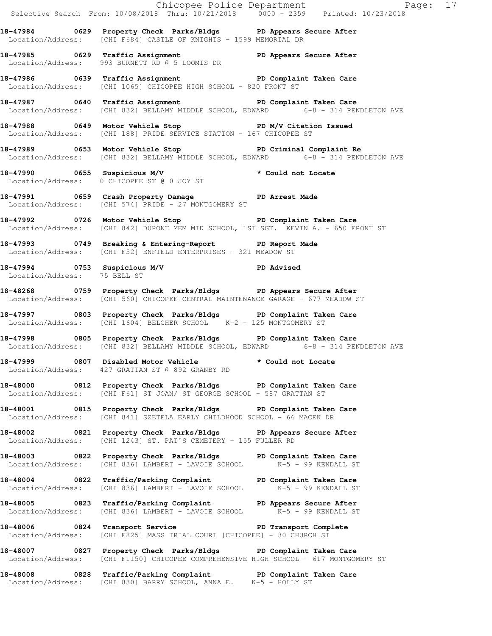|                              | Chicopee Police Department<br>Selective Search From: 10/08/2018 Thru: 10/21/2018 0000 - 2359 Printed: 10/23/2018                                          |  |
|------------------------------|-----------------------------------------------------------------------------------------------------------------------------------------------------------|--|
|                              | 18-47984 0629 Property Check Parks/Bldgs PD Appears Secure After<br>Location/Address: [CHI F684] CASTLE OF KNIGHTS - 1599 MEMORIAL DR                     |  |
|                              | 18-47985 0629 Traffic Assignment 1998 PD Appears Secure After<br>Location/Address: 993 BURNETT RD @ 5 LOOMIS DR                                           |  |
|                              | 18-47986 0639 Traffic Assignment<br>Location/Address: [CHI 1065] CHICOPEE HIGH SCHOOL - 820 FRONT ST                                                      |  |
|                              | 18-47987 0640 Traffic Assignment 18-47987 PD Complaint Taken Care<br>Location/Address: [CHI 832] BELLAMY MIDDLE SCHOOL, EDWARD 6-8 - 314 PENDLETON AVE    |  |
|                              | 18-47988 0649 Motor Vehicle Stop PD M/V Citation Issued<br>Location/Address: [CHI 188] PRIDE SERVICE STATION - 167 CHICOPEE ST                            |  |
|                              | 18-47989 0653 Motor Vehicle Stop North PD Criminal Complaint Re<br>Location/Address: [CHI 832] BELLAMY MIDDLE SCHOOL, EDWARD 6-8 - 314 PENDLETON AVE      |  |
|                              | 18-47990 0655 Suspicious M/V * Could not Locate<br>Location/Address: 0 CHICOPEE ST @ 0 JOY ST                                                             |  |
|                              | 18-47991 0659 Crash Property Damage Name PD Arrest Made<br>Location/Address: [CHI 574] PRIDE - 27 MONTGOMERY ST                                           |  |
|                              | 18-47992 0726 Motor Vehicle Stop North PD Complaint Taken Care<br>Location/Address: [CHI 842] DUPONT MEM MID SCHOOL, 1ST SGT. KEVIN A. - 650 FRONT ST     |  |
|                              | 18-47993 0749 Breaking & Entering-Report PD Report Made<br>Location/Address: [CHI F52] ENFIELD ENTERPRISES - 321 MEADOW ST                                |  |
| Location/Address: 75 BELL ST | 18-47994 0753 Suspicious M/V PD Advised                                                                                                                   |  |
|                              | 18-48268 		 0759 Property Check Parks/Bldgs 		 PD Appears Secure After<br>Location/Address: [CHI 560] CHICOPEE CENTRAL MAINTENANCE GARAGE - 677 MEADOW ST |  |
|                              | 18-47997 0803 Property Check Parks/Bldgs PD Complaint Taken Care<br>Location/Address: [CHI 1604] BELCHER SCHOOL K-2 - 125 MONTGOMERY ST                   |  |
|                              | 18-47998 0805 Property Check Parks/Bldgs PD Complaint Taken Care<br>Location/Address: [CHI 832] BELLAMY MIDDLE SCHOOL, EDWARD 6-8 - 314 PENDLETON AVE     |  |
|                              | 18-47999 		 0807 Disabled Motor Vehicle 		 * Could not Locate<br>Location/Address: 427 GRATTAN ST @ 892 GRANBY RD                                         |  |
|                              | 18-48000 0812 Property Check Parks/Bldgs PD Complaint Taken Care<br>Location/Address: [CHI F61] ST JOAN/ ST GEORGE SCHOOL - 587 GRATTAN ST                |  |
|                              | 18-48001 6815 Property Check Parks/Bldgs PD Complaint Taken Care<br>Location/Address: [CHI 841] SZETELA EARLY CHILDHOOD SCHOOL - 66 MACEK DR              |  |
|                              | 18-48002 0821 Property Check Parks/Bldgs PD Appears Secure After<br>Location/Address: [CHI 1243] ST. PAT'S CEMETERY - 155 FULLER RD                       |  |
|                              | 18-48003 0822 Property Check Parks/Bldgs PD Complaint Taken Care<br>Location/Address: [CHI 836] LAMBERT - LAVOIE SCHOOL K-5 - 99 KENDALL ST               |  |
|                              | 18-48004 0822 Traffic/Parking Complaint PD Complaint Taken Care<br>Location/Address: [CHI 836] LAMBERT - LAVOIE SCHOOL K-5 - 99 KENDALL ST                |  |
|                              | 18-48005 0823 Traffic/Parking Complaint PD Appears Secure After<br>Location/Address: [CHI 836] LAMBERT - LAVOIE SCHOOL K-5 - 99 KENDALL ST                |  |
|                              | 18-48006 0824 Transport Service New PD Transport Complete<br>Location/Address: [CHI F825] MASS TRIAL COURT [CHICOPEE] - 30 CHURCH ST                      |  |
|                              | 18-48007 0827 Property Check Parks/Bldgs PD Complaint Taken Care<br>Location/Address: [CHI F1150] CHICOPEE COMPREHENSIVE HIGH SCHOOL - 617 MONTGOMERY ST  |  |
|                              | 18-48008 0828 Traffic/Parking Complaint PD Complaint Taken Care<br>Location/Address: [CHI 830] BARRY SCHOOL, ANNA E. K-5 - HOLLY ST                       |  |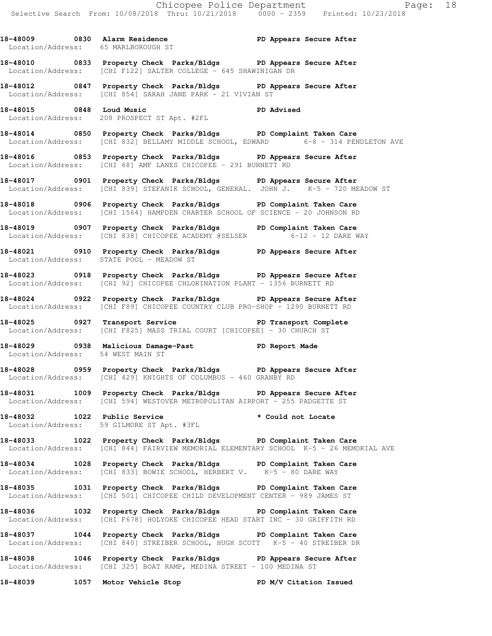18-48009 0830 Alarm Residence **PD Appears Secure After**  Location/Address: 65 MARLBOROUGH ST **18-48010 0833 Property Check Parks/Bldgs PD Appears Secure After**  Location/Address: [CHI F122] SALTER COLLEGE - 645 SHAWINIGAN DR **18-48012 0847 Property Check Parks/Bldgs PD Appears Secure After**  Location/Address: [CHI 854] SARAH JANE PARK - 21 VIVIAN ST **18-48015 0848 Loud Music PD Advised**  Location/Address: 208 PROSPECT ST Apt. #2FL **18-48014 0850 Property Check Parks/Bldgs PD Complaint Taken Care**  Location/Address: [CHI 832] BELLAMY MIDDLE SCHOOL, EDWARD 6-8 - 314 PENDLETON AVE **18-48016 0853 Property Check Parks/Bldgs PD Appears Secure After**  Location/Address: [CHI 68] AMF LANES CHICOPEE - 291 BURNETT RD **18-48017 0901 Property Check Parks/Bldgs PD Appears Secure After**  Location/Address: [CHI 839] STEFANIK SCHOOL, GENERAL. JOHN J. K-5 - 720 MEADOW ST **18-48018 0906 Property Check Parks/Bldgs PD Complaint Taken Care**  Location/Address: [CHI 1564] HAMPDEN CHARTER SCHOOL OF SCIENCE - 20 JOHNSON RD **18-48019 0907 Property Check Parks/Bldgs PD Complaint Taken Care**  Location/Address: [CHI 838] CHICOPEE ACADEMY @SELSER 6-12 - 12 DARE WAY **18-48021 0910 Property Check Parks/Bldgs PD Appears Secure After**  Location/Address: STATE POOL - MEADOW ST **18-48023 0918 Property Check Parks/Bldgs PD Appears Secure After**  Location/Address: [CHI 92] CHICOPEE CHLORINATION PLANT - 1356 BURNETT RD **18-48024 0922 Property Check Parks/Bldgs PD Appears Secure After**  Location/Address: [CHI F89] CHICOPEE COUNTRY CLUB PRO-SHOP - 1290 BURNETT RD **18-48025 0927 Transport Service PD Transport Complete**  Location/Address: [CHI F825] MASS TRIAL COURT [CHICOPEE] - 30 CHURCH ST **18-48029 0938 Malicious Damage-Past PD Report Made**  Location/Address: 54 WEST MAIN ST **18-48028 0959 Property Check Parks/Bldgs PD Appears Secure After**  Location/Address: [CHI 429] KNIGHTS OF COLUMBUS - 460 GRANBY RD **18-48031 1009 Property Check Parks/Bldgs PD Appears Secure After**  Location/Address: [CHI 594] WESTOVER METROPOLITAN AIRPORT - 255 PADGETTE ST **18-48032 1022 Public Service \* Could not Locate**  Location/Address: 59 GILMORE ST Apt. #3FL **18-48033 1022 Property Check Parks/Bldgs PD Complaint Taken Care**  Location/Address: [CHI 844] FAIRVIEW MEMORIAL ELEMENTARY SCHOOL K-5 - 26 MEMORIAL AVE **18-48034 1028 Property Check Parks/Bldgs PD Complaint Taken Care**  Location/Address: [CHI 833] BOWIE SCHOOL, HERBERT V. K-5 - 80 DARE WAY

**18-48035 1031 Property Check Parks/Bldgs PD Complaint Taken Care**  Location/Address: [CHI 501] CHICOPEE CHILD DEVELOPMENT CENTER - 989 JAMES ST

**18-48036 1032 Property Check Parks/Bldgs PD Complaint Taken Care**  Location/Address: [CHI F678] HOLYOKE CHICOPEE HEAD START INC - 30 GRIFFITH RD

**18-48037 1044 Property Check Parks/Bldgs PD Complaint Taken Care**  Location/Address: [CHI 840] STREIBER SCHOOL, HUGH SCOTT K-5 - 40 STREIBER DR

**18-48038 1046 Property Check Parks/Bldgs PD Appears Secure After**  Location/Address: [CHI 325] BOAT RAMP, MEDINA STREET - 100 MEDINA ST

**18-48039 1057 Motor Vehicle Stop PD M/V Citation Issued**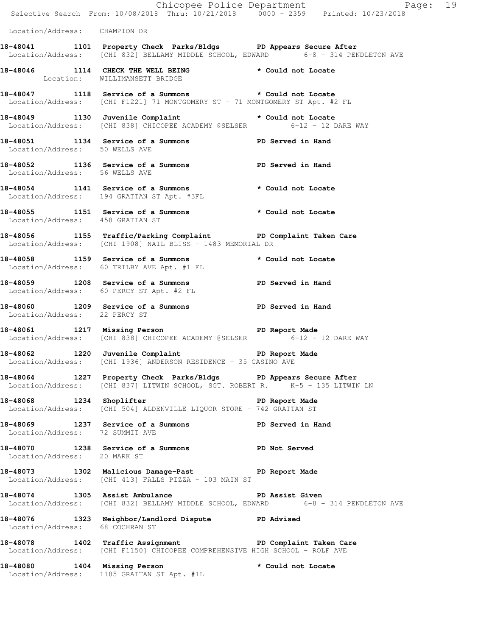|                                  |                                                                                                                                                       | Chicopee Police Department<br>Selective Search From: 10/08/2018 Thru: 10/21/2018 0000 - 2359 Printed: 10/23/2018 |
|----------------------------------|-------------------------------------------------------------------------------------------------------------------------------------------------------|------------------------------------------------------------------------------------------------------------------|
| Location/Address: CHAMPION DR    |                                                                                                                                                       |                                                                                                                  |
|                                  | 18-48041 1101 Property Check Parks/Bldgs PD Appears Secure After<br>Location/Address: [CHI 832] BELLAMY MIDDLE SCHOOL, EDWARD 6-8 - 314 PENDLETON AVE |                                                                                                                  |
|                                  | 18-48046 1114 CHECK THE WELL BEING * Could not Locate<br>Location: WILLIMANSETT BRIDGE                                                                |                                                                                                                  |
|                                  | 18-48047 1118 Service of a Summons * Could not Locate<br>Location/Address: [CHI F1221] 71 MONTGOMERY ST - 71 MONTGOMERY ST Apt. #2 FL                 |                                                                                                                  |
|                                  | 18-48049 1130 Juvenile Complaint * Could not Locate<br>Location/Address: [CHI 838] CHICOPEE ACADEMY @SELSER 6-12 - 12 DARE WAY                        |                                                                                                                  |
| Location/Address: 50 WELLS AVE   | 18-48051 1134 Service of a Summons PD Served in Hand                                                                                                  |                                                                                                                  |
|                                  | 18-48052 1136 Service of a Summons PD Served in Hand<br>Location/Address: 56 WELLS AVE                                                                |                                                                                                                  |
|                                  | 18-48054 1141 Service of a Summons * Could not Locate<br>Location/Address: 194 GRATTAN ST Apt. #3FL                                                   |                                                                                                                  |
| Location/Address: 458 GRATTAN ST | 18-48055 1151 Service of a Summons * Could not Locate                                                                                                 |                                                                                                                  |
|                                  | 18-48056 1155 Traffic/Parking Complaint PD Complaint Taken Care<br>Location/Address: [CHI 1908] NAIL BLISS - 1483 MEMORIAL DR                         |                                                                                                                  |
|                                  | 18-48058 1159 Service of a Summons * Could not Locate<br>Location/Address: 60 TRILBY AVE Apt. #1 FL                                                   |                                                                                                                  |
|                                  | 18-48059 1208 Service of a Summons PD Served in Hand<br>Location/Address: 60 PERCY ST Apt. #2 FL                                                      |                                                                                                                  |
| Location/Address: 22 PERCY ST    | 18-48060 1209 Service of a Summons TPD Served in Hand                                                                                                 |                                                                                                                  |
|                                  | 18-48061 1217 Missing Person Neport Made<br>Location/Address: [CHI 838] CHICOPEE ACADEMY @SELSER 6-12 - 12 DARE WAY                                   |                                                                                                                  |
|                                  | 18-48062 1220 Juvenile Complaint PD Report Made<br>Location/Address: [CHI 1936] ANDERSON RESIDENCE - 35 CASINO AVE                                    |                                                                                                                  |
|                                  | 18-48064 1227 Property Check Parks/Bldgs PD Appears Secure After<br>Location/Address: [CHI 837] LITWIN SCHOOL, SGT. ROBERT R. K-5 - 135 LITWIN LN     |                                                                                                                  |
|                                  | 18-48068 1234 Shoplifter PD Report Made<br>Location/Address: [CHI 504] ALDENVILLE LIQUOR STORE - 742 GRATTAN ST                                       |                                                                                                                  |
| Location/Address: 72 SUMMIT AVE  | 18-48069 1237 Service of a Summons TPD Served in Hand                                                                                                 |                                                                                                                  |
| Location/Address: 20 MARK ST     | 18-48070 1238 Service of a Summons PD Not Served                                                                                                      |                                                                                                                  |
|                                  | 18-48073 1302 Malicious Damage-Past PD Report Made<br>Location/Address: [CHI 413] FALLS PIZZA - 103 MAIN ST                                           |                                                                                                                  |
|                                  | 18-48074 1305 Assist Ambulance No PD Assist Given<br>Location/Address: [CHI 832] BELLAMY MIDDLE SCHOOL, EDWARD 6-8 - 314 PENDLETON AVE                |                                                                                                                  |
| Location/Address: 68 COCHRAN ST  | 18-48076 1323 Neighbor/Landlord Dispute PD Advised                                                                                                    |                                                                                                                  |
|                                  | 18-48078 1402 Traffic Assignment PD Complaint Taken Care<br>Location/Address: [CHI F1150] CHICOPEE COMPREHENSIVE HIGH SCHOOL - ROLF AVE               |                                                                                                                  |
|                                  | 18-48080 1404 Missing Person * Could not Locate<br>Location/Address: 1185 GRATTAN ST Apt. #1L                                                         |                                                                                                                  |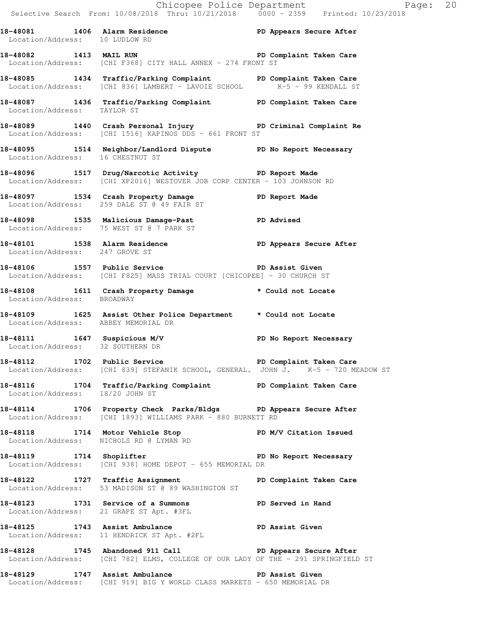Chicopee Police Department Page: 20 Selective Search From: 10/08/2018 Thru: 10/21/2018 0000 - 2359 Printed: 10/23/2018 **18-48081 1406 Alarm Residence PD Appears Secure After**  Location/Address: 10 LUDLOW RD **18-48082 1413 MAIL RUN PD Complaint Taken Care**  Location/Address: [CHI F368] CITY HALL ANNEX - 274 FRONT ST **18-48085 1434 Traffic/Parking Complaint PD Complaint Taken Care**  Location/Address: [CHI 836] LAMBERT - LAVOIE SCHOOL K-5 - 99 KENDALL ST **18-48087 1436 Traffic/Parking Complaint PD Complaint Taken Care**  Location/Address: TAYLOR ST **18-48089 1440 Crash Personal Injury PD Criminal Complaint Re**  Location/Address: [CHI 1516] KAPINOS DDS - 661 FRONT ST **18-48095 1514 Neighbor/Landlord Dispute PD No Report Necessary**  Location/Address: 16 CHESTNUT ST **18-48096 1517 Drug/Narcotic Activity PD Report Made**  Location/Address: [CHI XP2016] WESTOVER JOB CORP CENTER - 103 JOHNSON RD **18-48097 1534 Crash Property Damage PD Report Made**  Location/Address: 259 DALE ST @ 49 FAIR ST **18-48098 1535 Malicious Damage-Past PD Advised**  Location/Address: 75 WEST ST @ 7 PARK ST **18-48101 1538 Alarm Residence PD Appears Secure After**  Location/Address: 247 GROVE ST **18-48106 1557 Public Service PD Assist Given**  Location/Address: [CHI F825] MASS TRIAL COURT [CHICOPEE] - 30 CHURCH ST **18-48108 1611 Crash Property Damage \* Could not Locate**  Location/Address: BROADWAY **18-48109 1625 Assist Other Police Department \* Could not Locate**  Location/Address: ABBEY MEMORIAL DR **18-48111 1647 Suspicious M/V PD No Report Necessary**  Location/Address: 32 SOUTHERN DR **18-48112 1702 Public Service PD Complaint Taken Care**  Location/Address: [CHI 839] STEFANIK SCHOOL, GENERAL. JOHN J. K-5 - 720 MEADOW ST **18-48116 1704 Traffic/Parking Complaint PD Complaint Taken Care**  Location/Address: 18/20 JOHN ST **18-48114 1706 Property Check Parks/Bldgs PD Appears Secure After**  Location/Address: [CHI 1893] WILLIAMS PARK - 880 BURNETT RD **18-48118 1714 Motor Vehicle Stop PD M/V Citation Issued**  Location/Address: NICHOLS RD @ LYMAN RD **18-48119 1714 Shoplifter PD No Report Necessary**  Location/Address: [CHI 938] HOME DEPOT - 655 MEMORIAL DR 18-48122 1727 Traffic Assignment **PD Complaint Taken Care**  Location/Address: 53 MADISON ST @ 89 WASHINGTON ST **18-48123 1731 Service of a Summons PD Served in Hand**  Location/Address: 21 GRAPE ST Apt. #3FL **18-48125 1743 Assist Ambulance PD Assist Given**  Location/Address: 11 HENDRICK ST Apt. #2FL **18-48128 1745 Abandoned 911 Call PD Appears Secure After**  Location/Address: [CHI 782] ELMS, COLLEGE OF OUR LADY OF THE - 291 SPRINGFIELD ST **18-48129 1747 Assist Ambulance PD Assist Given**  Location/Address: [CHI 919] BIG Y WORLD CLASS MARKETS - 650 MEMORIAL DR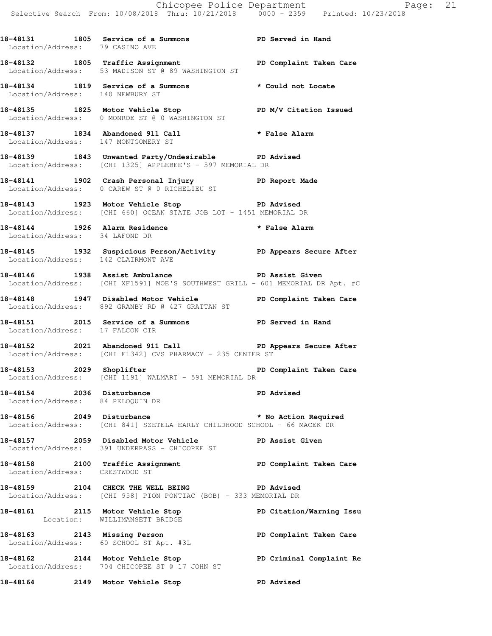**18-48131 1805 Service of a Summons PD Served in Hand**  Location/Address: 79 CASINO AVE

**18-48132 1805 Traffic Assignment PD Complaint Taken Care**  Location/Address: 53 MADISON ST @ 89 WASHINGTON ST

**18-48134 1819 Service of a Summons \* Could not Locate**  Location/Address: 140 NEWBURY ST

18-48135 1825 Motor Vehicle Stop **PD M/V Citation Issued** Location/Address: 0 MONROE ST @ 0 WASHINGTON ST

**18-48137 1834 Abandoned 911 Call \* False Alarm**  Location/Address: 147 MONTGOMERY ST

**18-48139 1843 Unwanted Party/Undesirable PD Advised**  Location/Address: [CHI 1325] APPLEBEE'S - 597 MEMORIAL DR

**18-48141 1902 Crash Personal Injury PD Report Made**  Location/Address: 0 CAREW ST @ 0 RICHELIEU ST

**18-48143 1923 Motor Vehicle Stop PD Advised**  Location/Address: [CHI 660] OCEAN STATE JOB LOT - 1451 MEMORIAL DR

**18-48144 1926 Alarm Residence \* False Alarm**  Location/Address: 34 LAFOND DR

**18-48145 1932 Suspicious Person/Activity PD Appears Secure After**  Location/Address: 142 CLAIRMONT AVE

**18-48146 1938 Assist Ambulance PD Assist Given**  Location/Address: [CHI XF1591] MOE'S SOUTHWEST GRILL - 601 MEMORIAL DR Apt. #C

**18-48148 1947 Disabled Motor Vehicle PD Complaint Taken Care**  Location/Address: 892 GRANBY RD @ 427 GRATTAN ST

**18-48151 2015 Service of a Summons PD Served in Hand**  Location/Address: 17 FALCON CIR

**18-48152 2021 Abandoned 911 Call PD Appears Secure After**  Location/Address: [CHI F1342] CVS PHARMACY - 235 CENTER ST

**18-48153 2029 Shoplifter PD Complaint Taken Care**  Location/Address: [CHI 1191] WALMART - 591 MEMORIAL DR

**18-48154 2036 Disturbance PD Advised**  Location/Address: 84 PELOQUIN DR

**18-48156 2049 Disturbance \* No Action Required**  Location/Address: [CHI 841] SZETELA EARLY CHILDHOOD SCHOOL - 66 MACEK DR

**18-48157 2059 Disabled Motor Vehicle PD Assist Given**  Location/Address: 391 UNDERPASS - CHICOPEE ST

**18-48158 2100 Traffic Assignment PD Complaint Taken Care**  Location/Address: CRESTWOOD ST

**18-48159 2104 CHECK THE WELL BEING PD Advised**  Location/Address: [CHI 958] PION PONTIAC (BOB) - 333 MEMORIAL DR

**18-48161 2115 Motor Vehicle Stop PD Citation/Warning Issu**  Location: WILLIMANSETT BRIDGE **18-48163 2143 Missing Person PD Complaint Taken Care**  Location/Address: 60 SCHOOL ST Apt. #3L

**18-48162 2144 Motor Vehicle Stop PD Criminal Complaint Re**  Location/Address: 704 CHICOPEE ST @ 17 JOHN ST

**18-48164 2149 Motor Vehicle Stop PD Advised**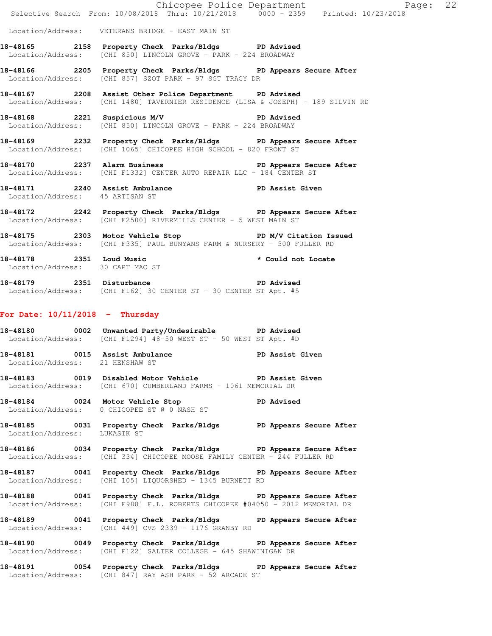|                                   | Chicopee Police Department<br>Selective Search From: 10/08/2018 Thru: 10/21/2018 0000 - 2359 Printed: 10/23/2018                                 | Page: 22          |  |
|-----------------------------------|--------------------------------------------------------------------------------------------------------------------------------------------------|-------------------|--|
|                                   | Location/Address: VETERANS BRIDGE - EAST MAIN ST                                                                                                 |                   |  |
|                                   | 18-48165 2158 Property Check Parks/Bldgs PD Advised                                                                                              |                   |  |
|                                   | Location/Address: [CHI 850] LINCOLN GROVE - PARK - 224 BROADWAY                                                                                  |                   |  |
|                                   | 18-48166 2205 Property Check Parks/Bldgs PD Appears Secure After<br>Location/Address: [CHI 857] SZOT PARK - 97 SGT TRACY DR                      |                   |  |
|                                   | 18-48167 2208 Assist Other Police Department PD Advised<br>Location/Address: [CHI 1480] TAVERNIER RESIDENCE (LISA & JOSEPH) - 189 SILVIN RD      |                   |  |
|                                   | 18-48168 2221 Suspicious M/V PD Advised<br>Location/Address: [CHI 850] LINCOLN GROVE - PARK - 224 BROADWAY                                       |                   |  |
|                                   | 18-48169 2232 Property Check Parks/Bldgs PD Appears Secure After<br>Location/Address: [CHI 1065] CHICOPEE HIGH SCHOOL - 820 FRONT ST             |                   |  |
|                                   | 18-48170 2237 Alarm Business PD Appears Secure After<br>Location/Address: [CHI F1332] CENTER AUTO REPAIR LLC - 184 CENTER ST                     |                   |  |
| Location/Address: 45 ARTISAN ST   | 18-48171 2240 Assist Ambulance PD Assist Given                                                                                                   |                   |  |
|                                   | 18-48172 2242 Property Check Parks/Bldgs PD Appears Secure After<br>Location/Address: [CHI F2500] RIVERMILLS CENTER - 5 WEST MAIN ST             |                   |  |
|                                   | 18-48175 2303 Motor Vehicle Stop N/V Citation Issued<br>Location/Address: [CHI F335] PAUL BUNYANS FARM & NURSERY - 500 FULLER RD                 |                   |  |
|                                   | 18-48178 2351 Loud Music<br>Location/Address: 30 CAPT MAC ST * Could not Locate                                                                  |                   |  |
|                                   | 18-48179 2351 Disturbance<br>Location/Address: [CHI F162] 30 CENTER ST - 30 CENTER ST Apt. #5                                                    | <b>PD Advised</b> |  |
| For Date: $10/11/2018$ - Thursday |                                                                                                                                                  |                   |  |
|                                   | 18-48180 0002 Unwanted Party/Undesirable PD Advised<br>Location/Address: [CHI F1294] 48-50 WEST ST - 50 WEST ST Apt. #D                          |                   |  |
| Location/Address: 21 HENSHAW ST   | 18-48181 0015 Assist Ambulance                                                                                                                   | PD Assist Given   |  |
|                                   | 18-48183 0019 Disabled Motor Vehicle PD Assist Given<br>Location/Address: [CHI 670] CUMBERLAND FARMS - 1061 MEMORIAL DR                          |                   |  |
|                                   | 18-48184 0024 Motor Vehicle Stop PD Advised<br>Location/Address: 0 CHICOPEE ST @ 0 NASH ST                                                       |                   |  |
| Location/Address: LUKASIK ST      | 18-48185 0031 Property Check Parks/Bldgs PD Appears Secure After                                                                                 |                   |  |
|                                   | 18-48186 0034 Property Check Parks/Bldgs PD Appears Secure After<br>Location/Address: [CHI 334] CHICOPEE MOOSE FAMILY CENTER - 244 FULLER RD     |                   |  |
|                                   | 18-48187 0041 Property Check Parks/Bldgs PD Appears Secure After<br>Location/Address: [CHI 105] LIQUORSHED - 1345 BURNETT RD                     |                   |  |
|                                   | 18-48188 0041 Property Check Parks/Bldgs PD Appears Secure After<br>Location/Address: [CHI F988] F.L. ROBERTS CHICOPEE #04050 - 2012 MEMORIAL DR |                   |  |
|                                   | 18-48189 0041 Property Check Parks/Bldgs PD Appears Secure After<br>Location/Address: [CHI 449] CVS 2339 - 1176 GRANBY RD                        |                   |  |
|                                   | 18-48190 0049 Property Check Parks/Bldgs PD Appears Secure After<br>Location/Address: [CHI F122] SALTER COLLEGE - 645 SHAWINIGAN DR              |                   |  |
|                                   | 18-48191 0054 Property Check Parks/Bldgs PD Appears Secure After<br>Location/Address: [CHI 847] RAY ASH PARK - 52 ARCADE ST                      |                   |  |
|                                   |                                                                                                                                                  |                   |  |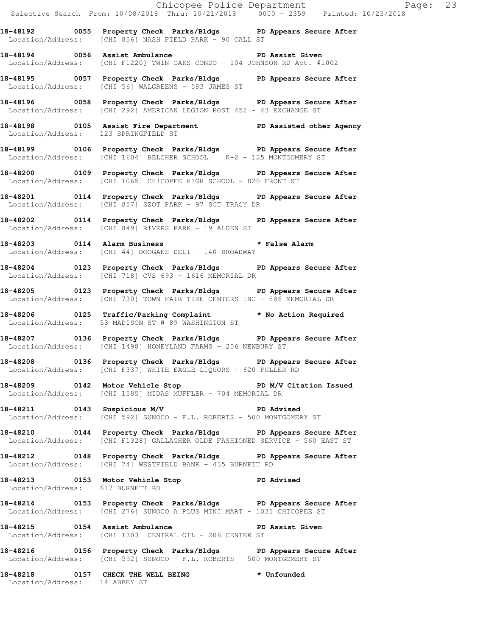**18-48192 0055 Property Check Parks/Bldgs PD Appears Secure After**  Location/Address: [CHI 856] NASH FIELD PARK - 90 CALL ST

**18-48194 0056 Assist Ambulance PD Assist Given**  Location/Address: [CHI F1220] TWIN OAKS CONDO - 104 JOHNSON RD Apt. #1002

**18-48195 0057 Property Check Parks/Bldgs PD Appears Secure After**  Location/Address: [CHI 56] WALGREENS - 583 JAMES ST

**18-48196 0058 Property Check Parks/Bldgs PD Appears Secure After**  Location/Address: [CHI 292] AMERICAN LEGION POST 452 - 43 EXCHANGE ST

**18-48198 0105 Assist Fire Department PD Assisted other Agency**  Location/Address: 123 SPRINGFIELD ST

**18-48199 0106 Property Check Parks/Bldgs PD Appears Secure After**  Location/Address: [CHI 1604] BELCHER SCHOOL K-2 - 125 MONTGOMERY ST

**18-48200 0109 Property Check Parks/Bldgs PD Appears Secure After**  Location/Address: [CHI 1065] CHICOPEE HIGH SCHOOL - 820 FRONT ST

**18-48201 0114 Property Check Parks/Bldgs PD Appears Secure After**  Location/Address: [CHI 857] SZOT PARK - 97 SGT TRACY DR

**18-48202 0114 Property Check Parks/Bldgs PD Appears Secure After**  Location/Address: [CHI 849] RIVERS PARK - 19 ALDEN ST

**18-48203 0114 Alarm Business \* False Alarm**  Location/Address: [CHI 44] DOOGANS DELI - 140 BROADWAY

**18-48204 0123 Property Check Parks/Bldgs PD Appears Secure After**  Location/Address: [CHI 718] CVS 693 - 1616 MEMORIAL DR

**18-48205 0123 Property Check Parks/Bldgs PD Appears Secure After**  Location/Address: [CHI 730] TOWN FAIR TIRE CENTERS INC - 886 MEMORIAL DR

**18-48206 0125 Traffic/Parking Complaint \* No Action Required**  Location/Address: 53 MADISON ST @ 89 WASHINGTON ST

**18-48207 0136 Property Check Parks/Bldgs PD Appears Secure After**  Location/Address: [CHI 1498] HONEYLAND FARMS - 206 NEWBURY ST

**18-48208 0136 Property Check Parks/Bldgs PD Appears Secure After**  Location/Address: [CHI F337] WHITE EAGLE LIQUORS - 620 FULLER RD

18-48209 **0142** Motor Vehicle Stop **PD M/V Citation Issued** Location/Address: [CHI 1585] MIDAS MUFFLER - 704 MEMORIAL DR

**18-48211 0143 Suspicious M/V PD Advised**  Location/Address: [CHI 592] SUNOCO - F.L. ROBERTS - 500 MONTGOMERY ST

**18-48210 0144 Property Check Parks/Bldgs PD Appears Secure After**  Location/Address: [CHI F1328] GALLAGHER OLDE FASHIONED SERVICE - 560 EAST ST

**18-48212 0148 Property Check Parks/Bldgs PD Appears Secure After**  Location/Address: [CHI 74] WESTFIELD BANK - 435 BURNETT RD

**18-48213 0153 Motor Vehicle Stop PD Advised**  Location/Address: 617 BURNETT RD

**18-48214 0153 Property Check Parks/Bldgs PD Appears Secure After**  Location/Address: [CHI 276] SUNOCO A PLUS MINI MART - 1031 CHICOPEE ST

**18-48215 0154 Assist Ambulance PD Assist Given**  Location/Address: [CHI 1303] CENTRAL OIL - 206 CENTER ST

**18-48216 0156 Property Check Parks/Bldgs PD Appears Secure After**  Location/Address: [CHI 592] SUNOCO - F.L. ROBERTS - 500 MONTGOMERY ST

**18-48218 0157 CHECK THE WELL BEING \* Unfounded**  Location/Address: 14 ABBEY ST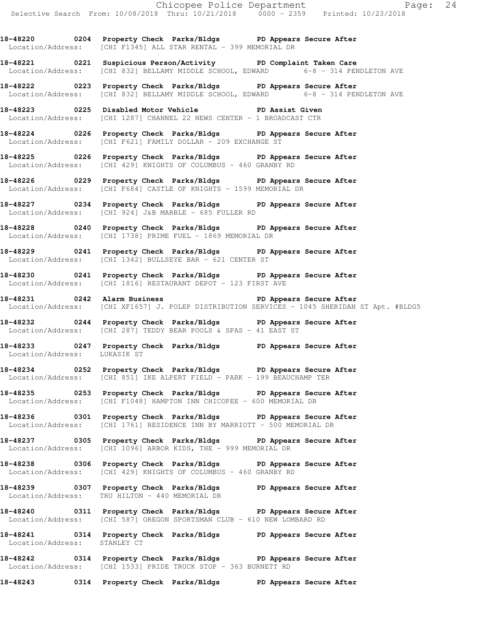**18-48220 0204 Property Check Parks/Bldgs PD Appears Secure After**  Location/Address: [CHI F1345] ALL STAR RENTAL - 399 MEMORIAL DR

**18-48221 0221 Suspicious Person/Activity PD Complaint Taken Care**  Location/Address: [CHI 832] BELLAMY MIDDLE SCHOOL, EDWARD 6-8 - 314 PENDLETON AVE

**18-48222 0223 Property Check Parks/Bldgs PD Appears Secure After**  Location/Address: [CHI 832] BELLAMY MIDDLE SCHOOL, EDWARD 6-8 - 314 PENDLETON AVE

**18-48223 0225 Disabled Motor Vehicle PD Assist Given**  Location/Address: [CHI 1287] CHANNEL 22 NEWS CENTER - 1 BROADCAST CTR

**18-48224 0226 Property Check Parks/Bldgs PD Appears Secure After**  Location/Address: [CHI F621] FAMILY DOLLAR - 209 EXCHANGE ST

**18-48225 0226 Property Check Parks/Bldgs PD Appears Secure After**  Location/Address: [CHI 429] KNIGHTS OF COLUMBUS - 460 GRANBY RD

**18-48226 0229 Property Check Parks/Bldgs PD Appears Secure After**  Location/Address: [CHI F684] CASTLE OF KNIGHTS - 1599 MEMORIAL DR

**18-48227 0234 Property Check Parks/Bldgs PD Appears Secure After**  Location/Address: [CHI 924] J&B MARBLE - 685 FULLER RD

**18-48228 0240 Property Check Parks/Bldgs PD Appears Secure After**  Location/Address: [CHI 1738] PRIME FUEL - 1869 MEMORIAL DR

**18-48229 0241 Property Check Parks/Bldgs PD Appears Secure After**  Location/Address: [CHI 1342] BULLSEYE BAR - 621 CENTER ST

**18-48230 0241 Property Check Parks/Bldgs PD Appears Secure After**  Location/Address: [CHI 1816] RESTAURANT DEPOT - 123 FIRST AVE

**18-48231 0242 Alarm Business PD Appears Secure After**  Location/Address: [CHI XF1657] J. POLEP DISTRIBUTION SERVICES - 1045 SHERIDAN ST Apt. #BLDG5

**18-48232 0244 Property Check Parks/Bldgs PD Appears Secure After**  Location/Address: [CHI 287] TEDDY BEAR POOLS & SPAS - 41 EAST ST

**18-48233 0247 Property Check Parks/Bldgs PD Appears Secure After**  Location/Address: LUKASIK ST

**18-48234 0252 Property Check Parks/Bldgs PD Appears Secure After**  Location/Address: [CHI 851] IKE ALPERT FIELD - PARK - 199 BEAUCHAMP TER

**18-48235 0253 Property Check Parks/Bldgs PD Appears Secure After**  Location/Address: [CHI F1048] HAMPTON INN CHICOPEE - 600 MEMORIAL DR

**18-48236 0301 Property Check Parks/Bldgs PD Appears Secure After**  Location/Address: [CHI 1761] RESIDENCE INN BY MARRIOTT - 500 MEMORIAL DR

**18-48237 0305 Property Check Parks/Bldgs PD Appears Secure After**  Location/Address: [CHI 1096] ARBOR KIDS, THE - 999 MEMORIAL DR

**18-48238 0306 Property Check Parks/Bldgs PD Appears Secure After**  Location/Address: [CHI 429] KNIGHTS OF COLUMBUS - 460 GRANBY RD

**18-48239 0307 Property Check Parks/Bldgs PD Appears Secure After**  Location/Address: TRU HILTON - 440 MEMORIAL DR

**18-48240 0311 Property Check Parks/Bldgs PD Appears Secure After**  Location/Address: [CHI 587] OREGON SPORTSMAN CLUB - 610 NEW LOMBARD RD

**18-48241 0314 Property Check Parks/Bldgs PD Appears Secure After**  Location/Address: STANLEY CT

**18-48242 0314 Property Check Parks/Bldgs PD Appears Secure After**  [CHI 1533] PRIDE TRUCK STOP - 363 BURNETT RD

**18-48243 0314 Property Check Parks/Bldgs PD Appears Secure After**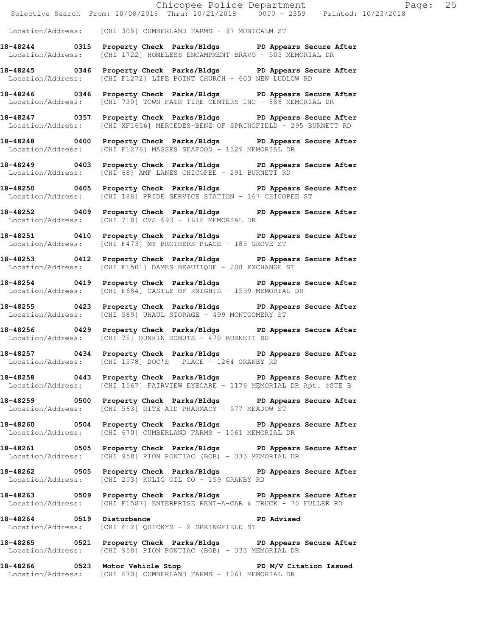Location/Address: [CHI 305] CUMBERLAND FARMS - 37 MONTCALM ST

**18-48244 0315 Property Check Parks/Bldgs PD Appears Secure After**  Location/Address: [CHI 1722] HOMELESS ENCAMPMENT-BRAVO - 505 MEMORIAL DR

**18-48245 0346 Property Check Parks/Bldgs PD Appears Secure After**  Location/Address: [CHI F1272] LIFE POINT CHURCH - 603 NEW LUDLOW RD

**18-48246 0346 Property Check Parks/Bldgs PD Appears Secure After**  Location/Address: [CHI 730] TOWN FAIR TIRE CENTERS INC - 886 MEMORIAL DR

**18-48247 0357 Property Check Parks/Bldgs PD Appears Secure After**  Location/Address: [CHI XF1656] MERCEDES-BENZ OF SPRINGFIELD - 295 BURNETT RD

**18-48248 0400 Property Check Parks/Bldgs PD Appears Secure After**  Location/Address: [CHI F1276] MASSES SEAFOOD - 1329 MEMORIAL DR

**18-48249 0403 Property Check Parks/Bldgs PD Appears Secure After**  Location/Address: [CHI 68] AMF LANES CHICOPEE - 291 BURNETT RD

**18-48250 0405 Property Check Parks/Bldgs PD Appears Secure After**  Location/Address: [CHI 188] PRIDE SERVICE STATION - 167 CHICOPEE ST

**18-48252 0409 Property Check Parks/Bldgs PD Appears Secure After**  Location/Address: [CHI 718] CVS 693 - 1616 MEMORIAL DR

**18-48251 0410 Property Check Parks/Bldgs PD Appears Secure After**  Location/Address: [CHI F473] MY BROTHERS PLACE - 185 GROVE ST

**18-48253 0412 Property Check Parks/Bldgs PD Appears Secure After**  Location/Address: [CHI F1501] DAMES BEAUTIQUE - 208 EXCHANGE ST

**18-48254 0419 Property Check Parks/Bldgs PD Appears Secure After**  Location/Address: [CHI F684] CASTLE OF KNIGHTS - 1599 MEMORIAL DR

**18-48255 0423 Property Check Parks/Bldgs PD Appears Secure After**  Location/Address: [CHI 589] UHAUL STORAGE - 499 MONTGOMERY ST

**18-48256 0429 Property Check Parks/Bldgs PD Appears Secure After**  Location/Address: [CHI 75] DUNKIN DONUTS - 470 BURNETT RD

**18-48257 0434 Property Check Parks/Bldgs PD Appears Secure After**  Location/Address: [CHI 1578] DOC'S PLACE - 1264 GRANBY RD

**18-48258 0443 Property Check Parks/Bldgs PD Appears Secure After**  Location/Address: [CHI 1567] FAIRVIEW EYECARE - 1176 MEMORIAL DR Apt. #STE B

**18-48259 0500 Property Check Parks/Bldgs PD Appears Secure After**  Location/Address: [CHI 563] RITE AID PHARMACY - 577 MEADOW ST

**18-48260 0504 Property Check Parks/Bldgs PD Appears Secure After**  Location/Address: [CHI 670] CUMBERLAND FARMS - 1061 MEMORIAL DR

**18-48261 0505 Property Check Parks/Bldgs PD Appears Secure After**  Location/Address: [CHI 958] PION PONTIAC (BOB) - 333 MEMORIAL DR

**18-48262 0505 Property Check Parks/Bldgs PD Appears Secure After**  Location/Address: [CHI 253] KULIG OIL CO - 159 GRANBY RD

**18-48263 0509 Property Check Parks/Bldgs PD Appears Secure After**  Location/Address: [CHI F1587] ENTERPRISE RENT-A-CAR & TRUCK - 70 FULLER RD

**18-48264 0519 Disturbance PD Advised**  Location/Address: [CHI 612] QUICKYS - 2 SPRINGFIELD ST

**18-48265 0521 Property Check Parks/Bldgs PD Appears Secure After**  Location/Address: [CHI 958] PION PONTIAC (BOB) - 333 MEMORIAL DR

**18-48266 0523 Motor Vehicle Stop PD M/V Citation Issued**  Location/Address: [CHI 670] CUMBERLAND FARMS - 1061 MEMORIAL DR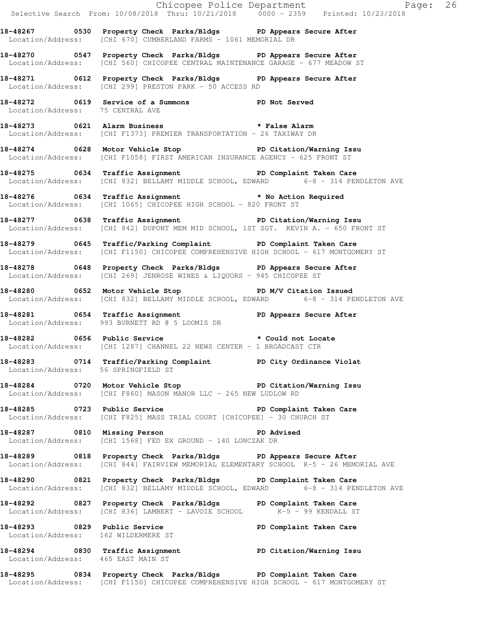|                                     |                                                                                                                                                           | Chicopee Police Department<br>Selective Search From: 10/08/2018 Thru: 10/21/2018 0000 - 2359 Printed: 10/23/2018 |  |
|-------------------------------------|-----------------------------------------------------------------------------------------------------------------------------------------------------------|------------------------------------------------------------------------------------------------------------------|--|
|                                     | 18-48267 0530 Property Check Parks/Bldgs PD Appears Secure After<br>Location/Address: [CHI 670] CUMBERLAND FARMS - 1061 MEMORIAL DR                       |                                                                                                                  |  |
|                                     | 18-48270 0547 Property Check Parks/Bldgs PD Appears Secure After<br>Location/Address: [CHI 560] CHICOPEE CENTRAL MAINTENANCE GARAGE - 677 MEADOW ST       |                                                                                                                  |  |
|                                     | 18-48271 0612 Property Check Parks/Bldgs PD Appears Secure After<br>Location/Address: [CHI 299] PRESTON PARK - 50 ACCESS RD                               |                                                                                                                  |  |
| Location/Address: 75 CENTRAL AVE    | 18-48272 0619 Service of a Summons TPD Not Served                                                                                                         |                                                                                                                  |  |
|                                     | 18-48273 0621 Alarm Business * * False Alarm<br>Location/Address: [CHI F1373] PREMIER TRANSPORTATION - 26 TAXIWAY DR                                      |                                                                                                                  |  |
|                                     | 18-48274 0628 Motor Vehicle Stop North PD Citation/Warning Issu<br>Location/Address: [CHI F1058] FIRST AMERICAN INSURANCE AGENCY - 625 FRONT ST           |                                                                                                                  |  |
|                                     | 18-48275 0634 Traffic Assignment PD Complaint Taken Care<br>Location/Address: [CHI 832] BELLAMY MIDDLE SCHOOL, EDWARD 6-8 - 314 PENDLETON AVE             |                                                                                                                  |  |
|                                     | 18-48276 0634 Traffic Assignment * No Action Required<br>Location/Address: [CHI 1065] CHICOPEE HIGH SCHOOL - 820 FRONT ST                                 |                                                                                                                  |  |
|                                     | 18-48277 0638 Traffic Assignment New PD Citation/Warning Issu<br>Location/Address: [CHI 842] DUPONT MEM MID SCHOOL, 1ST SGT. KEVIN A. - 650 FRONT ST      |                                                                                                                  |  |
|                                     | 18-48279 0645 Traffic/Parking Complaint PD Complaint Taken Care<br>Location/Address: [CHI F1150] CHICOPEE COMPREHENSIVE HIGH SCHOOL - 617 MONTGOMERY ST   |                                                                                                                  |  |
|                                     | 18-48278 0648 Property Check Parks/Bldgs PD Appears Secure After<br>Location/Address: [CHI 269] JENROSE WINES & LIQUORS - 945 CHICOPEE ST                 |                                                                                                                  |  |
|                                     | 18-48280 0652 Motor Vehicle Stop N/V Citation Issued<br>Location/Address: [CHI 832] BELLAMY MIDDLE SCHOOL, EDWARD 6-8 - 314 PENDLETON AVE                 |                                                                                                                  |  |
|                                     | 18-48281 18-48281 0654 Traffic Assignment 18-48281 PD Appears Secure After<br>Location/Address: 993 BURNETT RD @ 5 LOOMIS DR                              |                                                                                                                  |  |
|                                     | 18-48282 0656 Public Service * Could not Locate<br>Location/Address: [CHI 1287] CHANNEL 22 NEWS CENTER - 1 BROADCAST CTR                                  |                                                                                                                  |  |
| Location/Address: 56 SPRINGFIELD ST | 18-48283 0714 Traffic/Parking Complaint PD City Ordinance Violat                                                                                          |                                                                                                                  |  |
|                                     | 18-48284 0720 Motor Vehicle Stop 50 PD Citation/Warning Issu<br>Location/Address: [CHI F860] MASON MANOR LLC - 265 NEW LUDLOW RD                          |                                                                                                                  |  |
|                                     | 18-48285 0723 Public Service New PD Complaint Taken Care<br>Location/Address: [CHI F825] MASS TRIAL COURT [CHICOPEE] - 30 CHURCH ST                       |                                                                                                                  |  |
|                                     | 18-48287 0810 Missing Person Number 2010 PD Advised<br>Location/Address: [CHI 1568] FED EX GROUND - 140 LONCZAK DR                                        |                                                                                                                  |  |
|                                     | 18-48289 0818 Property Check Parks/Bldgs PD Appears Secure After<br>Location/Address: [CHI 844] FAIRVIEW MEMORIAL ELEMENTARY SCHOOL K-5 - 26 MEMORIAL AVE |                                                                                                                  |  |
|                                     | 18-48290 0821 Property Check Parks/Bldgs PD Complaint Taken Care<br>Location/Address: [CHI 832] BELLAMY MIDDLE SCHOOL, EDWARD 6-8 - 314 PENDLETON AVE     |                                                                                                                  |  |
|                                     | 18-48292 0827 Property Check Parks/Bldgs PD Complaint Taken Care<br>Location/Address: [CHI 836] LAMBERT - LAVOIE SCHOOL K-5 - 99 KENDALL ST               |                                                                                                                  |  |
| Location/Address: 162 WILDERMERE ST | 18-48293 18929 Public Service 2008 PD Complaint Taken Care                                                                                                |                                                                                                                  |  |
| Location/Address: 465 EAST MAIN ST  | 18-48294 0830 Traffic Assignment PD Citation/Warning Issu                                                                                                 |                                                                                                                  |  |
|                                     | 18-48295 0834 Property Check Parks/Bldgs PD Complaint Taken Care<br>Location/Address: [CHI F1150] CHICOPEE COMPREHENSIVE HIGH SCHOOL - 617 MONTGOMERY ST  |                                                                                                                  |  |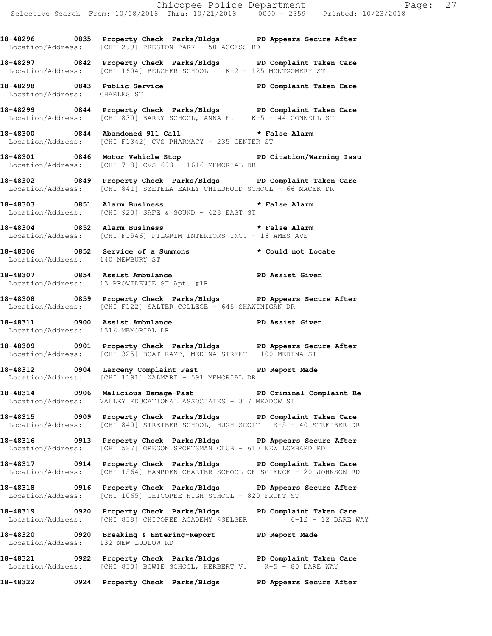**18-48296 0835 Property Check Parks/Bldgs PD Appears Secure After**  Location/Address: [CHI 299] PRESTON PARK - 50 ACCESS RD

**18-48297 0842 Property Check Parks/Bldgs PD Complaint Taken Care**  Location/Address: [CHI 1604] BELCHER SCHOOL K-2 - 125 MONTGOMERY ST

**18-48298 0843 Public Service PD Complaint Taken Care**  Location/Address: CHARLES ST

**18-48299 0844 Property Check Parks/Bldgs PD Complaint Taken Care**  Location/Address: [CHI 830] BARRY SCHOOL, ANNA E. K-5 - 44 CONNELL ST

**18-48300 0844 Abandoned 911 Call \* False Alarm**  Location/Address: [CHI F1342] CVS PHARMACY - 235 CENTER ST

**18-48301 0846 Motor Vehicle Stop PD Citation/Warning Issu**  Location/Address: [CHI 718] CVS 693 - 1616 MEMORIAL DR

**18-48302 0849 Property Check Parks/Bldgs PD Complaint Taken Care**  Location/Address: [CHI 841] SZETELA EARLY CHILDHOOD SCHOOL - 66 MACEK DR

**18-48303 0851 Alarm Business \* False Alarm**  Location/Address: [CHI 923] SAFE & SOUND - 428 EAST ST

**18-48304 0852 Alarm Business \* False Alarm**  Location/Address: [CHI F1546] PILGRIM INTERIORS INC. - 16 AMES AVE

**18-48306 0852 Service of a Summons \* Could not Locate**  Location/Address: 140 NEWBURY ST

18-48307 **0854** Assist Ambulance **PD Assist Given** Location/Address: 13 PROVIDENCE ST Apt. #1R

**18-48308 0859 Property Check Parks/Bldgs PD Appears Secure After**  Location/Address: [CHI F122] SALTER COLLEGE - 645 SHAWINIGAN DR

**18-48311 0900 Assist Ambulance PD Assist Given**  Location/Address: 1316 MEMORIAL DR

**18-48309 0901 Property Check Parks/Bldgs PD Appears Secure After**  Location/Address: [CHI 325] BOAT RAMP, MEDINA STREET - 100 MEDINA ST

**18-48312 0904 Larceny Complaint Past PD Report Made**  Location/Address: [CHI 1191] WALMART - 591 MEMORIAL DR

**18-48314 0906 Malicious Damage-Past PD Criminal Complaint Re**  Location/Address: VALLEY EDUCATIONAL ASSOCIATES - 317 MEADOW ST

**18-48315 0909 Property Check Parks/Bldgs PD Complaint Taken Care**  Location/Address: [CHI 840] STREIBER SCHOOL, HUGH SCOTT K-5 - 40 STREIBER DR

**18-48316 0913 Property Check Parks/Bldgs PD Appears Secure After**  Location/Address: [CHI 587] OREGON SPORTSMAN CLUB - 610 NEW LOMBARD RD

**18-48317 0914 Property Check Parks/Bldgs PD Complaint Taken Care**  Location/Address: [CHI 1564] HAMPDEN CHARTER SCHOOL OF SCIENCE - 20 JOHNSON RD

**18-48318 0916 Property Check Parks/Bldgs PD Appears Secure After**  Location/Address: [CHI 1065] CHICOPEE HIGH SCHOOL - 820 FRONT ST

**18-48319 0920 Property Check Parks/Bldgs PD Complaint Taken Care**  Location/Address: [CHI 838] CHICOPEE ACADEMY @SELSER 6-12 - 12 DARE WAY

**18-48320 0920 Breaking & Entering-Report PD Report Made**  Location/Address: 132 NEW LUDLOW RD

**18-48321 0922 Property Check Parks/Bldgs PD Complaint Taken Care**  Location/Address: [CHI 833] BOWIE SCHOOL, HERBERT V. K-5 - 80 DARE WAY

**18-48322 0924 Property Check Parks/Bldgs PD Appears Secure After**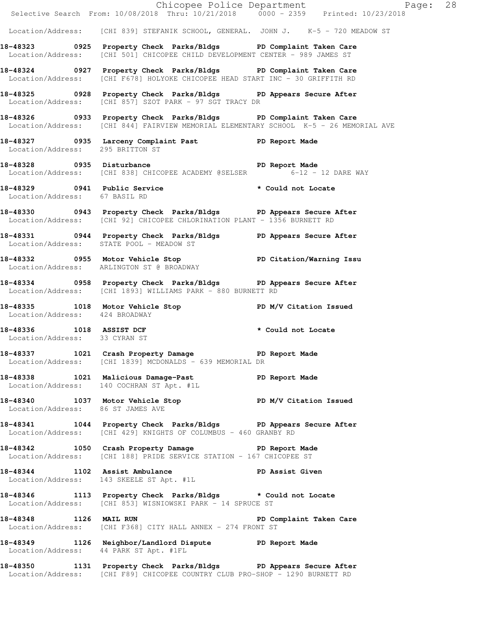|                                        | Chicopee Police Department<br>Selective Search From: 10/08/2018 Thru: 10/21/2018 0000 - 2359 Printed: 10/23/2018                                          | Page: 28 |
|----------------------------------------|-----------------------------------------------------------------------------------------------------------------------------------------------------------|----------|
|                                        | Location/Address: [CHI 839] STEFANIK SCHOOL, GENERAL. JOHN J. K-5 - 720 MEADOW ST                                                                         |          |
|                                        | 18-48323 		 0925 Property Check Parks/Bldgs 		 PD Complaint Taken Care<br>Location/Address: [CHI 501] CHICOPEE CHILD DEVELOPMENT CENTER - 989 JAMES ST    |          |
|                                        | 18-48324 0927 Property Check Parks/Bldgs PD Complaint Taken Care<br>Location/Address: [CHI F678] HOLYOKE CHICOPEE HEAD START INC - 30 GRIFFITH RD         |          |
|                                        | 18-48325 18-0928 Property Check Parks/Bldgs PD Appears Secure After<br>Location/Address: [CHI 857] SZOT PARK - 97 SGT TRACY DR                            |          |
|                                        | 18-48326 0933 Property Check Parks/Bldgs PD Complaint Taken Care<br>Location/Address: [CHI 844] FAIRVIEW MEMORIAL ELEMENTARY SCHOOL K-5 - 26 MEMORIAL AVE |          |
| Location/Address: 295 BRITTON ST       | 18-48327 0935 Larceny Complaint Past PD Report Made                                                                                                       |          |
|                                        | 18-48328 0935 Disturbance<br>Location/Address: [CHI 838] CHICOPEE ACADEMY @SELSER 6-12 - 12 DARE WAY                                                      |          |
| Location/Address: 67 BASIL RD          | 18-48329 18-48329 0941 Public Service 2001 18-48329                                                                                                       |          |
|                                        | 18-48330 18943 Property Check Parks/Bldgs PD Appears Secure After<br>Location/Address: [CHI 92] CHICOPEE CHLORINATION PLANT - 1356 BURNETT RD             |          |
|                                        | 18-48331 0944 Property Check Parks/Bldgs PD Appears Secure After<br>Location/Address: STATE POOL - MEADOW ST                                              |          |
|                                        | 18-48332 18955 Motor Vehicle Stop 18 PD Citation/Warning Issu<br>Location/Address: ARLINGTON ST @ BROADWAY                                                |          |
|                                        | 18-48334 0958 Property Check Parks/Bldgs PD Appears Secure After<br>Location/Address: [CHI 1893] WILLIAMS PARK - 880 BURNETT RD                           |          |
| Location/Address: 424 BROADWAY         | 18-48335 1018 Motor Vehicle Stop N/V Citation Issued                                                                                                      |          |
| Location/Address: 33 CYRAN ST          | 18-48336 1018 ASSIST DCF * Could not Locate                                                                                                               |          |
|                                        | 18-48337 1021 Crash Property Damage 5 PD Report Made<br>Location/Address: [CHI 1839] MCDONALDS - 639 MEMORIAL DR                                          |          |
|                                        | 18-48338 1021 Malicious Damage-Past PD Report Made<br>Location/Address: 140 COCHRAN ST Apt. #1L                                                           |          |
| Location/Address: 86 ST JAMES AVE      | 18-48340 1037 Motor Vehicle Stop N/V Citation Issued                                                                                                      |          |
|                                        | 18-48341 1044 Property Check Parks/Bldgs PD Appears Secure After<br>Location/Address: [CHI 429] KNIGHTS OF COLUMBUS - 460 GRANBY RD                       |          |
|                                        | 18-48342 1050 Crash Property Damage PD Report Made<br>Location/Address: [CHI 188] PRIDE SERVICE STATION - 167 CHICOPEE ST                                 |          |
|                                        | 18-48344 1102 Assist Ambulance PD Assist Given<br>Location/Address: 143 SKEELE ST Apt. #1L                                                                |          |
|                                        | 18-48346 1113 Property Check Parks/Bldgs * Could not Locate<br>Location/Address: [CHI 853] WISNIOWSKI PARK - 14 SPRUCE ST                                 |          |
|                                        | 18-48348 1126 MAIL RUN 2008 PD Complaint Taken Care<br>Location/Address: [CHI F368] CITY HALL ANNEX - 274 FRONT ST                                        |          |
| Location/Address: 44 PARK ST Apt. #1FL | 18-48349 1126 Neighbor/Landlord Dispute PD Report Made                                                                                                    |          |
|                                        | 18-48350 1131 Property Check Parks/Bldgs PD Appears Secure After<br>Location/Address: [CHI F89] CHICOPEE COUNTRY CLUB PRO-SHOP - 1290 BURNETT RD          |          |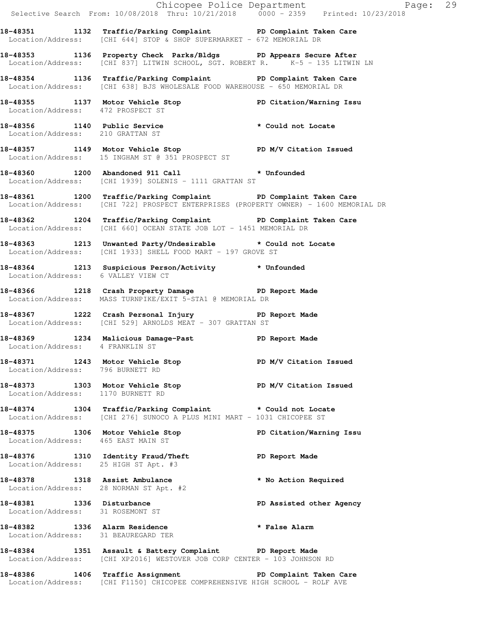|                                      |                                                                                                                                                         | Chicopee Police Department<br>Selective Search From: 10/08/2018 Thru: 10/21/2018 0000 - 2359 Printed: 10/23/2018 |  |
|--------------------------------------|---------------------------------------------------------------------------------------------------------------------------------------------------------|------------------------------------------------------------------------------------------------------------------|--|
|                                      | 18-48351 1132 Traffic/Parking Complaint PD Complaint Taken Care<br>Location/Address: [CHI 644] STOP & SHOP SUPERMARKET - 672 MEMORIAL DR                |                                                                                                                  |  |
|                                      | 18-48353 1136 Property Check Parks/Bldgs PD Appears Secure After<br>Location/Address: [CHI 837] LITWIN SCHOOL, SGT. ROBERT R. K-5 - 135 LITWIN LN       |                                                                                                                  |  |
|                                      | 18-48354 1136 Traffic/Parking Complaint PD Complaint Taken Care<br>Location/Address: [CHI 638] BJS WHOLESALE FOOD WAREHOUSE - 650 MEMORIAL DR           |                                                                                                                  |  |
|                                      | 18-48355 1137 Motor Vehicle Stop PD Citation/Warning Issu<br>Location/Address: 472 PROSPECT ST                                                          |                                                                                                                  |  |
| Location/Address: 210 GRATTAN ST     | 18-48356 1140 Public Service * Could not Locate<br>Location/Address: 210 GRATTAN ST                                                                     |                                                                                                                  |  |
|                                      | 18-48357 1149 Motor Vehicle Stop Noter PD M/V Citation Issued<br>Location/Address: 15 INGHAM ST @ 351 PROSPECT ST                                       |                                                                                                                  |  |
|                                      | 18-48360 1200 Abandoned 911 Call * Unfounded<br>Location/Address: [CHI 1939] SOLENIS - 1111 GRATTAN ST                                                  |                                                                                                                  |  |
|                                      | 18-48361 1200 Traffic/Parking Complaint PD Complaint Taken Care<br>Location/Address: [CHI 722] PROSPECT ENTERPRISES (PROPERTY OWNER) - 1600 MEMORIAL DR |                                                                                                                  |  |
|                                      | 18-48362 1204 Traffic/Parking Complaint PD Complaint Taken Care<br>Location/Address: [CHI 660] OCEAN STATE JOB LOT - 1451 MEMORIAL DR                   |                                                                                                                  |  |
|                                      | 18-48363 1213 Unwanted Party/Undesirable * Could not Locate<br>Location/Address: [CHI 1933] SHELL FOOD MART - 197 GROVE ST                              |                                                                                                                  |  |
| Location/Address: 6 VALLEY VIEW CT   | 18-48364 1213 Suspicious Person/Activity * Unfounded                                                                                                    |                                                                                                                  |  |
|                                      | 18-48366 1218 Crash Property Damage PD Report Made<br>Location/Address: MASS TURNPIKE/EXIT 5-STA1 @ MEMORIAL DR                                         |                                                                                                                  |  |
|                                      | 18-48367 1222 Crash Personal Injury 18-48367<br>Location/Address: [CHI 529] ARNOLDS MEAT - 307 GRATTAN ST                                               |                                                                                                                  |  |
|                                      | 18-48369 1234 Malicious Damage-Past PD Report Made<br>Location/Address: 4 FRANKLIN ST                                                                   |                                                                                                                  |  |
| Location/Address: 796 BURNETT RD     | 18-48371 1243 Motor Vehicle Stop                                                                                                                        | PD M/V Citation Issued                                                                                           |  |
| Location/Address: 1170 BURNETT RD    | 18-48373 1303 Motor Vehicle Stop N/V Citation Issued                                                                                                    |                                                                                                                  |  |
|                                      | 18-48374 1304 Traffic/Parking Complaint * Could not Locate<br>Location/Address: [CHI 276] SUNOCO A PLUS MINI MART - 1031 CHICOPEE ST                    |                                                                                                                  |  |
| Location/Address: 465 EAST MAIN ST   | 18-48375 1306 Motor Vehicle Stop North PD Citation/Warning Issu                                                                                         |                                                                                                                  |  |
| Location/Address: 25 HIGH ST Apt. #3 | 18-48376 1310 Identity Fraud/Theft The PD Report Made                                                                                                   |                                                                                                                  |  |
|                                      | 18-48378 1318 Assist Ambulance<br>Location/Address: 28 NORMAN ST Apt. #2                                                                                | * No Action Required                                                                                             |  |
| Location/Address: 31 ROSEMONT ST     | 18-48381 1336 Disturbance                                                                                                                               | PD Assisted other Agency                                                                                         |  |
| Location/Address: 31 BEAUREGARD TER  | 18-48382 1336 Alarm Residence                                                                                                                           | * False Alarm                                                                                                    |  |
|                                      | 18-48384 1351 Assault & Battery Complaint PD Report Made<br>Location/Address: [CHI XP2016] WESTOVER JOB CORP CENTER - 103 JOHNSON RD                    |                                                                                                                  |  |
|                                      | 18-48386 1406 Traffic Assignment New PD Complaint Taken Care<br>Location/Address: [CHI F1150] CHICOPEE COMPREHENSIVE HIGH SCHOOL - ROLF AVE             |                                                                                                                  |  |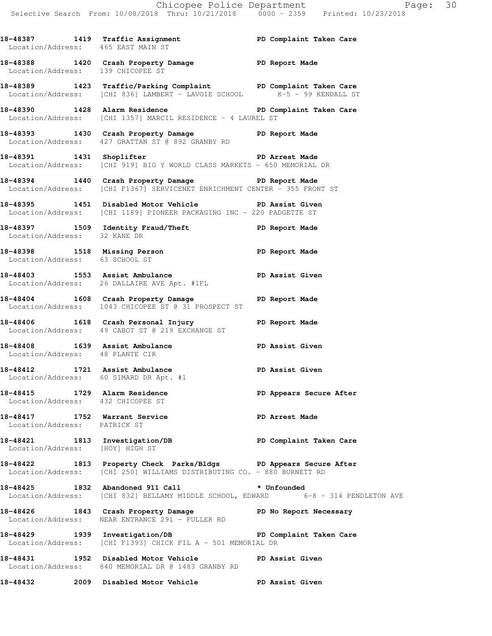18-48387 1419 Traffic Assignment **PD Complaint Taken Care**  Location/Address: 465 EAST MAIN ST **18-48388 1420 Crash Property Damage PD Report Made**  Location/Address: 139 CHICOPEE ST **18-48389 1423 Traffic/Parking Complaint PD Complaint Taken Care**  Location/Address: [CHI 836] LAMBERT - LAVOIE SCHOOL K-5 - 99 KENDALL ST **18-48390 1428 Alarm Residence PD Complaint Taken Care**  Location/Address: [CHI 1357] MARCIL RESIDENCE - 4 LAUREL ST **18-48393 1430 Crash Property Damage PD Report Made**  Location/Address: 427 GRATTAN ST @ 892 GRANBY RD 18-48391 1431 Shoplifter **PD** Arrest Made Location/Address: [CHI 919] BIG Y WORLD CLASS MARKETS - 650 MEMORIAL DR **18-48394 1440 Crash Property Damage PD Report Made**  Location/Address: [CHI F1367] SERVICENET ENRICHMENT CENTER - 355 FRONT ST **18-48395 1451 Disabled Motor Vehicle PD Assist Given**  Location/Address: [CHI 1189] PIONEER PACKAGING INC - 220 PADGETTE ST **18-48397 1509 Identity Fraud/Theft PD Report Made**  Location/Address: 32 KANE DR

**18-48398 1518 Missing Person PD Report Made**  Location/Address: 63 SCHOOL ST

**18-48403 1553 Assist Ambulance PD Assist Given**  Location/Address: 26 DALLAIRE AVE Apt. #1FL

**18-48404 1608 Crash Property Damage PD Report Made**  Location/Address: 1043 CHICOPEE ST @ 31 PROSPECT ST

**18-48406 1618 Crash Personal Injury PD Report Made**  Location/Address: 49 CABOT ST @ 219 EXCHANGE ST

**18-48408 1639 Assist Ambulance PD Assist Given**  Location/Address: 48 PLANTE CIR 18-48412 1721 Assist Ambulance **PD Assist Given** 

 Location/Address: 60 SIMARD DR Apt. #1 **18-48415 1729 Alarm Residence PD Appears Secure After**  Location/Address: 432 CHICOPEE ST

**18-48417 1752 Warrant Service PD Arrest Made**  Location/Address: PATRICK ST

**18-48421 1813 Investigation/DB PD Complaint Taken Care**  Location/Address: [HOY] HIGH ST

**18-48422 1813 Property Check Parks/Bldgs PD Appears Secure After**  Location/Address: [CHI 250] WILLIAMS DISTRIBUTING CO. - 880 BURNETT RD

**18-48425 1832 Abandoned 911 Call \* Unfounded**  Location/Address: [CHI 832] BELLAMY MIDDLE SCHOOL, EDWARD 6-8 - 314 PENDLETON AVE

**18-48426 1843 Crash Property Damage PD No Report Necessary**  Location/Address: NEAR ENTRANCE 291 - FULLER RD

**18-48429 1939 Investigation/DB PD Complaint Taken Care**  Location/Address: [CHI F1393] CHICK FIL A - 501 MEMORIAL DR

**18-48431 1952 Disabled Motor Vehicle PD Assist Given**  Location/Address: 840 MEMORIAL DR @ 1483 GRANBY RD

**18-48432 2009 Disabled Motor Vehicle PD Assist Given**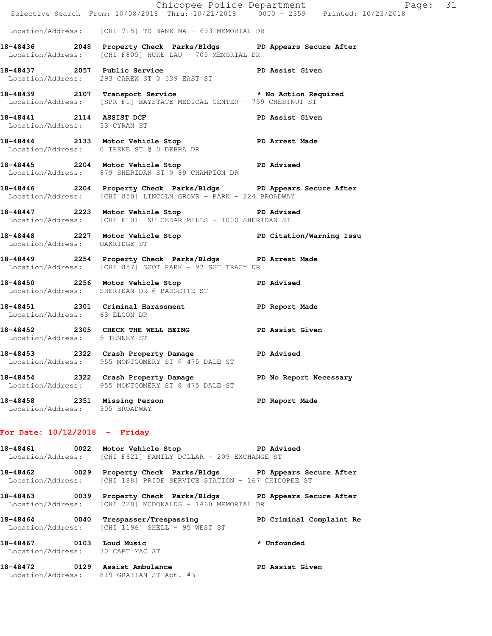|                                                              | Chicopee Police Department<br>Selective Search From: 10/08/2018 Thru: 10/21/2018 0000 - 2359 Printed: 10/23/2018                        | Page: 31        |
|--------------------------------------------------------------|-----------------------------------------------------------------------------------------------------------------------------------------|-----------------|
|                                                              | Location/Address: [CHI 715] TD BANK NA - 693 MEMORIAL DR                                                                                |                 |
|                                                              | 18-48436 2048 Property Check Parks/Bldgs PD Appears Secure After<br>Location/Address: [CHI F805] HUKE LAU - 705 MEMORIAL DR             |                 |
|                                                              | 18-48437 2057 Public Service PD Assist Given<br>Location/Address: 293 CAREW ST @ 539 EAST ST                                            |                 |
|                                                              | 18-48439 2107 Transport Service * No Action Required<br>Location/Address: [SPR F1] BAYSTATE MEDICAL CENTER - 759 CHESTNUT ST            |                 |
| Location/Address: 33 CYRAN ST                                | 18-48441 2114 ASSIST DCF                                                                                                                | PD Assist Given |
|                                                              | 18-48444 2133 Motor Vehicle Stop PD Arrest Made<br>Location/Address: 0 IRENE ST @ 0 DEBRA DR                                            |                 |
|                                                              | 18-48445 2204 Motor Vehicle Stop PD Advised<br>Location/Address: 879 SHERIDAN ST @ 89 CHAMPION DR                                       |                 |
|                                                              | 18-48446 2204 Property Check Parks/Bldgs PD Appears Secure After<br>Location/Address: [CHI 850] LINCOLN GROVE - PARK - 224 BROADWAY     |                 |
|                                                              | 18-48447 2223 Motor Vehicle Stop 50 PD Advised<br>Location/Address: [CHI F101] NU CEDAR MILLS - 1000 SHERIDAN ST                        |                 |
| Location/Address: OAKRIDGE ST                                | 18-48448 2227 Motor Vehicle Stop North PD Citation/Warning Issu                                                                         |                 |
|                                                              | 18-48449 2254 Property Check Parks/Bldgs PD Arrest Made<br>Location/Address: [CHI 857] SZOT PARK - 97 SGT TRACY DR                      |                 |
|                                                              | 18-48450 2256 Motor Vehicle Stop PD Advised<br>Location/Address: SHERIDAN DR @ PADGETTE ST                                              |                 |
| Location/Address: 63 ELCON DR                                | 18-48451 2301 Criminal Harassment PD Report Made                                                                                        |                 |
| Location/Address: 5 TENNEY ST                                | 18-48452 2305 CHECK THE WELL BEING PD Assist Given                                                                                      |                 |
|                                                              | 18-48453 2322 Crash Property Damage PD Advised<br>Location/Address: 955 MONTGOMERY ST @ 475 DALE ST                                     |                 |
|                                                              | 18-48454 2322 Crash Property Damage PD No Report Necessary<br>Location/Address: 955 MONTGOMERY ST @ 475 DALE ST                         |                 |
|                                                              | 18-48458 2351 Missing Person<br>Location/Address: 305 BROADWAY                                                                          | PD Report Made  |
| For Date: $10/12/2018$ - Friday                              |                                                                                                                                         |                 |
|                                                              | 18-48461 0022 Motor Vehicle Stop 50 PD Advised<br>Location/Address: [CHI F621] FAMILY DOLLAR - 209 EXCHANGE ST                          |                 |
|                                                              | 18-48462 0029 Property Check Parks/Bldgs PD Appears Secure After<br>Location/Address: [CHI 188] PRIDE SERVICE STATION - 167 CHICOPEE ST |                 |
|                                                              | 18-48463 0039 Property Check Parks/Bldgs PD Appears Secure After<br>Location/Address: [CHI 728] MCDONALDS - 1460 MEMORIAL DR            |                 |
|                                                              | 18-48464 0040 Trespasser/Trespassing PD Criminal Complaint Re<br>Location/Address: [CHI 1196] SHELL - 95 WEST ST                        |                 |
| 18-48467 0103 Loud Music<br>Location/Address: 30 CAPT MAC ST |                                                                                                                                         | * Unfounded     |
|                                                              | 18-48472 0129 Assist Ambulance<br>Location/Address: 819 GRATTAN ST Apt. #B                                                              | PD Assist Given |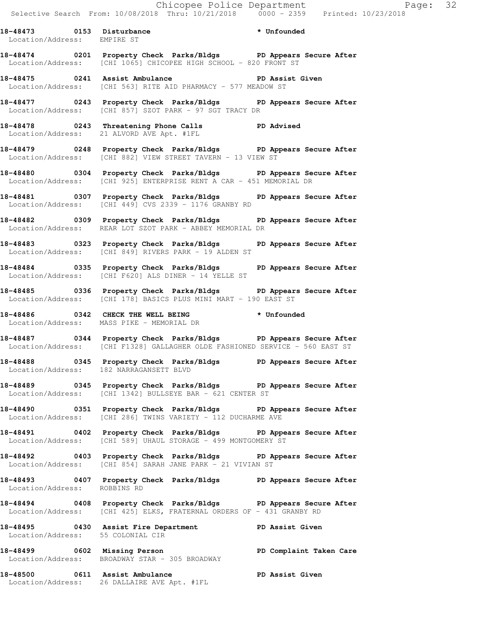**18-48473 0153 Disturbance \* Unfounded**  Location/Address: EMPIRE ST

**18-48474 0201 Property Check Parks/Bldgs PD Appears Secure After**  Location/Address: [CHI 1065] CHICOPEE HIGH SCHOOL - 820 FRONT ST

**18-48475 0241 Assist Ambulance PD Assist Given**  Location/Address: [CHI 563] RITE AID PHARMACY - 577 MEADOW ST

**18-48477 0243 Property Check Parks/Bldgs PD Appears Secure After**  Location/Address: [CHI 857] SZOT PARK - 97 SGT TRACY DR

**18-48478 0243 Threatening Phone Calls PD Advised**  Location/Address: 21 ALVORD AVE Apt. #1FL

**18-48479 0248 Property Check Parks/Bldgs PD Appears Secure After**  Location/Address: [CHI 882] VIEW STREET TAVERN - 13 VIEW ST

**18-48480 0304 Property Check Parks/Bldgs PD Appears Secure After**  Location/Address: [CHI 925] ENTERPRISE RENT A CAR - 451 MEMORIAL DR

**18-48481 0307 Property Check Parks/Bldgs PD Appears Secure After**  Location/Address: [CHI 449] CVS 2339 - 1176 GRANBY RD

**18-48482 0309 Property Check Parks/Bldgs PD Appears Secure After**  Location/Address: REAR LOT SZOT PARK - ABBEY MEMORIAL DR

**18-48483 0323 Property Check Parks/Bldgs PD Appears Secure After**  Location/Address: [CHI 849] RIVERS PARK - 19 ALDEN ST

**18-48484 0335 Property Check Parks/Bldgs PD Appears Secure After**  Location/Address: [CHI F620] ALS DINER - 14 YELLE ST

**18-48485 0336 Property Check Parks/Bldgs PD Appears Secure After**  Location/Address: [CHI 178] BASICS PLUS MINI MART - 190 EAST ST

**18-48486 0342 CHECK THE WELL BEING \* Unfounded**  Location/Address: MASS PIKE - MEMORIAL DR

**18-48487 0344 Property Check Parks/Bldgs PD Appears Secure After**  Location/Address: [CHI F1328] GALLAGHER OLDE FASHIONED SERVICE - 560 EAST ST

**18-48488 0345 Property Check Parks/Bldgs PD Appears Secure After**  Location/Address: 182 NARRAGANSETT BLVD

**18-48489 0345 Property Check Parks/Bldgs PD Appears Secure After**  Location/Address: [CHI 1342] BULLSEYE BAR - 621 CENTER ST

**18-48490 0351 Property Check Parks/Bldgs PD Appears Secure After**  Location/Address: [CHI 286] TWINS VARIETY - 112 DUCHARME AVE

**18-48491 0402 Property Check Parks/Bldgs PD Appears Secure After**  Location/Address: [CHI 589] UHAUL STORAGE - 499 MONTGOMERY ST

**18-48492 0403 Property Check Parks/Bldgs PD Appears Secure After**  Location/Address: [CHI 854] SARAH JANE PARK - 21 VIVIAN ST

**18-48493 0407 Property Check Parks/Bldgs PD Appears Secure After**  Location/Address: ROBBINS RD

**18-48494 0408 Property Check Parks/Bldgs PD Appears Secure After**  Location/Address: [CHI 425] ELKS, FRATERNAL ORDERS OF - 431 GRANBY RD

**18-48495 0430 Assist Fire Department PD Assist Given**  Location/Address: 55 COLONIAL CIR

**18-48499 0602 Missing Person PD Complaint Taken Care**  Location/Address: BROADWAY STAR - 305 BROADWAY

**18-48500 0611 Assist Ambulance PD Assist Given**  Location/Address: 26 DALLAIRE AVE Apt. #1FL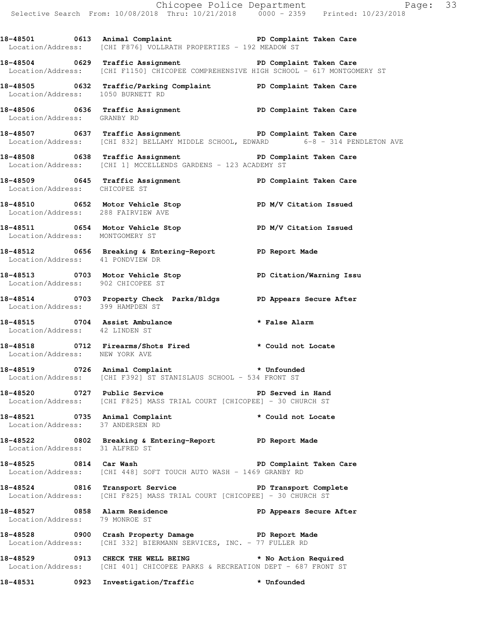Chicopee Police Department Page: 33 Selective Search From: 10/08/2018 Thru: 10/21/2018 0000 - 2359 Printed: 10/23/2018 18-48501 0613 Animal Complaint **PD Complaint Taken Care** Location/Address: [CHI F876] VOLLRATH PROPERTIES - 192 MEADOW ST **18-48504 0629 Traffic Assignment PD Complaint Taken Care**  Location/Address: [CHI F1150] CHICOPEE COMPREHENSIVE HIGH SCHOOL - 617 MONTGOMERY ST **18-48505 0632 Traffic/Parking Complaint PD Complaint Taken Care**  Location/Address: 1050 BURNETT RD 18-48506 **18-48506** 0636 Traffic Assignment **PD Complaint Taken Care**  Location/Address: GRANBY RD **18-48507 0637 Traffic Assignment PD Complaint Taken Care**  Location/Address: [CHI 832] BELLAMY MIDDLE SCHOOL, EDWARD 6-8 - 314 PENDLETON AVE 18-48508 **18-48508** 0638 Traffic Assignment **PD Complaint Taken Care** Location/Address: [CHI 1] MCCELLENDS GARDENS - 123 ACADEMY ST **18-48509 0645 Traffic Assignment PD Complaint Taken Care**  Location/Address: CHICOPEE ST **18-48510 0652 Motor Vehicle Stop PD M/V Citation Issued**  Location/Address: 288 FAIRVIEW AVE **18-48511 0654 Motor Vehicle Stop PD M/V Citation Issued**  Location/Address: MONTGOMERY ST **18-48512 0656 Breaking & Entering-Report PD Report Made**  Location/Address: 41 PONDVIEW DR **18-48513 0703 Motor Vehicle Stop PD Citation/Warning Issu**  Location/Address: 902 CHICOPEE ST **18-48514 0703 Property Check Parks/Bldgs PD Appears Secure After**  Location/Address: 399 HAMPDEN ST **18-48515 0704 Assist Ambulance \* False Alarm**  Location/Address: 42 LINDEN ST **18-48518 0712 Firearms/Shots Fired \* Could not Locate**  Location/Address: NEW YORK AVE **18-48519 0726 Animal Complaint \* Unfounded**  Location/Address: [CHI F392] ST STANISLAUS SCHOOL - 534 FRONT ST **18-48520 0727 Public Service PD Served in Hand**  Location/Address: [CHI F825] MASS TRIAL COURT [CHICOPEE] - 30 CHURCH ST **18-48521 0735 Animal Complaint \* Could not Locate**  Location/Address: 37 ANDERSEN RD **18-48522 0802 Breaking & Entering-Report PD Report Made**  Location/Address: 31 ALFRED ST **18-48525 0814 Car Wash PD Complaint Taken Care**  Location/Address: [CHI 448] SOFT TOUCH AUTO WASH - 1469 GRANBY RD **18-48524 0816 Transport Service PD Transport Complete**  Location/Address: [CHI F825] MASS TRIAL COURT [CHICOPEE] - 30 CHURCH ST **18-48527 0858 Alarm Residence PD Appears Secure After**  Location/Address: 79 MONROE ST **18-48528 0900 Crash Property Damage PD Report Made**  Location/Address: [CHI 332] BIERMANN SERVICES, INC. - 77 FULLER RD **18-48529 0913 CHECK THE WELL BEING \* No Action Required**  Location/Address: [CHI 401] CHICOPEE PARKS & RECREATION DEPT - 687 FRONT ST **18-48531 0923 Investigation/Traffic \* Unfounded**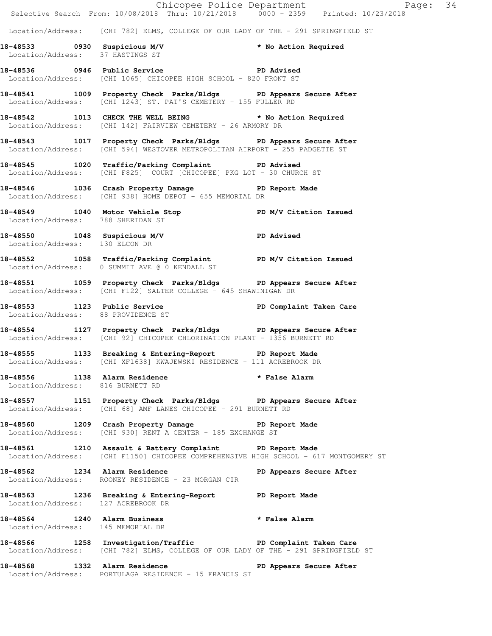|                                    |                                                                                                                                                      | Exage: 34<br>Selective Search From: 10/08/2018 Thru: 10/21/2018 0000 - 2359 Printed: 10/23/2018 |  |
|------------------------------------|------------------------------------------------------------------------------------------------------------------------------------------------------|-------------------------------------------------------------------------------------------------|--|
|                                    | Location/Address: [CHI 782] ELMS, COLLEGE OF OUR LADY OF THE - 291 SPRINGFIELD ST                                                                    |                                                                                                 |  |
|                                    | 18-48533 0930 Suspicious M/V                                                                                                                         | * No Action Required                                                                            |  |
|                                    | Location/Address: 37 HASTINGS ST                                                                                                                     |                                                                                                 |  |
|                                    | 18-48536 0946 Public Service National PD Advised<br>Location/Address: [CHI 1065] CHICOPEE HIGH SCHOOL - 820 FRONT ST                                 |                                                                                                 |  |
|                                    | 18-48541 1009 Property Check Parks/Bldgs PD Appears Secure After<br>Location/Address: [CHI 1243] ST. PAT'S CEMETERY - 155 FULLER RD                  |                                                                                                 |  |
|                                    | 18-48542 1013 CHECK THE WELL BEING * No Action Required<br>Location/Address: [CHI 142] FAIRVIEW CEMETERY - 26 ARMORY DR                              |                                                                                                 |  |
|                                    | 18-48543 1017 Property Check Parks/Bldgs PD Appears Secure After<br>Location/Address: [CHI 594] WESTOVER METROPOLITAN AIRPORT - 255 PADGETTE ST      |                                                                                                 |  |
|                                    | 18-48545 1020 Traffic/Parking Complaint PD Advised<br>Location/Address: [CHI F825] COURT [CHICOPEE] PKG LOT - 30 CHURCH ST                           |                                                                                                 |  |
|                                    | 18-48546 1036 Crash Property Damage PD Report Made<br>Location/Address: [CHI 938] HOME DEPOT - 655 MEMORIAL DR                                       |                                                                                                 |  |
| Location/Address: 788 SHERIDAN ST  | 18-48549 1040 Motor Vehicle Stop PD M/V Citation Issued                                                                                              |                                                                                                 |  |
| Location/Address: 130 ELCON DR     | 18-48550 1048 Suspicious M/V 18-48550                                                                                                                |                                                                                                 |  |
|                                    | 18-48552 1058 Traffic/Parking Complaint PD M/V Citation Issued<br>Location/Address: 0 SUMMIT AVE @ 0 KENDALL ST                                      |                                                                                                 |  |
|                                    | 18-48551 1059 Property Check Parks/Bldgs PD Appears Secure After<br>Location/Address: [CHI F122] SALTER COLLEGE - 645 SHAWINIGAN DR                  |                                                                                                 |  |
|                                    | 18-48553 1123 Public Service PD Complaint Taken Care<br>Location/Address: 88 PROVIDENCE ST                                                           |                                                                                                 |  |
|                                    | 18-48554 1127 Property Check Parks/Bldgs PD Appears Secure After<br>Location/Address: [CHI 92] CHICOPEE CHLORINATION PLANT - 1356 BURNETT RD         |                                                                                                 |  |
|                                    | 18-48555 1133 Breaking & Entering-Report TD Report Made<br>Location/Address: [CHI XF1638] KWAJEWSKI RESIDENCE - 111 ACREBROOK DR                     |                                                                                                 |  |
| Location/Address: 816 BURNETT RD   | 18-48556 1138 Alarm Residence                                                                                                                        | * False Alarm                                                                                   |  |
|                                    | 18-48557 1151 Property Check Parks/Bldgs PD Appears Secure After<br>Location/Address: [CHI 68] AMF LANES CHICOPEE - 291 BURNETT RD                   |                                                                                                 |  |
|                                    | 18-48560 1209 Crash Property Damage PD Report Made<br>Location/Address: [CHI 930] RENT A CENTER - 185 EXCHANGE ST                                    |                                                                                                 |  |
|                                    | 18-48561 1210 Assault & Battery Complaint PD Report Made<br>Location/Address: [CHI F1150] CHICOPEE COMPREHENSIVE HIGH SCHOOL - 617 MONTGOMERY ST     |                                                                                                 |  |
|                                    | 18-48562 1234 Alarm Residence New PD Appears Secure After<br>Location/Address: ROONEY RESIDENCE - 23 MORGAN CIR                                      |                                                                                                 |  |
| Location/Address: 127 ACREBROOK DR | 18-48563 1236 Breaking & Entering-Report PD Report Made                                                                                              |                                                                                                 |  |
| Location/Address: 145 MEMORIAL DR  | 18-48564 1240 Alarm Business * * False Alarm                                                                                                         |                                                                                                 |  |
|                                    | 18-48566 1258 Investigation/Traffic New PD Complaint Taken Care<br>Location/Address: [CHI 782] ELMS, COLLEGE OF OUR LADY OF THE - 291 SPRINGFIELD ST |                                                                                                 |  |
|                                    | 18-48568 1332 Alarm Residence<br>Location/Address: PORTULAGA RESIDENCE - 15 FRANCIS ST                                                               | PD Appears Secure After                                                                         |  |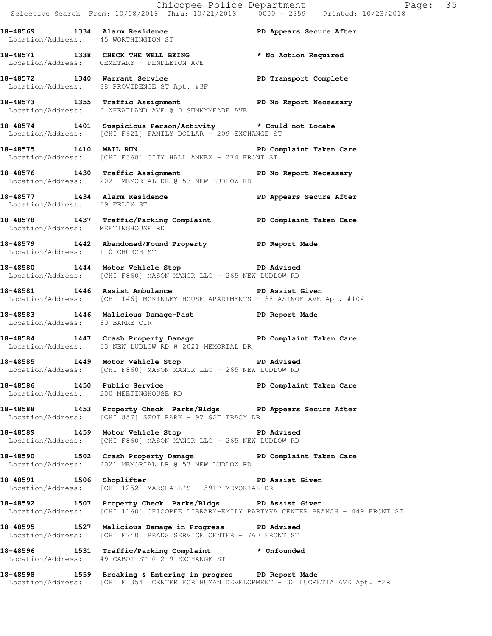**18-48569 1334 Alarm Residence PD Appears Secure After**  Location/Address: 45 WORTHINGTON ST **18-48571 1338 CHECK THE WELL BEING \* No Action Required**  Location/Address: CEMETARY - PENDLETON AVE **18-48572 1340 Warrant Service PD Transport Complete**  Location/Address: 88 PROVIDENCE ST Apt. #3F **18-48573 1355 Traffic Assignment PD No Report Necessary**  Location/Address: 0 WHEATLAND AVE @ 0 SUNNYMEADE AVE **18-48574 1401 Suspicious Person/Activity \* Could not Locate**  Location/Address: [CHI F621] FAMILY DOLLAR - 209 EXCHANGE ST **18-48575 1410 MAIL RUN PD Complaint Taken Care**  Location/Address: [CHI F368] CITY HALL ANNEX - 274 FRONT ST 18-48576 1430 Traffic Assignment **PD No Report Necessary**  Location/Address: 2021 MEMORIAL DR @ 53 NEW LUDLOW RD **18-48577 1434 Alarm Residence PD Appears Secure After**  Location/Address: 69 FELIX ST **18-48578 1437 Traffic/Parking Complaint PD Complaint Taken Care**  Location/Address: MEETINGHOUSE RD **18-48579 1442 Abandoned/Found Property PD Report Made**  Location/Address: 110 CHURCH ST **18-48580 1444 Motor Vehicle Stop PD Advised**  Location/Address: [CHI F860] MASON MANOR LLC - 265 NEW LUDLOW RD **18-48581 1446 Assist Ambulance PD Assist Given**  Location/Address: [CHI 146] MCKINLEY HOUSE APARTMENTS - 38 ASINOF AVE Apt. #104 **18-48583 1446 Malicious Damage-Past PD Report Made**  Location/Address: 60 BARRE CIR **18-48584 1447 Crash Property Damage PD Complaint Taken Care**  Location/Address: 53 NEW LUDLOW RD @ 2021 MEMORIAL DR **18-48585 1449 Motor Vehicle Stop PD Advised**  Location/Address: [CHI F860] MASON MANOR LLC - 265 NEW LUDLOW RD **18-48586 1450 Public Service PD Complaint Taken Care**  Location/Address: 200 MEETINGHOUSE RD **18-48588 1453 Property Check Parks/Bldgs PD Appears Secure After**  Location/Address: [CHI 857] SZOT PARK - 97 SGT TRACY DR **18-48589 1459 Motor Vehicle Stop PD Advised**  Location/Address: [CHI F860] MASON MANOR LLC - 265 NEW LUDLOW RD **18-48590 1502 Crash Property Damage PD Complaint Taken Care**  Location/Address: 2021 MEMORIAL DR @ 53 NEW LUDLOW RD 18-48591 1506 Shoplifter **18-48591** PD Assist Given Location/Address: [CHI 1252] MARSHALL'S - 591P MEMORIAL DR **18-48592 1507 Property Check Parks/Bldgs PD Assist Given**  Location/Address: [CHI 1160] CHICOPEE LIBRARY-EMILY PARTYKA CENTER BRANCH - 449 FRONT ST **18-48595 1527 Malicious Damage in Progress PD Advised**  Location/Address: [CHI F740] BRADS SERVICE CENTER - 760 FRONT ST **18-48596 1531 Traffic/Parking Complaint \* Unfounded**  Location/Address: 49 CABOT ST @ 219 EXCHANGE ST **18-48598 1559 Breaking & Entering in progres PD Report Made** 

Location/Address: [CHI F1354] CENTER FOR HUMAN DEVELOPMENT - 32 LUCRETIA AVE Apt. #2R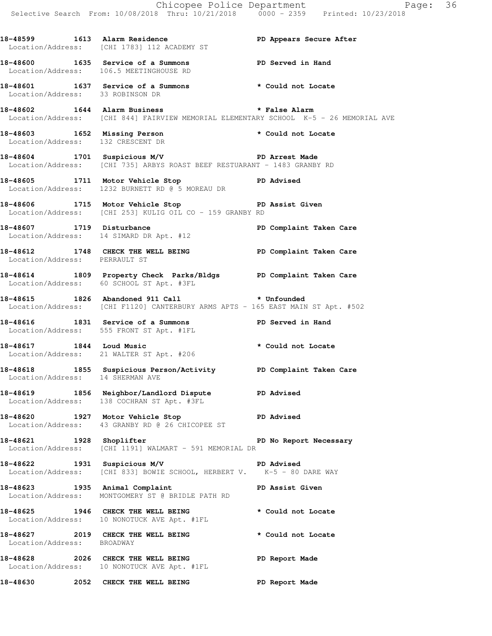Chicopee Police Department Page: 36 Selective Search From: 10/08/2018 Thru: 10/21/2018 0000 - 2359 Printed: 10/23/2018 **18-48599 1613 Alarm Residence PD Appears Secure After**  Location/Address: [CHI 1783] 112 ACADEMY ST **18-48600 1635 Service of a Summons PD Served in Hand**  Location/Address: 106.5 MEETINGHOUSE RD **18-48601 1637 Service of a Summons \* Could not Locate**  Location/Address: 33 ROBINSON DR **18-48602 1644 Alarm Business \* False Alarm**  Location/Address: [CHI 844] FAIRVIEW MEMORIAL ELEMENTARY SCHOOL K-5 - 26 MEMORIAL AVE **18-48603 1652 Missing Person \* Could not Locate**  Location/Address: 132 CRESCENT DR **18-48604 1701 Suspicious M/V PD Arrest Made**  Location/Address: [CHI 735] ARBYS ROAST BEEF RESTUARANT - 1483 GRANBY RD **18-48605 1711 Motor Vehicle Stop PD Advised**  Location/Address: 1232 BURNETT RD @ 5 MOREAU DR **18-48606 1715 Motor Vehicle Stop PD Assist Given**  Location/Address: [CHI 253] KULIG OIL CO - 159 GRANBY RD 18-48607 1719 Disturbance **PD Complaint Taken Care**  Location/Address: 14 SIMARD DR Apt. #12 **18-48612 1748 CHECK THE WELL BEING PD Complaint Taken Care**  Location/Address: PERRAULT ST **18-48614 1809 Property Check Parks/Bldgs PD Complaint Taken Care**  Location/Address: 60 SCHOOL ST Apt. #3FL **18-48615 1826 Abandoned 911 Call \* Unfounded**  Location/Address: [CHI F1120] CANTERBURY ARMS APTS - 165 EAST MAIN ST Apt. #502 **18-48616 1831 Service of a Summons PD Served in Hand**  Location/Address: 555 FRONT ST Apt. #1FL **18-48617 1844 Loud Music \* Could not Locate**  Location/Address: 21 WALTER ST Apt. #206 **18-48618 1855 Suspicious Person/Activity PD Complaint Taken Care**  Location/Address: 14 SHERMAN AVE **18-48619 1856 Neighbor/Landlord Dispute PD Advised**  Location/Address: 138 COCHRAN ST Apt. #3FL **18-48620 1927 Motor Vehicle Stop PD Advised**  Location/Address: 43 GRANBY RD @ 26 CHICOPEE ST **18-48621 1928 Shoplifter PD No Report Necessary**  Location/Address: [CHI 1191] WALMART - 591 MEMORIAL DR **18-48622 1931 Suspicious M/V PD Advised**  Location/Address: [CHI 833] BOWIE SCHOOL, HERBERT V. K-5 - 80 DARE WAY **18-48623 1935 Animal Complaint PD Assist Given**  Location/Address: MONTGOMERY ST @ BRIDLE PATH RD 18-48625 1946 CHECK THE WELL BEING **\*** Could not Locate Location/Address: 10 NONOTUCK AVE Apt. #1FL **18-48627 2019 CHECK THE WELL BEING \* Could not Locate**  Location/Address: BROADWAY **18-48628 2026 CHECK THE WELL BEING PD Report Made**  Location/Address: 10 NONOTUCK AVE Apt. #1FL

**18-48630 2052 CHECK THE WELL BEING PD Report Made**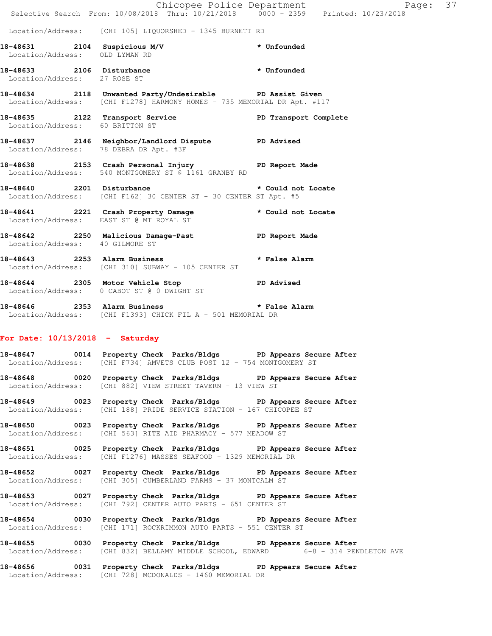|                                                                | Selective Search From: 10/08/2018 Thru: 10/21/2018 0000 - 2359 Printed: 10/23/2018                                                  | Chicopee Police Department<br>Paqe: | 37 |
|----------------------------------------------------------------|-------------------------------------------------------------------------------------------------------------------------------------|-------------------------------------|----|
|                                                                |                                                                                                                                     |                                     |    |
|                                                                | Location/Address: [CHI 105] LIQUORSHED - 1345 BURNETT RD                                                                            |                                     |    |
| 18-48631 2104 Suspicious M/V<br>Location/Address: OLD LYMAN RD |                                                                                                                                     | <b>*</b> Unfounded                  |    |
| Location/Address: 27 ROSE ST                                   | 18-48633 2106 Disturbance                                                                                                           | * Unfounded                         |    |
|                                                                | 18-48634 2118 Unwanted Party/Undesirable PD Assist Given<br>Location/Address: [CHI F1278] HARMONY HOMES - 735 MEMORIAL DR Apt. #117 |                                     |    |
| Location/Address: 60 BRITTON ST                                | 18-48635 2122 Transport Service New PD Transport Complete                                                                           |                                     |    |
|                                                                | 18-48637 2146 Neighbor/Landlord Dispute PD Advised<br>Location/Address: 78 DEBRA DR Apt. #3F                                        |                                     |    |
|                                                                | 18-48638 2153 Crash Personal Injury 18-48638 PD Report Made<br>Location/Address: 540 MONTGOMERY ST @ 1161 GRANBY RD                 |                                     |    |
|                                                                | 18-48640 2201 Disturbance<br>Location/Address: [CHI F162] 30 CENTER ST - 30 CENTER ST Apt. #5                                       | * Could not Locate                  |    |
|                                                                | 18-48641 2221 Crash Property Damage<br>Location/Address: EAST ST @ MT ROYAL ST                                                      | * Could not Locate                  |    |
| Location/Address: 40 GILMORE ST                                | 18-48642 2250 Malicious Damage-Past PD Report Made                                                                                  |                                     |    |
|                                                                | 18-48643 2253 Alarm Business<br>Location/Address: [CHI 310] SUBWAY - 105 CENTER ST                                                  | * False Alarm                       |    |
|                                                                | 18-48644 2305 Motor Vehicle Stop CD Advised<br>Location/Address: 0 CABOT ST @ 0 DWIGHT ST                                           |                                     |    |

**18-48646 2353 Alarm Business \* False Alarm**  Location/Address: [CHI F1393] CHICK FIL A - 501 MEMORIAL DR

## **For Date: 10/13/2018 - Saturday**

**18-48647 0014 Property Check Parks/Bldgs PD Appears Secure After**  Location/Address: [CHI F734] AMVETS CLUB POST 12 - 754 MONTGOMERY ST

**18-48648 0020 Property Check Parks/Bldgs PD Appears Secure After**  Location/Address: [CHI 882] VIEW STREET TAVERN - 13 VIEW ST

**18-48649 0023 Property Check Parks/Bldgs PD Appears Secure After**  Location/Address: [CHI 188] PRIDE SERVICE STATION - 167 CHICOPEE ST

**18-48650 0023 Property Check Parks/Bldgs PD Appears Secure After**  Location/Address: [CHI 563] RITE AID PHARMACY - 577 MEADOW ST

**18-48651 0025 Property Check Parks/Bldgs PD Appears Secure After**  Location/Address: [CHI F1276] MASSES SEAFOOD - 1329 MEMORIAL DR

**18-48652 0027 Property Check Parks/Bldgs PD Appears Secure After**  Location/Address: [CHI 305] CUMBERLAND FARMS - 37 MONTCALM ST

**18-48653 0027 Property Check Parks/Bldgs PD Appears Secure After**  Location/Address: [CHI 792] CENTER AUTO PARTS - 651 CENTER ST

**18-48654 0030 Property Check Parks/Bldgs PD Appears Secure After**  Location/Address: [CHI 171] ROCKRIMMON AUTO PARTS - 551 CENTER ST

**18-48655 0030 Property Check Parks/Bldgs PD Appears Secure After**  Location/Address: [CHI 832] BELLAMY MIDDLE SCHOOL, EDWARD 6-8 - 314 PENDLETON AVE

**18-48656 0031 Property Check Parks/Bldgs PD Appears Secure After**  Location/Address: [CHI 728] MCDONALDS - 1460 MEMORIAL DR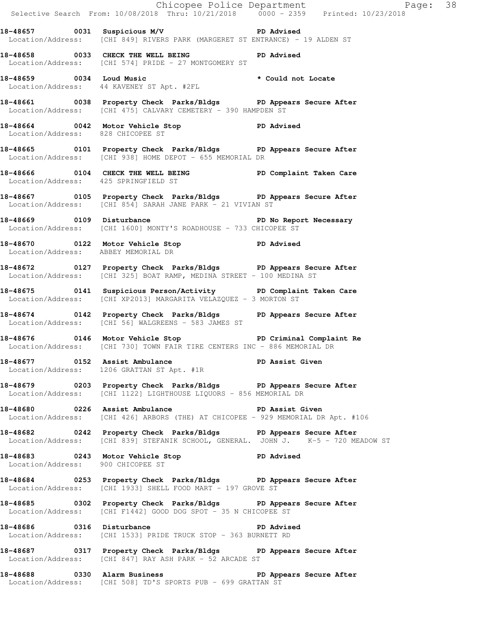Chicopee Police Department Fage: 38 Selective Search From: 10/08/2018 Thru: 10/21/2018 0000 - 2359 Printed: 10/23/2018 **18-48657 0031 Suspicious M/V PD Advised**  Location/Address: [CHI 849] RIVERS PARK (MARGERET ST ENTRANCE) - 19 ALDEN ST **18-48658 0033 CHECK THE WELL BEING PD Advised**  Location/Address: [CHI 574] PRIDE - 27 MONTGOMERY ST **18-48659 0034 Loud Music \* Could not Locate**  Location/Address: 44 KAVENEY ST Apt. #2FL **18-48661 0038 Property Check Parks/Bldgs PD Appears Secure After**  Location/Address: [CHI 475] CALVARY CEMETERY - 390 HAMPDEN ST **18-48664 0042 Motor Vehicle Stop PD Advised**  Location/Address: 828 CHICOPEE ST **18-48665 0101 Property Check Parks/Bldgs PD Appears Secure After**  Location/Address: [CHI 938] HOME DEPOT - 655 MEMORIAL DR **18-48666 0104 CHECK THE WELL BEING PD Complaint Taken Care**  Location/Address: 425 SPRINGFIELD ST **18-48667 0105 Property Check Parks/Bldgs PD Appears Secure After**  Location/Address: [CHI 854] SARAH JANE PARK - 21 VIVIAN ST **18-48669 0109 Disturbance PD No Report Necessary**  Location/Address: [CHI 1600] MONTY'S ROADHOUSE - 733 CHICOPEE ST **18-48670 0122 Motor Vehicle Stop PD Advised**  Location/Address: ABBEY MEMORIAL DR **18-48672 0127 Property Check Parks/Bldgs PD Appears Secure After**  Location/Address: [CHI 325] BOAT RAMP, MEDINA STREET - 100 MEDINA ST **18-48675 0141 Suspicious Person/Activity PD Complaint Taken Care**  Location/Address: [CHI XP2013] MARGARITA VELAZQUEZ - 3 MORTON ST **18-48674 0142 Property Check Parks/Bldgs PD Appears Secure After**  Location/Address: [CHI 56] WALGREENS - 583 JAMES ST **18-48676 0146 Motor Vehicle Stop PD Criminal Complaint Re**  Location/Address: [CHI 730] TOWN FAIR TIRE CENTERS INC - 886 MEMORIAL DR 18-48677 **0152** Assist Ambulance **PD Assist Given**  Location/Address: 1206 GRATTAN ST Apt. #1R **18-48679 0203 Property Check Parks/Bldgs PD Appears Secure After**  Location/Address: [CHI 1122] LIGHTHOUSE LIQUORS - 856 MEMORIAL DR **18-48680 0226 Assist Ambulance PD Assist Given**  Location/Address: [CHI 426] ARBORS (THE) AT CHICOPEE - 929 MEMORIAL DR Apt. #106 **18-48682 0242 Property Check Parks/Bldgs PD Appears Secure After**  Location/Address: [CHI 839] STEFANIK SCHOOL, GENERAL. JOHN J. K-5 - 720 MEADOW ST **18-48683 0243 Motor Vehicle Stop PD Advised**  Location/Address: 900 CHICOPEE ST **18-48684 0253 Property Check Parks/Bldgs PD Appears Secure After**  Location/Address: [CHI 1933] SHELL FOOD MART - 197 GROVE ST **18-48685 0302 Property Check Parks/Bldgs PD Appears Secure After**  Location/Address: [CHI F1442] GOOD DOG SPOT - 35 N CHICOPEE ST **18-48686 0316 Disturbance PD Advised**  Location/Address: [CHI 1533] PRIDE TRUCK STOP - 363 BURNETT RD **18-48687 0317 Property Check Parks/Bldgs PD Appears Secure After**  Location/Address: [CHI 847] RAY ASH PARK - 52 ARCADE ST **18-48688 0330 Alarm Business PD Appears Secure After**  Location/Address: [CHI 508] TD'S SPORTS PUB - 699 GRATTAN ST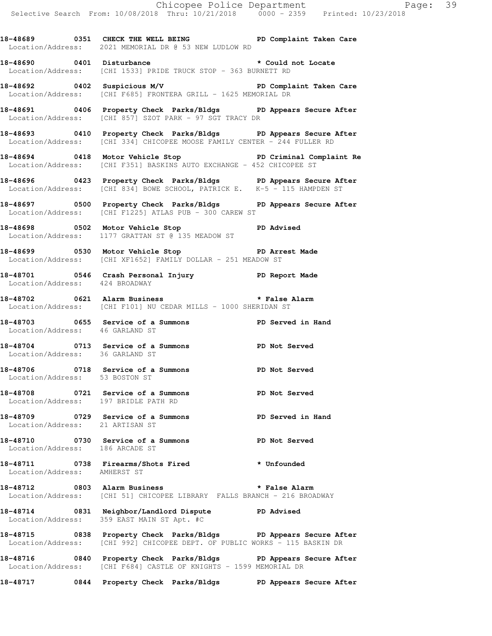18-48689 **0351 CHECK THE WELL BEING** PD Complaint Taken Care Location/Address: 2021 MEMORIAL DR @ 53 NEW LUDLOW RD

**18-48690 0401 Disturbance \* Could not Locate**  Location/Address: [CHI 1533] PRIDE TRUCK STOP - 363 BURNETT RD

**18-48692 0402 Suspicious M/V PD Complaint Taken Care**  Location/Address: [CHI F685] FRONTERA GRILL - 1625 MEMORIAL DR

**18-48691 0406 Property Check Parks/Bldgs PD Appears Secure After**  Location/Address: [CHI 857] SZOT PARK - 97 SGT TRACY DR

**18-48693 0410 Property Check Parks/Bldgs PD Appears Secure After**  Location/Address: [CHI 334] CHICOPEE MOOSE FAMILY CENTER - 244 FULLER RD

**18-48694 0418 Motor Vehicle Stop PD Criminal Complaint Re**  Location/Address: [CHI F351] BASKINS AUTO EXCHANGE - 452 CHICOPEE ST

**18-48696 0423 Property Check Parks/Bldgs PD Appears Secure After**  Location/Address: [CHI 834] BOWE SCHOOL, PATRICK E. K-5 - 115 HAMPDEN ST

**18-48697 0500 Property Check Parks/Bldgs PD Appears Secure After**  Location/Address: [CHI F1225] ATLAS PUB - 300 CAREW ST

**18-48698 0502 Motor Vehicle Stop PD Advised**  Location/Address: 1177 GRATTAN ST @ 135 MEADOW ST

**18-48699 0530 Motor Vehicle Stop PD Arrest Made**  Location/Address: [CHI XF1652] FAMILY DOLLAR - 251 MEADOW ST

**18-48701 0546 Crash Personal Injury PD Report Made**  Location/Address: 424 BROADWAY

**18-48702 0621 Alarm Business \* False Alarm**  Location/Address: [CHI F101] NU CEDAR MILLS - 1000 SHERIDAN ST

**18-48703 0655 Service of a Summons PD Served in Hand**  Location/Address: 46 GARLAND ST

**18-48704 0713 Service of a Summons PD Not Served**  Location/Address: 36 GARLAND ST

**18-48706 0718 Service of a Summons PD Not Served**  Location/Address: 53 BOSTON ST

**18-48708 0721 Service of a Summons PD Not Served**  Location/Address: 197 BRIDLE PATH RD

**18-48709 0729 Service of a Summons PD Served in Hand**  Location/Address: 21 ARTISAN ST

**18-48710 0730 Service of a Summons PD Not Served**  Location/Address: 186 ARCADE ST

**18-48711 0738 Firearms/Shots Fired \* Unfounded**  Location/Address: AMHERST ST

**18-48712 0803 Alarm Business \* False Alarm**  Location/Address: [CHI 51] CHICOPEE LIBRARY FALLS BRANCH - 216 BROADWAY

**18-48714 0831 Neighbor/Landlord Dispute PD Advised**  Location/Address: 359 EAST MAIN ST Apt. #C

**18-48715 0838 Property Check Parks/Bldgs PD Appears Secure After**  Location/Address: [CHI 992] CHICOPEE DEPT. OF PUBLIC WORKS - 115 BASKIN DR

**18-48716 0840 Property Check Parks/Bldgs PD Appears Secure After**  Location/Address: [CHI F684] CASTLE OF KNIGHTS - 1599 MEMORIAL DR

**18-48717 0844 Property Check Parks/Bldgs PD Appears Secure After**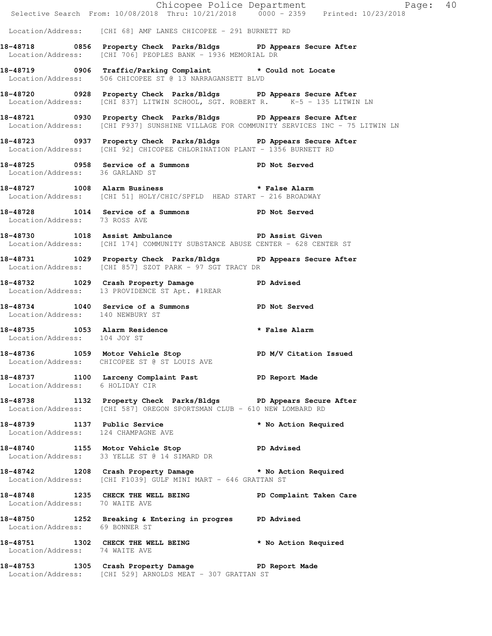|                                     |                                                                                                                                                             | Chicopee Police Department<br>Selective Search From: 10/08/2018 Thru: 10/21/2018 0000 - 2359 Printed: 10/23/2018 |
|-------------------------------------|-------------------------------------------------------------------------------------------------------------------------------------------------------------|------------------------------------------------------------------------------------------------------------------|
|                                     |                                                                                                                                                             |                                                                                                                  |
|                                     | Location/Address: [CHI 68] AMF LANES CHICOPEE - 291 BURNETT RD                                                                                              |                                                                                                                  |
|                                     | 18-48718 0856 Property Check Parks/Bldgs PD Appears Secure After<br>Location/Address: [CHI 706] PEOPLES BANK - 1936 MEMORIAL DR                             |                                                                                                                  |
|                                     | 18-48719 0906 Traffic/Parking Complaint * Could not Locate<br>Location/Address: 506 CHICOPEE ST @ 13 NARRAGANSETT BLVD                                      |                                                                                                                  |
|                                     | 18-48720 0928 Property Check Parks/Bldgs PD Appears Secure After<br>Location/Address: [CHI 837] LITWIN SCHOOL, SGT. ROBERT R. K-5 - 135 LITWIN LN           |                                                                                                                  |
|                                     | 18-48721 0930 Property Check Parks/Bldgs PD Appears Secure After<br>Location/Address: [CHI F937] SUNSHINE VILLAGE FOR COMMUNITY SERVICES INC - 75 LITWIN LN |                                                                                                                  |
|                                     | 18-48723 0937 Property Check Parks/Bldgs PD Appears Secure After<br>Location/Address: [CHI 92] CHICOPEE CHLORINATION PLANT - 1356 BURNETT RD                |                                                                                                                  |
|                                     | 18-48725 0958 Service of a Summons PD Not Served Location/Address: 36 GARLAND ST                                                                            |                                                                                                                  |
|                                     | 18-48727 1008 Alarm Business <b>that is a set of the Second Alarm</b><br>Location/Address: [CHI 51] HOLY/CHIC/SPFLD HEAD START - 216 BROADWAY               |                                                                                                                  |
| Location/Address: 73 ROSS AVE       | 18-48728 1014 Service of a Summons PD Not Served                                                                                                            |                                                                                                                  |
|                                     | 18-48730 1018 Assist Ambulance <b>18-48730</b> PD Assist Given<br>Location/Address: [CHI 174] COMMUNITY SUBSTANCE ABUSE CENTER - 628 CENTER ST              |                                                                                                                  |
|                                     | 18-48731 1029 Property Check Parks/Bldgs PD Appears Secure After<br>Location/Address: [CHI 857] SZOT PARK - 97 SGT TRACY DR                                 |                                                                                                                  |
|                                     | 18-48732 1029 Crash Property Damage PD Advised<br>Location/Address: 13 PROVIDENCE ST Apt. #1REAR                                                            |                                                                                                                  |
| Location/Address: 140 NEWBURY ST    | 18-48734 1040 Service of a Summons PD Not Served                                                                                                            |                                                                                                                  |
| Location/Address: 104 JOY ST        | 18-48735 1053 Alarm Residence <b>that the set of the Second August</b> False Alarm                                                                          |                                                                                                                  |
|                                     | 18-48736 1059 Motor Vehicle Stop North PD M/V Citation Issued<br>Location/Address: CHICOPEE ST @ ST LOUIS AVE                                               |                                                                                                                  |
| Location/Address: 6 HOLIDAY CIR     | 18-48737 1100 Larceny Complaint Past 5 PD Report Made                                                                                                       |                                                                                                                  |
|                                     | 18-48738 1132 Property Check Parks/Bldgs PD Appears Secure After<br>Location/Address: [CHI 587] OREGON SPORTSMAN CLUB - 610 NEW LOMBARD RD                  |                                                                                                                  |
| Location/Address: 124 CHAMPAGNE AVE | 18-48739 1137 Public Service <b>18-48739</b> the Mo Action Required                                                                                         |                                                                                                                  |
|                                     | 18-48740 1155 Motor Vehicle Stop PD Advised<br>Location/Address: 33 YELLE ST @ 14 SIMARD DR                                                                 |                                                                                                                  |
|                                     | 18-48742 1208 Crash Property Damage * No Action Required<br>Location/Address: [CHI F1039] GULF MINI MART - 646 GRATTAN ST                                   |                                                                                                                  |
| Location/Address: 70 WAITE AVE      | 18-48748 1235 CHECK THE WELL BEING FD Complaint Taken Care                                                                                                  |                                                                                                                  |
| Location/Address: 69 BONNER ST      | 18-48750 1252 Breaking & Entering in progres PD Advised                                                                                                     |                                                                                                                  |
| Location/Address: 74 WAITE AVE      | 18-48751 1302 CHECK THE WELL BEING * No Action Required                                                                                                     |                                                                                                                  |
|                                     | 18-48753 1305 Crash Property Damage 5 PD Report Made<br>Location/Address: [CHI 529] ARNOLDS MEAT - 307 GRATTAN ST                                           |                                                                                                                  |
|                                     |                                                                                                                                                             |                                                                                                                  |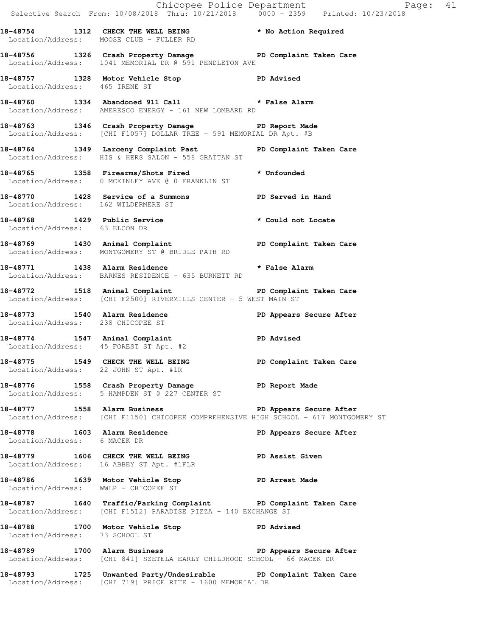|                                      |                                                                                                                                                   | Chicopee Police Department<br>Selective Search From: 10/08/2018 Thru: 10/21/2018 0000 - 2359 Printed: 10/23/2018 |
|--------------------------------------|---------------------------------------------------------------------------------------------------------------------------------------------------|------------------------------------------------------------------------------------------------------------------|
|                                      | 18-48754 1312 CHECK THE WELL BEING * No Action Required<br>Location/Address: MOOSE CLUB - FULLER RD                                               |                                                                                                                  |
|                                      | 18-48756 1326 Crash Property Damage Name PD Complaint Taken Care<br>Location/Address: 1041 MEMORIAL DR @ 591 PENDLETON AVE                        |                                                                                                                  |
| Location/Address: 465 IRENE ST       | 18-48757 1328 Motor Vehicle Stop 5 2D Advised                                                                                                     |                                                                                                                  |
|                                      | 18-48760 1334 Abandoned 911 Call * False Alarm<br>Location/Address: AMERESCO ENERGY - 161 NEW LOMBARD RD                                          |                                                                                                                  |
|                                      | 18-48763 1346 Crash Property Damage PD Report Made<br>Location/Address: [CHI F1057] DOLLAR TREE - 591 MEMORIAL DR Apt. #B                         |                                                                                                                  |
|                                      | 18-48764 1349 Larceny Complaint Past PD Complaint Taken Care<br>Location/Address: HIS & HERS SALON - 558 GRATTAN ST                               |                                                                                                                  |
|                                      | 18-48765 1358 Firearms/Shots Fired * Unfounded<br>Location/Address: 0 MCKINLEY AVE @ 0 FRANKLIN ST                                                |                                                                                                                  |
| Location/Address: 162 WILDERMERE ST  | 18-48770 1428 Service of a Summons PD Served in Hand                                                                                              |                                                                                                                  |
| Location/Address: 63 ELCON DR        | 18-48768 1429 Public Service * Could not Locate                                                                                                   |                                                                                                                  |
|                                      | 18-48769 1430 Animal Complaint 18-48769 PD Complaint Taken Care<br>Location/Address: MONTGOMERY ST @ BRIDLE PATH RD                               |                                                                                                                  |
|                                      | 18-48771 1438 Alarm Residence * * False Alarm<br>Location/Address: BARNES RESIDENCE - 635 BURNETT RD                                              |                                                                                                                  |
|                                      | 18-48772 1518 Animal Complaint 18-48772 18-48772<br>Location/Address: [CHI F2500] RIVERMILLS CENTER - 5 WEST MAIN ST                              |                                                                                                                  |
| Location/Address: 238 CHICOPEE ST    | 18-48773 1540 Alarm Residence                                                                                                                     | PD Appears Secure After                                                                                          |
|                                      | 18-48774 1547 Animal Complaint PD Advised<br>Location/Address: 45 FOREST ST Apt. #2                                                               |                                                                                                                  |
|                                      | 18-48775 1549 CHECK THE WELL BEING<br>Location/Address: 22 JOHN ST Apt. #1R                                                                       | PD Complaint Taken Care                                                                                          |
|                                      | 18-48776 1558 Crash Property Damage 5 PD Report Made<br>Location/Address: 5 HAMPDEN ST @ 227 CENTER ST                                            |                                                                                                                  |
|                                      | 18-48777 1558 Alarm Business 1999 PD Appears Secure After<br>Location/Address: [CHI F1150] CHICOPEE COMPREHENSIVE HIGH SCHOOL - 617 MONTGOMERY ST |                                                                                                                  |
| Location/Address: 6 MACEK DR         | 18-48778 1603 Alarm Residence 20 PD Appears Secure After                                                                                          |                                                                                                                  |
|                                      | 18-48779 1606 CHECK THE WELL BEING PD Assist Given<br>Location/Address: 16 ABBEY ST Apt. #1FLR                                                    |                                                                                                                  |
| Location/Address: WWLP - CHICOPEE ST | 18-48786 1639 Motor Vehicle Stop 30 PD Arrest Made                                                                                                |                                                                                                                  |
|                                      | 18-48787 1640 Traffic/Parking Complaint PD Complaint Taken Care<br>Location/Address: [CHI F1512] PARADISE PIZZA - 140 EXCHANGE ST                 |                                                                                                                  |
| Location/Address: 73 SCHOOL ST       | 18-48788 1700 Motor Vehicle Stop 50 PD Advised                                                                                                    |                                                                                                                  |
|                                      | 18-48789 1700 Alarm Business 18-48789 PD Appears Secure After<br>Location/Address: [CHI 841] SZETELA EARLY CHILDHOOD SCHOOL - 66 MACEK DR         |                                                                                                                  |
|                                      | 18-48793 1725 Unwanted Party/Undesirable PD Complaint Taken Care<br>Location/Address: [CHI 719] PRICE RITE - 1600 MEMORIAL DR                     |                                                                                                                  |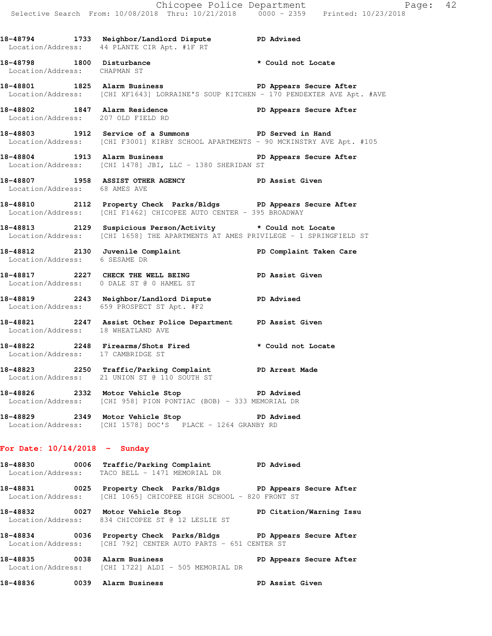**18-48798 1800 Disturbance \* Could not Locate**  Location/Address: CHAPMAN ST **18-48801 1825 Alarm Business PD Appears Secure After**  Location/Address: [CHI XF1643] LORRAINE'S SOUP KITCHEN - 170 PENDEXTER AVE Apt. #AVE **18-48802 1847 Alarm Residence PD Appears Secure After**  Location/Address: 207 OLD FIELD RD **18-48803 1912 Service of a Summons PD Served in Hand** 

 Location/Address: [CHI F3001] KIRBY SCHOOL APARTMENTS - 90 MCKINSTRY AVE Apt. #105 18-48804 1913 Alarm Business **PD Appears Secure After** 

- Location/Address: [CHI 1478] JBI, LLC 1380 SHERIDAN ST
- **18-48807 1958 ASSIST OTHER AGENCY PD Assist Given**  Location/Address: 68 AMES AVE
- **18-48810 2112 Property Check Parks/Bldgs PD Appears Secure After**  Location/Address: [CHI F1462] CHICOPEE AUTO CENTER - 395 BROADWAY
- **18-48813 2129 Suspicious Person/Activity \* Could not Locate**  Location/Address: [CHI 1658] THE APARTMENTS AT AMES PRIVILEGE - 1 SPRINGFIELD ST
- **18-48812 2130 Juvenile Complaint PD Complaint Taken Care**  Location/Address: 6 SESAME DR
- **18-48817 2227 CHECK THE WELL BEING PD Assist Given**  Location/Address: 0 DALE ST @ 0 HAMEL ST
- **18-48819 2243 Neighbor/Landlord Dispute PD Advised**  Location/Address: 659 PROSPECT ST Apt. #F2
- **18-48821 2247 Assist Other Police Department PD Assist Given**  Location/Address: 18 WHEATLAND AVE
- **18-48822 2248 Firearms/Shots Fired \* Could not Locate**  Location/Address: 17 CAMBRIDGE ST
- **18-48823 2250 Traffic/Parking Complaint PD Arrest Made**  Location/Address: 21 UNION ST @ 110 SOUTH ST
- **18-48826 2332 Motor Vehicle Stop PD Advised**  Location/Address: [CHI 958] PION PONTIAC (BOB) - 333 MEMORIAL DR
- **18-48829 2349 Motor Vehicle Stop PD Advised**  Location/Address: [CHI 1578] DOC'S PLACE - 1264 GRANBY RD

## **For Date: 10/14/2018 - Sunday**

- **18-48830 0006 Traffic/Parking Complaint PD Advised**  Location/Address: TACO BELL - 1471 MEMORIAL DR
- **18-48831 0025 Property Check Parks/Bldgs PD Appears Secure After**  Location/Address: [CHI 1065] CHICOPEE HIGH SCHOOL - 820 FRONT ST
- **18-48832 0027 Motor Vehicle Stop PD Citation/Warning Issu**  Location/Address: 834 CHICOPEE ST @ 12 LESLIE ST
- **18-48834 0036 Property Check Parks/Bldgs PD Appears Secure After**  Location/Address: [CHI 792] CENTER AUTO PARTS - 651 CENTER ST
- **18-48835 0038 Alarm Business PD Appears Secure After**  Location/Address: [CHI 1722] ALDI - 505 MEMORIAL DR
- **18-48836 0039 Alarm Business PD Assist Given**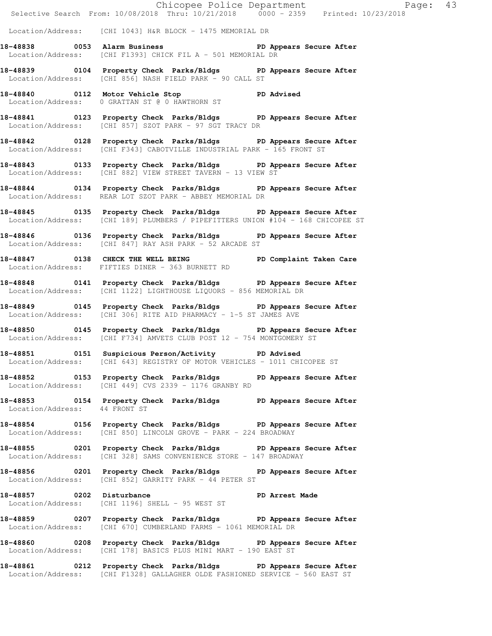Selective Search From: 10/08/2018 Thru: 10/21/2018 0000 - 2359 Printed: 10/23/2018 Location/Address: [CHI 1043] H&R BLOCK - 1475 MEMORIAL DR 18-48838 **18-48838** 0053 Alarm Business **PD Appears Secure After**  Location/Address: [CHI F1393] CHICK FIL A - 501 MEMORIAL DR **18-48839 0104 Property Check Parks/Bldgs PD Appears Secure After**  Location/Address: [CHI 856] NASH FIELD PARK - 90 CALL ST **18-48840 0112 Motor Vehicle Stop PD Advised**  Location/Address: 0 GRATTAN ST @ 0 HAWTHORN ST **18-48841 0123 Property Check Parks/Bldgs PD Appears Secure After**  Location/Address: [CHI 857] SZOT PARK - 97 SGT TRACY DR **18-48842 0128 Property Check Parks/Bldgs PD Appears Secure After**  Location/Address: [CHI F343] CABOTVILLE INDUSTRIAL PARK - 165 FRONT ST **18-48843 0133 Property Check Parks/Bldgs PD Appears Secure After**  Location/Address: [CHI 882] VIEW STREET TAVERN - 13 VIEW ST **18-48844 0134 Property Check Parks/Bldgs PD Appears Secure After**  Location/Address: REAR LOT SZOT PARK - ABBEY MEMORIAL DR **18-48845 0135 Property Check Parks/Bldgs PD Appears Secure After**  Location/Address: [CHI 189] PLUMBERS / PIPEFITTERS UNION #104 - 168 CHICOPEE ST **18-48846 0136 Property Check Parks/Bldgs PD Appears Secure After**  Location/Address: [CHI 847] RAY ASH PARK - 52 ARCADE ST 18-48847 **0138** CHECK THE WELL BEING **PD** Complaint Taken Care Location/Address: FIFTIES DINER - 363 BURNETT RD **18-48848 0141 Property Check Parks/Bldgs PD Appears Secure After**  Location/Address: [CHI 1122] LIGHTHOUSE LIQUORS - 856 MEMORIAL DR **18-48849 0145 Property Check Parks/Bldgs PD Appears Secure After**  Location/Address: [CHI 306] RITE AID PHARMACY - 1-5 ST JAMES AVE **18-48850 0145 Property Check Parks/Bldgs PD Appears Secure After**  Location/Address: [CHI F734] AMVETS CLUB POST 12 - 754 MONTGOMERY ST **18-48851 0151 Suspicious Person/Activity PD Advised**  Location/Address: [CHI 643] REGISTRY OF MOTOR VEHICLES - 1011 CHICOPEE ST **18-48852 0153 Property Check Parks/Bldgs PD Appears Secure After**  Location/Address: [CHI 449] CVS 2339 - 1176 GRANBY RD **18-48853 0154 Property Check Parks/Bldgs PD Appears Secure After**  Location/Address: 44 FRONT ST **18-48854 0156 Property Check Parks/Bldgs PD Appears Secure After**  Location/Address: [CHI 850] LINCOLN GROVE - PARK - 224 BROADWAY **18-48855 0201 Property Check Parks/Bldgs PD Appears Secure After**  Location/Address: [CHI 328] SAMS CONVENIENCE STORE - 147 BROADWAY **18-48856 0201 Property Check Parks/Bldgs PD Appears Secure After**  Location/Address: [CHI 852] GARRITY PARK - 44 PETER ST **18-48857 0202 Disturbance PD Arrest Made**  Location/Address: [CHI 1196] SHELL - 95 WEST ST **18-48859 0207 Property Check Parks/Bldgs PD Appears Secure After**  Location/Address: [CHI 670] CUMBERLAND FARMS - 1061 MEMORIAL DR **18-48860 0208 Property Check Parks/Bldgs PD Appears Secure After**  Location/Address: [CHI 178] BASICS PLUS MINI MART - 190 EAST ST **18-48861 0212 Property Check Parks/Bldgs PD Appears Secure After** 

Location/Address: [CHI F1328] GALLAGHER OLDE FASHIONED SERVICE - 560 EAST ST

Chicopee Police Department Page: 43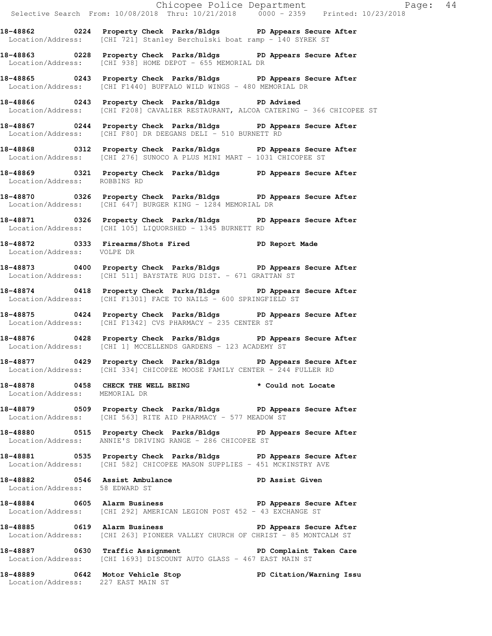Chicopee Police Department Fage: 44 Selective Search From: 10/08/2018 Thru: 10/21/2018 0000 - 2359 Printed: 10/23/2018 **18-48862 0224 Property Check Parks/Bldgs PD Appears Secure After**  Location/Address: [CHI 721] Stanley Berchulski boat ramp - 140 SYREK ST **18-48863 0228 Property Check Parks/Bldgs PD Appears Secure After**  Location/Address: [CHI 938] HOME DEPOT - 655 MEMORIAL DR **18-48865 0243 Property Check Parks/Bldgs PD Appears Secure After**  Location/Address: [CHI F1440] BUFFALO WILD WINGS - 480 MEMORIAL DR **18-48866 0243 Property Check Parks/Bldgs PD Advised**  Location/Address: [CHI F208] CAVALIER RESTAURANT, ALCOA CATERING - 366 CHICOPEE ST **18-48867 0244 Property Check Parks/Bldgs PD Appears Secure After**  Location/Address: [CHI F80] DR DEEGANS DELI - 510 BURNETT RD **18-48868 0312 Property Check Parks/Bldgs PD Appears Secure After**  Location/Address: [CHI 276] SUNOCO A PLUS MINI MART - 1031 CHICOPEE ST **18-48869 0321 Property Check Parks/Bldgs PD Appears Secure After**  Location/Address: ROBBINS RD **18-48870 0326 Property Check Parks/Bldgs PD Appears Secure After**  Location/Address: [CHI 647] BURGER KING - 1284 MEMORIAL DR **18-48871 0326 Property Check Parks/Bldgs PD Appears Secure After**  Location/Address: [CHI 105] LIQUORSHED - 1345 BURNETT RD **18-48872 0333 Firearms/Shots Fired PD Report Made**  Location/Address: VOLPE DR **18-48873 0400 Property Check Parks/Bldgs PD Appears Secure After**  Location/Address: [CHI 511] BAYSTATE RUG DIST. - 671 GRATTAN ST **18-48874 0418 Property Check Parks/Bldgs PD Appears Secure After**  Location/Address: [CHI F1301] FACE TO NAILS - 600 SPRINGFIELD ST **18-48875 0424 Property Check Parks/Bldgs PD Appears Secure After**  Location/Address: [CHI F1342] CVS PHARMACY - 235 CENTER ST **18-48876 0428 Property Check Parks/Bldgs PD Appears Secure After**  Location/Address: [CHI 1] MCCELLENDS GARDENS - 123 ACADEMY ST **18-48877 0429 Property Check Parks/Bldgs PD Appears Secure After**  Location/Address: [CHI 334] CHICOPEE MOOSE FAMILY CENTER - 244 FULLER RD **18-48878 0458 CHECK THE WELL BEING \* Could not Locate**  Location/Address: MEMORIAL DR **18-48879 0509 Property Check Parks/Bldgs PD Appears Secure After**  Location/Address: [CHI 563] RITE AID PHARMACY - 577 MEADOW ST **18-48880 0515 Property Check Parks/Bldgs PD Appears Secure After**  Location/Address: ANNIE'S DRIVING RANGE - 286 CHICOPEE ST **18-48881 0535 Property Check Parks/Bldgs PD Appears Secure After**  Location/Address: [CHI 582] CHICOPEE MASON SUPPLIES - 451 MCKINSTRY AVE 18-48882 **0546** Assist Ambulance **PD Assist Given**  Location/Address: 58 EDWARD ST **18-48884 0605 Alarm Business PD Appears Secure After**  Location/Address: [CHI 292] AMERICAN LEGION POST 452 - 43 EXCHANGE ST **18-48885 0619 Alarm Business PD Appears Secure After**  Location/Address: [CHI 263] PIONEER VALLEY CHURCH OF CHRIST - 85 MONTCALM ST **18-48887 0630 Traffic Assignment PD Complaint Taken Care**  Location/Address: [CHI 1693] DISCOUNT AUTO GLASS - 467 EAST MAIN ST **18-48889 0642 Motor Vehicle Stop PD Citation/Warning Issu**  Location/Address: 227 EAST MAIN ST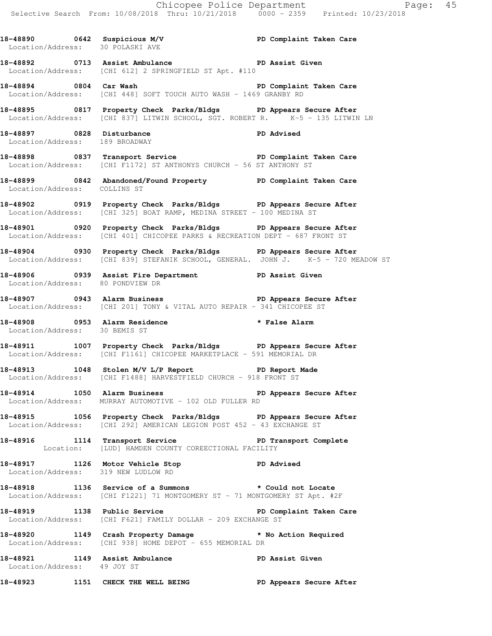**18-48890 0642 Suspicious M/V PD Complaint Taken Care**  Location/Address: 30 POLASKI AVE **18-48892 0713 Assist Ambulance PD Assist Given**  Location/Address: [CHI 612] 2 SPRINGFIELD ST Apt. #110 **18-48894 0804 Car Wash PD Complaint Taken Care**  Location/Address: [CHI 448] SOFT TOUCH AUTO WASH - 1469 GRANBY RD **18-48895 0817 Property Check Parks/Bldgs PD Appears Secure After**  Location/Address: [CHI 837] LITWIN SCHOOL, SGT. ROBERT R. K-5 - 135 LITWIN LN **18-48897 0828 Disturbance PD Advised**  Location/Address: 189 BROADWAY **18-48898 0837 Transport Service PD Complaint Taken Care**  Location/Address: [CHI F1172] ST ANTHONYS CHURCH - 56 ST ANTHONY ST **18-48899 0842 Abandoned/Found Property PD Complaint Taken Care**  Location/Address: COLLINS ST **18-48902 0919 Property Check Parks/Bldgs PD Appears Secure After**  Location/Address: [CHI 325] BOAT RAMP, MEDINA STREET - 100 MEDINA ST **18-48901 0920 Property Check Parks/Bldgs PD Appears Secure After**  Location/Address: [CHI 401] CHICOPEE PARKS & RECREATION DEPT - 687 FRONT ST **18-48904 0930 Property Check Parks/Bldgs PD Appears Secure After**  Location/Address: [CHI 839] STEFANIK SCHOOL, GENERAL. JOHN J. K-5 - 720 MEADOW ST **18-48906 0939 Assist Fire Department PD Assist Given**  Location/Address: 80 PONDVIEW DR **18-48907 0943 Alarm Business PD Appears Secure After**  Location/Address: [CHI 201] TONY & VITAL AUTO REPAIR - 341 CHICOPEE ST **18-48908 0953 Alarm Residence \* False Alarm**  Location/Address: 30 BEMIS ST **18-48911 1007 Property Check Parks/Bldgs PD Appears Secure After**  Location/Address: [CHI F1161] CHICOPEE MARKETPLACE - 591 MEMORIAL DR **18-48913 1048 Stolen M/V L/P Report PD Report Made**  Location/Address: [CHI F1488] HARVESTFIELD CHURCH - 918 FRONT ST **18-48914 1050 Alarm Business PD Appears Secure After**  Location/Address: MURRAY AUTOMOTIVE - 102 OLD FULLER RD **18-48915 1056 Property Check Parks/Bldgs PD Appears Secure After**  Location/Address: [CHI 292] AMERICAN LEGION POST 452 - 43 EXCHANGE ST 18-48916 1114 Transport Service **PED PERS** PD Transport Complete Location: [LUD] HAMDEN COUNTY COREECTIONAL FACILITY **18-48917 1126 Motor Vehicle Stop PD Advised**  Location/Address: 319 NEW LUDLOW RD **18-48918 1136 Service of a Summons \* Could not Locate**  Location/Address: [CHI F1221] 71 MONTGOMERY ST - 71 MONTGOMERY ST Apt. #2F **18-48919 1138 Public Service PD Complaint Taken Care**  Location/Address: [CHI F621] FAMILY DOLLAR - 209 EXCHANGE ST **18-48920 1149 Crash Property Damage \* No Action Required**  Location/Address: [CHI 938] HOME DEPOT - 655 MEMORIAL DR **18-48921 1149 Assist Ambulance PD Assist Given**  Location/Address: 49 JOY ST

**18-48923 1151 CHECK THE WELL BEING PD Appears Secure After**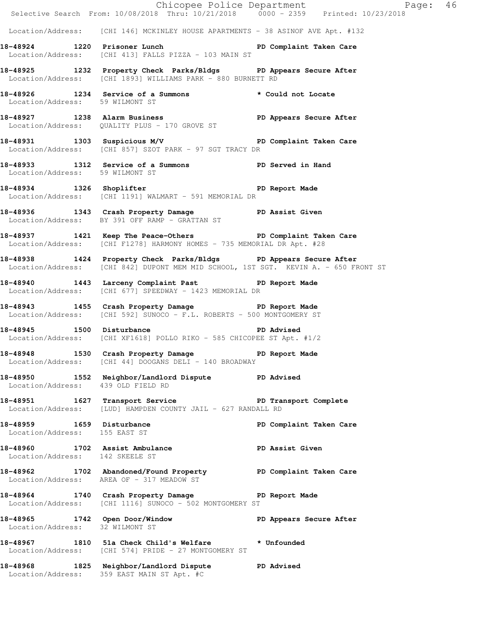|                                                                   |                                                                                                                                                         | Chicopee Police Department<br>Selective Search From: 10/08/2018 Thru: 10/21/2018 0000 - 2359 Printed: 10/23/2018 |  |
|-------------------------------------------------------------------|---------------------------------------------------------------------------------------------------------------------------------------------------------|------------------------------------------------------------------------------------------------------------------|--|
|                                                                   | Location/Address: [CHI 146] MCKINLEY HOUSE APARTMENTS - 38 ASINOF AVE Apt. #132                                                                         |                                                                                                                  |  |
|                                                                   | 18-48924 1220 Prisoner Lunch Number 20 PD Complaint Taken Care<br>Location/Address: [CHI 413] FALLS PIZZA - 103 MAIN ST                                 |                                                                                                                  |  |
|                                                                   | 18-48925 1232 Property Check Parks/Bldgs PD Appears Secure After<br>Location/Address: [CHI 1893] WILLIAMS PARK - 880 BURNETT RD                         |                                                                                                                  |  |
| Location/Address: 59 WILMONT ST                                   | 18-48926 1234 Service of a Summons * Could not Locate                                                                                                   |                                                                                                                  |  |
|                                                                   | 18-48927 1238 Alarm Business 1997 PD Appears Secure After<br>Location/Address: QUALITY PLUS - 170 GROVE ST                                              |                                                                                                                  |  |
|                                                                   | 18-48931 1303 Suspicious M/V 18-48931 PD Complaint Taken Care<br>Location/Address: [CHI 857] SZOT PARK - 97 SGT TRACY DR                                |                                                                                                                  |  |
|                                                                   | 18-48933 1312 Service of a Summons PD Served in Hand Location/Address: 59 WILMONT ST                                                                    |                                                                                                                  |  |
|                                                                   | 18-48934 1326 Shoplifter 18-48934 2012<br>Location/Address: [CHI 1191] WALMART - 591 MEMORIAL DR                                                        |                                                                                                                  |  |
|                                                                   | 18-48936 1343 Crash Property Damage PD Assist Given<br>Location/Address: BY 391 OFF RAMP - GRATTAN ST                                                   |                                                                                                                  |  |
|                                                                   | 18-48937 1421 Keep The Peace-Others PD Complaint Taken Care<br>Location/Address: [CHI F1278] HARMONY HOMES - 735 MEMORIAL DR Apt. #28                   |                                                                                                                  |  |
|                                                                   | 18-48938 1424 Property Check Parks/Bldgs PD Appears Secure After<br>Location/Address: [CHI 842] DUPONT MEM MID SCHOOL, 1ST SGT. KEVIN A. - 650 FRONT ST |                                                                                                                  |  |
|                                                                   | 18-48940 1443 Larceny Complaint Past PD Report Made<br>Location/Address: [CHI 677] SPEEDWAY - 1423 MEMORIAL DR                                          |                                                                                                                  |  |
|                                                                   | 18-48943 1455 Crash Property Damage PD Report Made<br>Location/Address: [CHI 592] SUNOCO - F.L. ROBERTS - 500 MONTGOMERY ST                             |                                                                                                                  |  |
|                                                                   | 18-48945 1500 Disturbance 200 PD Advised<br>Location/Address: [CHI XF1618] POLLO RIKO - 585 CHICOPEE ST Apt. #1/2                                       |                                                                                                                  |  |
|                                                                   | 18-48948 1530 Crash Property Damage PD Report Made<br>Location/Address: [CHI 44] DOOGANS DELI - 140 BROADWAY                                            |                                                                                                                  |  |
| Location/Address: 439 OLD FIELD RD                                | 18-48950 1552 Neighbor/Landlord Dispute PD Advised                                                                                                      |                                                                                                                  |  |
|                                                                   | 18-48951 1627 Transport Service New PD Transport Complete<br>Location/Address: [LUD] HAMPDEN COUNTY JAIL - 627 RANDALL RD                               |                                                                                                                  |  |
| 18-48959 1659 Disturbance<br>Location/Address: 155 EAST ST        |                                                                                                                                                         | PD Complaint Taken Care                                                                                          |  |
| 18-48960 1702 Assist Ambulance<br>Location/Address: 142 SKEELE ST |                                                                                                                                                         | PD Assist Given                                                                                                  |  |
|                                                                   | 18-48962 1702 Abandoned/Found Property PD Complaint Taken Care<br>Location/Address: AREA OF - 317 MEADOW ST                                             |                                                                                                                  |  |
|                                                                   | 18-48964 1740 Crash Property Damage PD Report Made<br>Location/Address: [CHI 1116] SUNOCO - 502 MONTGOMERY ST                                           |                                                                                                                  |  |
| Location/Address: 32 WILMONT ST                                   | 18-48965 1742 Open Door/Window                                                                                                                          | PD Appears Secure After                                                                                          |  |
|                                                                   | 18-48967 1810 51a Check Child's Welfare * Unfounded<br>Location/Address: [CHI 574] PRIDE - 27 MONTGOMERY ST                                             |                                                                                                                  |  |
|                                                                   | 18-48968 1825 Neighbor/Landlord Dispute<br>Location/Address: 359 EAST MAIN ST Apt. #C                                                                   | <b>PD Advised</b>                                                                                                |  |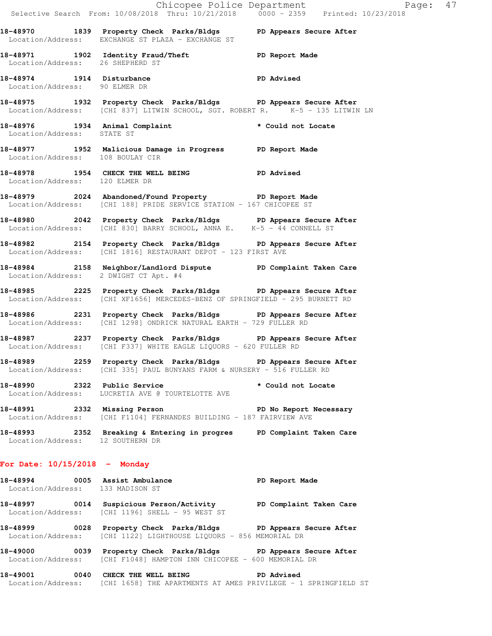|                                  |                                                                                                                                                   | Chicopee Police Department<br>Selective Search From: 10/08/2018 Thru: 10/21/2018 0000 - 2359 Printed: 10/23/2018 |  |
|----------------------------------|---------------------------------------------------------------------------------------------------------------------------------------------------|------------------------------------------------------------------------------------------------------------------|--|
|                                  | 18-48970 1839 Property Check Parks/Bldgs PD Appears Secure After<br>Location/Address: EXCHANGE ST PLAZA - EXCHANGE ST                             |                                                                                                                  |  |
| Location/Address: 26 SHEPHERD ST | 18-48971 1902 Identity Fraud/Theft 18-48971 PD Report Made                                                                                        |                                                                                                                  |  |
| Location/Address: 90 ELMER DR    | 18-48974 1914 Disturbance PD Advised                                                                                                              |                                                                                                                  |  |
|                                  | 18-48975 1932 Property Check Parks/Bldgs PD Appears Secure After<br>Location/Address: [CHI 837] LITWIN SCHOOL, SGT. ROBERT R. K-5 - 135 LITWIN LN |                                                                                                                  |  |
| Location/Address: STATE ST       | 18-48976 1934 Animal Complaint * Could not Locate                                                                                                 |                                                                                                                  |  |
| Location/Address: 108 BOULAY CIR | 18-48977 1952 Malicious Damage in Progress PD Report Made                                                                                         |                                                                                                                  |  |
| Location/Address: 120 ELMER DR   | 18-48978 1954 CHECK THE WELL BEING PD Advised                                                                                                     |                                                                                                                  |  |
|                                  | 18-48979 2024 Abandoned/Found Property PD Report Made<br>Location/Address: [CHI 188] PRIDE SERVICE STATION - 167 CHICOPEE ST                      |                                                                                                                  |  |
|                                  | 18-48980 2042 Property Check Parks/Bldgs PD Appears Secure After<br>Location/Address: [CHI 830] BARRY SCHOOL, ANNA E. K-5 - 44 CONNELL ST         |                                                                                                                  |  |
|                                  | 18-48982 2154 Property Check Parks/Bldgs PD Appears Secure After<br>Location/Address: [CHI 1816] RESTAURANT DEPOT - 123 FIRST AVE                 |                                                                                                                  |  |
|                                  | 18-48984 2158 Neighbor/Landlord Dispute PD Complaint Taken Care<br>Location/Address: 2 DWIGHT CT Apt. #4                                          |                                                                                                                  |  |
|                                  | 18-48985 2225 Property Check Parks/Bldgs PD Appears Secure After<br>Location/Address: [CHI XF1656] MERCEDES-BENZ OF SPRINGFIELD - 295 BURNETT RD  |                                                                                                                  |  |
|                                  | 18-48986 2231 Property Check Parks/Bldgs PD Appears Secure After<br>Location/Address: [CHI 1298] ONDRICK NATURAL EARTH - 729 FULLER RD            |                                                                                                                  |  |
|                                  | 18-48987 2237 Property Check Parks/Bldgs PD Appears Secure After<br>Location/Address: [CHI F337] WHITE EAGLE LIQUORS - 620 FULLER RD              |                                                                                                                  |  |
|                                  | 18-48989 2259 Property Check Parks/Bldgs PD Appears Secure After<br>Location/Address: [CHI 335] PAUL BUNYANS FARM & NURSERY - 516 FULLER RD       |                                                                                                                  |  |
|                                  | 18-48990 2322 Public Service<br>Location/Address: LUCRETIA AVE @ TOURTELOTTE AVE                                                                  | * Could not Locate                                                                                               |  |
|                                  | 18-48991 2332 Missing Person<br>Location/Address: [CHI F1104] FERNANDES BUILDING - 187 FAIRVIEW AVE                                               | PD No Report Necessary                                                                                           |  |
| Location/Address: 12 SOUTHERN DR | 18-48993 2352 Breaking & Entering in progres PD Complaint Taken Care                                                                              |                                                                                                                  |  |
| For Date: $10/15/2018$ - Monday  |                                                                                                                                                   |                                                                                                                  |  |
| Location/Address: 133 MADISON ST | 18-48994 0005 Assist Ambulance New PD Report Made                                                                                                 |                                                                                                                  |  |
|                                  | 18-48997 0014 Suspicious Person/Activity PD Complaint Taken Care<br>Location/Address: [CHI 1196] SHELL - 95 WEST ST                               |                                                                                                                  |  |
|                                  | 18-48999 0028 Property Check Parks/Bldgs PD Appears Secure After<br>Location/Address: [CHI 1122] LIGHTHOUSE LIQUORS - 856 MEMORIAL DR             |                                                                                                                  |  |
| 18-49000                         | 0039 Property Check Parks/Bldgs PD Appears Secure After<br>Location/Address: [CHI F1048] HAMPTON INN CHICOPEE - 600 MEMORIAL DR                   |                                                                                                                  |  |
|                                  |                                                                                                                                                   |                                                                                                                  |  |

**18-49001 0040 CHECK THE WELL BEING PD Advised**  Location/Address: [CHI 1658] THE APARTMENTS AT AMES PRIVILEGE - 1 SPRINGFIELD ST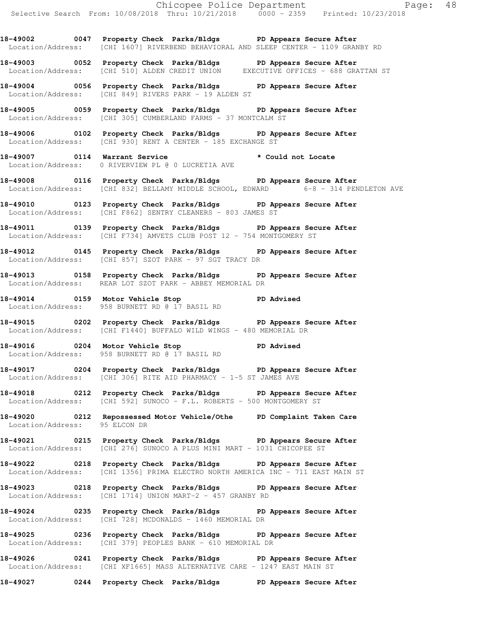**18-49002 0047 Property Check Parks/Bldgs PD Appears Secure After**  Location/Address: [CHI 1607] RIVERBEND BEHAVIORAL AND SLEEP CENTER - 1109 GRANBY RD

**18-49003 0052 Property Check Parks/Bldgs PD Appears Secure After**  Location/Address: [CHI 510] ALDEN CREDIT UNION EXECUTIVE OFFICES - 688 GRATTAN ST

**18-49004 0056 Property Check Parks/Bldgs PD Appears Secure After**  Location/Address: [CHI 849] RIVERS PARK - 19 ALDEN ST

**18-49005 0059 Property Check Parks/Bldgs PD Appears Secure After**  Location/Address: [CHI 305] CUMBERLAND FARMS - 37 MONTCALM ST

**18-49006 0102 Property Check Parks/Bldgs PD Appears Secure After**  Location/Address: [CHI 930] RENT A CENTER - 185 EXCHANGE ST

**18-49007 0114 Warrant Service \* Could not Locate**  Location/Address: 0 RIVERVIEW PL @ 0 LUCRETIA AVE

**18-49008 0116 Property Check Parks/Bldgs PD Appears Secure After**  Location/Address: [CHI 832] BELLAMY MIDDLE SCHOOL, EDWARD 6-8 - 314 PENDLETON AVE

**18-49010 0123 Property Check Parks/Bldgs PD Appears Secure After**  Location/Address: [CHI F862] SENTRY CLEANERS - 803 JAMES ST

**18-49011 0139 Property Check Parks/Bldgs PD Appears Secure After**  Location/Address: [CHI F734] AMVETS CLUB POST 12 - 754 MONTGOMERY ST

**18-49012 0145 Property Check Parks/Bldgs PD Appears Secure After**  Location/Address: [CHI 857] SZOT PARK - 97 SGT TRACY DR

**18-49013 0158 Property Check Parks/Bldgs PD Appears Secure After**  Location/Address: REAR LOT SZOT PARK - ABBEY MEMORIAL DR

**18-49014 0159 Motor Vehicle Stop PD Advised**  Location/Address: 958 BURNETT RD @ 17 BASIL RD

**18-49015 0202 Property Check Parks/Bldgs PD Appears Secure After**  Location/Address: [CHI F1440] BUFFALO WILD WINGS - 480 MEMORIAL DR

**18-49016 0204 Motor Vehicle Stop PD Advised**  Location/Address: 958 BURNETT RD @ 17 BASIL RD

**18-49017 0204 Property Check Parks/Bldgs PD Appears Secure After**  Location/Address: [CHI 306] RITE AID PHARMACY - 1-5 ST JAMES AVE

**18-49018 0212 Property Check Parks/Bldgs PD Appears Secure After**  Location/Address: [CHI 592] SUNOCO - F.L. ROBERTS - 500 MONTGOMERY ST

**18-49020 0212 Repossessed Motor Vehicle/Othe PD Complaint Taken Care**  Location/Address: 95 ELCON DR

**18-49021 0215 Property Check Parks/Bldgs PD Appears Secure After**  Location/Address: [CHI 276] SUNOCO A PLUS MINI MART - 1031 CHICOPEE ST

**18-49022 0218 Property Check Parks/Bldgs PD Appears Secure After**  Location/Address: [CHI 1356] PRIMA ELECTRO NORTH AMERICA INC - 711 EAST MAIN ST

**18-49023 0218 Property Check Parks/Bldgs PD Appears Secure After**  Location/Address: [CHI 1714] UNION MART-2 - 457 GRANBY RD

**18-49024 0235 Property Check Parks/Bldgs PD Appears Secure After**  Location/Address: [CHI 728] MCDONALDS - 1460 MEMORIAL DR

**18-49025 0236 Property Check Parks/Bldgs PD Appears Secure After**  Location/Address: [CHI 379] PEOPLES BANK - 610 MEMORIAL DR

**18-49026 0241 Property Check Parks/Bldgs PD Appears Secure After**  Location/Address: [CHI XF1665] MASS ALTERNATIVE CARE - 1247 EAST MAIN ST

**18-49027 0244 Property Check Parks/Bldgs PD Appears Secure After**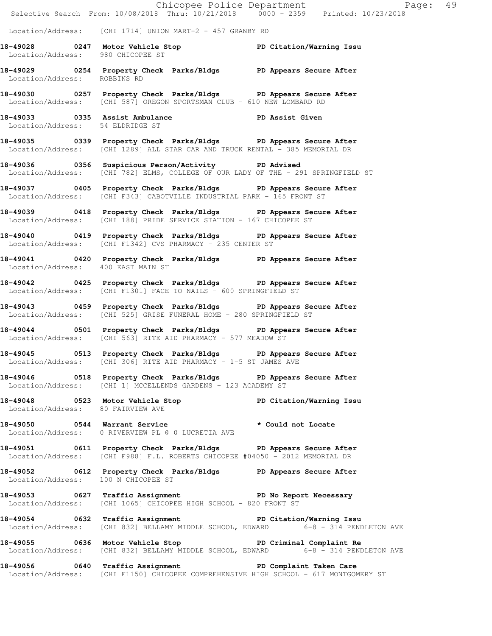|                                     | E Chicopee Police Department<br>Selective Search From: 10/08/2018 Thru: 10/21/2018 0000 - 2359 Printed: 10/23/2018                                  | Page: 49 |
|-------------------------------------|-----------------------------------------------------------------------------------------------------------------------------------------------------|----------|
|                                     | Location/Address: [CHI 1714] UNION MART-2 - 457 GRANBY RD                                                                                           |          |
|                                     | 18-49028 0247 Motor Vehicle Stop PD Citation/Warning Issu<br>Location/Address: 980 CHICOPEE ST                                                      |          |
| Location/Address: ROBBINS RD        | 18-49029 0254 Property Check Parks/Bldgs PD Appears Secure After                                                                                    |          |
|                                     | 18-49030 0257 Property Check Parks/Bldgs PD Appears Secure After<br>Location/Address: [CHI 587] OREGON SPORTSMAN CLUB - 610 NEW LOMBARD RD          |          |
| Location/Address: 54 ELDRIDGE ST    | 18-49033 0335 Assist Ambulance No PD Assist Given                                                                                                   |          |
|                                     | 18-49035 0339 Property Check Parks/Bldgs PD Appears Secure After<br>Location/Address: [CHI 1289] ALL STAR CAR AND TRUCK RENTAL - 385 MEMORIAL DR    |          |
|                                     | 18-49036 0356 Suspicious Person/Activity PD Advised<br>Location/Address: [CHI 782] ELMS, COLLEGE OF OUR LADY OF THE - 291 SPRINGFIELD ST            |          |
|                                     | 18-49037 0405 Property Check Parks/Bldgs PD Appears Secure After<br>Location/Address: [CHI F343] CABOTVILLE INDUSTRIAL PARK - 165 FRONT ST          |          |
|                                     | 18-49039 0418 Property Check Parks/Bldgs PD Appears Secure After<br>Location/Address: [CHI 188] PRIDE SERVICE STATION - 167 CHICOPEE ST             |          |
|                                     | 18-49040 0419 Property Check Parks/Bldgs PD Appears Secure After<br>Location/Address: [CHI F1342] CVS PHARMACY - 235 CENTER ST                      |          |
| Location/Address: 400 EAST MAIN ST  | 18-49041 0420 Property Check Parks/Bldgs PD Appears Secure After                                                                                    |          |
|                                     | 18-49042 0425 Property Check Parks/Bldgs PD Appears Secure After<br>  Location/Address: [CHI F1301] FACE TO NAILS - 600 SPRINGFIELD ST              |          |
|                                     | 18-49043 0459 Property Check Parks/Bldgs PD Appears Secure After<br>Location/Address: [CHI 525] GRISE FUNERAL HOME - 280 SPRINGFIELD ST             |          |
|                                     | 18-49044 0501 Property Check Parks/Bldgs PD Appears Secure After<br>Location/Address: [CHI 563] RITE AID PHARMACY - 577 MEADOW ST                   |          |
|                                     | 18-49045 0513 Property Check Parks/Bldgs PD Appears Secure After<br>Location/Address: [CHI 306] RITE AID PHARMACY - 1-5 ST JAMES AVE                |          |
|                                     | 18-49046 0518 Property Check Parks/Bldgs PD Appears Secure After<br>Location/Address: [CHI 1] MCCELLENDS GARDENS - 123 ACADEMY ST                   |          |
| Location/Address: 80 FAIRVIEW AVE   | 18-49048 0523 Motor Vehicle Stop PD Citation/Warning Issu                                                                                           |          |
|                                     | Location/Address: 0 RIVERVIEW PL @ 0 LUCRETIA AVE                                                                                                   |          |
|                                     | 18-49051 0611 Property Check Parks/Bldgs PD Appears Secure After<br>Location/Address: [CHI F988] F.L. ROBERTS CHICOPEE #04050 - 2012 MEMORIAL DR    |          |
| Location/Address: 100 N CHICOPEE ST | 18-49052 0612 Property Check Parks/Bldgs PD Appears Secure After                                                                                    |          |
|                                     | 18-49053 0627 Traffic Assignment PD No Report Necessary<br>Location/Address: [CHI 1065] CHICOPEE HIGH SCHOOL - 820 FRONT ST                         |          |
|                                     | 18-49054 0632 Traffic Assignment PD Citation/Warning Issu<br>Location/Address: [CHI 832] BELLAMY MIDDLE SCHOOL, EDWARD 6-8 - 314 PENDLETON AVE      |          |
|                                     | 18-49055 0636 Motor Vehicle Stop 30 PD Criminal Complaint Re<br>Location/Address: [CHI 832] BELLAMY MIDDLE SCHOOL, EDWARD 6-8 - 314 PENDLETON AVE   |          |
|                                     | 18-49056 0640 Traffic Assignment 20 PD Complaint Taken Care<br>Location/Address: [CHI F1150] CHICOPEE COMPREHENSIVE HIGH SCHOOL - 617 MONTGOMERY ST |          |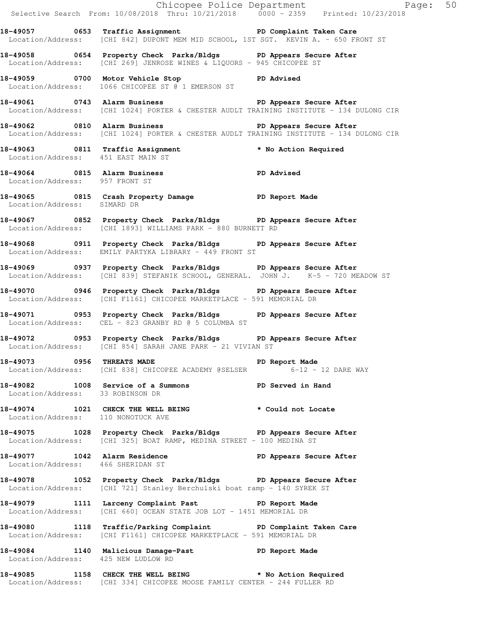|                                     |                                                                                                                                                                                | Chicopee Police Department<br>Selective Search From: 10/08/2018 Thru: 10/21/2018 0000 - 2359 Printed: 10/23/2018 |
|-------------------------------------|--------------------------------------------------------------------------------------------------------------------------------------------------------------------------------|------------------------------------------------------------------------------------------------------------------|
|                                     | 18-49057 0653 Traffic Assignment New PD Complaint Taken Care<br>Location/Address: [CHI 842] DUPONT MEM MID SCHOOL, 1ST SGT. KEVIN A. - 650 FRONT ST                            |                                                                                                                  |
|                                     | 18-49058 0654 Property Check Parks/Bldgs PD Appears Secure After<br>Location/Address: [CHI 269] JENROSE WINES & LIQUORS - 945 CHICOPEE ST                                      |                                                                                                                  |
|                                     | 18-49059 0700 Motor Vehicle Stop PD Advised<br>Location/Address: 1066 CHICOPEE ST @ 1 EMERSON ST                                                                               |                                                                                                                  |
|                                     | 18-49061 189061 18-49061 0743 Alarm Business 1800 1800 1800 PD Appears Secure After<br>Location/Address: [CHI 1024] PORTER & CHESTER AUDLT TRAINING INSTITUTE - 134 DULONG CIR |                                                                                                                  |
|                                     | 18-49062 0810 Alarm Business 1988 PD Appears Secure After<br>Location/Address: [CHI 1024] PORTER & CHESTER AUDLT TRAINING INSTITUTE - 134 DULONG CIR                           |                                                                                                                  |
| Location/Address: 451 EAST MAIN ST  | 18-49063 0811 Traffic Assignment the two No Action Required                                                                                                                    |                                                                                                                  |
| Location/Address: 957 FRONT ST      | 18-49064 1815 Alarm Business 1988 PD Advised                                                                                                                                   |                                                                                                                  |
| Location/Address: SIMARD DR         | 18-49065 0815 Crash Property Damage PD Report Made                                                                                                                             |                                                                                                                  |
|                                     | 18-49067 0852 Property Check Parks/Bldgs PD Appears Secure After<br>Location/Address: [CHI 1893] WILLIAMS PARK - 880 BURNETT RD                                                |                                                                                                                  |
|                                     | 18-49068 0911 Property Check Parks/Bldgs PD Appears Secure After<br>Location/Address: EMILY PARTYKA LIBRARY - 449 FRONT ST                                                     |                                                                                                                  |
|                                     | 18-49069 0937 Property Check Parks/Bldgs PD Appears Secure After<br>Location/Address: [CHI 839] STEFANIK SCHOOL, GENERAL. JOHN J. K-5 - 720 MEADOW ST                          |                                                                                                                  |
|                                     | 18-49070 0946 Property Check Parks/Bldgs PD Appears Secure After<br>Location/Address: [CHI F1161] CHICOPEE MARKETPLACE - 591 MEMORIAL DR                                       |                                                                                                                  |
|                                     | 18-49071 0953 Property Check Parks/Bldgs PD Appears Secure After<br>Location/Address: CEL - 823 GRANBY RD @ 5 COLUMBA ST                                                       |                                                                                                                  |
|                                     | 18-49072 0953 Property Check Parks/Bldgs PD Appears Secure After<br>Location/Address: [CHI 854] SARAH JANE PARK - 21 VIVIAN ST                                                 |                                                                                                                  |
|                                     | 18-49073 0956 THREATS MADE <b>18-49073</b> PD Report Made<br>Location/Address: [CHI 838] CHICOPEE ACADEMY @SELSER 6-12 - 12 DARE WAY                                           |                                                                                                                  |
| Location/Address: 33 ROBINSON DR    | 18-49082 1008 Service of a Summons TPD Served in Hand                                                                                                                          |                                                                                                                  |
| Location/Address: 110 NONOTUCK AVE  | 18-49074 1021 CHECK THE WELL BEING * Could not Locate                                                                                                                          |                                                                                                                  |
|                                     | 18-49075 1028 Property Check Parks/Bldgs PD Appears Secure After<br>Location/Address: [CHI 325] BOAT RAMP, MEDINA STREET - 100 MEDINA ST                                       |                                                                                                                  |
|                                     | 18-49077 1042 Alarm Residence PD Appears Secure After Location/Address: 466 SHERIDAN ST                                                                                        |                                                                                                                  |
|                                     | 18-49078 1052 Property Check Parks/Bldgs PD Appears Secure After<br>Location/Address: [CHI 721] Stanley Berchulski boat ramp - 140 SYREK ST                                    |                                                                                                                  |
|                                     | 18-49079 1111 Larceny Complaint Past PD Report Made<br>Location/Address: [CHI 660] OCEAN STATE JOB LOT - 1451 MEMORIAL DR                                                      |                                                                                                                  |
|                                     | 18-49080 1118 Traffic/Parking Complaint PD Complaint Taken Care<br>Location/Address: [CHI F1161] CHICOPEE MARKETPLACE - 591 MEMORIAL DR                                        |                                                                                                                  |
| Location/Address: 425 NEW LUDLOW RD | 18-49084 1140 Malicious Damage-Past PD Report Made                                                                                                                             |                                                                                                                  |
|                                     | 18-49085 1158 CHECK THE WELL BEING * No Action Required<br>Location/Address: [CHI 334] CHICOPEE MOOSE FAMILY CENTER - 244 FULLER RD                                            |                                                                                                                  |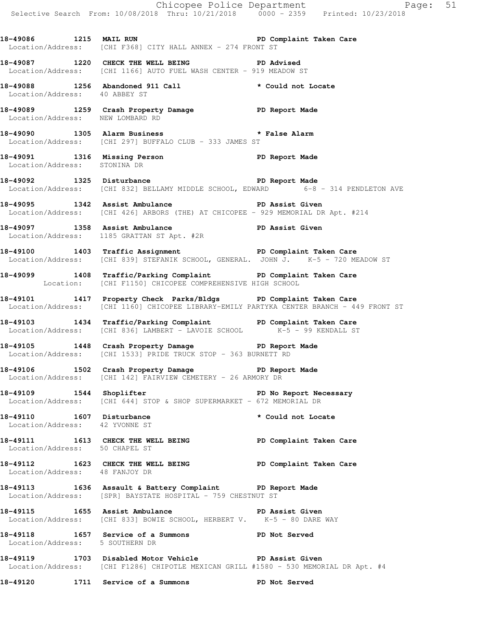Chicopee Police Department Page: 51 Selective Search From: 10/08/2018 Thru: 10/21/2018 0000 - 2359 Printed: 10/23/2018 18-49086 1215 MAIL RUN **PD Complaint Taken Care**  Location/Address: [CHI F368] CITY HALL ANNEX - 274 FRONT ST **18-49087 1220 CHECK THE WELL BEING PD Advised**  Location/Address: [CHI 1166] AUTO FUEL WASH CENTER - 919 MEADOW ST **18-49088 1256 Abandoned 911 Call \* Could not Locate**  Location/Address: 40 ABBEY ST **18-49089 1259 Crash Property Damage PD Report Made**  Location/Address: NEW LOMBARD RD **18-49090 1305 Alarm Business \* False Alarm**  Location/Address: [CHI 297] BUFFALO CLUB - 333 JAMES ST **18-49091 1316 Missing Person PD Report Made**  Location/Address: STONINA DR **18-49092 1325 Disturbance PD Report Made**  Location/Address: [CHI 832] BELLAMY MIDDLE SCHOOL, EDWARD 6-8 - 314 PENDLETON AVE **18-49095 1342 Assist Ambulance PD Assist Given**  Location/Address: [CHI 426] ARBORS (THE) AT CHICOPEE - 929 MEMORIAL DR Apt. #214 **18-49097 1358 Assist Ambulance PD Assist Given**  Location/Address: 1185 GRATTAN ST Apt. #2R **18-49100 1403 Traffic Assignment PD Complaint Taken Care**  Location/Address: [CHI 839] STEFANIK SCHOOL, GENERAL. JOHN J. K-5 - 720 MEADOW ST **18-49099 1408 Traffic/Parking Complaint PD Complaint Taken Care**  Location: [CHI F1150] CHICOPEE COMPREHENSIVE HIGH SCHOOL **18-49101 1417 Property Check Parks/Bldgs PD Complaint Taken Care**  Location/Address: [CHI 1160] CHICOPEE LIBRARY-EMILY PARTYKA CENTER BRANCH - 449 FRONT ST **18-49103 1434 Traffic/Parking Complaint PD Complaint Taken Care**  Location/Address: [CHI 836] LAMBERT - LAVOIE SCHOOL K-5 - 99 KENDALL ST **18-49105 1448 Crash Property Damage PD Report Made**  Location/Address: [CHI 1533] PRIDE TRUCK STOP - 363 BURNETT RD **18-49106 1502 Crash Property Damage PD Report Made**  Location/Address: [CHI 142] FAIRVIEW CEMETERY - 26 ARMORY DR **18-49109 1544 Shoplifter PD No Report Necessary**  Location/Address: [CHI 644] STOP & SHOP SUPERMARKET - 672 MEMORIAL DR 18-49110 1607 Disturbance **1607 Missus 18-49110** to Could not Locate Location/Address: 42 YVONNE ST **18-49111 1613 CHECK THE WELL BEING PD Complaint Taken Care**  Location/Address: 50 CHAPEL ST **18-49112 1623 CHECK THE WELL BEING PD Complaint Taken Care**  Location/Address: 48 FANJOY DR **18-49113 1636 Assault & Battery Complaint PD Report Made**  Location/Address: [SPR] BAYSTATE HOSPITAL - 759 CHESTNUT ST **18-49115 1655 Assist Ambulance PD Assist Given**  Location/Address: [CHI 833] BOWIE SCHOOL, HERBERT V. K-5 - 80 DARE WAY **18-49118 1657 Service of a Summons PD Not Served**  Location/Address: 5 SOUTHERN DR **18-49119 1703 Disabled Motor Vehicle PD Assist Given**  Location/Address: [CHI F1286] CHIPOTLE MEXICAN GRILL #1580 - 530 MEMORIAL DR Apt. #4 **18-49120 1711 Service of a Summons PD Not Served**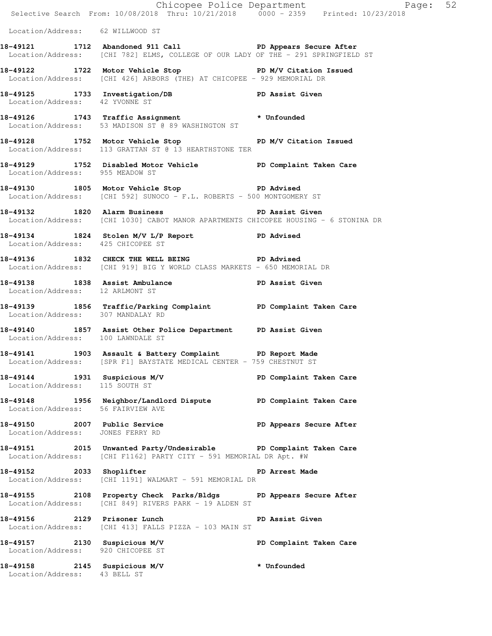|                                                                   |                                                                                                                                                  | Chicopee Police Department<br>Selective Search From: 10/08/2018 Thru: 10/21/2018 0000 - 2359 Printed: 10/23/2018 |  |
|-------------------------------------------------------------------|--------------------------------------------------------------------------------------------------------------------------------------------------|------------------------------------------------------------------------------------------------------------------|--|
| Location/Address: 62 WILLWOOD ST                                  |                                                                                                                                                  |                                                                                                                  |  |
|                                                                   | 18-49121 1712 Abandoned 911 Call 20 PD Appears Secure After<br>Location/Address: [CHI 782] ELMS, COLLEGE OF OUR LADY OF THE - 291 SPRINGFIELD ST |                                                                                                                  |  |
|                                                                   | 18-49122 1722 Motor Vehicle Stop N/V Citation Issued<br>Location/Address: [CHI 426] ARBORS (THE) AT CHICOPEE - 929 MEMORIAL DR                   |                                                                                                                  |  |
| Location/Address: 42 YVONNE ST                                    | 18-49125 1733 Investigation/DB PD Assist Given                                                                                                   |                                                                                                                  |  |
|                                                                   | 18-49126 1743 Traffic Assignment * Unfounded<br>Location/Address: 53 MADISON ST @ 89 WASHINGTON ST                                               |                                                                                                                  |  |
|                                                                   | 18-49128 1752 Motor Vehicle Stop PD M/V Citation Issued<br>Location/Address: 113 GRATTAN ST @ 13 HEARTHSTONE TER                                 |                                                                                                                  |  |
|                                                                   | 18-49129 1752 Disabled Motor Vehicle PD Complaint Taken Care<br>Location/Address: 955 MEADOW ST                                                  |                                                                                                                  |  |
|                                                                   | 18-49130 1805 Motor Vehicle Stop North PD Advised<br>Location/Address: [CHI 592] SUNOCO - F.L. ROBERTS - 500 MONTGOMERY ST                       |                                                                                                                  |  |
|                                                                   | 18-49132 1820 Alarm Business 18-1 PD Assist Given<br>Location/Address: [CHI 1030] CABOT MANOR APARTMENTS CHICOPEE HOUSING - 6 STONINA DR         |                                                                                                                  |  |
| Location/Address: 425 CHICOPEE ST                                 | 18-49134 1824 Stolen M/V L/P Report PD Advised                                                                                                   |                                                                                                                  |  |
|                                                                   | 18-49136 1832 CHECK THE WELL BEING PD Advised<br>Location/Address: [CHI 919] BIG Y WORLD CLASS MARKETS - 650 MEMORIAL DR                         |                                                                                                                  |  |
| Location/Address: 12 ARLMONT ST                                   | 18-49138 1838 Assist Ambulance New PD Assist Given                                                                                               |                                                                                                                  |  |
| Location/Address: 307 MANDALAY RD                                 | 18-49139 1856 Traffic/Parking Complaint PD Complaint Taken Care                                                                                  |                                                                                                                  |  |
| Location/Address: 100 LAWNDALE ST                                 | 18-49140 1857 Assist Other Police Department PD Assist Given                                                                                     |                                                                                                                  |  |
|                                                                   | 18-49141 1903 Assault & Battery Complaint PD Report Made<br>Location/Address: [SPR F1] BAYSTATE MEDICAL CENTER - 759 CHESTNUT ST                 |                                                                                                                  |  |
| 18-49144 1931 Suspicious M/V<br>Location/Address: 115 SOUTH ST    |                                                                                                                                                  | PD Complaint Taken Care                                                                                          |  |
| Location/Address: 56 FAIRVIEW AVE                                 | 18-49148 1956 Neighbor/Landlord Dispute PD Complaint Taken Care                                                                                  |                                                                                                                  |  |
| 18-49150 2007 Public Service<br>Location/Address: JONES FERRY RD  |                                                                                                                                                  | PD Appears Secure After                                                                                          |  |
|                                                                   | 18-49151 2015 Unwanted Party/Undesirable PD Complaint Taken Care<br>Location/Address: [CHI F1162] PARTY CITY - 591 MEMORIAL DR Apt. #W           |                                                                                                                  |  |
|                                                                   | 18-49152 2033 Shoplifter 2008 PD Arrest Made<br>Location/Address: [CHI 1191] WALMART - 591 MEMORIAL DR                                           |                                                                                                                  |  |
|                                                                   | 18-49155 2108 Property Check Parks/Bldgs PD Appears Secure After<br>Location/Address: [CHI 849] RIVERS PARK - 19 ALDEN ST                        |                                                                                                                  |  |
| 18-49156 2129 Prisoner Lunch                                      | Location/Address: [CHI 413] FALLS PIZZA - 103 MAIN ST                                                                                            | PD Assist Given                                                                                                  |  |
| 18-49157 2130 Suspicious M/V<br>Location/Address: 920 CHICOPEE ST |                                                                                                                                                  | PD Complaint Taken Care                                                                                          |  |
| 18-49158 2145 Suspicious M/V<br>Location/Address: 43 BELL ST      |                                                                                                                                                  | * Unfounded                                                                                                      |  |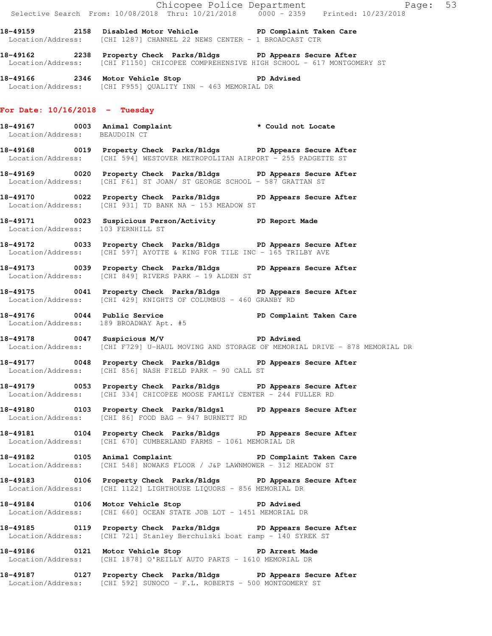|                                   |                                                                                                                                                             | Chicopee Police Department<br>Selective Search From: 10/08/2018 Thru: 10/21/2018 0000 - 2359 Printed: 10/23/2018 |  |
|-----------------------------------|-------------------------------------------------------------------------------------------------------------------------------------------------------------|------------------------------------------------------------------------------------------------------------------|--|
|                                   | 18-49159 2158 Disabled Motor Vehicle No PD Complaint Taken Care<br>Location/Address: [CHI 1287] CHANNEL 22 NEWS CENTER - 1 BROADCAST CTR                    |                                                                                                                  |  |
|                                   | 18-49162 18-2238 Property Check Parks/Bldgs PD Appears Secure After<br>Location/Address: [CHI F1150] CHICOPEE COMPREHENSIVE HIGH SCHOOL - 617 MONTGOMERY ST |                                                                                                                  |  |
|                                   | 18-49166 2346 Motor Vehicle Stop 5 2016 PD Advised<br>Location/Address: [CHI F955] QUALITY INN - 463 MEMORIAL DR                                            |                                                                                                                  |  |
| For Date: $10/16/2018$ - Tuesday  |                                                                                                                                                             |                                                                                                                  |  |
|                                   | 18-49167 0003 Animal Complaint * Could not Locate<br>Location/Address: BEAUDOIN CT                                                                          |                                                                                                                  |  |
|                                   | 18-49168 0019 Property Check Parks/Bldgs PD Appears Secure After<br>Location/Address: [CHI 594] WESTOVER METROPOLITAN AIRPORT - 255 PADGETTE ST             |                                                                                                                  |  |
|                                   | 18-49169 0020 Property Check Parks/Bldgs PD Appears Secure After<br>Location/Address: [CHI F61] ST JOAN/ ST GEORGE SCHOOL - 587 GRATTAN ST                  |                                                                                                                  |  |
|                                   | 18-49170 0022 Property Check Parks/Bldgs PD Appears Secure After<br>Location/Address: [CHI 931] TD BANK NA - 153 MEADOW ST                                  |                                                                                                                  |  |
| Location/Address: 103 FERNHILL ST | 18-49171 0023 Suspicious Person/Activity PD Report Made                                                                                                     |                                                                                                                  |  |
|                                   | 18-49172 0033 Property Check Parks/Bldgs PD Appears Secure After<br>  Location/Address: [CHI 597] AYOTTE & KING FOR TILE INC - 165 TRILBY AVE               |                                                                                                                  |  |
|                                   | 18-49173 0039 Property Check Parks/Bldgs PD Appears Secure After<br>Location/Address: [CHI 849] RIVERS PARK - 19 ALDEN ST                                   |                                                                                                                  |  |
|                                   | 18-49175 0041 Property Check Parks/Bldgs PD Appears Secure After<br>Location/Address: [CHI 429] KNIGHTS OF COLUMBUS - 460 GRANBY RD                         |                                                                                                                  |  |
|                                   | 18-49176   0044   Public Service   PD Complaint Taken Care<br>Location/Address: 189   BROADWAY Apt. #5                                                      |                                                                                                                  |  |
|                                   | 18-49178 0047 Suspicious M/V PD Advised                                                                                                                     | Location/Address: [CHI F729] U-HAUL MOVING AND STORAGE OF MEMORIAL DRIVE - 878 MEMORIAL DR                       |  |
|                                   | 18-49177 0048 Property Check Parks/Bldgs PD Appears Secure After<br>Location/Address: [CHI 856] NASH FIELD PARK - 90 CALL ST                                |                                                                                                                  |  |
|                                   | 18-49179 0053 Property Check Parks/Bldgs PD Appears Secure After<br>Location/Address: [CHI 334] CHICOPEE MOOSE FAMILY CENTER - 244 FULLER RD                |                                                                                                                  |  |
|                                   | 18-49180 0103 Property Check Parks/Bldgs1 PD Appears Secure After<br>Location/Address: [CHI 86] FOOD BAG - 947 BURNETT RD                                   |                                                                                                                  |  |
|                                   | 18-49181 0104 Property Check Parks/Bldgs PD Appears Secure After<br>Location/Address: [CHI 670] CUMBERLAND FARMS - 1061 MEMORIAL DR                         |                                                                                                                  |  |
|                                   | Location/Address: [CHI 548] NOWAKS FLOOR / J&P LAWNMOWER - 312 MEADOW ST                                                                                    |                                                                                                                  |  |
|                                   | 18-49183 0106 Property Check Parks/Bldgs PD Appears Secure After<br>Location/Address: [CHI 1122] LIGHTHOUSE LIQUORS - 856 MEMORIAL DR                       |                                                                                                                  |  |
|                                   | 18-49184 0106 Motor Vehicle Stop PD Advised<br>Location/Address: [CHI 660] OCEAN STATE JOB LOT - 1451 MEMORIAL DR                                           |                                                                                                                  |  |
|                                   | 18-49185 0119 Property Check Parks/Bldgs PD Appears Secure After<br>Location/Address: [CHI 721] Stanley Berchulski boat ramp - 140 SYREK ST                 |                                                                                                                  |  |
|                                   | 18-49186 		 0121 Motor Vehicle Stop 		 PD Arrest Made<br>Location/Address: [CHI 1878] O'REILLY AUTO PARTS - 1610 MEMORIAL DR                                |                                                                                                                  |  |
|                                   | 18-49187 		 0127 Property Check Parks/Bldgs 		 PD Appears Secure After<br>Location/Address: [CHI 592] SUNOCO - F.L. ROBERTS - 500 MONTGOMERY ST             |                                                                                                                  |  |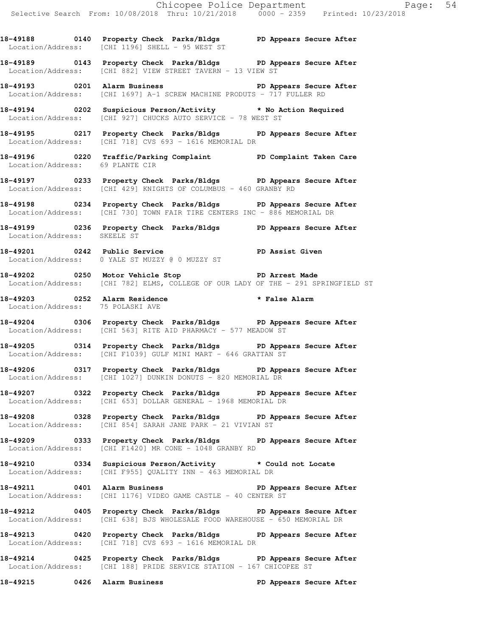**18-49188 0140 Property Check Parks/Bldgs PD Appears Secure After**  Location/Address: [CHI 1196] SHELL - 95 WEST ST

**18-49189 0143 Property Check Parks/Bldgs PD Appears Secure After**  Location/Address: [CHI 882] VIEW STREET TAVERN - 13 VIEW ST

**18-49193 0201 Alarm Business PD Appears Secure After**  Location/Address: [CHI 1697] A-1 SCREW MACHINE PRODUTS - 717 FULLER RD

**18-49194 0202 Suspicious Person/Activity \* No Action Required**  Location/Address: [CHI 927] CHUCKS AUTO SERVICE - 78 WEST ST

**18-49195 0217 Property Check Parks/Bldgs PD Appears Secure After**  Location/Address: [CHI 718] CVS 693 - 1616 MEMORIAL DR

**18-49196 0220 Traffic/Parking Complaint PD Complaint Taken Care**  Location/Address: 69 PLANTE CIR

**18-49197 0233 Property Check Parks/Bldgs PD Appears Secure After**  Location/Address: [CHI 429] KNIGHTS OF COLUMBUS - 460 GRANBY RD

**18-49198 0234 Property Check Parks/Bldgs PD Appears Secure After**  Location/Address: [CHI 730] TOWN FAIR TIRE CENTERS INC - 886 MEMORIAL DR

**18-49199 0236 Property Check Parks/Bldgs PD Appears Secure After**  Location/Address: SKEELE ST

**18-49201 0242 Public Service PD Assist Given**  Location/Address: 0 YALE ST MUZZY @ 0 MUZZY ST

**18-49202 0250 Motor Vehicle Stop PD Arrest Made**  Location/Address: [CHI 782] ELMS, COLLEGE OF OUR LADY OF THE - 291 SPRINGFIELD ST

**18-49203 0252 Alarm Residence \* False Alarm**  Location/Address: 75 POLASKI AVE

**18-49204 0306 Property Check Parks/Bldgs PD Appears Secure After**  Location/Address: [CHI 563] RITE AID PHARMACY - 577 MEADOW ST

**18-49205 0314 Property Check Parks/Bldgs PD Appears Secure After**  Location/Address: [CHI F1039] GULF MINI MART - 646 GRATTAN ST

**18-49206 0317 Property Check Parks/Bldgs PD Appears Secure After**  Location/Address: [CHI 1027] DUNKIN DONUTS - 820 MEMORIAL DR

**18-49207 0322 Property Check Parks/Bldgs PD Appears Secure After**  Location/Address: [CHI 653] DOLLAR GENERAL - 1968 MEMORIAL DR

**18-49208 0328 Property Check Parks/Bldgs PD Appears Secure After**  Location/Address: [CHI 854] SARAH JANE PARK - 21 VIVIAN ST

**18-49209 0333 Property Check Parks/Bldgs PD Appears Secure After**  Location/Address: [CHI F1420] MR CONE - 1048 GRANBY RD

**18-49210 0334 Suspicious Person/Activity \* Could not Locate**  Location/Address: [CHI F955] QUALITY INN - 463 MEMORIAL DR

**18-49211 0401 Alarm Business PD Appears Secure After**  Location/Address: [CHI 1176] VIDEO GAME CASTLE - 40 CENTER ST

**18-49212 0405 Property Check Parks/Bldgs PD Appears Secure After**  Location/Address: [CHI 638] BJS WHOLESALE FOOD WAREHOUSE - 650 MEMORIAL DR

**18-49213 0420 Property Check Parks/Bldgs PD Appears Secure After**  Location/Address: [CHI 718] CVS 693 - 1616 MEMORIAL DR

**18-49214 0425 Property Check Parks/Bldgs PD Appears Secure After**  Location/Address: [CHI 188] PRIDE SERVICE STATION - 167 CHICOPEE ST

**18-49215 0426 Alarm Business PD Appears Secure After**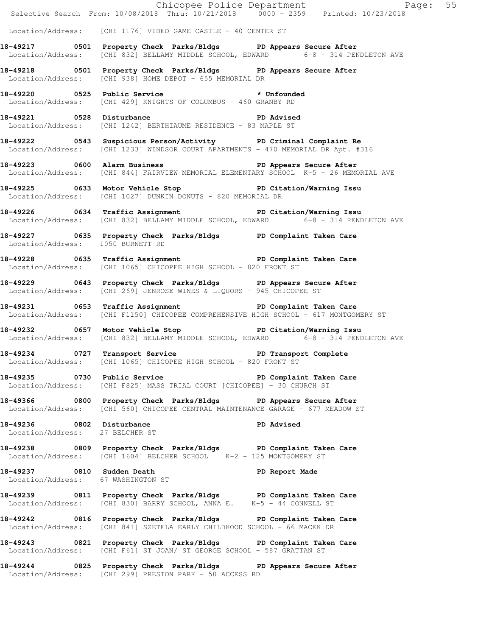|                                                              | Chicopee Police Department<br>Selective Search From: 10/08/2018 Thru: 10/21/2018 0000 - 2359 Printed: 10/23/2018                                         |  |
|--------------------------------------------------------------|----------------------------------------------------------------------------------------------------------------------------------------------------------|--|
|                                                              | Location/Address: [CHI 1176] VIDEO GAME CASTLE - 40 CENTER ST                                                                                            |  |
|                                                              | 18-49217 0501 Property Check Parks/Bldgs PD Appears Secure After<br>Location/Address: [CHI 832] BELLAMY MIDDLE SCHOOL, EDWARD 6-8 - 314 PENDLETON AVE    |  |
|                                                              | 18-49218 0501 Property Check Parks/Bldgs PD Appears Secure After<br>Location/Address: [CHI 938] HOME DEPOT - 655 MEMORIAL DR                             |  |
|                                                              | 18-49220   0525   Public Service    * Unfounded<br>Location/Address: [CHI 429] KNIGHTS OF COLUMBUS - 460 GRANBY RD                                       |  |
|                                                              | 18-49221 0528 Disturbance PD Advised<br>Location/Address: [CHI 1242] BERTHIAUME RESIDENCE - 83 MAPLE ST                                                  |  |
|                                                              | 18-49222 0543 Suspicious Person/Activity PD Criminal Complaint Re<br>Location/Address: [CHI 1233] WINDSOR COURT APARTMENTS - 470 MEMORIAL DR Apt. #316   |  |
|                                                              | 18-49223 0600 Alarm Business 200 PD Appears Secure After<br>Location/Address: [CHI 844] FAIRVIEW MEMORIAL ELEMENTARY SCHOOL K-5 - 26 MEMORIAL AVE        |  |
|                                                              | 18-49225 0633 Motor Vehicle Stop North PD Citation/Warning Issu<br>Location/Address: [CHI 1027] DUNKIN DONUTS - 820 MEMORIAL DR                          |  |
|                                                              | 18-49226 0634 Traffic Assignment New PD Citation/Warning Issu<br>Location/Address: [CHI 832] BELLAMY MIDDLE SCHOOL, EDWARD 6-8 - 314 PENDLETON AVE       |  |
| Location/Address: 1050 BURNETT RD                            | 18-49227 0635 Property Check Parks/Bldgs PD Complaint Taken Care                                                                                         |  |
|                                                              | 18-49228 0635 Traffic Assignment 18-49228 0635 PD Complaint Taken Care<br>Location/Address: [CHI 1065] CHICOPEE HIGH SCHOOL - 820 FRONT ST               |  |
|                                                              | 18-49229 0643 Property Check Parks/Bldgs PD Appears Secure After<br>Location/Address: [CHI 269] JENROSE WINES & LIQUORS - 945 CHICOPEE ST                |  |
|                                                              | 18-49231 0653 Traffic Assignment Teleman PD Complaint Taken Care<br>Location/Address: [CHI F1150] CHICOPEE COMPREHENSIVE HIGH SCHOOL - 617 MONTGOMERY ST |  |
|                                                              | 18-49232 0657 Motor Vehicle Stop PD Citation/Warning Issu<br>Location/Address: [CHI 832] BELLAMY MIDDLE SCHOOL, EDWARD 6-8 - 314 PENDLETON AVE           |  |
|                                                              | 18-49234 0727 Transport Service New PD Transport Complete<br>Location/Address: [CHI 1065] CHICOPEE HIGH SCHOOL - 820 FRONT ST                            |  |
|                                                              | 18-49235 0730 Public Service New PD Complaint Taken Care<br>Location/Address: [CHI F825] MASS TRIAL COURT [CHICOPEE] - 30 CHURCH ST                      |  |
|                                                              | 18-49366 6800 Property Check Parks/Bldgs PD Appears Secure After<br>Location/Address: [CHI 560] CHICOPEE CENTRAL MAINTENANCE GARAGE - 677 MEADOW ST      |  |
| 18-49236 0802 Disturbance<br>Location/Address: 27 BELCHER ST | PD Advised                                                                                                                                               |  |
|                                                              | 18-49238 6809 Property Check Parks/Bldgs PD Complaint Taken Care<br>Location/Address: [CHI 1604] BELCHER SCHOOL K-2 - 125 MONTGOMERY ST                  |  |
| Location/Address: 67 WASHINGTON ST                           | 18-49237 18-49237 0810 Sudden Death 18-49237                                                                                                             |  |
|                                                              | 18-49239 0811 Property Check Parks/Bldgs PD Complaint Taken Care<br>Location/Address: [CHI 830] BARRY SCHOOL, ANNA E. K-5 - 44 CONNELL ST                |  |
|                                                              | 18-49242 0816 Property Check Parks/Bldgs PD Complaint Taken Care<br>Location/Address: [CHI 841] SZETELA EARLY CHILDHOOD SCHOOL - 66 MACEK DR             |  |
|                                                              | 18-49243 0821 Property Check Parks/Bldgs PD Complaint Taken Care<br>Location/Address: [CHI F61] ST JOAN/ ST GEORGE SCHOOL - 587 GRATTAN ST               |  |
|                                                              | 18-49244 0825 Property Check Parks/Bldgs PD Appears Secure After<br>Location/Address: [CHI 299] PRESTON PARK - 50 ACCESS RD                              |  |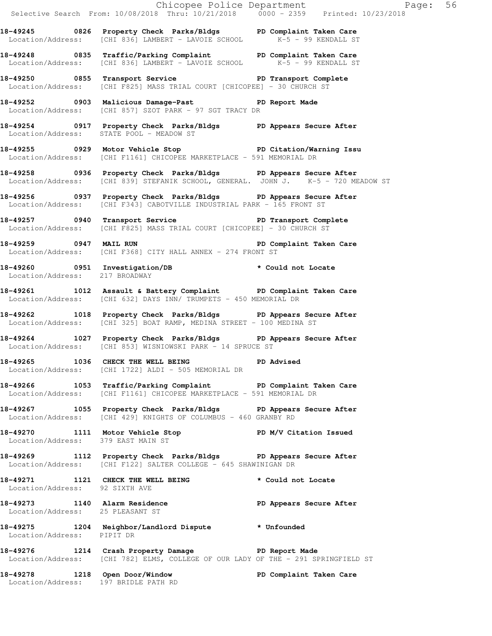|                                    | 18-49245 0826 Property Check Parks/Bldgs PD Complaint Taken Care<br>Location/Address: [CHI 836] LAMBERT - LAVOIE SCHOOL K-5 - 99 KENDALL ST           |  |
|------------------------------------|-------------------------------------------------------------------------------------------------------------------------------------------------------|--|
|                                    | 18-49248 0835 Traffic/Parking Complaint PD Complaint Taken Care<br>Location/Address: [CHI 836] LAMBERT - LAVOIE SCHOOL K-5 - 99 KENDALL ST            |  |
|                                    | 18-49250 0855 Transport Service The PD Transport Complete<br>Location/Address: [CHI F825] MASS TRIAL COURT [CHICOPEE] - 30 CHURCH ST                  |  |
|                                    | 18-49252 0903 Malicious Damage-Past 9D Report Made<br>Location/Address: [CHI 857] SZOT PARK - 97 SGT TRACY DR                                         |  |
|                                    | 18-49254 0917 Property Check Parks/Bldgs PD Appears Secure After<br>Location/Address: STATE POOL - MEADOW ST                                          |  |
|                                    | 18-49255 0929 Motor Vehicle Stop Noter PD Citation/Warning Issu<br>Location/Address: [CHI F1161] CHICOPEE MARKETPLACE - 591 MEMORIAL DR               |  |
|                                    | 18-49258 0936 Property Check Parks/Bldgs PD Appears Secure After<br>Location/Address: [CHI 839] STEFANIK SCHOOL, GENERAL. JOHN J. K-5 - 720 MEADOW ST |  |
|                                    | 18-49256 0937 Property Check Parks/Bldgs PD Appears Secure After<br>Location/Address: [CHI F343] CABOTVILLE INDUSTRIAL PARK - 165 FRONT ST            |  |
|                                    | 18-49257 0940 Transport Service New PD Transport Complete<br>Location/Address: [CHI F825] MASS TRIAL COURT [CHICOPEE] - 30 CHURCH ST                  |  |
|                                    | 18-49259 0947 MAIL RUN 2008 PD Complaint Taken Care<br>Location/Address: [CHI F368] CITY HALL ANNEX - 274 FRONT ST                                    |  |
| Location/Address: 217 BROADWAY     | 18-49260 0951 Investigation/DB * Could not Locate                                                                                                     |  |
|                                    | 18-49261 1012 Assault & Battery Complaint PD Complaint Taken Care<br>Location/Address: [CHI 632] DAYS INN/ TRUMPETS - 450 MEMORIAL DR                 |  |
|                                    | 18-49262 1018 Property Check Parks/Bldgs PD Appears Secure After<br>Location/Address: [CHI 325] BOAT RAMP, MEDINA STREET - 100 MEDINA ST              |  |
|                                    | 18-49264 1027 Property Check Parks/Bldgs PD Appears Secure After<br>Location/Address: [CHI 853] WISNIOWSKI PARK - 14 SPRUCE ST                        |  |
|                                    | 18-49265 1036 CHECK THE WELL BEING PD Advised<br>Location/Address: [CHI 1722] ALDI - 505 MEMORIAL DR                                                  |  |
|                                    | 18-49266 1053 Traffic/Parking Complaint PD Complaint Taken Care<br>Location/Address: [CHI F1161] CHICOPEE MARKETPLACE - 591 MEMORIAL DR               |  |
|                                    | 18-49267 1055 Property Check Parks/Bldgs PD Appears Secure After<br>Location/Address: [CHI 429] KNIGHTS OF COLUMBUS - 460 GRANBY RD                   |  |
| Location/Address: 379 EAST MAIN ST | 18-49270 1111 Motor Vehicle Stop N/V Citation Issued                                                                                                  |  |
|                                    | 18-49269 1112 Property Check Parks/Bldgs PD Appears Secure After<br>Location/Address: [CHI F122] SALTER COLLEGE - 645 SHAWINIGAN DR                   |  |
| Location/Address: 92 SIXTH AVE     | 18-49271 1121 CHECK THE WELL BEING * Could not Locate                                                                                                 |  |
| Location/Address: 25 PLEASANT ST   | 18-49273 1140 Alarm Residence The PD Appears Secure After                                                                                             |  |
| Location/Address: PIPIT DR         | 18-49275 1204 Neighbor/Landlord Dispute * Unfounded                                                                                                   |  |
|                                    | 18-49276 1214 Crash Property Damage PD Report Made<br>Location/Address: [CHI 782] ELMS, COLLEGE OF OUR LADY OF THE - 291 SPRINGFIELD ST               |  |
|                                    | 18-49278 1218 Open Door/Window PD Complaint Taken Care<br>Location/Address: 197 BRIDLE PATH RD                                                        |  |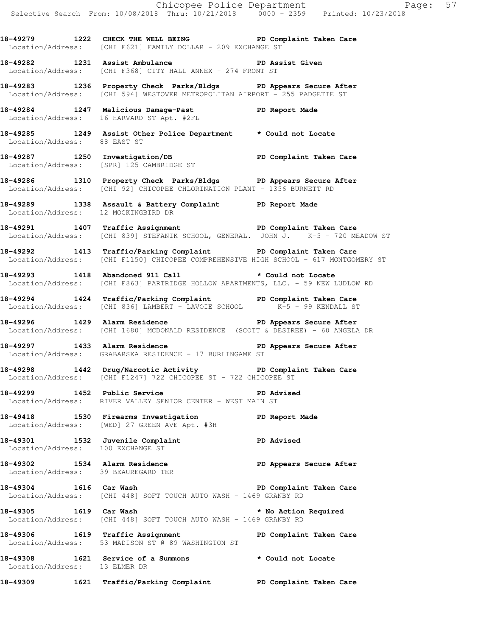Chicopee Police Department Page: 57 Selective Search From: 10/08/2018 Thru: 10/21/2018 0000 - 2359 Printed: 10/23/2018 **18-49279 1222 CHECK THE WELL BEING PD Complaint Taken Care**  Location/Address: [CHI F621] FAMILY DOLLAR - 209 EXCHANGE ST **18-49282 1231 Assist Ambulance PD Assist Given**  Location/Address: [CHI F368] CITY HALL ANNEX - 274 FRONT ST **18-49283 1236 Property Check Parks/Bldgs PD Appears Secure After**  Location/Address: [CHI 594] WESTOVER METROPOLITAN AIRPORT - 255 PADGETTE ST **18-49284 1247 Malicious Damage-Past PD Report Made**  Location/Address: 16 HARVARD ST Apt. #2FL **18-49285 1249 Assist Other Police Department \* Could not Locate**  Location/Address: 88 EAST ST **18-49287 1250 Investigation/DB PD Complaint Taken Care**  Location/Address: [SPR] 125 CAMBRIDGE ST **18-49286 1310 Property Check Parks/Bldgs PD Appears Secure After**  Location/Address: [CHI 92] CHICOPEE CHLORINATION PLANT - 1356 BURNETT RD **18-49289 1338 Assault & Battery Complaint PD Report Made**  Location/Address: 12 MOCKINGBIRD DR **18-49291 1407 Traffic Assignment PD Complaint Taken Care**  Location/Address: [CHI 839] STEFANIK SCHOOL, GENERAL. JOHN J. K-5 - 720 MEADOW ST **18-49292 1413 Traffic/Parking Complaint PD Complaint Taken Care**  Location/Address: [CHI F1150] CHICOPEE COMPREHENSIVE HIGH SCHOOL - 617 MONTGOMERY ST **18-49293 1418 Abandoned 911 Call \* Could not Locate**  Location/Address: [CHI F863] PARTRIDGE HOLLOW APARTMENTS, LLC. - 59 NEW LUDLOW RD **18-49294 1424 Traffic/Parking Complaint PD Complaint Taken Care** <br>Location/Address: [CHI 836] LAMBERT - LAVOIE SCHOOL K-5 - 99 KENDALL ST Location/Address: [CHI 836] LAMBERT - LAVOIE SCHOOL **18-49296 1429 Alarm Residence PD Appears Secure After**  Location/Address: [CHI 1680] MCDONALD RESIDENCE (SCOTT & DESIREE) - 60 ANGELA DR **18-49297 1433 Alarm Residence PD Appears Secure After**  Location/Address: GRABARSKA RESIDENCE - 17 BURLINGAME ST **18-49298 1442 Drug/Narcotic Activity PD Complaint Taken Care**  Location/Address: [CHI F1247] 722 CHICOPEE ST - 722 CHICOPEE ST 18-49299 1452 Public Service **PD** Advised Location/Address: RIVER VALLEY SENIOR CENTER - WEST MAIN ST **18-49418 1530 Firearms Investigation PD Report Made**  Location/Address: [WED] 27 GREEN AVE Apt. #3H **18-49301 1532 Juvenile Complaint PD Advised**  Location/Address: 100 EXCHANGE ST **18-49302 1534 Alarm Residence PD Appears Secure After**  Location/Address: 39 BEAUREGARD TER **18-49304 1616 Car Wash PD Complaint Taken Care**  Location/Address: [CHI 448] SOFT TOUCH AUTO WASH - 1469 GRANBY RD **18-49305 1619 Car Wash \* No Action Required**  Location/Address: [CHI 448] SOFT TOUCH AUTO WASH - 1469 GRANBY RD 18-49306 1619 Traffic Assignment **PD Complaint Taken Care**  Location/Address: 53 MADISON ST @ 89 WASHINGTON ST **18-49308 1621 Service of a Summons \* Could not Locate**  Location/Address: 13 ELMER DR **18-49309 1621 Traffic/Parking Complaint PD Complaint Taken Care**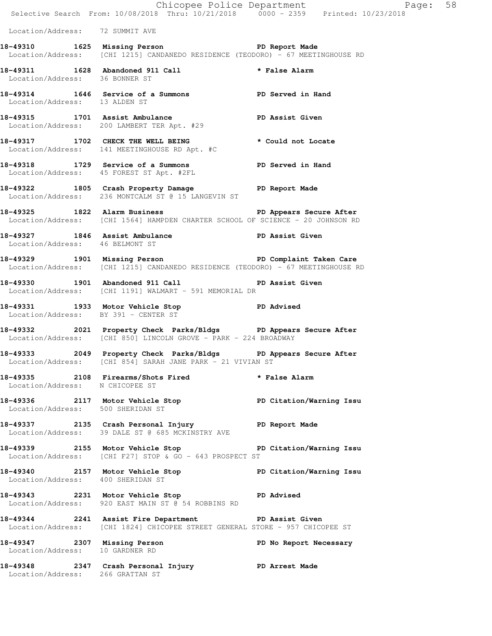|                                      | E Chicopee Police Department<br>Selective Search From: 10/08/2018 Thru: 10/21/2018 0000 - 2359 Printed: 10/23/2018                               | Page: 58               |  |
|--------------------------------------|--------------------------------------------------------------------------------------------------------------------------------------------------|------------------------|--|
| Location/Address: 72 SUMMIT AVE      |                                                                                                                                                  |                        |  |
|                                      | 18-49310 1625 Missing Person Neport Made<br>Location/Address: [CHI 1215] CANDANEDO RESIDENCE (TEODORO) - 67 MEETINGHOUSE RD                      |                        |  |
| Location/Address: 36 BONNER ST       | 18-49311 1628 Abandoned 911 Call <b>18-49311</b> * False Alarm                                                                                   |                        |  |
| Location/Address: 13 ALDEN ST        | 18-49314 1646 Service of a Summons TPD Served in Hand                                                                                            |                        |  |
|                                      | 18-49315 1701 Assist Ambulance<br>Location/Address: 200 LAMBERT TER Apt. #29                                                                     | PD Assist Given        |  |
|                                      | 18-49317 1702 CHECK THE WELL BEING<br>Location/Address: 141 MEETINGHOUSE RD Apt. #C                                                              | * Could not Locate     |  |
|                                      | 18-49318 1729 Service of a Summons PD Served in Hand<br>Location/Address: 45 FOREST ST Apt. #2FL                                                 |                        |  |
|                                      | 18-49322 1805 Crash Property Damage Name PD Report Made<br>Location/Address: 236 MONTCALM ST @ 15 LANGEVIN ST                                    |                        |  |
|                                      | 18-49325 1822 Alarm Business 1892 PD Appears Secure After<br>Location/Address: [CHI 1564] HAMPDEN CHARTER SCHOOL OF SCIENCE - 20 JOHNSON RD      |                        |  |
| Location/Address: 46 BELMONT ST      | 18-49327 1846 Assist Ambulance New PD Assist Given                                                                                               |                        |  |
|                                      | 18-49329 1901 Missing Person New York PD Complaint Taken Care<br>Location/Address: [CHI 1215] CANDANEDO RESIDENCE (TEODORO) - 67 MEETINGHOUSE RD |                        |  |
|                                      | 18-49330 1901 Abandoned 911 Call <b>PD</b> Assist Given<br>Location/Address: [CHI 1191] WALMART - 591 MEMORIAL DR                                |                        |  |
| Location/Address: BY 391 - CENTER ST | 18-49331 1933 Motor Vehicle Stop 1910 PD Advised                                                                                                 |                        |  |
|                                      | 18-49332 2021 Property Check Parks/Bldgs PD Appears Secure After<br>Location/Address: [CHI 850] LINCOLN GROVE - PARK - 224 BROADWAY              |                        |  |
|                                      | 18-49333 2049 Property Check Parks/Bldgs PD Appears Secure After<br>Location/Address: [CHI 854] SARAH JANE PARK - 21 VIVIAN ST                   |                        |  |
| Location/Address: N CHICOPEE ST      | 18-49335 2108 Firearms/Shots Fired * False Alarm                                                                                                 |                        |  |
|                                      | 18-49336 2117 Motor Vehicle Stop PD Citation/Warning Issu<br>Location/Address: 500 SHERIDAN ST                                                   |                        |  |
|                                      | 18-49337  2135  Crash Personal Injury  PD Report Made<br>Location/Address: 39 DALE ST @ 685  MCKINSTRY AVE                                       |                        |  |
|                                      | 18-49339 2155 Motor Vehicle Stop PD Citation/Warning Issu<br>Location/Address: [CHI F27] STOP & GO - 643 PROSPECT ST                             |                        |  |
| Location/Address: 400 SHERIDAN ST    | 18-49340 2157 Motor Vehicle Stop North PD Citation/Warning Issu                                                                                  |                        |  |
|                                      | 18-49343 2231 Motor Vehicle Stop 30 PD Advised<br>Location/Address: 920 EAST MAIN ST @ 54 ROBBINS RD                                             |                        |  |
|                                      | 18-49344 2241 Assist Fire Department PD Assist Given<br>Location/Address: [CHI 1824] CHICOPEE STREET GENERAL STORE - 957 CHICOPEE ST             |                        |  |
| Location/Address: 10 GARDNER RD      | 18-49347 2307 Missing Person                                                                                                                     | PD No Report Necessary |  |
| Location/Address: 266 GRATTAN ST     | 18-49348 2347 Crash Personal Injury PD Arrest Made                                                                                               |                        |  |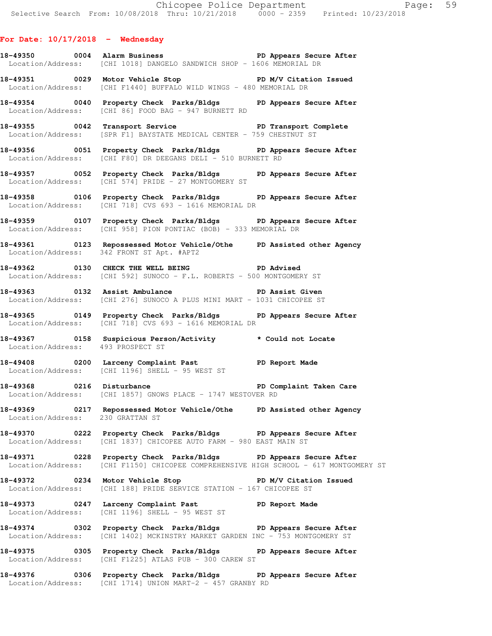## **For Date: 10/17/2018 - Wednesday**

- 18-49350 0004 Alarm Business **PD Appears Secure After** Location/Address: [CHI 1018] DANGELO SANDWICH SHOP - 1606 MEMORIAL DR
- **18-49351 0029 Motor Vehicle Stop PD M/V Citation Issued**  Location/Address: [CHI F1440] BUFFALO WILD WINGS - 480 MEMORIAL DR
- **18-49354 0040 Property Check Parks/Bldgs PD Appears Secure After**  Location/Address: [CHI 86] FOOD BAG - 947 BURNETT RD
- **18-49355 0042 Transport Service PD Transport Complete**  Location/Address: [SPR F1] BAYSTATE MEDICAL CENTER - 759 CHESTNUT ST
- **18-49356 0051 Property Check Parks/Bldgs PD Appears Secure After**  Location/Address: [CHI F80] DR DEEGANS DELI - 510 BURNETT RD
- **18-49357 0052 Property Check Parks/Bldgs PD Appears Secure After**  Location/Address: [CHI 574] PRIDE - 27 MONTGOMERY ST
- **18-49358 0106 Property Check Parks/Bldgs PD Appears Secure After**  Location/Address: [CHI 718] CVS 693 - 1616 MEMORIAL DR
- **18-49359 0107 Property Check Parks/Bldgs PD Appears Secure After**  Location/Address: [CHI 958] PION PONTIAC (BOB) - 333 MEMORIAL DR
- 18-49361 **0123 Repossessed Motor Vehicle/Othe PD Assisted other Agency** Location/Address: 342 FRONT ST Apt. #APT2 342 FRONT ST Apt. #APT2
- **18-49362 0130 CHECK THE WELL BEING PD Advised**  Location/Address: [CHI 592] SUNOCO - F.L. ROBERTS - 500 MONTGOMERY ST
- **18-49363 0132 Assist Ambulance PD Assist Given**  Location/Address: [CHI 276] SUNOCO A PLUS MINI MART - 1031 CHICOPEE ST
- **18-49365 0149 Property Check Parks/Bldgs PD Appears Secure After**  Location/Address: [CHI 718] CVS 693 - 1616 MEMORIAL DR
- **18-49367 0158 Suspicious Person/Activity \* Could not Locate**  Location/Address: 493 PROSPECT ST
- 18-49408 **0200** Larceny Complaint Past **PD** Report Made Location/Address: [CHI 1196] SHELL - 95 WEST ST
- 18-49368 **0216** Disturbance **18-49368** PD Complaint Taken Care Location/Address: [CHI 1857] GNOWS PLACE - 1747 WESTOVER RD
- **18-49369 0217 Repossessed Motor Vehicle/Othe PD Assisted other Agency**  Location/Address: 230 GRATTAN ST
- **18-49370 0222 Property Check Parks/Bldgs PD Appears Secure After**  Location/Address: [CHI 1837] CHICOPEE AUTO FARM - 980 EAST MAIN ST
- **18-49371 0228 Property Check Parks/Bldgs PD Appears Secure After**  Location/Address: [CHI F1150] CHICOPEE COMPREHENSIVE HIGH SCHOOL - 617 MONTGOMERY ST
- **18-49372 0234 Motor Vehicle Stop PD M/V Citation Issued**  Location/Address: [CHI 188] PRIDE SERVICE STATION - 167 CHICOPEE ST
- **18-49373 0247 Larceny Complaint Past PD Report Made**  Location/Address: [CHI 1196] SHELL - 95 WEST ST
- **18-49374 0302 Property Check Parks/Bldgs PD Appears Secure After**  Location/Address: [CHI 1402] MCKINSTRY MARKET GARDEN INC - 753 MONTGOMERY ST
- **18-49375 0305 Property Check Parks/Bldgs PD Appears Secure After**  Location/Address: [CHI F1225] ATLAS PUB - 300 CAREW ST
- **18-49376 0306 Property Check Parks/Bldgs PD Appears Secure After**  Location/Address: [CHI 1714] UNION MART-2 - 457 GRANBY RD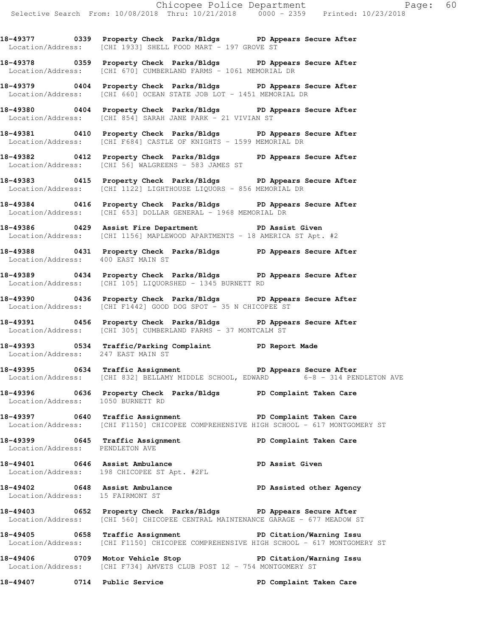**18-49377 0339 Property Check Parks/Bldgs PD Appears Secure After**  Location/Address: [CHI 1933] SHELL FOOD MART - 197 GROVE ST

**18-49378 0359 Property Check Parks/Bldgs PD Appears Secure After**  Location/Address: [CHI 670] CUMBERLAND FARMS - 1061 MEMORIAL DR

**18-49379 0404 Property Check Parks/Bldgs PD Appears Secure After**  Location/Address: [CHI 660] OCEAN STATE JOB LOT - 1451 MEMORIAL DR

**18-49380 0404 Property Check Parks/Bldgs PD Appears Secure After**  Location/Address: [CHI 854] SARAH JANE PARK - 21 VIVIAN ST

**18-49381 0410 Property Check Parks/Bldgs PD Appears Secure After**  Location/Address: [CHI F684] CASTLE OF KNIGHTS - 1599 MEMORIAL DR

**18-49382 0412 Property Check Parks/Bldgs PD Appears Secure After**  Location/Address: [CHI 56] WALGREENS - 583 JAMES ST

**18-49383 0415 Property Check Parks/Bldgs PD Appears Secure After**  Location/Address: [CHI 1122] LIGHTHOUSE LIQUORS - 856 MEMORIAL DR

**18-49384 0416 Property Check Parks/Bldgs PD Appears Secure After**  Location/Address: [CHI 653] DOLLAR GENERAL - 1968 MEMORIAL DR

**18-49386 0429 Assist Fire Department PD Assist Given**  Location/Address: [CHI 1156] MAPLEWOOD APARTMENTS - 18 AMERICA ST Apt. #2

**18-49388 0431 Property Check Parks/Bldgs PD Appears Secure After**  Location/Address: 400 EAST MAIN ST

**18-49389 0434 Property Check Parks/Bldgs PD Appears Secure After**  Location/Address: [CHI 105] LIQUORSHED - 1345 BURNETT RD

**18-49390 0436 Property Check Parks/Bldgs PD Appears Secure After**  Location/Address: [CHI F1442] GOOD DOG SPOT - 35 N CHICOPEE ST

**18-49391 0456 Property Check Parks/Bldgs PD Appears Secure After**  Location/Address: [CHI 305] CUMBERLAND FARMS - 37 MONTCALM ST

**18-49393 0534 Traffic/Parking Complaint PD Report Made**  Location/Address: 247 EAST MAIN ST

**18-49395 0634 Traffic Assignment PD Appears Secure After**  Location/Address: [CHI 832] BELLAMY MIDDLE SCHOOL, EDWARD 6-8 - 314 PENDLETON AVE

**18-49396 0636 Property Check Parks/Bldgs PD Complaint Taken Care**  Location/Address: 1050 BURNETT RD

**18-49397 0640 Traffic Assignment PD Complaint Taken Care**  Location/Address: [CHI F1150] CHICOPEE COMPREHENSIVE HIGH SCHOOL - 617 MONTGOMERY ST

18-49399 **18-49399 18-19 18-49399** 0645 Traffic Assignment **PD** Complaint Taken Care Location/Address: PENDLETON AVE

**18-49401 0646 Assist Ambulance PD Assist Given**  Location/Address: 198 CHICOPEE ST Apt. #2FL

**18-49402 0648 Assist Ambulance PD Assisted other Agency**  Location/Address: 15 FAIRMONT ST

**18-49403 0652 Property Check Parks/Bldgs PD Appears Secure After**  Location/Address: [CHI 560] CHICOPEE CENTRAL MAINTENANCE GARAGE - 677 MEADOW ST

18-49405 **0658** Traffic Assignment **PD Citation/Warning Issu** Location/Address: [CHI F1150] CHICOPEE COMPREHENSIVE HIGH SCHOOL - 617 MONTGOMERY ST

**18-49406 0709 Motor Vehicle Stop PD Citation/Warning Issu**  Location/Address: [CHI F734] AMVETS CLUB POST 12 - 754 MONTGOMERY ST

**18-49407 0714 Public Service PD Complaint Taken Care**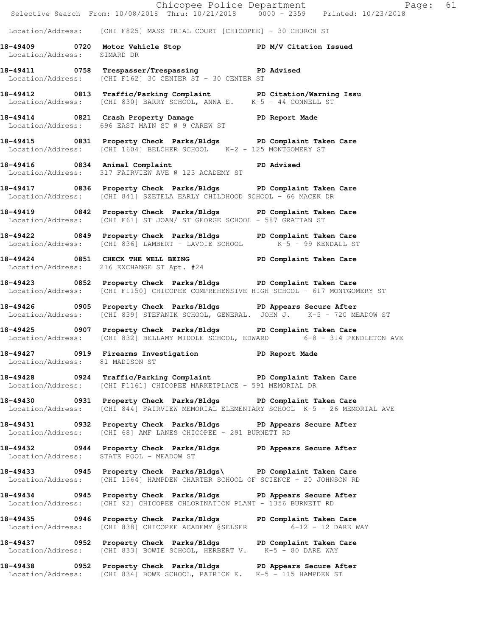|                             | Chicopee Police Department<br>Selective Search From: 10/08/2018 Thru: 10/21/2018 0000 - 2359 Printed: 10/23/2018                                          |  |
|-----------------------------|-----------------------------------------------------------------------------------------------------------------------------------------------------------|--|
|                             | Location/Address: [CHI F825] MASS TRIAL COURT [CHICOPEE] - 30 CHURCH ST                                                                                   |  |
| Location/Address: SIMARD DR | 18-49409 0720 Motor Vehicle Stop North PD M/V Citation Issued                                                                                             |  |
|                             | 18-49411 0758 Trespasser/Trespassing PD Advised<br>Location/Address: [CHI F162] 30 CENTER ST - 30 CENTER ST                                               |  |
|                             | 18-49412 0813 Traffic/Parking Complaint PD Citation/Warning Issu<br>Location/Address: [CHI 830] BARRY SCHOOL, ANNA E. K-5 - 44 CONNELL ST                 |  |
|                             | 18-49414 0821 Crash Property Damage PD Report Made<br>Location/Address: 696 EAST MAIN ST @ 9 CAREW ST                                                     |  |
|                             | 18-49415 0831 Property Check Parks/Bldgs PD Complaint Taken Care<br>Location/Address: [CHI 1604] BELCHER SCHOOL K-2 - 125 MONTGOMERY ST                   |  |
|                             | 18-49416 0834 Animal Complaint PD Advised<br>Location/Address: 317 FAIRVIEW AVE @ 123 ACADEMY ST                                                          |  |
|                             | 18-49417 0836 Property Check Parks/Bldgs PD Complaint Taken Care<br>Location/Address: [CHI 841] SZETELA EARLY CHILDHOOD SCHOOL - 66 MACEK DR              |  |
|                             | 18-49419 		 0842 Property Check Parks/Bldgs 		 PD Complaint Taken Care<br>Location/Address: [CHI F61] ST JOAN/ ST GEORGE SCHOOL - 587 GRATTAN ST          |  |
|                             | 18-49422 0849 Property Check Parks/Bldgs PD Complaint Taken Care<br>Location/Address: [CHI 836] LAMBERT - LAVOIE SCHOOL K-5 - 99 KENDALL ST               |  |
|                             | 18-49424 0851 CHECK THE WELL BEING PD Complaint Taken Care<br>Location/Address: 216 EXCHANGE ST Apt. #24                                                  |  |
|                             | 18-49423 0852 Property Check Parks/Bldgs PD Complaint Taken Care<br>Location/Address: [CHI F1150] CHICOPEE COMPREHENSIVE HIGH SCHOOL - 617 MONTGOMERY ST  |  |
|                             | 18-49426 0905 Property Check Parks/Bldgs PD Appears Secure After<br>Location/Address: [CHI 839] STEFANIK SCHOOL, GENERAL. JOHN J. K-5 - 720 MEADOW ST     |  |
|                             | 18-49425 0907 Property Check Parks/Bldgs PD Complaint Taken Care<br>Location/Address: [CHI 832] BELLAMY MIDDLE SCHOOL, EDWARD 6-8 - 314 PENDLETON AVE     |  |
|                             | 18-49427 0919 Firearms Investigation PD Report Made<br>Location/Address: 81 MADISON ST                                                                    |  |
|                             | 18-49428 		 0924 Traffic/Parking Complaint 		 PD Complaint Taken Care<br>Location/Address: [CHI F1161] CHICOPEE MARKETPLACE - 591 MEMORIAL DR             |  |
|                             | 18-49430 0931 Property Check Parks/Bldgs PD Complaint Taken Care<br>Location/Address: [CHI 844] FAIRVIEW MEMORIAL ELEMENTARY SCHOOL K-5 - 26 MEMORIAL AVE |  |
|                             | 18-49431 0932 Property Check Parks/Bldgs PD Appears Secure After<br>Location/Address: [CHI 68] AMF LANES CHICOPEE - 291 BURNETT RD                        |  |
|                             | 18-49432 0944 Property Check Parks/Bldgs PD Appears Secure After<br>Location/Address: STATE POOL - MEADOW ST                                              |  |
|                             | 18-49433 0945 Property Check Parks/Bldgs\ PD Complaint Taken Care<br>Location/Address: [CHI 1564] HAMPDEN CHARTER SCHOOL OF SCIENCE - 20 JOHNSON RD       |  |
|                             | 18-49434 0945 Property Check Parks/Bldgs PD Appears Secure After<br>Location/Address: [CHI 92] CHICOPEE CHLORINATION PLANT - 1356 BURNETT RD              |  |
|                             | 18-49435 0946 Property Check Parks/Bldgs PD Complaint Taken Care<br>Location/Address: [CHI 838] CHICOPEE ACADEMY @SELSER 6-12 - 12 DARE WAY               |  |
|                             | 18-49437 0952 Property Check Parks/Bldgs PD Complaint Taken Care<br>Location/Address: [CHI 833] BOWIE SCHOOL, HERBERT V. K-5 - 80 DARE WAY                |  |
|                             | 18-49438 0952 Property Check Parks/Bldgs PD Appears Secure After<br>Location/Address: [CHI 834] BOWE SCHOOL, PATRICK E. K-5 - 115 HAMPDEN ST              |  |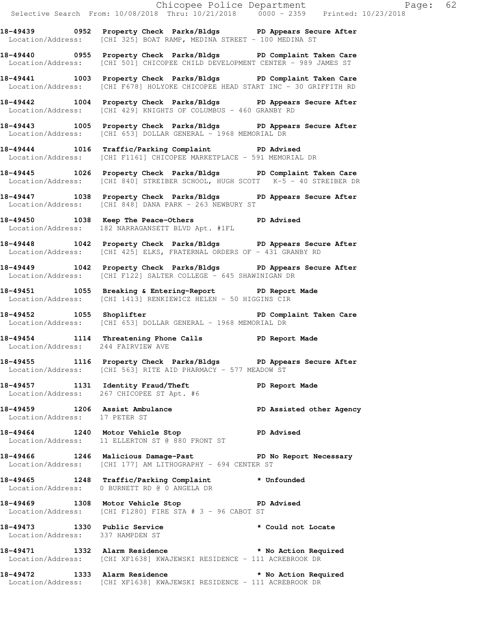**18-49439 0952 Property Check Parks/Bldgs PD Appears Secure After**  Location/Address: [CHI 325] BOAT RAMP, MEDINA STREET - 100 MEDINA ST **18-49440 0955 Property Check Parks/Bldgs PD Complaint Taken Care**  Location/Address: [CHI 501] CHICOPEE CHILD DEVELOPMENT CENTER - 989 JAMES ST **18-49441 1003 Property Check Parks/Bldgs PD Complaint Taken Care**  Location/Address: [CHI F678] HOLYOKE CHICOPEE HEAD START INC - 30 GRIFFITH RD **18-49442 1004 Property Check Parks/Bldgs PD Appears Secure After**  Location/Address: [CHI 429] KNIGHTS OF COLUMBUS - 460 GRANBY RD **18-49443 1005 Property Check Parks/Bldgs PD Appears Secure After**  Location/Address: [CHI 653] DOLLAR GENERAL - 1968 MEMORIAL DR **18-49444 1016 Traffic/Parking Complaint PD Advised**  Location/Address: [CHI F1161] CHICOPEE MARKETPLACE - 591 MEMORIAL DR **18-49445 1026 Property Check Parks/Bldgs PD Complaint Taken Care**  Location/Address: [CHI 840] STREIBER SCHOOL, HUGH SCOTT K-5 - 40 STREIBER DR **18-49447 1038 Property Check Parks/Bldgs PD Appears Secure After**  Location/Address: [CHI 848] DANA PARK - 263 NEWBURY ST **18-49450 1038 Keep The Peace-Others PD Advised**  Location/Address: 182 NARRAGANSETT BLVD Apt. #1FL **18-49448 1042 Property Check Parks/Bldgs PD Appears Secure After**  Location/Address: [CHI 425] ELKS, FRATERNAL ORDERS OF - 431 GRANBY RD **18-49449 1042 Property Check Parks/Bldgs PD Appears Secure After**  Location/Address: [CHI F122] SALTER COLLEGE - 645 SHAWINIGAN DR **18-49451 1055 Breaking & Entering-Report PD Report Made**  Location/Address: [CHI 1413] RENKIEWICZ HELEN - 50 HIGGINS CIR **18-49452 1055 Shoplifter PD Complaint Taken Care**  Location/Address: [CHI 653] DOLLAR GENERAL - 1968 MEMORIAL DR **18-49454 1114 Threatening Phone Calls PD Report Made**  Location/Address: 244 FAIRVIEW AVE **18-49455 1116 Property Check Parks/Bldgs PD Appears Secure After**  Location/Address: [CHI 563] RITE AID PHARMACY - 577 MEADOW ST **18-49457 1131 Identity Fraud/Theft PD Report Made**  Location/Address: 267 CHICOPEE ST Apt. #6 **18-49459 1206 Assist Ambulance PD Assisted other Agency**  Location/Address: 17 PETER ST **18-49464 1240 Motor Vehicle Stop PD Advised**  Location/Address: 11 ELLERTON ST @ 880 FRONT ST **18-49466 1246 Malicious Damage-Past PD No Report Necessary**  Location/Address: [CHI 177] AM LITHOGRAPHY - 694 CENTER ST **18-49465 1248 Traffic/Parking Complaint \* Unfounded**  Location/Address: 0 BURNETT RD @ 0 ANGELA DR **18-49469 1308 Motor Vehicle Stop PD Advised**  Location/Address: [CHI F1280] FIRE STA # 3 - 96 CABOT ST 18-49473 1330 Public Service **\*** Could not Locate Location/Address: 337 HAMPDEN ST **18-49471 1332 Alarm Residence \* No Action Required**  Location/Address: [CHI XF1638] KWAJEWSKI RESIDENCE - 111 ACREBROOK DR **18-49472 1333 Alarm Residence \* No Action Required**  Location/Address: [CHI XF1638] KWAJEWSKI RESIDENCE - 111 ACREBROOK DR

Selective Search From: 10/08/2018 Thru: 10/21/2018 0000 - 2359 Printed: 10/23/2018

Chicopee Police Department Fage: 62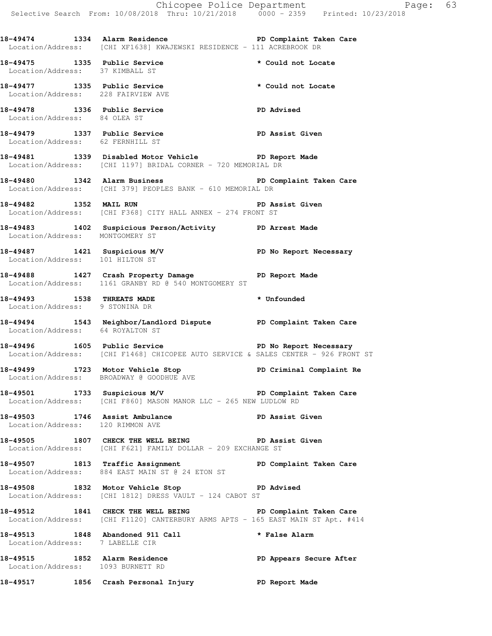**18-49474 1334 Alarm Residence PD Complaint Taken Care** 

Location/Address: [CHI XF1638] KWAJEWSKI RESIDENCE - 111 ACREBROOK DR

18-49475 1335 Public Service **\*** Could not Locate Location/Address: 37 KIMBALL ST **18-49477 1335 Public Service \* Could not Locate**  Location/Address: 228 FAIRVIEW AVE **18-49478 1336 Public Service PD Advised**  Location/Address: 84 OLEA ST **18-49479 1337 Public Service PD Assist Given**  Location/Address: 62 FERNHILL ST **18-49481 1339 Disabled Motor Vehicle PD Report Made**  Location/Address: [CHI 1197] BRIDAL CORNER - 720 MEMORIAL DR **18-49480 1342 Alarm Business PD Complaint Taken Care**  Location/Address: [CHI 379] PEOPLES BANK - 610 MEMORIAL DR **18-49482 1352 MAIL RUN PD Assist Given**  Location/Address: [CHI F368] CITY HALL ANNEX - 274 FRONT ST **18-49483 1402 Suspicious Person/Activity PD Arrest Made**  Location/Address: MONTGOMERY ST **18-49487 1421 Suspicious M/V PD No Report Necessary**  Location/Address: 101 HILTON ST **18-49488 1427 Crash Property Damage PD Report Made**  Location/Address: 1161 GRANBY RD @ 540 MONTGOMERY ST **18-49493 1538 THREATS MADE \* Unfounded**  Location/Address: 9 STONINA DR **18-49494 1543 Neighbor/Landlord Dispute PD Complaint Taken Care**  Location/Address: 64 ROYALTON ST **18-49496 1605 Public Service PD No Report Necessary**  Location/Address: [CHI F1468] CHICOPEE AUTO SERVICE & SALES CENTER - 926 FRONT ST 18-49499 **1723** Motor Vehicle Stop **PD Criminal Complaint Re**  Location/Address: BROADWAY @ GOODHUE AVE 18-49501 1733 Suspicious M/V **PD Complaint Taken Care**  Location/Address: [CHI F860] MASON MANOR LLC - 265 NEW LUDLOW RD **18-49503 1746 Assist Ambulance PD Assist Given**  Location/Address: 120 RIMMON AVE **18-49505 1807 CHECK THE WELL BEING PD Assist Given**  Location/Address: [CHI F621] FAMILY DOLLAR - 209 EXCHANGE ST **18-49507 1813 Traffic Assignment PD Complaint Taken Care**  Location/Address: 884 EAST MAIN ST @ 24 ETON ST **18-49508 1832 Motor Vehicle Stop PD Advised**  Location/Address: [CHI 1812] DRESS VAULT - 124 CABOT ST **18-49512 1841 CHECK THE WELL BEING PD Complaint Taken Care**  Location/Address: [CHI F1120] CANTERBURY ARMS APTS - 165 EAST MAIN ST Apt. #414 **18-49513 1848 Abandoned 911 Call \* False Alarm**  Location/Address: 7 LABELLE CIR

**18-49515 1852 Alarm Residence PD Appears Secure After**  Location/Address: 1093 BURNETT RD **18-49517 1856 Crash Personal Injury PD Report Made**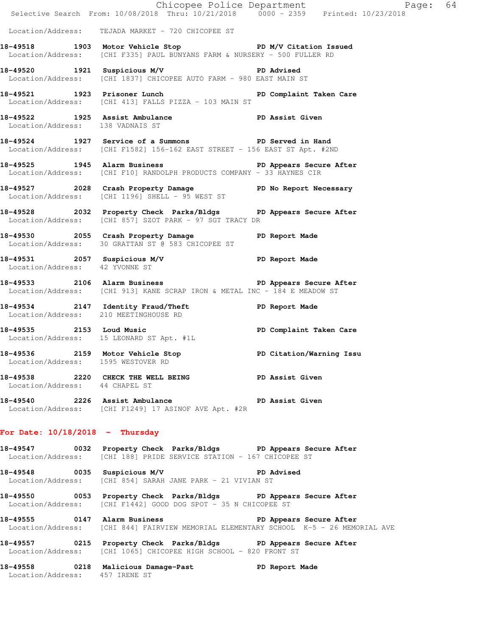|                                   | Chicopee Police Department<br>Selective Search From: 10/08/2018 Thru: 10/21/2018 0000 - 2359 Printed: 10/23/2018                        | Page: 64                |  |
|-----------------------------------|-----------------------------------------------------------------------------------------------------------------------------------------|-------------------------|--|
|                                   | Location/Address: TEJADA MARKET - 720 CHICOPEE ST                                                                                       |                         |  |
|                                   | 18-49518 1903 Motor Vehicle Stop N/V Citation Issued<br>Location/Address: [CHI F335] PAUL BUNYANS FARM & NURSERY - 500 FULLER RD        |                         |  |
|                                   | 18-49520 1921 Suspicious M/V 18-49520 PD Advised<br>Location/Address: [CHI 1837] CHICOPEE AUTO FARM - 980 EAST MAIN ST                  |                         |  |
|                                   | 18-49521 1923 Prisoner Lunch PD Complaint Taken Care<br>Location/Address: [CHI 413] FALLS PIZZA - 103 MAIN ST                           |                         |  |
| Location/Address: 138 VADNAIS ST  | 18-49522 1925 Assist Ambulance New PD Assist Given                                                                                      |                         |  |
|                                   | 18-49524 1927 Service of a Summons PD Served in Hand<br>Location/Address: [CHI F1582] 156-162 EAST STREET - 156 EAST ST Apt. #2ND       |                         |  |
|                                   | 18-49525 1945 Alarm Business 2008 PD Appears Secure After<br>Location/Address: [CHI F10] RANDOLPH PRODUCTS COMPANY - 33 HAYNES CIR      |                         |  |
|                                   | 18-49527 2028 Crash Property Damage No PD No Report Necessary<br>Location/Address: [CHI 1196] SHELL - 95 WEST ST                        |                         |  |
|                                   | 18-49528 2032 Property Check Parks/Bldgs PD Appears Secure After<br>Location/Address: [CHI 857] SZOT PARK - 97 SGT TRACY DR             |                         |  |
|                                   | 18-49530 18-49530 2055 Crash Property Damage 18-49530<br>Location/Address: 30 GRATTAN ST @ 583 CHICOPEE ST                              |                         |  |
| Location/Address: 42 YVONNE ST    | 18-49531 2057 Suspicious M/V 2007 PD Report Made                                                                                        |                         |  |
|                                   | 18-49533 2106 Alarm Business 2008 PD Appears Secure After<br>Location/Address: [CHI 913] KANE SCRAP IRON & METAL INC - 184 E MEADOW ST  |                         |  |
|                                   | 18-49534 2147 Identity Fraud/Theft PD Report Made<br>Location/Address: 210 MEETINGHOUSE RD                                              |                         |  |
| 18-49535 2153 Loud Music          | Location/Address: 15 LEONARD ST Apt. #1L                                                                                                | PD Complaint Taken Care |  |
|                                   | 18-49536 2159 Motor Vehicle Stop 50 PD Citation/Warning Issu<br>Location/Address: 1595 WESTOVER RD                                      |                         |  |
| Location/Address: 44 CHAPEL ST    | 18-49538 2220 CHECK THE WELL BEING PD Assist Given                                                                                      |                         |  |
|                                   | 18-49540 2226 Assist Ambulance New PD Assist Given<br>Location/Address: [CHI F1249] 17 ASINOF AVE Apt. #2R                              |                         |  |
| For Date: $10/18/2018$ - Thursday |                                                                                                                                         |                         |  |
|                                   | 18-49547 0032 Property Check Parks/Bldgs PD Appears Secure After<br>Location/Address: [CHI 188] PRIDE SERVICE STATION - 167 CHICOPEE ST |                         |  |
|                                   | 18-49548 0035 Suspicious M/V<br>Location/Address: [CHI 854] SARAH JANE PARK - 21 VIVIAN ST                                              | <b>PD Advised</b>       |  |

**18-49550 0053 Property Check Parks/Bldgs PD Appears Secure After**  Location/Address: [CHI F1442] GOOD DOG SPOT - 35 N CHICOPEE ST

**18-49555 0147 Alarm Business PD Appears Secure After**  Location/Address: [CHI 844] FAIRVIEW MEMORIAL ELEMENTARY SCHOOL K-5 - 26 MEMORIAL AVE

**18-49557 0215 Property Check Parks/Bldgs PD Appears Secure After**  Location/Address: [CHI 1065] CHICOPEE HIGH SCHOOL - 820 FRONT ST

**18-49558 0218 Malicious Damage-Past PD Report Made**  Location/Address: 457 IRENE ST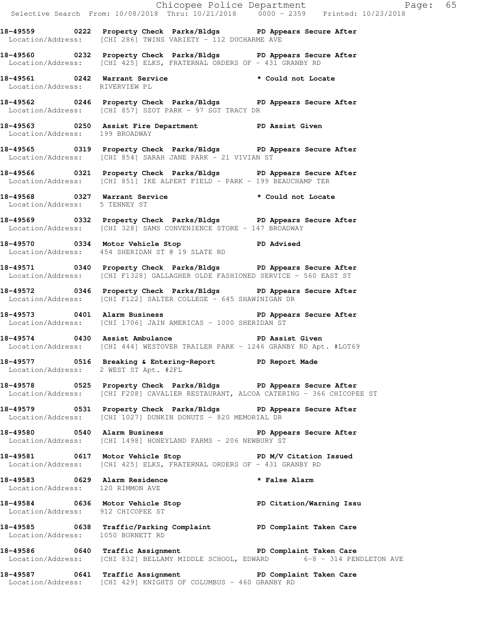Chicopee Police Department Fage: 65 Selective Search From: 10/08/2018 Thru: 10/21/2018 0000 - 2359 Printed: 10/23/2018 **18-49559 0222 Property Check Parks/Bldgs PD Appears Secure After**  Location/Address: [CHI 286] TWINS VARIETY - 112 DUCHARME AVE **18-49560 0232 Property Check Parks/Bldgs PD Appears Secure After**  Location/Address: [CHI 425] ELKS, FRATERNAL ORDERS OF - 431 GRANBY RD **18-49561 0242 Warrant Service \* Could not Locate**  Location/Address: RIVERVIEW PL **18-49562 0246 Property Check Parks/Bldgs PD Appears Secure After**  Location/Address: [CHI 857] SZOT PARK - 97 SGT TRACY DR **18-49563 0250 Assist Fire Department PD Assist Given**  Location/Address: 199 BROADWAY **18-49565 0319 Property Check Parks/Bldgs PD Appears Secure After**  Location/Address: [CHI 854] SARAH JANE PARK - 21 VIVIAN ST **18-49566 0321 Property Check Parks/Bldgs PD Appears Secure After**  Location/Address: [CHI 851] IKE ALPERT FIELD - PARK - 199 BEAUCHAMP TER **18-49568 0327 Warrant Service \* Could not Locate**  Location/Address: 5 TENNEY ST **18-49569 0332 Property Check Parks/Bldgs PD Appears Secure After**  Location/Address: [CHI 328] SAMS CONVENIENCE STORE - 147 BROADWAY **18-49570 0334 Motor Vehicle Stop PD Advised**  Location/Address: 454 SHERIDAN ST @ 19 SLATE RD **18-49571 0340 Property Check Parks/Bldgs PD Appears Secure After**  Location/Address: [CHI F1328] GALLAGHER OLDE FASHIONED SERVICE - 560 EAST ST **18-49572 0346 Property Check Parks/Bldgs PD Appears Secure After**  Location/Address: [CHI F122] SALTER COLLEGE - 645 SHAWINIGAN DR **18-49573 0401 Alarm Business PD Appears Secure After**  Location/Address: [CHI 1706] JAIN AMERICAS - 1000 SHERIDAN ST **18-49574 0430 Assist Ambulance PD Assist Given**  Location/Address: [CHI 444] WESTOVER TRAILER PARK - 1246 GRANBY RD Apt. #LOT69 **18-49577 0516 Breaking & Entering-Report PD Report Made**  Location/Address: 2 WEST ST Apt. #2FL **18-49578 0525 Property Check Parks/Bldgs PD Appears Secure After**  Location/Address: [CHI F208] CAVALIER RESTAURANT, ALCOA CATERING - 366 CHICOPEE ST **18-49579 0531 Property Check Parks/Bldgs PD Appears Secure After**  Location/Address: [CHI 1027] DUNKIN DONUTS - 820 MEMORIAL DR 18-49580 **0540** Alarm Business **PD Appears Secure After** Location/Address: [CHI 1498] HONEYLAND FARMS - 206 NEWBURY ST **18-49581 0617 Motor Vehicle Stop PD M/V Citation Issued**  Location/Address: [CHI 425] ELKS, FRATERNAL ORDERS OF - 431 GRANBY RD **18-49583 0629 Alarm Residence \* False Alarm**  Location/Address: 120 RIMMON AVE **18-49584 0636 Motor Vehicle Stop PD Citation/Warning Issu**  Location/Address: 912 CHICOPEE ST **18-49585 0638 Traffic/Parking Complaint PD Complaint Taken Care**  Location/Address: 1050 BURNETT RD **18-49586 0640 Traffic Assignment PD Complaint Taken Care**  Location/Address: [CHI 832] BELLAMY MIDDLE SCHOOL, EDWARD 6-8 - 314 PENDLETON AVE **18-49587 0641 Traffic Assignment PD Complaint Taken Care**  Location/Address: [CHI 429] KNIGHTS OF COLUMBUS - 460 GRANBY RD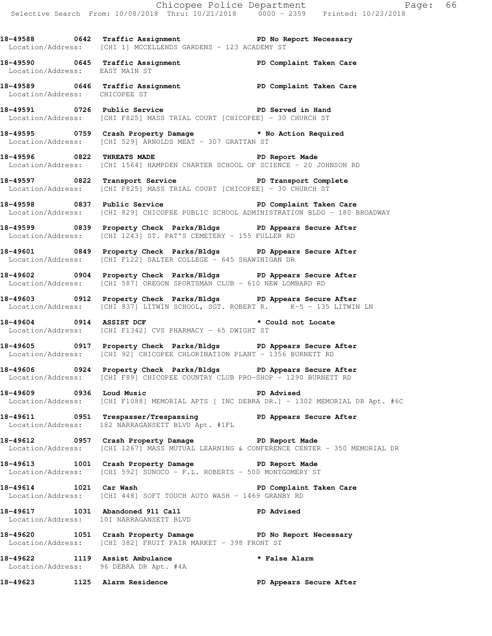18-49588 **0642** Traffic Assignment **PD No Report Necessary** Location/Address: [CHI 1] MCCELLENDS GARDENS - 123 ACADEMY ST

**18-49590 0645 Traffic Assignment PD Complaint Taken Care**  Location/Address: EAST MAIN ST

**18-49589 0646 Traffic Assignment PD Complaint Taken Care**  Location/Address: CHICOPEE ST

**18-49591 0726 Public Service PD Served in Hand**  Location/Address: [CHI F825] MASS TRIAL COURT [CHICOPEE] - 30 CHURCH ST

**18-49595 0759 Crash Property Damage \* No Action Required**  Location/Address: [CHI 529] ARNOLDS MEAT - 307 GRATTAN ST

18-49596 0822 THREATS MADE **PD** Report Made Location/Address: [CHI 1564] HAMPDEN CHARTER SCHOOL OF SCIENCE - 20 JOHNSON RD

**18-49597 0822 Transport Service PD Transport Complete**  Location/Address: [CHI F825] MASS TRIAL COURT [CHICOPEE] - 30 CHURCH ST

**18-49598 0837 Public Service PD Complaint Taken Care**  Location/Address: [CHI 829] CHICOPEE PUBLIC SCHOOL ADMINISTRATION BLDG - 180 BROADWAY

**18-49599 0839 Property Check Parks/Bldgs PD Appears Secure After**  Location/Address: [CHI 1243] ST. PAT'S CEMETERY - 155 FULLER RD

**18-49601 0849 Property Check Parks/Bldgs PD Appears Secure After**  Location/Address: [CHI F122] SALTER COLLEGE - 645 SHAWINIGAN DR

**18-49602 0904 Property Check Parks/Bldgs PD Appears Secure After**  Location/Address: [CHI 587] OREGON SPORTSMAN CLUB - 610 NEW LOMBARD RD

**18-49603 0912 Property Check Parks/Bldgs PD Appears Secure After**  Location/Address: [CHI 837] LITWIN SCHOOL, SGT. ROBERT R. K-5 - 135 LITWIN LN

18-49604 0914 ASSIST DCF **\*** Could not Locate Location/Address: [CHI F1342] CVS PHARMACY - 65 DWIGHT ST

**18-49605 0917 Property Check Parks/Bldgs PD Appears Secure After**  Location/Address: [CHI 92] CHICOPEE CHLORINATION PLANT - 1356 BURNETT RD

**18-49606 0924 Property Check Parks/Bldgs PD Appears Secure After**  Location/Address: [CHI F89] CHICOPEE COUNTRY CLUB PRO-SHOP - 1290 BURNETT RD

**18-49609 0936 Loud Music PD Advised**  Location/Address: [CHI F1088] MEMORIAL APTS [ INC DEBRA DR.] - 1302 MEMORIAL DR Apt. #6C

18-49611 **18-49611** 0951 Trespasser/Trespassing **PD Appears Secure After** Location/Address: 182 NARRAGANSETT BLVD Apt. #1FL

**18-49612 0957 Crash Property Damage PD Report Made**  Location/Address: [CHI 1267] MASS MUTUAL LEARNING & CONFERENCE CENTER - 350 MEMORIAL DR

**18-49613 1001 Crash Property Damage PD Report Made**  Location/Address: [CHI 592] SUNOCO - F.L. ROBERTS - 500 MONTGOMERY ST

**18-49614 1021 Car Wash PD Complaint Taken Care**  Location/Address: [CHI 448] SOFT TOUCH AUTO WASH - 1469 GRANBY RD

**18-49617 1031 Abandoned 911 Call PD Advised**  Location/Address: 101 NARRAGANSETT BLVD

**18-49620 1051 Crash Property Damage PD No Report Necessary**  Location/Address: [CHI 382] FRUIT FAIR MARKET - 398 FRONT ST

**18-49622 1119 Assist Ambulance \* False Alarm**  Location/Address: 96 DEBRA DR Apt. #4A

**18-49623 1125 Alarm Residence PD Appears Secure After**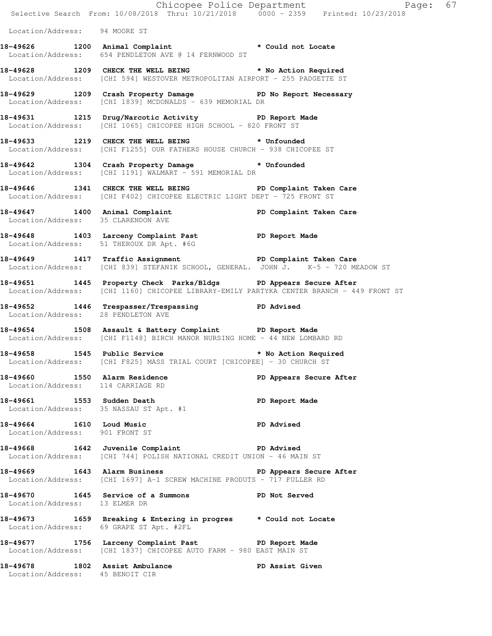|                                                                    | Chicopee Police Department<br>Selective Search From: 10/08/2018 Thru: 10/21/2018 0000 - 2359 Printed: 10/23/2018                                             | Page: 67                |  |
|--------------------------------------------------------------------|--------------------------------------------------------------------------------------------------------------------------------------------------------------|-------------------------|--|
| Location/Address: 94 MOORE ST                                      |                                                                                                                                                              |                         |  |
|                                                                    | 18-49626 1200 Animal Complaint * Could not Locate<br>Location/Address: 654 PENDLETON AVE @ 14 FERNWOOD ST                                                    |                         |  |
|                                                                    | 18-49628 1209 CHECK THE WELL BEING * No Action Required<br>Location/Address: [CHI 594] WESTOVER METROPOLITAN AIRPORT - 255 PADGETTE ST                       |                         |  |
|                                                                    | 18-49629 1209 Crash Property Damage No Report Necessary<br>Location/Address: [CHI 1839] MCDONALDS - 639 MEMORIAL DR                                          |                         |  |
|                                                                    | 18-49631 1215 Drug/Narcotic Activity PD Report Made<br>Location/Address: [CHI 1065] CHICOPEE HIGH SCHOOL - 820 FRONT ST                                      |                         |  |
|                                                                    | 18-49633 1219 CHECK THE WELL BEING * Unfounded<br>Location/Address: [CHI F1255] OUR FATHERS HOUSE CHURCH - 938 CHICOPEE ST                                   |                         |  |
|                                                                    | 18-49642 1304 Crash Property Damage * Unfounded<br>Location/Address: [CHI 1191] WALMART - 591 MEMORIAL DR                                                    |                         |  |
|                                                                    | 18-49646 1341 CHECK THE WELL BEING PD Complaint Taken Care<br>Location/Address: [CHI F402] CHICOPEE ELECTRIC LIGHT DEPT - 725 FRONT ST                       |                         |  |
| Location/Address: 35 CLARENDON AVE                                 | 18-49647 1400 Animal Complaint PD Complaint Taken Care                                                                                                       |                         |  |
|                                                                    | 18-49648 1403 Larceny Complaint Past PD Report Made<br>Location/Address: 51 THEROUX DR Apt. #6G                                                              |                         |  |
|                                                                    | 18-49649 1417 Traffic Assignment New PD Complaint Taken Care<br>Location/Address: [CHI 839] STEFANIK SCHOOL, GENERAL. JOHN J. K-5 - 720 MEADOW ST            |                         |  |
|                                                                    | 18-49651 1445 Property Check Parks/Bldgs PD Appears Secure After<br>Location/Address: [CHI 1160] CHICOPEE LIBRARY-EMILY PARTYKA CENTER BRANCH - 449 FRONT ST |                         |  |
| Location/Address: 28 PENDLETON AVE                                 | 18-49652 1446 Trespasser/Trespassing PD Advised                                                                                                              |                         |  |
|                                                                    | 18-49654 1508 Assault & Battery Complaint PD Report Made<br>  Location/Address: [CHI F1148] BIRCH MANOR NURSING HOME - 44 NEW LOMBARD RD                     |                         |  |
|                                                                    | 18-49658 1545 Public Service<br>Location/Address: [CHI F825] MASS TRIAL COURT [CHICOPEE] - 30 CHURCH ST                                                      | * No Action Required    |  |
| 18-49660 1550 Alarm Residence<br>Location/Address: 114 CARRIAGE RD |                                                                                                                                                              | PD Appears Secure After |  |
| Location/Address: 35 NASSAU ST Apt. #1                             | 18-49661 1553 Sudden Death                                                                                                                                   | PD Report Made          |  |
| 18-49664 1610 Loud Music<br>Location/Address: 901 FRONT ST         |                                                                                                                                                              | <b>PD Advised</b>       |  |
|                                                                    | 18-49668 1642 Juvenile Complaint 18-49668 PD Advised<br>Location/Address: [CHI 744] POLISH NATIONAL CREDIT UNION - 46 MAIN ST                                |                         |  |
|                                                                    | 18-49669 1643 Alarm Business 18-49669 PD Appears Secure After<br>Location/Address: [CHI 1697] A-1 SCREW MACHINE PRODUTS - 717 FULLER RD                      |                         |  |
| Location/Address: 13 ELMER DR                                      | 18-49670 1645 Service of a Summons PD Not Served                                                                                                             |                         |  |
|                                                                    | 18-49673 1659 Breaking & Entering in progres * Could not Locate<br>Location/Address: 69 GRAPE ST Apt. #2FL                                                   |                         |  |
|                                                                    | 18-49677 1756 Larceny Complaint Past PD Report Made<br>Location/Address: [CHI 1837] CHICOPEE AUTO FARM - 980 EAST MAIN ST                                    |                         |  |
| Location/Address: 45 BENOIT CIR                                    | 18-49678 1802 Assist Ambulance                                                                                                                               | PD Assist Given         |  |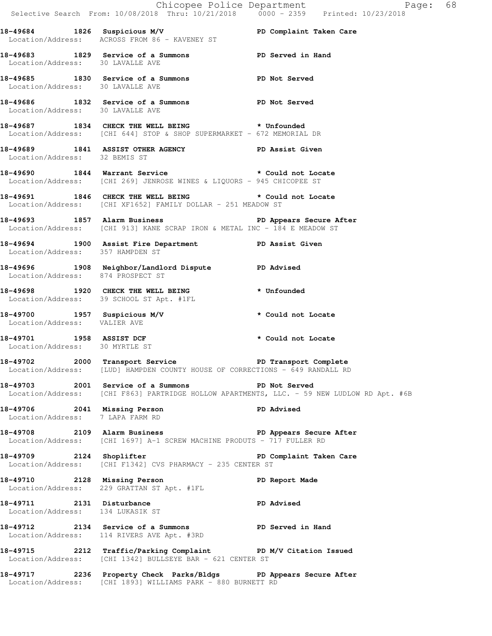|                                                                  |                                                                                                                                                      | Chicopee Police Department<br>Selective Search From: 10/08/2018 Thru: 10/21/2018 0000 - 2359 Printed: 10/23/2018<br>Page: 68 |  |
|------------------------------------------------------------------|------------------------------------------------------------------------------------------------------------------------------------------------------|------------------------------------------------------------------------------------------------------------------------------|--|
|                                                                  | 18-49684 1826 Suspicious M/V PD Complaint Taken Care<br>Location/Address: ACROSS FROM 86 - KAVENEY ST                                                |                                                                                                                              |  |
| Location/Address: 30 LAVALLE AVE                                 | 18-49683 1829 Service of a Summons PD Served in Hand                                                                                                 |                                                                                                                              |  |
| Location/Address: 30 LAVALLE AVE                                 | 18-49685 1830 Service of a Summons PD Not Served                                                                                                     |                                                                                                                              |  |
|                                                                  | 18-49686 1832 Service of a Summons PD Not Served<br>Location/Address: 30 LAVALLE AVE                                                                 |                                                                                                                              |  |
|                                                                  | 18-49687 1834 CHECK THE WELL BEING * Unfounded<br>Location/Address: [CHI 644] STOP & SHOP SUPERMARKET - 672 MEMORIAL DR                              |                                                                                                                              |  |
| Location/Address: 32 BEMIS ST                                    | 18-49689 1841 ASSIST OTHER AGENCY PD Assist Given                                                                                                    |                                                                                                                              |  |
|                                                                  | 18-49690 1844 Warrant Service * Could not Locate<br>Location/Address: [CHI 269] JENROSE WINES & LIQUORS - 945 CHICOPEE ST                            |                                                                                                                              |  |
|                                                                  | 18-49691 1846 CHECK THE WELL BEING * Could not Locate<br>Location/Address: [CHI XF1652] FAMILY DOLLAR - 251 MEADOW ST                                |                                                                                                                              |  |
|                                                                  | 18-49693 1857 Alarm Business 1857 and the Secure After<br>Location/Address: [CHI 913] KANE SCRAP IRON & METAL INC - 184 E MEADOW ST                  |                                                                                                                              |  |
| Location/Address: 357 HAMPDEN ST                                 | 18-49694 1900 Assist Fire Department PD Assist Given                                                                                                 |                                                                                                                              |  |
| Location/Address: 874 PROSPECT ST                                | 18-49696 1908 Neighbor/Landlord Dispute PD Advised                                                                                                   |                                                                                                                              |  |
|                                                                  | 18-49698 1920 CHECK THE WELL BEING * Unfounded<br>Location/Address: 39 SCHOOL ST Apt. #1FL                                                           |                                                                                                                              |  |
| Location/Address: VALIER AVE                                     | 18-49700 1957 Suspicious M/V * Could not Locate                                                                                                      |                                                                                                                              |  |
|                                                                  | 18-49701 1958 ASSIST DCF<br>Location/Address: 30 MYRTLE ST                                                                                           | * Could not Locate                                                                                                           |  |
|                                                                  | 18-49702 2000 Transport Service <b>18-1980 PD</b> Transport Complete<br>Location/Address: [LUD] HAMPDEN COUNTY HOUSE OF CORRECTIONS - 649 RANDALL RD |                                                                                                                              |  |
|                                                                  | 18-49703 2001 Service of a Summons PD Not Served                                                                                                     | Location/Address: [CHI F863] PARTRIDGE HOLLOW APARTMENTS, LLC. - 59 NEW LUDLOW RD Apt. #6B                                   |  |
| 18-49706 2041 Missing Person<br>Location/Address: 7 LAPA FARM RD |                                                                                                                                                      | PD Advised                                                                                                                   |  |
|                                                                  | 18-49708 2109 Alarm Business 2009 PD Appears Secure After<br>Location/Address: [CHI 1697] A-1 SCREW MACHINE PRODUTS - 717 FULLER RD                  |                                                                                                                              |  |
|                                                                  | 18-49709 2124 Shoplifter<br>Location/Address: [CHI F1342] CVS PHARMACY - 235 CENTER ST                                                               | PD Complaint Taken Care                                                                                                      |  |
|                                                                  | 18-49710 2128 Missing Person<br>Location/Address: 229 GRATTAN ST Apt. #1FL                                                                           | PD Report Made                                                                                                               |  |
| 18-49711 2131 Disturbance<br>Location/Address: 134 LUKASIK ST    |                                                                                                                                                      | <b>PD Advised</b>                                                                                                            |  |
|                                                                  | 18-49712 2134 Service of a Summons PD Served in Hand<br>Location/Address: 114 RIVERS AVE Apt. #3RD                                                   |                                                                                                                              |  |
|                                                                  | 18-49715 2212 Traffic/Parking Complaint PD M/V Citation Issued<br>Location/Address: [CHI 1342] BULLSEYE BAR - 621 CENTER ST                          |                                                                                                                              |  |
|                                                                  | 18-49717 2236 Property Check Parks/Bldgs PD Appears Secure After<br>Location/Address: [CHI 1893] WILLIAMS PARK - 880 BURNETT RD                      |                                                                                                                              |  |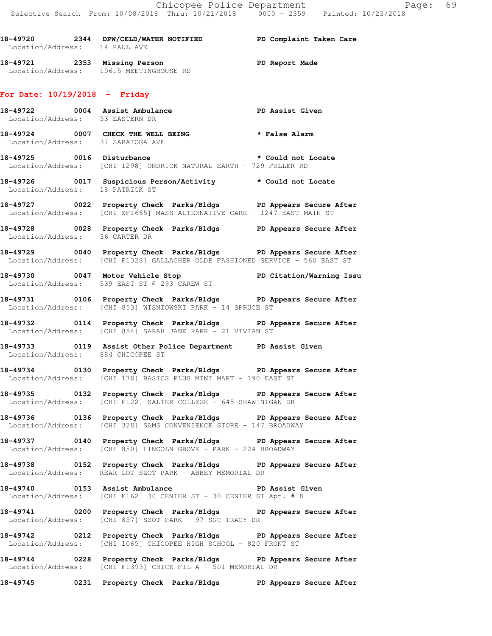**18-49720 2344 DPW/CELD/WATER NOTIFIED PD Complaint Taken Care**  Location/Address: 14 PAUL AVE **18-49721 2353 Missing Person PD Report Made**  Location/Address: 106.5 MEETINGHOUSE RD **For Date: 10/19/2018 - Friday** 18-49722 0004 Assist Ambulance **PD Assist Given**  Location/Address: 53 EASTERN DR **18-49724 0007 CHECK THE WELL BEING \* False Alarm**  Location/Address: 37 SARATOGA AVE 18-49725 0016 Disturbance **\*** Could not Locate Location/Address: [CHI 1298] ONDRICK NATURAL EARTH - 729 FULLER RD **18-49726 0017 Suspicious Person/Activity \* Could not Locate**  Location/Address: 18 PATRICK ST **18-49727 0022 Property Check Parks/Bldgs PD Appears Secure After**  Location/Address: [CHI XF1665] MASS ALTERNATIVE CARE - 1247 EAST MAIN ST **18-49728 0028 Property Check Parks/Bldgs PD Appears Secure After**  Location/Address: 36 CARTER DR **18-49729 0040 Property Check Parks/Bldgs PD Appears Secure After**  Location/Address: [CHI F1328] GALLAGHER OLDE FASHIONED SERVICE - 560 EAST ST **18-49730 0047 Motor Vehicle Stop PD Citation/Warning Issu**  Location/Address: 539 EAST ST @ 293 CAREW ST **18-49731 0106 Property Check Parks/Bldgs PD Appears Secure After**  Location/Address: [CHI 853] WISNIOWSKI PARK - 14 SPRUCE ST **18-49732 0114 Property Check Parks/Bldgs PD Appears Secure After**  Location/Address: [CHI 854] SARAH JANE PARK - 21 VIVIAN ST **18-49733 0119 Assist Other Police Department PD Assist Given**  Location/Address: 884 CHICOPEE ST **18-49734 0130 Property Check Parks/Bldgs PD Appears Secure After**  Location/Address: [CHI 178] BASICS PLUS MINI MART - 190 EAST ST **18-49735 0132 Property Check Parks/Bldgs PD Appears Secure After**  Location/Address: [CHI F122] SALTER COLLEGE - 645 SHAWINIGAN DR **18-49736 0136 Property Check Parks/Bldgs PD Appears Secure After**  Location/Address: [CHI 328] SAMS CONVENIENCE STORE - 147 BROADWAY **18-49737 0140 Property Check Parks/Bldgs PD Appears Secure After**  Location/Address: [CHI 850] LINCOLN GROVE - PARK - 224 BROADWAY **18-49738 0152 Property Check Parks/Bldgs PD Appears Secure After**  Location/Address: REAR LOT SZOT PARK - ABBEY MEMORIAL DR **18-49740 0153 Assist Ambulance PD Assist Given**  Location/Address: [CHI F162] 30 CENTER ST - 30 CENTER ST Apt. #18 **18-49741 0200 Property Check Parks/Bldgs PD Appears Secure After**  Location/Address: [CHI 857] SZOT PARK - 97 SGT TRACY DR **18-49742 0212 Property Check Parks/Bldgs PD Appears Secure After**  Location/Address: [CHI 1065] CHICOPEE HIGH SCHOOL - 820 FRONT ST **18-49744 0228 Property Check Parks/Bldgs PD Appears Secure After** 

Location/Address: [CHI F1393] CHICK FIL A - 501 MEMORIAL DR

**18-49745 0231 Property Check Parks/Bldgs PD Appears Secure After**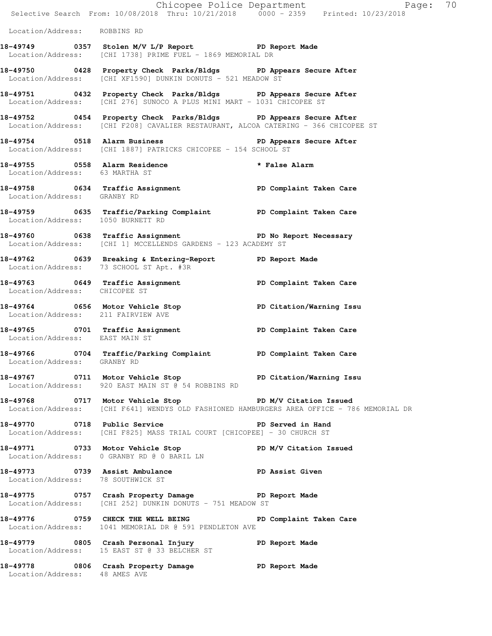|                                    | Chicopee Police Department<br>Selective Search From: 10/08/2018 Thru: 10/21/2018 0000 - 2359 Printed: 10/23/2018                                       | Page: 70                                                                                                                                              |  |
|------------------------------------|--------------------------------------------------------------------------------------------------------------------------------------------------------|-------------------------------------------------------------------------------------------------------------------------------------------------------|--|
| Location/Address: ROBBINS RD       |                                                                                                                                                        |                                                                                                                                                       |  |
|                                    | 18-49749 0357 Stolen M/V L/P Report 18-49749<br>Location/Address: [CHI 1738] PRIME FUEL - 1869 MEMORIAL DR                                             |                                                                                                                                                       |  |
|                                    | 18-49750 0428 Property Check Parks/Bldgs PD Appears Secure After<br>Location/Address: [CHI XF1590] DUNKIN DONUTS - 521 MEADOW ST                       |                                                                                                                                                       |  |
|                                    | 18-49751 0432 Property Check Parks/Bldgs PD Appears Secure After<br>Location/Address: [CHI 276] SUNOCO A PLUS MINI MART - 1031 CHICOPEE ST             |                                                                                                                                                       |  |
|                                    | 18-49752 0454 Property Check Parks/Bldgs PD Appears Secure After<br>Location/Address: [CHI F208] CAVALIER RESTAURANT, ALCOA CATERING - 366 CHICOPEE ST |                                                                                                                                                       |  |
|                                    | 18-49754 0518 Alarm Business 200 PD Appears Secure After<br>Location/Address: [CHI 1887] PATRICKS CHICOPEE - 154 SCHOOL ST                             |                                                                                                                                                       |  |
| Location/Address: 63 MARTHA ST     | 18-49755 0558 Alarm Residence * * False Alarm                                                                                                          |                                                                                                                                                       |  |
| Location/Address: GRANBY RD        | 18-49758 0634 Traffic Assignment 18-49758 PD Complaint Taken Care                                                                                      |                                                                                                                                                       |  |
| Location/Address: 1050 BURNETT RD  | 18-49759 0635 Traffic/Parking Complaint PD Complaint Taken Care                                                                                        |                                                                                                                                                       |  |
|                                    | 18-49760 0638 Traffic Assignment The PD No Report Necessary<br>Location/Address: [CHI 1] MCCELLENDS GARDENS - 123 ACADEMY ST                           |                                                                                                                                                       |  |
|                                    | 18-49762 0639 Breaking & Entering-Report TPD Report Made<br>Location/Address: 73 SCHOOL ST Apt. #3R                                                    |                                                                                                                                                       |  |
| Location/Address: CHICOPEE ST      | 18-49763 0649 Traffic Assignment New PD Complaint Taken Care                                                                                           |                                                                                                                                                       |  |
| Location/Address: 211 FAIRVIEW AVE | 18-49764 0656 Motor Vehicle Stop Noter PD Citation/Warning Issu                                                                                        |                                                                                                                                                       |  |
| Location/Address: EAST MAIN ST     | 18-49765 0701 Traffic Assignment National PD Complaint Taken Care                                                                                      |                                                                                                                                                       |  |
| Location/Address: GRANBY RD        | 18-49766 0704 Traffic/Parking Complaint PD Complaint Taken Care                                                                                        |                                                                                                                                                       |  |
|                                    | 18-49767 18-49767 0711 Motor Vehicle Stop 18 PD Citation/Warning Issu<br>Location/Address: 920 EAST MAIN ST @ 54 ROBBINS RD                            |                                                                                                                                                       |  |
|                                    |                                                                                                                                                        | 18-49768 0717 Motor Vehicle Stop PD M/V Citation Issued<br>Location/Address: [CHI F641] WENDYS OLD FASHIONED HAMBURGERS AREA OFFICE - 786 MEMORIAL DR |  |
|                                    | 18-49770 0718 Public Service National PD Served in Hand<br>Location/Address: [CHI F825] MASS TRIAL COURT [CHICOPEE] - 30 CHURCH ST                     |                                                                                                                                                       |  |
|                                    | 18-49771 0733 Motor Vehicle Stop PD M/V Citation Issued<br>Location/Address: 0 GRANBY RD @ 0 BARIL LN                                                  |                                                                                                                                                       |  |
| Location/Address: 78 SOUTHWICK ST  | 18-49773 0739 Assist Ambulance New PD Assist Given                                                                                                     |                                                                                                                                                       |  |
|                                    | 18-49775 0757 Crash Property Damage 5 PD Report Made<br>Location/Address: [CHI 252] DUNKIN DONUTS - 751 MEADOW ST                                      |                                                                                                                                                       |  |
|                                    | 18-49776 0759 CHECK THE WELL BEING PD Complaint Taken Care<br>Location/Address: 1041 MEMORIAL DR @ 591 PENDLETON AVE                                   |                                                                                                                                                       |  |
|                                    | 18-49779 0805 Crash Personal Injury 18-49779 PD Report Made<br>Location/Address: 15 EAST ST @ 33 BELCHER ST                                            |                                                                                                                                                       |  |
| Location/Address: 48 AMES AVE      | 18-49778 0806 Crash Property Damage PD Report Made                                                                                                     |                                                                                                                                                       |  |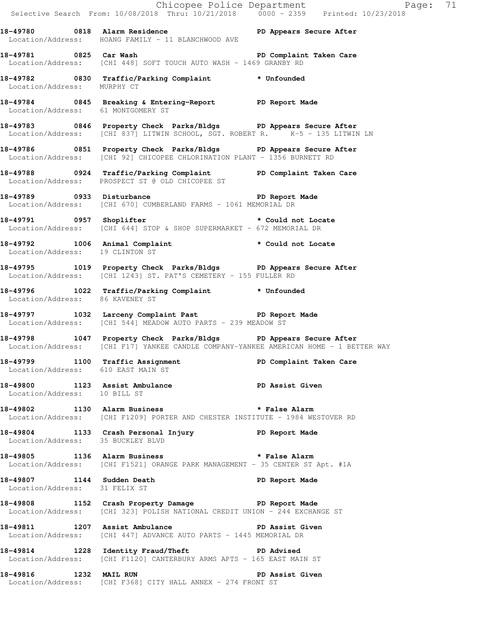|                                    |                                                                                                                                                           | Chicopee Police Department Page: 71<br>Selective Search From: 10/08/2018 Thru: 10/21/2018 0000 - 2359 Printed: 10/23/2018 |
|------------------------------------|-----------------------------------------------------------------------------------------------------------------------------------------------------------|---------------------------------------------------------------------------------------------------------------------------|
|                                    | 18-49780 0818 Alarm Residence New PD Appears Secure After<br>Location/Address: HOANG FAMILY - 11 BLANCHWOOD AVE                                           |                                                                                                                           |
| 18-49781 0825 Car Wash             | Location/Address: [CHI 448] SOFT TOUCH AUTO WASH - 1469 GRANBY RD                                                                                         | PD Complaint Taken Care                                                                                                   |
| Location/Address: MURPHY CT        | 18-49782 0830 Traffic/Parking Complaint * Unfounded                                                                                                       |                                                                                                                           |
|                                    | 18-49784 0845 Breaking & Entering-Report PD Report Made<br>Location/Address: 61 MONTGOMERY ST                                                             |                                                                                                                           |
|                                    | 18-49783 0846 Property Check Parks/Bldgs PD Appears Secure After<br>Location/Address: [CHI 837] LITWIN SCHOOL, SGT. ROBERT R. K-5 - 135 LITWIN LN         |                                                                                                                           |
|                                    | 18-49786 1851 Property Check Parks/Bldgs 1PD Appears Secure After<br>Location/Address: [CHI 92] CHICOPEE CHLORINATION PLANT - 1356 BURNETT RD             |                                                                                                                           |
|                                    | 18-49788 0924 Traffic/Parking Complaint PD Complaint Taken Care<br>Location/Address: PROSPECT ST @ OLD CHICOPEE ST                                        |                                                                                                                           |
|                                    | 18-49789 0933 Disturbance <b>18-1980 PD</b> Report Made<br>Location/Address: [CHI 670] CUMBERLAND FARMS - 1061 MEMORIAL DR                                |                                                                                                                           |
|                                    | 18-49791 0957 Shoplifter <b>18-49791</b> tocate<br>Location/Address: [CHI 644] STOP & SHOP SUPERMARKET - 672 MEMORIAL DR                                  |                                                                                                                           |
| Location/Address: 19 CLINTON ST    | 18-49792 1006 Animal Complaint * Could not Locate                                                                                                         |                                                                                                                           |
|                                    | 18-49795 1019 Property Check Parks/Bldgs PD Appears Secure After<br>Location/Address: [CHI 1243] ST. PAT'S CEMETERY - 155 FULLER RD                       |                                                                                                                           |
| Location/Address: 86 KAVENEY ST    | 18-49796 1022 Traffic/Parking Complaint * Unfounded                                                                                                       |                                                                                                                           |
|                                    | 18-49797 1032 Larceny Complaint Past PD Report Made<br>Location/Address: [CHI 544] MEADOW AUTO PARTS - 239 MEADOW ST                                      |                                                                                                                           |
|                                    | 18-49798 1047 Property Check Parks/Bldgs PD Appears Secure After<br>Location/Address: [CHI F17] YANKEE CANDLE COMPANY-YANKEE AMERICAN HOME - 1 BETTER WAY |                                                                                                                           |
| Location/Address: 610 EAST MAIN ST | 18-49799 1100 Traffic Assignment                                                                                                                          | PD Complaint Taken Care                                                                                                   |
| Location/Address: 10 BILL ST       | 18-49800 1123 Assist Ambulance New PD Assist Given                                                                                                        |                                                                                                                           |
|                                    | 18-49802 1130 Alarm Business <b>18-49802</b> * False Alarm<br>Location/Address: [CHI F1209] PORTER AND CHESTER INSTITUTE - 1984 WESTOVER RD               |                                                                                                                           |
| Location/Address: 35 BUCKLEY BLVD  | 18-49804 1133 Crash Personal Injury 18-49804 PD Report Made                                                                                               |                                                                                                                           |
|                                    | 18-49805 1136 Alarm Business <b>18-49805</b> the state Alarm<br>Location/Address: [CHI F1521] ORANGE PARK MANAGEMENT - 35 CENTER ST Apt. #1A              |                                                                                                                           |
| Location/Address: 31 FELIX ST      | 18-49807 1144 Sudden Death                                                                                                                                | PD Report Made                                                                                                            |
|                                    | 18-49808 1152 Crash Property Damage PD Report Made<br>Location/Address: [CHI 323] POLISH NATIONAL CREDIT UNION - 244 EXCHANGE ST                          |                                                                                                                           |
|                                    | 18-49811 1207 Assist Ambulance No PD Assist Given<br>Location/Address: [CHI 447] ADVANCE AUTO PARTS - 1445 MEMORIAL DR                                    |                                                                                                                           |
|                                    | 18-49814 1228 Identity Fraud/Theft The PD Advised<br>Location/Address: [CHI F1120] CANTERBURY ARMS APTS - 165 EAST MAIN ST                                |                                                                                                                           |
| 18-49816 1232 MAIL RUN             | Location/Address: [CHI F368] CITY HALL ANNEX - 274 FRONT ST                                                                                               | PD Assist Given                                                                                                           |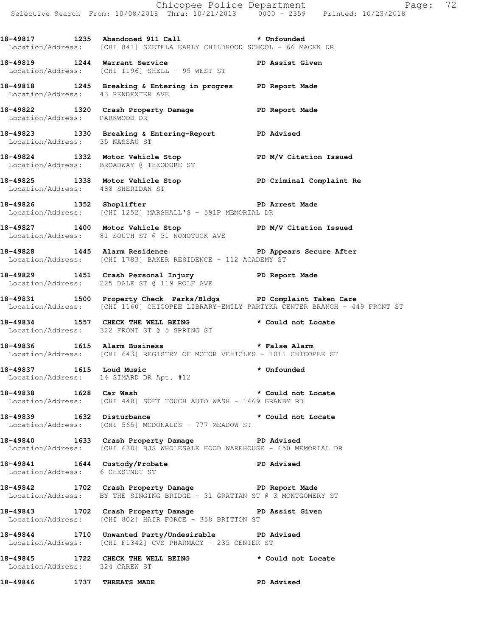Chicopee Police Department Page: 72 Selective Search From: 10/08/2018 Thru: 10/21/2018 0000 - 2359 Printed: 10/23/2018 **18-49817 1235 Abandoned 911 Call \* Unfounded**  Location/Address: [CHI 841] SZETELA EARLY CHILDHOOD SCHOOL - 66 MACEK DR **18-49819 1244 Warrant Service PD Assist Given**  Location/Address: [CHI 1196] SHELL - 95 WEST ST **18-49818 1245 Breaking & Entering in progres PD Report Made**  Location/Address: 43 PENDEXTER AVE **18-49822 1320 Crash Property Damage PD Report Made**  Location/Address: PARKWOOD DR **18-49823 1330 Breaking & Entering-Report PD Advised**  Location/Address: 35 NASSAU ST **18-49824 1332 Motor Vehicle Stop PD M/V Citation Issued**  Location/Address: BROADWAY @ THEODORE ST 18-49825 1338 Motor Vehicle Stop **PD Criminal Complaint Re**  Location/Address: 488 SHERIDAN ST **18-49826 1352 Shoplifter PD Arrest Made**  Location/Address: [CHI 1252] MARSHALL'S - 591P MEMORIAL DR **18-49827 1400 Motor Vehicle Stop PD M/V Citation Issued**  Location/Address: 81 SOUTH ST @ 51 NONOTUCK AVE **18-49828 1445 Alarm Residence PD Appears Secure After**  Location/Address: [CHI 1783] BAKER RESIDENCE - 112 ACADEMY ST **18-49829 1451 Crash Personal Injury PD Report Made**  Location/Address: 225 DALE ST @ 119 ROLF AVE **18-49831 1500 Property Check Parks/Bldgs PD Complaint Taken Care**  Location/Address: [CHI 1160] CHICOPEE LIBRARY-EMILY PARTYKA CENTER BRANCH - 449 FRONT ST **18-49834 1557 CHECK THE WELL BEING \* Could not Locate**  Location/Address: 322 FRONT ST @ 5 SPRING ST **18-49836 1615 Alarm Business \* False Alarm**  Location/Address: [CHI 643] REGISTRY OF MOTOR VEHICLES - 1011 CHICOPEE ST **18-49837 1615 Loud Music \* Unfounded**  Location/Address: 14 SIMARD DR Apt. #12 **18-49838 1628 Car Wash \* Could not Locate**  Location/Address: [CHI 448] SOFT TOUCH AUTO WASH - 1469 GRANBY RD **18-49839 1632 Disturbance \* Could not Locate**  Location/Address: [CHI 565] MCDONALDS - 777 MEADOW ST **18-49840 1633 Crash Property Damage PD Advised**  Location/Address: [CHI 638] BJS WHOLESALE FOOD WAREHOUSE - 650 MEMORIAL DR **18-49841 1644 Custody/Probate PD Advised**  Location/Address: 6 CHESTNUT ST **18-49842 1702 Crash Property Damage PD Report Made**  Location/Address: BY THE SINGING BRIDGE - 31 GRATTAN ST @ 3 MONTGOMERY ST 18-49843 1702 Crash Property Damage **PD Assist Given** Location/Address: [CHI 802] HAIR FORCE - 358 BRITTON ST **18-49844 1710 Unwanted Party/Undesirable PD Advised**  Location/Address: [CHI F1342] CVS PHARMACY - 235 CENTER ST **18-49845 1722 CHECK THE WELL BEING \* Could not Locate**  Location/Address: 324 CAREW ST **18-49846 1737 THREATS MADE PD Advised**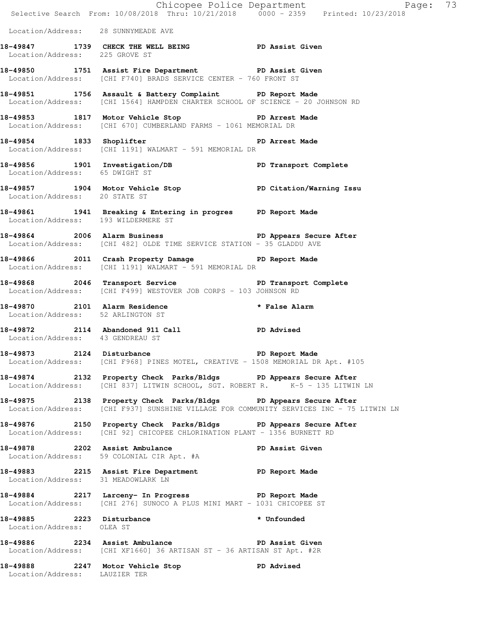|                                     |                                                                                                                                                             | Chicopee Police Department<br>Selective Search From: 10/08/2018 Thru: 10/21/2018 0000 - 2359 Printed: 10/23/2018 |  |
|-------------------------------------|-------------------------------------------------------------------------------------------------------------------------------------------------------------|------------------------------------------------------------------------------------------------------------------|--|
| Location/Address: 28 SUNNYMEADE AVE |                                                                                                                                                             |                                                                                                                  |  |
| Location/Address: 225 GROVE ST      | 18-49847 1739 CHECK THE WELL BEING PD Assist Given                                                                                                          |                                                                                                                  |  |
|                                     | 18-49850 1751 Assist Fire Department PD Assist Given<br>Location/Address: [CHI F740] BRADS SERVICE CENTER - 760 FRONT ST                                    |                                                                                                                  |  |
|                                     | 18-49851 1756 Assault & Battery Complaint PD Report Made<br>Location/Address: [CHI 1564] HAMPDEN CHARTER SCHOOL OF SCIENCE - 20 JOHNSON RD                  |                                                                                                                  |  |
|                                     | 18-49853 1817 Motor Vehicle Stop 50 PD Arrest Made<br>Location/Address: [CHI 670] CUMBERLAND FARMS - 1061 MEMORIAL DR                                       |                                                                                                                  |  |
|                                     | 18-49854 1833 Shoplifter 1893 PD Arrest Made<br>Location/Address: [CHI 1191] WALMART - 591 MEMORIAL DR                                                      |                                                                                                                  |  |
|                                     | 18-49856 1901 Investigation/DB PD Transport Complete<br>Location/Address: 65 DWIGHT ST                                                                      |                                                                                                                  |  |
| Location/Address: 20 STATE ST       | 18-49857 1904 Motor Vehicle Stop North PD Citation/Warning Issu                                                                                             |                                                                                                                  |  |
| Location/Address: 193 WILDERMERE ST | 18-49861 1941 Breaking & Entering in progres PD Report Made                                                                                                 |                                                                                                                  |  |
|                                     | 18-49864 2006 Alarm Business 2006 2006 2011 18-49864<br>Location/Address: [CHI 482] OLDE TIME SERVICE STATION - 35 GLADDU AVE                               |                                                                                                                  |  |
|                                     | 18-49866 2011 Crash Property Damage PD Report Made<br>Location/Address: [CHI 1191] WALMART - 591 MEMORIAL DR                                                |                                                                                                                  |  |
|                                     | 18-49868 2046 Transport Service New PD Transport Complete<br>Location/Address: [CHI F499] WESTOVER JOB CORPS - 103 JOHNSON RD                               |                                                                                                                  |  |
| Location/Address: 52 ARLINGTON ST   | 18-49870 2101 Alarm Residence                                                                                                                               | * False Alarm                                                                                                    |  |
| Location/Address: 43 GENDREAU ST    | 18-49872 2114 Abandoned 911 Call 200 PD Advised                                                                                                             |                                                                                                                  |  |
|                                     | 18-49873 2124 Disturbance<br>Location/Address: [CHI F968] PINES MOTEL, CREATIVE - 1508 MEMORIAL DR Apt. #105                                                | PD Report Made                                                                                                   |  |
|                                     | 18-49874 2132 Property Check Parks/Bldgs PD Appears Secure After<br>Location/Address: [CHI 837] LITWIN SCHOOL, SGT. ROBERT R. K-5 - 135 LITWIN LN           |                                                                                                                  |  |
|                                     | 18-49875 2138 Property Check Parks/Bldgs PD Appears Secure After<br>Location/Address: [CHI F937] SUNSHINE VILLAGE FOR COMMUNITY SERVICES INC - 75 LITWIN LN |                                                                                                                  |  |
|                                     | 18-49876 2150 Property Check Parks/Bldgs PD Appears Secure After<br>Location/Address: [CHI 92] CHICOPEE CHLORINATION PLANT - 1356 BURNETT RD                |                                                                                                                  |  |
|                                     | 18-49878 2202 Assist Ambulance<br>Location/Address: 59 COLONIAL CIR Apt. #A                                                                                 | PD Assist Given                                                                                                  |  |
| Location/Address: 31 MEADOWLARK LN  | 18-49883 2215 Assist Fire Department PD Report Made                                                                                                         |                                                                                                                  |  |
|                                     | 18-49884 2217 Larceny- In Progress 20 PD Report Made<br>Location/Address: [CHI 276] SUNOCO A PLUS MINI MART - 1031 CHICOPEE ST                              |                                                                                                                  |  |
| Location/Address: OLEA ST           | 18-49885 2223 Disturbance                                                                                                                                   | * Unfounded                                                                                                      |  |
|                                     | 18-49886 2234 Assist Ambulance No PD Assist Given<br>Location/Address: [CHI XF1660] 36 ARTISAN ST - 36 ARTISAN ST Apt. #2R                                  |                                                                                                                  |  |
| Location/Address: LAUZIER TER       | 18-49888 2247 Motor Vehicle Stop                                                                                                                            | PD Advised                                                                                                       |  |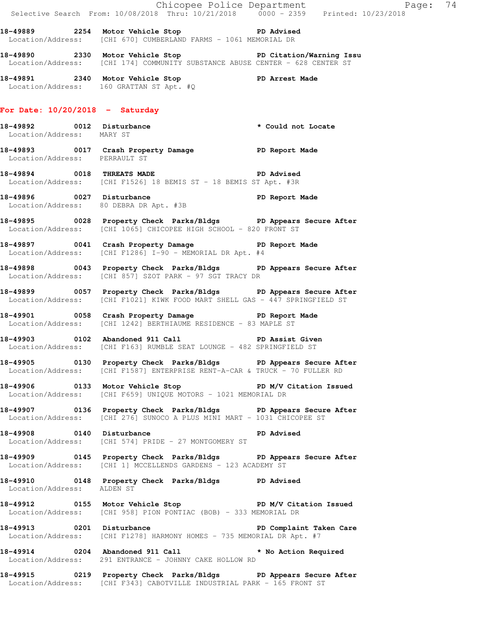|                                   |                                                                                                                                                 | Exage: 74<br>Selective Search From: 10/08/2018 Thru: 10/21/2018 0000 - 2359 Printed: 10/23/2018 |
|-----------------------------------|-------------------------------------------------------------------------------------------------------------------------------------------------|-------------------------------------------------------------------------------------------------|
|                                   | 18-49889 2254 Motor Vehicle Stop 30 PD Advised<br>Location/Address: [CHI 670] CUMBERLAND FARMS - 1061 MEMORIAL DR                               |                                                                                                 |
|                                   | 18-49890 2330 Motor Vehicle Stop North PD Citation/Warning Issu<br>Location/Address: [CHI 174] COMMUNITY SUBSTANCE ABUSE CENTER - 628 CENTER ST |                                                                                                 |
|                                   | 18-49891 2340 Motor Vehicle Stop PD Arrest Made<br>Location/Address: 160 GRATTAN ST Apt. #Q                                                     |                                                                                                 |
| For Date: $10/20/2018$ - Saturday |                                                                                                                                                 |                                                                                                 |
| Location/Address: MARY ST         | 18-49892 0012 Disturbance the set of the set of the set of the set of the set of the set of the set of the set o                                |                                                                                                 |
| Location/Address: PERRAULT ST     | 18-49893 0017 Crash Property Damage PD Report Made                                                                                              |                                                                                                 |
|                                   | 18-49894 0018 THREATS MADE 20 PD Advised<br>Location/Address: [CHI F1526] 18 BEMIS ST - 18 BEMIS ST Apt. #3R                                    |                                                                                                 |
|                                   | 18-49896 0027 Disturbance 18-49896 PD Report Made<br>Location/Address: 80 DEBRA DR Apt. #3B                                                     |                                                                                                 |
|                                   | 18-49895 0028 Property Check Parks/Bldgs PD Appears Secure After<br>Location/Address: [CHI 1065] CHICOPEE HIGH SCHOOL - 820 FRONT ST            |                                                                                                 |
|                                   | 18-49897 0041 Crash Property Damage PD Report Made<br>Location/Address: [CHI F1286] I-90 - MEMORIAL DR Apt. #4                                  |                                                                                                 |
|                                   | 18-49898 0043 Property Check Parks/Bldgs PD Appears Secure After<br>Location/Address: [CHI 857] SZOT PARK - 97 SGT TRACY DR                     |                                                                                                 |
|                                   | 18-49899 0057 Property Check Parks/Bldgs PD Appears Secure After<br>Location/Address: [CHI F1021] KIWK FOOD MART SHELL GAS - 447 SPRINGFIELD ST |                                                                                                 |
|                                   | 18-49901 0058 Crash Property Damage 50 PD Report Made<br>Location/Address: [CHI 1242] BERTHIAUME RESIDENCE - 83 MAPLE ST                        |                                                                                                 |
|                                   | 18-49903 0102 Abandoned 911 Call 50 PD Assist Given<br>Location/Address: [CHI F163] RUMBLE SEAT LOUNGE - 482 SPRINGFIELD ST                     |                                                                                                 |
|                                   | 18-49905 0130 Property Check Parks/Bldgs PD Appears Secure After<br>Location/Address: [CHI F1587] ENTERPRISE RENT-A-CAR & TRUCK - 70 FULLER RD  |                                                                                                 |
|                                   | 18-49906 0133 Motor Vehicle Stop N/V Citation Issued<br>Location/Address: [CHI F659] UNIQUE MOTORS - 1021 MEMORIAL DR                           |                                                                                                 |
|                                   | 18-49907 0136 Property Check Parks/Bldgs PD Appears Secure After<br>Location/Address: [CHI 276] SUNOCO A PLUS MINI MART - 1031 CHICOPEE ST      |                                                                                                 |
| 18-49908 0140 Disturbance         | PD Advised<br>Location/Address: [CHI 574] PRIDE - 27 MONTGOMERY ST                                                                              |                                                                                                 |
|                                   | 18-49909 0145 Property Check Parks/Bldgs PD Appears Secure After<br>Location/Address: [CHI 1] MCCELLENDS GARDENS - 123 ACADEMY ST               |                                                                                                 |
| Location/Address: ALDEN ST        | 18-49910 0148 Property Check Parks/Bldgs PD Advised                                                                                             |                                                                                                 |
|                                   | 18-49912 0155 Motor Vehicle Stop N/V Citation Issued<br>  Location/Address: [CHI 958] PION PONTIAC (BOB) - 333 MEMORIAL DR                      |                                                                                                 |
|                                   | 18-49913 0201 Disturbance New PD Complaint Taken Care<br>Location/Address: [CHI F1278] HARMONY HOMES - 735 MEMORIAL DR Apt. #7                  |                                                                                                 |
|                                   | 18-49914 0204 Abandoned 911 Call<br>Location/Address: 291 ENTRANCE - JOHNNY CAKE HOLLOW RD                                                      | * No Action Required                                                                            |
|                                   | 18-49915 0219 Property Check Parks/Bldgs PD Appears Secure After<br>Location/Address: [CHI F343] CABOTVILLE INDUSTRIAL PARK - 165 FRONT ST      |                                                                                                 |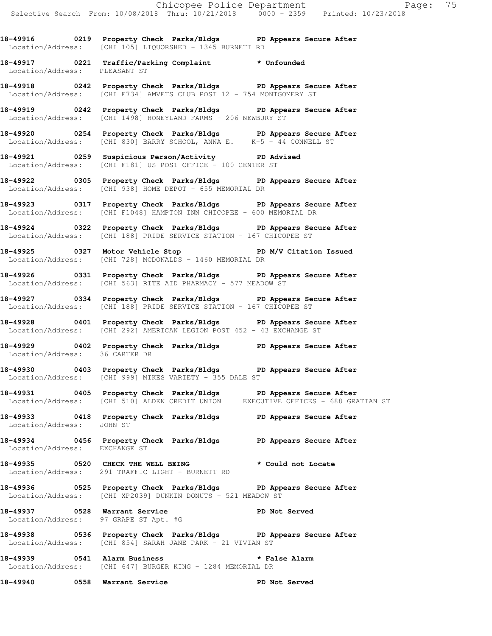**18-49916 0219 Property Check Parks/Bldgs PD Appears Secure After**  Location/Address: [CHI 105] LIQUORSHED - 1345 BURNETT RD

**18-49917 0221 Traffic/Parking Complaint \* Unfounded**  Location/Address: PLEASANT ST

**18-49918 0242 Property Check Parks/Bldgs PD Appears Secure After**  Location/Address: [CHI F734] AMVETS CLUB POST 12 - 754 MONTGOMERY ST

**18-49919 0242 Property Check Parks/Bldgs PD Appears Secure After**  Location/Address: [CHI 1498] HONEYLAND FARMS - 206 NEWBURY ST

**18-49920 0254 Property Check Parks/Bldgs PD Appears Secure After**  Location/Address: [CHI 830] BARRY SCHOOL, ANNA E. K-5 - 44 CONNELL ST

**18-49921 0259 Suspicious Person/Activity PD Advised**  Location/Address: [CHI F181] US POST OFFICE - 100 CENTER ST

**18-49922 0305 Property Check Parks/Bldgs PD Appears Secure After**  Location/Address: [CHI 938] HOME DEPOT - 655 MEMORIAL DR

**18-49923 0317 Property Check Parks/Bldgs PD Appears Secure After**  Location/Address: [CHI F1048] HAMPTON INN CHICOPEE - 600 MEMORIAL DR

**18-49924 0322 Property Check Parks/Bldgs PD Appears Secure After**  Location/Address: [CHI 188] PRIDE SERVICE STATION - 167 CHICOPEE ST

**18-49925 0327 Motor Vehicle Stop PD M/V Citation Issued**  Location/Address: [CHI 728] MCDONALDS - 1460 MEMORIAL DR

**18-49926 0331 Property Check Parks/Bldgs PD Appears Secure After**  Location/Address: [CHI 563] RITE AID PHARMACY - 577 MEADOW ST

**18-49927 0334 Property Check Parks/Bldgs PD Appears Secure After**  Location/Address: [CHI 188] PRIDE SERVICE STATION - 167 CHICOPEE ST

**18-49928 0401 Property Check Parks/Bldgs PD Appears Secure After**  Location/Address: [CHI 292] AMERICAN LEGION POST 452 - 43 EXCHANGE ST

**18-49929 0402 Property Check Parks/Bldgs PD Appears Secure After**  Location/Address: 36 CARTER DR

**18-49930 0403 Property Check Parks/Bldgs PD Appears Secure After**  Location/Address: [CHI 999] MIKES VARIETY - 355 DALE ST

**18-49931 0405 Property Check Parks/Bldgs PD Appears Secure After**  Location/Address: [CHI 510] ALDEN CREDIT UNION

**18-49933 0418 Property Check Parks/Bldgs PD Appears Secure After**  Location/Address: JOHN ST

**18-49934 0456 Property Check Parks/Bldgs PD Appears Secure After**  Location/Address: EXCHANGE ST

**18-49935 0520 CHECK THE WELL BEING \* Could not Locate**  Location/Address: 291 TRAFFIC LIGHT - BURNETT RD

**18-49936 0525 Property Check Parks/Bldgs PD Appears Secure After**  Location/Address: [CHI XP2039] DUNKIN DONUTS - 521 MEADOW ST

18-49937 **0528** Warrant Service **PD** Not Served Location/Address: 97 GRAPE ST Apt. #G

**18-49938 0536 Property Check Parks/Bldgs PD Appears Secure After**  Location/Address: [CHI 854] SARAH JANE PARK - 21 VIVIAN ST

**18-49939 0541 Alarm Business \* False Alarm**  Location/Address: [CHI 647] BURGER KING - 1284 MEMORIAL DR

**18-49940 0558 Warrant Service PD Not Served**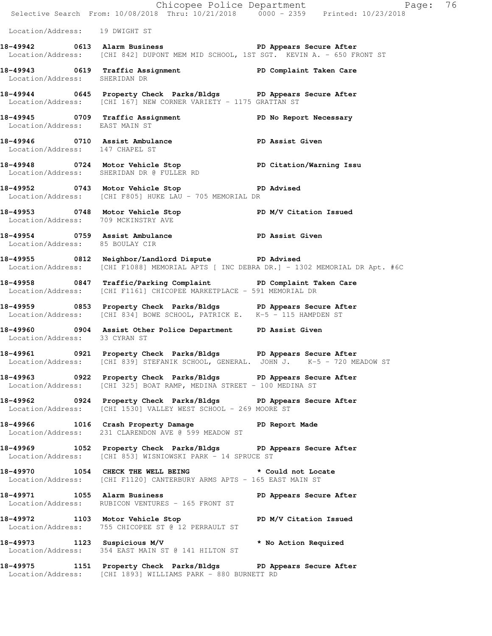|                                     | E<br>Chicopee Police Department<br>Selective Search From: 10/08/2018 Thru: 10/21/2018 0000 - 2359 Printed: 10/23/2018                                               | Page: 76          |
|-------------------------------------|---------------------------------------------------------------------------------------------------------------------------------------------------------------------|-------------------|
| Location/Address: 19 DWIGHT ST      |                                                                                                                                                                     |                   |
|                                     | 18-49942 18-49942 0613 Alarm Business 1988 1999 1999 PD Appears Secure After<br>Location/Address: [CHI 842] DUPONT MEM MID SCHOOL, 1ST SGT. KEVIN A. - 650 FRONT ST |                   |
| Location/Address: SHERIDAN DR       | 18-49943 0619 Traffic Assignment National PD Complaint Taken Care                                                                                                   |                   |
|                                     | 18-49944 0645 Property Check Parks/Bldgs PD Appears Secure After<br>Location/Address: [CHI 167] NEW CORNER VARIETY - 1175 GRATTAN ST                                |                   |
| Location/Address: EAST MAIN ST      | 18-49945 0709 Traffic Assignment PD No Report Necessary                                                                                                             |                   |
| Location/Address: 147 CHAPEL ST     | 18-49946 0710 Assist Ambulance New PD Assist Given                                                                                                                  |                   |
|                                     | 18-49948 0724 Motor Vehicle Stop PD Citation/Warning Issu<br>Location/Address: SHERIDAN DR @ FULLER RD                                                              |                   |
|                                     | 18-49952 0743 Motor Vehicle Stop<br>Location/Address: [CHI F805] HUKE LAU - 705 MEMORIAL DR                                                                         | <b>PD Advised</b> |
| Location/Address: 709 MCKINSTRY AVE | 18-49953 0748 Motor Vehicle Stop PD M/V Citation Issued                                                                                                             |                   |
| Location/Address: 85 BOULAY CIR     | 18-49954 0759 Assist Ambulance New PD Assist Given                                                                                                                  |                   |
|                                     | 18-49955 0812 Neighbor/Landlord Dispute PD Advised<br>Location/Address: [CHI F1088] MEMORIAL APTS [ INC DEBRA DR.] - 1302 MEMORIAL DR Apt. #6C                      |                   |
|                                     | 18-49958 0847 Traffic/Parking Complaint PD Complaint Taken Care<br>Location/Address: [CHI F1161] CHICOPEE MARKETPLACE - 591 MEMORIAL DR                             |                   |
|                                     | 18-49959 0853 Property Check Parks/Bldgs PD Appears Secure After<br>Location/Address: [CHI 834] BOWE SCHOOL, PATRICK E. K-5 - 115 HAMPDEN ST                        |                   |
| Location/Address: 33 CYRAN ST       | 18-49960 0904 Assist Other Police Department PD Assist Given                                                                                                        |                   |
|                                     | 18-49961 0921 Property Check Parks/Bldgs PD Appears Secure After<br>Location/Address: [CHI 839] STEFANIK SCHOOL, GENERAL. JOHN J. K-5 - 720 MEADOW ST               |                   |
|                                     | 18-49963 0922 Property Check Parks/Bldgs PD Appears Secure After<br>Location/Address: [CHI 325] BOAT RAMP, MEDINA STREET - 100 MEDINA ST                            |                   |
|                                     | 18-49962 0924 Property Check Parks/Bldgs PD Appears Secure After<br>Location/Address: [CHI 1530] VALLEY WEST SCHOOL - 269 MOORE ST                                  |                   |
|                                     | 18-49966 1016 Crash Property Damage PD Report Made<br>Location/Address: 231 CLARENDON AVE @ 599 MEADOW ST                                                           |                   |
|                                     | 18-49969 1052 Property Check Parks/Bldgs PD Appears Secure After<br>Location/Address: [CHI 853] WISNIOWSKI PARK - 14 SPRUCE ST                                      |                   |
|                                     | 18-49970 1054 CHECK THE WELL BEING * Could not Locate<br>Location/Address: [CHI F1120] CANTERBURY ARMS APTS - 165 EAST MAIN ST                                      |                   |
|                                     | 18-49971 1055 Alarm Business 1988 PD Appears Secure After<br>Location/Address: RUBICON VENTURES - 165 FRONT ST                                                      |                   |
|                                     | 18-49972 1103 Motor Vehicle Stop N/V Citation Issued<br>Location/Address: 755 CHICOPEE ST @ 12 PERRAULT ST                                                          |                   |
|                                     | 18-49973 1123 Suspicious M/V * No Action Required<br>Location/Address: 354 EAST MAIN ST @ 141 HILTON ST                                                             |                   |
|                                     | 18-49975 1151 Property Check Parks/Bldgs PD Appears Secure After<br>Location/Address: [CHI 1893] WILLIAMS PARK - 880 BURNETT RD                                     |                   |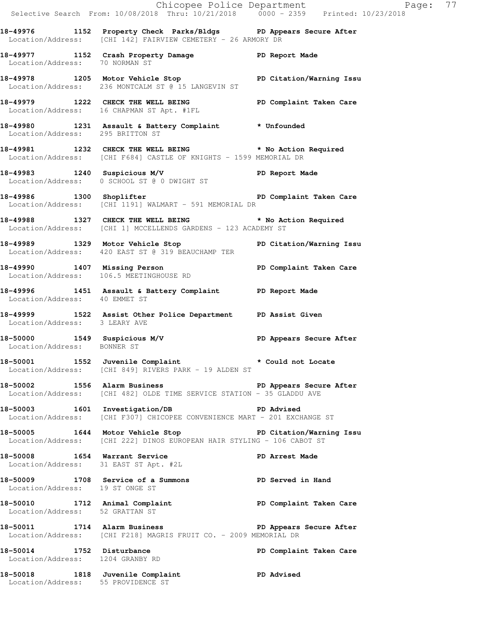|                                                               |                                                                                                                                                 | Chicopee Police Department<br>Selective Search From: 10/08/2018 Thru: 10/21/2018 0000 - 2359 Printed: 10/23/2018 |
|---------------------------------------------------------------|-------------------------------------------------------------------------------------------------------------------------------------------------|------------------------------------------------------------------------------------------------------------------|
|                                                               | 18-49976 1152 Property Check Parks/Bldgs PD Appears Secure After<br>Location/Address: [CHI 142] FAIRVIEW CEMETERY - 26 ARMORY DR                |                                                                                                                  |
| Location/Address: 70 NORMAN ST                                | 18-49977 1152 Crash Property Damage PD Report Made                                                                                              |                                                                                                                  |
|                                                               | 18-49978 1205 Motor Vehicle Stop PD Citation/Warning Issu<br>Location/Address: 236 MONTCALM ST @ 15 LANGEVIN ST                                 |                                                                                                                  |
|                                                               | 18-49979 1222 CHECK THE WELL BEING FOR PD Complaint Taken Care<br>Location/Address: 16 CHAPMAN ST Apt. #1FL                                     |                                                                                                                  |
| Location/Address: 295 BRITTON ST                              | 18-49980 1231 Assault & Battery Complaint * Unfounded                                                                                           |                                                                                                                  |
|                                                               | 18-49981 1232 CHECK THE WELL BEING * No Action Required<br>Location/Address: [CHI F684] CASTLE OF KNIGHTS - 1599 MEMORIAL DR                    |                                                                                                                  |
|                                                               | 18-49983 1240 Suspicious M/V PD Report Made<br>Location/Address: 0 SCHOOL ST @ 0 DWIGHT ST                                                      |                                                                                                                  |
|                                                               | 18-49986 1300 Shoplifter 1890 18-49986 18-49986 1300 Shoplifter<br>Location/Address: [CHI 1191] WALMART - 591 MEMORIAL DR                       |                                                                                                                  |
|                                                               | 18-49988 1327 CHECK THE WELL BEING * No Action Required<br>Location/Address: [CHI 1] MCCELLENDS GARDENS - 123 ACADEMY ST                        |                                                                                                                  |
|                                                               | 18-49989 1329 Motor Vehicle Stop North PD Citation/Warning Issu<br>Location/Address: 420 EAST ST @ 319 BEAUCHAMP TER                            |                                                                                                                  |
|                                                               | 18-49990 1407 Missing Person<br>Location/Address: 106.5 MEETINGHOUSE RD                                                                         | PD Complaint Taken Care                                                                                          |
| Location/Address: 40 EMMET ST                                 | 18-49996 1451 Assault & Battery Complaint PD Report Made                                                                                        |                                                                                                                  |
| Location/Address: 3 LEARY AVE                                 | 18-49999 1522 Assist Other Police Department PD Assist Given                                                                                    |                                                                                                                  |
|                                                               | 18-50000 1549 Suspicious M/V PD Appears Secure After Location/Address: BONNER ST                                                                |                                                                                                                  |
|                                                               | 18-50001 1552 Juvenile Complaint * Could not Locate<br>Location/Address: [CHI 849] RIVERS PARK - 19 ALDEN ST                                    |                                                                                                                  |
|                                                               | 18-50002 1556 Alarm Business Nervice Communication of the Secure After<br>Location/Address: [CHI 482] OLDE TIME SERVICE STATION - 35 GLADDU AVE |                                                                                                                  |
|                                                               | 18-50003 1601 Investigation/DB PD Advised<br>Location/Address: [CHI F307] CHICOPEE CONVENIENCE MART - 201 EXCHANGE ST                           |                                                                                                                  |
|                                                               | 18-50005 1644 Motor Vehicle Stop North PD Citation/Warning Issu<br>Location/Address: [CHI 222] DINOS EUROPEAN HAIR STYLING - 106 CABOT ST       |                                                                                                                  |
| 18-50008 1654 Warrant Service                                 | Location/Address: 31 EAST ST Apt. #2L                                                                                                           | PD Arrest Made                                                                                                   |
| Location/Address: 19 ST ONGE ST                               | 18-50009 1708 Service of a Summons PD Served in Hand                                                                                            |                                                                                                                  |
| Location/Address: 52 GRATTAN ST                               | 18-50010 1712 Animal Complaint 18-50010 PD Complaint Taken Care                                                                                 |                                                                                                                  |
|                                                               | 18-50011 1714 Alarm Business Netter PD Appears Secure After<br>Location/Address: [CHI F218] MAGRIS FRUIT CO. - 2009 MEMORIAL DR                 |                                                                                                                  |
| 18-50014 1752 Disturbance<br>Location/Address: 1204 GRANBY RD |                                                                                                                                                 | PD Complaint Taken Care                                                                                          |
|                                                               | 18-50018 1818 Juvenile Complaint PD Advised<br>Location/Address: 55 PROVIDENCE ST                                                               |                                                                                                                  |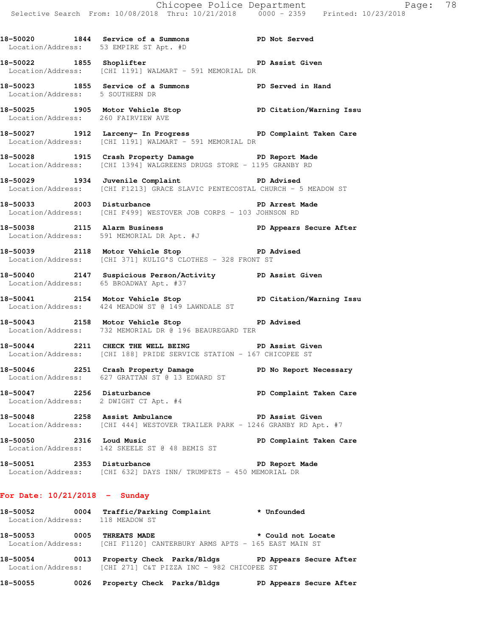**18-50020 1844 Service of a Summons PD Not Served**  Location/Address: 53 EMPIRE ST Apt. #D **18-50022 1855 Shoplifter PD Assist Given**  Location/Address: [CHI 1191] WALMART - 591 MEMORIAL DR **18-50023 1855 Service of a Summons PD Served in Hand**  Location/Address: 5 SOUTHERN DR

**18-50025 1905 Motor Vehicle Stop PD Citation/Warning Issu**  Location/Address: 260 FAIRVIEW AVE

**18-50027 1912 Larceny- In Progress PD Complaint Taken Care**  Location/Address: [CHI 1191] WALMART - 591 MEMORIAL DR

**18-50028 1915 Crash Property Damage PD Report Made**  Location/Address: [CHI 1394] WALGREENS DRUGS STORE - 1195 GRANBY RD

**18-50029 1934 Juvenile Complaint PD Advised**  Location/Address: [CHI F1213] GRACE SLAVIC PENTECOSTAL CHURCH - 5 MEADOW ST

**18-50033 2003 Disturbance PD Arrest Made**  Location/Address: [CHI F499] WESTOVER JOB CORPS - 103 JOHNSON RD

**18-50038 2115 Alarm Business PD Appears Secure After**  Location/Address: 591 MEMORIAL DR Apt. #J

**18-50039 2118 Motor Vehicle Stop PD Advised**  Location/Address: [CHI 371] KULIG'S CLOTHES - 328 FRONT ST

**18-50040 2147 Suspicious Person/Activity PD Assist Given**  Location/Address: 65 BROADWAY Apt. #37

**18-50041 2154 Motor Vehicle Stop PD Citation/Warning Issu**  Location/Address: 424 MEADOW ST @ 149 LAWNDALE ST

**18-50043 2158 Motor Vehicle Stop PD Advised**  Location/Address: 732 MEMORIAL DR @ 196 BEAUREGARD TER

**18-50044 2211 CHECK THE WELL BEING PD Assist Given**  Location/Address: [CHI 188] PRIDE SERVICE STATION - 167 CHICOPEE ST

**18-50046 2251 Crash Property Damage PD No Report Necessary**  Location/Address: 627 GRATTAN ST @ 13 EDWARD ST

18-50047 **2256** Disturbance **PD Complaint Taken Care** Location/Address: 2 DWIGHT CT Apt. #4

**18-50048 2258 Assist Ambulance PD Assist Given**  Location/Address: [CHI 444] WESTOVER TRAILER PARK - 1246 GRANBY RD Apt. #7

**18-50050 2316 Loud Music PD Complaint Taken Care**  Location/Address: 142 SKEELE ST @ 48 BEMIS ST

18-50051 2353 Disturbance **PD** Report Made Location/Address: [CHI 632] DAYS INN/ TRUMPETS - 450 MEMORIAL DR

## **For Date: 10/21/2018 - Sunday**

**18-50052 0004 Traffic/Parking Complaint \* Unfounded**  Location/Address: 118 MEADOW ST

**18-50053 0005 THREATS MADE \* Could not Locate**  Location/Address: [CHI F1120] CANTERBURY ARMS APTS - 165 EAST MAIN ST

**18-50054 0013 Property Check Parks/Bldgs PD Appears Secure After**  Location/Address: [CHI 271] C&T PIZZA INC - 982 CHICOPEE ST

**18-50055 0026 Property Check Parks/Bldgs PD Appears Secure After**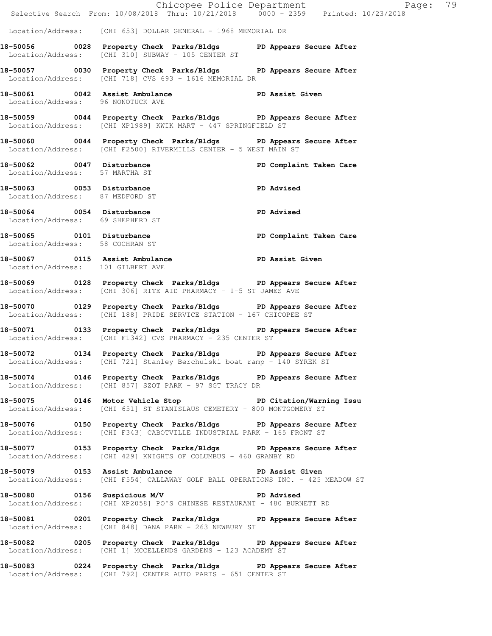|                                                               | E Chicopee Police Department<br>Selective Search From: 10/08/2018 Thru: 10/21/2018 0000 - 2359 Printed: 10/23/2018                          |                         | Page: 79 |
|---------------------------------------------------------------|---------------------------------------------------------------------------------------------------------------------------------------------|-------------------------|----------|
|                                                               | Location/Address: [CHI 653] DOLLAR GENERAL - 1968 MEMORIAL DR                                                                               |                         |          |
|                                                               | 18-50056 0028 Property Check Parks/Bldgs PD Appears Secure After<br>Location/Address: [CHI 310] SUBWAY - 105 CENTER ST                      |                         |          |
|                                                               | 18-50057 0030 Property Check Parks/Bldgs PD Appears Secure After<br>Location/Address: [CHI 718] CVS 693 - 1616 MEMORIAL DR                  |                         |          |
| Location/Address: 96 NONOTUCK AVE                             | 18-50061 0042 Assist Ambulance New PD Assist Given                                                                                          |                         |          |
|                                                               | 18-50059 0044 Property Check Parks/Bldgs PD Appears Secure After<br>Location/Address: [CHI XP1989] KWIK MART - 447 SPRINGFIELD ST           |                         |          |
|                                                               | 18-50060 0044 Property Check Parks/Bldgs PD Appears Secure After<br>Location/Address: [CHI F2500] RIVERMILLS CENTER - 5 WEST MAIN ST        |                         |          |
| Location/Address: 57 MARTHA ST                                | 18-50062 0047 Disturbance                                                                                                                   | PD Complaint Taken Care |          |
| 18-50063 0053 Disturbance<br>Location/Address: 87 MEDFORD ST  | <b>PD</b> Advised                                                                                                                           |                         |          |
| 18-50064 0054 Disturbance<br>Location/Address: 69 SHEPHERD ST |                                                                                                                                             | PD Advised              |          |
| Location/Address: 58 COCHRAN ST                               | 18-50065 0101 Disturbance <b>18-50061 PD</b> Complaint Taken Care                                                                           |                         |          |
| Location/Address: 101 GILBERT AVE                             | 18-50067 0115 Assist Ambulance No PD Assist Given                                                                                           |                         |          |
|                                                               | 18-50069 0128 Property Check Parks/Bldgs PD Appears Secure After<br>Location/Address: [CHI 306] RITE AID PHARMACY - 1-5 ST JAMES AVE        |                         |          |
|                                                               | 18-50070 0129 Property Check Parks/Bldgs PD Appears Secure After<br>Location/Address: [CHI 188] PRIDE SERVICE STATION - 167 CHICOPEE ST     |                         |          |
|                                                               | 18-50071 0133 Property Check Parks/Bldgs PD Appears Secure After<br>Location/Address: [CHI F1342] CVS PHARMACY - 235 CENTER ST              |                         |          |
|                                                               | 18-50072 0134 Property Check Parks/Bldgs PD Appears Secure After<br>Location/Address: [CHI 721] Stanley Berchulski boat ramp - 140 SYREK ST |                         |          |
|                                                               | 18-50074 0146 Property Check Parks/Bldgs PD Appears Secure After<br>Location/Address: [CHI 857] SZOT PARK - 97 SGT TRACY DR                 |                         |          |
|                                                               | 18-50075 0146 Motor Vehicle Stop PD Citation/Warning Issu<br>Location/Address: [CHI 651] ST STANISLAUS CEMETERY - 800 MONTGOMERY ST         |                         |          |
|                                                               | 18-50076 0150 Property Check Parks/Bldgs PD Appears Secure After<br>Location/Address: [CHI F343] CABOTVILLE INDUSTRIAL PARK - 165 FRONT ST  |                         |          |
|                                                               | 18-50077 0153 Property Check Parks/Bldgs PD Appears Secure After<br>Location/Address: [CHI 429] KNIGHTS OF COLUMBUS - 460 GRANBY RD         |                         |          |
|                                                               | 18-50079 0153 Assist Ambulance New PD Assist Given<br>Location/Address: [CHI F554] CALLAWAY GOLF BALL OPERATIONS INC. - 425 MEADOW ST       |                         |          |
|                                                               | 18-50080 0156 Suspicious M/V PD Advised<br>Location/Address: [CHI XP2058] PO'S CHINESE RESTAURANT - 480 BURNETT RD                          |                         |          |
|                                                               | 18-50081 0201 Property Check Parks/Bldgs PD Appears Secure After<br>Location/Address: [CHI 848] DANA PARK - 263 NEWBURY ST                  |                         |          |
|                                                               | 18-50082 0205 Property Check Parks/Bldgs PD Appears Secure After<br>Location/Address: [CHI 1] MCCELLENDS GARDENS - 123 ACADEMY ST           |                         |          |
|                                                               | 18-50083 0224 Property Check Parks/Bldgs PD Appears Secure After<br>Location/Address: [CHI 792] CENTER AUTO PARTS - 651 CENTER ST           |                         |          |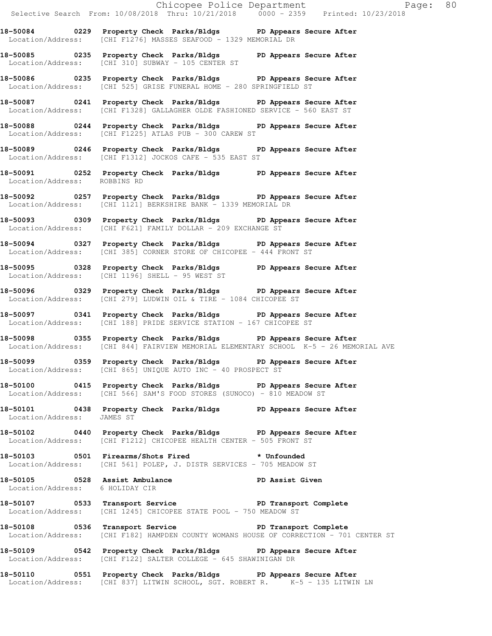Chicopee Police Department Fage: 80 Selective Search From: 10/08/2018 Thru: 10/21/2018 0000 - 2359 Printed: 10/23/2018 **18-50084 0229 Property Check Parks/Bldgs PD Appears Secure After**  Location/Address: [CHI F1276] MASSES SEAFOOD - 1329 MEMORIAL DR **18-50085 0235 Property Check Parks/Bldgs PD Appears Secure After**  Location/Address: [CHI 310] SUBWAY - 105 CENTER ST **18-50086 0235 Property Check Parks/Bldgs PD Appears Secure After**  Location/Address: [CHI 525] GRISE FUNERAL HOME - 280 SPRINGFIELD ST **18-50087 0241 Property Check Parks/Bldgs PD Appears Secure After**  Location/Address: [CHI F1328] GALLAGHER OLDE FASHIONED SERVICE - 560 EAST ST **18-50088 0244 Property Check Parks/Bldgs PD Appears Secure After**  Location/Address: [CHI F1225] ATLAS PUB - 300 CAREW ST **18-50089 0246 Property Check Parks/Bldgs PD Appears Secure After**  Location/Address: [CHI F1312] JOCKOS CAFE - 535 EAST ST **18-50091 0252 Property Check Parks/Bldgs PD Appears Secure After**  Location/Address: ROBBINS RD **18-50092 0257 Property Check Parks/Bldgs PD Appears Secure After**  Location/Address: [CHI 1121] BERKSHIRE BANK - 1339 MEMORIAL DR **18-50093 0309 Property Check Parks/Bldgs PD Appears Secure After**  Location/Address: [CHI F621] FAMILY DOLLAR - 209 EXCHANGE ST **18-50094 0327 Property Check Parks/Bldgs PD Appears Secure After**  Location/Address: [CHI 385] CORNER STORE OF CHICOPEE - 444 FRONT ST **18-50095 0328 Property Check Parks/Bldgs PD Appears Secure After**  Location/Address: [CHI 1196] SHELL - 95 WEST ST **18-50096 0329 Property Check Parks/Bldgs PD Appears Secure After**  Location/Address: [CHI 279] LUDWIN OIL & TIRE - 1084 CHICOPEE ST **18-50097 0341 Property Check Parks/Bldgs PD Appears Secure After**  Location/Address: [CHI 188] PRIDE SERVICE STATION - 167 CHICOPEE ST **18-50098 0355 Property Check Parks/Bldgs PD Appears Secure After**  Location/Address: [CHI 844] FAIRVIEW MEMORIAL ELEMENTARY SCHOOL K-5 - 26 MEMORIAL AVE **18-50099 0359 Property Check Parks/Bldgs PD Appears Secure After**  Location/Address: [CHI 865] UNIQUE AUTO INC - 40 PROSPECT ST **18-50100 0415 Property Check Parks/Bldgs PD Appears Secure After**  Location/Address: [CHI 566] SAM'S FOOD STORES (SUNOCO) - 810 MEADOW ST **18-50101 0438 Property Check Parks/Bldgs PD Appears Secure After**  Location/Address: JAMES ST **18-50102 0440 Property Check Parks/Bldgs PD Appears Secure After**  Location/Address: [CHI F1212] CHICOPEE HEALTH CENTER - 505 FRONT ST **18-50103 0501 Firearms/Shots Fired \* Unfounded**  Location/Address: [CHI 561] POLEP, J. DISTR SERVICES - 705 MEADOW ST 18-50105 **0528** Assist Ambulance **PD Assist Given**  Location/Address: 6 HOLIDAY CIR 18-50107 **0533** Transport Service **PED PERS** Transport Complete Location/Address: [CHI 1245] CHICOPEE STATE POOL - 750 MEADOW ST 18-50108 **0536** Transport Service **PD** Transport Complete Location/Address: [CHI F182] HAMPDEN COUNTY WOMANS HOUSE OF CORRECTION - 701 CENTER ST **18-50109 0542 Property Check Parks/Bldgs PD Appears Secure After**  Location/Address: [CHI F122] SALTER COLLEGE - 645 SHAWINIGAN DR **18-50110 0551 Property Check Parks/Bldgs PD Appears Secure After** 

Location/Address: [CHI 837] LITWIN SCHOOL, SGT. ROBERT R. K-5 - 135 LITWIN LN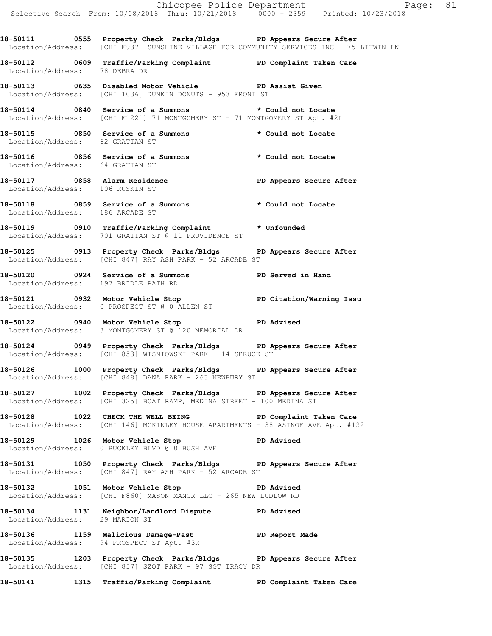**18-50111 0555 Property Check Parks/Bldgs PD Appears Secure After**  Location/Address: [CHI F937] SUNSHINE VILLAGE FOR COMMUNITY SERVICES INC - 75 LITWIN LN

**18-50112 0609 Traffic/Parking Complaint PD Complaint Taken Care**  Location/Address: 78 DEBRA DR

**18-50113 0635 Disabled Motor Vehicle PD Assist Given**  Location/Address: [CHI 1036] DUNKIN DONUTS - 953 FRONT ST

**18-50114 0840 Service of a Summons \* Could not Locate**  Location/Address: [CHI F1221] 71 MONTGOMERY ST - 71 MONTGOMERY ST Apt. #2L

**18-50115 0850 Service of a Summons \* Could not Locate**  Location/Address: 62 GRATTAN ST

**18-50116 0856 Service of a Summons \* Could not Locate**  Location/Address: 64 GRATTAN ST

**18-50117 0858 Alarm Residence PD Appears Secure After**  Location/Address: 106 RUSKIN ST

**18-50118 0859 Service of a Summons \* Could not Locate**  Location/Address: 186 ARCADE ST

**18-50119 0910 Traffic/Parking Complaint \* Unfounded**  Location/Address: 701 GRATTAN ST @ 11 PROVIDENCE ST

**18-50125 0913 Property Check Parks/Bldgs PD Appears Secure After**  Location/Address: [CHI 847] RAY ASH PARK - 52 ARCADE ST

**18-50120 0924 Service of a Summons PD Served in Hand**  Location/Address: 197 BRIDLE PATH RD

**18-50121 0932 Motor Vehicle Stop PD Citation/Warning Issu**  Location/Address: 0 PROSPECT ST @ 0 ALLEN ST

**18-50122 0940 Motor Vehicle Stop PD Advised**  Location/Address: 3 MONTGOMERY ST @ 120 MEMORIAL DR

**18-50124 0949 Property Check Parks/Bldgs PD Appears Secure After**  Location/Address: [CHI 853] WISNIOWSKI PARK - 14 SPRUCE ST

**18-50126 1000 Property Check Parks/Bldgs PD Appears Secure After**  Location/Address: [CHI 848] DANA PARK - 263 NEWBURY ST

**18-50127 1002 Property Check Parks/Bldgs PD Appears Secure After**  Location/Address: [CHI 325] BOAT RAMP, MEDINA STREET - 100 MEDINA ST

**18-50128 1022 CHECK THE WELL BEING PD Complaint Taken Care**  Location/Address: [CHI 146] MCKINLEY HOUSE APARTMENTS - 38 ASINOF AVE Apt. #132

18-50129 1026 Motor Vehicle Stop **PD** Advised Location/Address: 0 BUCKLEY BLVD @ 0 BUSH AVE

**18-50131 1050 Property Check Parks/Bldgs PD Appears Secure After**  Location/Address: [CHI 847] RAY ASH PARK - 52 ARCADE ST

**18-50132 1051 Motor Vehicle Stop PD Advised**  Location/Address: [CHI F860] MASON MANOR LLC - 265 NEW LUDLOW RD

**18-50134 1131 Neighbor/Landlord Dispute PD Advised**  Location/Address: 29 MARION ST

**18-50136 1159 Malicious Damage-Past PD Report Made**  Location/Address: 94 PROSPECT ST Apt. #3R

**18-50135 1203 Property Check Parks/Bldgs PD Appears Secure After**  Location/Address: [CHI 857] SZOT PARK - 97 SGT TRACY DR

**18-50141 1315 Traffic/Parking Complaint PD Complaint Taken Care**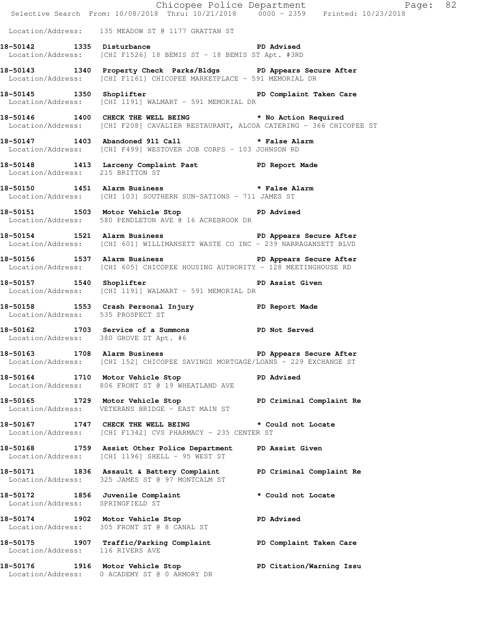|                                   | E<br>Chicopee Police Department<br>Selective Search From: 10/08/2018 Thru: 10/21/2018 0000 - 2359 Printed: 10/23/2018                         | Page: 82                 |
|-----------------------------------|-----------------------------------------------------------------------------------------------------------------------------------------------|--------------------------|
|                                   | Location/Address: 135 MEADOW ST @ 1177 GRATTAN ST                                                                                             |                          |
|                                   | 18-50142 1335 Disturbance 2011 PD Advised<br>Location/Address: [CHI F1526] 18 BEMIS ST - 18 BEMIS ST Apt. #3RD                                |                          |
|                                   | 18-50143 1340 Property Check Parks/Bldgs PD Appears Secure After<br>Location/Address: [CHI F1161] CHICOPEE MARKETPLACE - 591 MEMORIAL DR      |                          |
| 18-50145 1350 Shoplifter          | Location/Address: [CHI 1191] WALMART - 591 MEMORIAL DR                                                                                        | PD Complaint Taken Care  |
|                                   | 18-50146 1400 CHECK THE WELL BEING * No Action Required<br>Location/Address: [CHI F208] CAVALIER RESTAURANT, ALCOA CATERING - 366 CHICOPEE ST |                          |
|                                   | 18-50147 1403 Abandoned 911 Call <b>*</b> False Alarm<br>Location/Address: [CHI F499] WESTOVER JOB CORPS - 103 JOHNSON RD                     |                          |
|                                   | 18-50148   1413   Larceny Complaint Past   PD Report Made Location/Address: 215   BRITTON ST                                                  |                          |
|                                   | 18-50150 1451 Alarm Business <b>18-50150 18-50150</b><br>Location/Address: [CHI 103] SOUTHERN SUN-SATIONS - 711 JAMES ST                      |                          |
|                                   | 18-50151 1503 Motor Vehicle Stop 1912 PD Advised<br>Location/Address: 580 PENDLETON AVE @ 16 ACREBROOK DR                                     |                          |
|                                   | 18-50154 1521 Alarm Business 18 PD Appears Secure After<br>Location/Address: [CHI 601] WILLIMANSETT WASTE CO INC - 239 NARRAGANSETT BLVD      |                          |
|                                   | 18-50156 1537 Alarm Business 18 PD Appears Secure After<br>Location/Address: [CHI 605] CHICOPEE HOUSING AUTHORITY - 128 MEETINGHOUSE RD       |                          |
|                                   | 18-50157 1540 Shoplifter 18-50157 1540 and the Shoplifter 18-50157<br>Location/Address: [CHI 1191] WALMART - 591 MEMORIAL DR                  |                          |
| Location/Address: 535 PROSPECT ST | 18-50158 1553 Crash Personal Injury 18-50158 PD Report Made                                                                                   |                          |
|                                   | 18-50162 1703 Service of a Summons PD Not Served<br>Location/Address: 380 GROVE ST Apt. #6                                                    |                          |
|                                   | 18-50163 1708 Alarm Business 20 PD Appears Secure After<br>Location/Address: [CHI 152] CHICOPEE SAVINGS MORTGAGE/LOANS - 229 EXCHANGE ST      |                          |
|                                   | 18-50164 1710 Motor Vehicle Stop<br>Location/Address: 806 FRONT ST @ 19 WHEATLAND AVE                                                         | PD Advised               |
|                                   | 18-50165 1729 Motor Vehicle Stop PD Criminal Complaint Re<br>Location/Address: VETERANS BRIDGE - EAST MAIN ST                                 |                          |
|                                   | 18-50167 1747 CHECK THE WELL BEING * Could not Locate<br>Location/Address: [CHI F1342] CVS PHARMACY - 235 CENTER ST                           |                          |
|                                   | 18-50168 1759 Assist Other Police Department PD Assist Given<br>Location/Address: [CHI 1196] SHELL - 95 WEST ST                               |                          |
|                                   | 18-50171 1836 Assault & Battery Complaint PD Criminal Complaint Re<br>Location/Address: 325 JAMES ST @ 97 MONTCALM ST                         |                          |
| Location/Address: SPRINGFIELD ST  | 18-50172 1856 Juvenile Complaint * Could not Locate                                                                                           |                          |
|                                   | 18-50174 1902 Motor Vehicle Stop<br>Location/Address: 305 FRONT ST @ 8 CANAL ST                                                               | <b>PD Advised</b>        |
| Location/Address: 116 RIVERS AVE  | 18-50175 1907 Traffic/Parking Complaint PD Complaint Taken Care                                                                               |                          |
|                                   | 18-50176 1916 Motor Vehicle Stop<br>Location/Address: 0 ACADEMY ST @ 0 ARMORY DR                                                              | PD Citation/Warning Issu |
|                                   |                                                                                                                                               |                          |